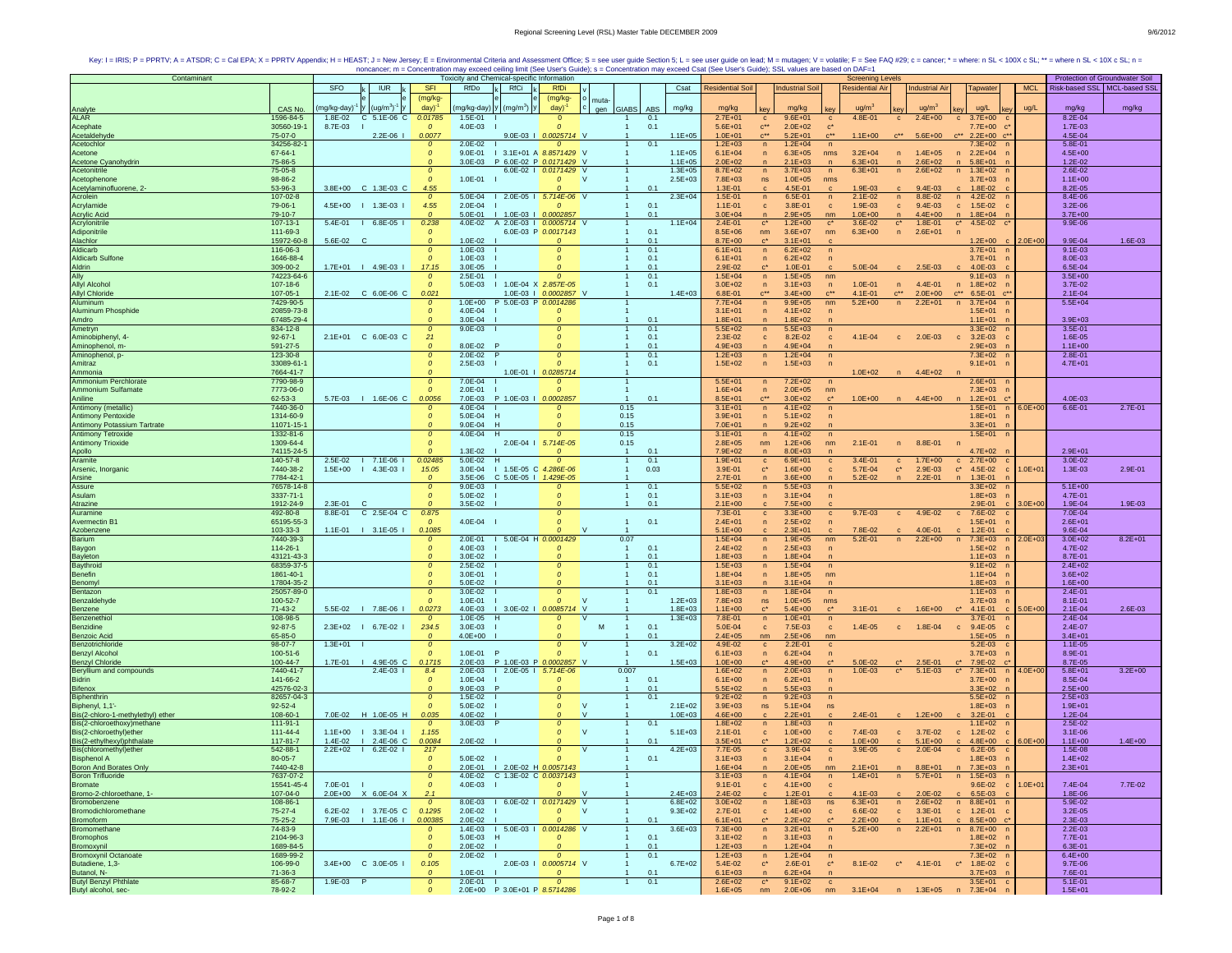| Contaminant                                           |                            |                    |                                  |                                   | Toxicity and Chemical-specific Information |                               |                                           |                                |                            |                            |                                     |                            | <b>Screening Levels</b>                                  |                           |                        |                                                                        |             | Protection of Groundwater Soil |             |
|-------------------------------------------------------|----------------------------|--------------------|----------------------------------|-----------------------------------|--------------------------------------------|-------------------------------|-------------------------------------------|--------------------------------|----------------------------|----------------------------|-------------------------------------|----------------------------|----------------------------------------------------------|---------------------------|------------------------|------------------------------------------------------------------------|-------------|--------------------------------|-------------|
|                                                       |                            | SFO                | <b>IUR</b>                       | <b>SFI</b>                        | RfDo                                       | <b>RfCi</b>                   | <b>RfDi</b>                               |                                | Csat                       | <b>Residential Soil</b>    |                                     | <b>Industrial Soil</b>     | <b>Residential Air</b>                                   |                           | <b>Industrial Air</b>  | <b>Tapwater</b>                                                        | <b>MCL</b>  | Risk-based SSL   MCL-based SSL |             |
|                                                       |                            |                    |                                  | (mg/kg-                           |                                            |                               | (mg/kg-                                   | muta-                          |                            |                            |                                     |                            |                                                          |                           |                        |                                                                        |             |                                |             |
| Analyte                                               | CAS No.                    | ng/kg-day)         | $(ug/m3)-1$                      | day)                              | mg/kg-day                                  | $(mg/m3)$ y                   | day)                                      | gen GIABS                      | mg/kg<br><b>ABS</b>        | mg/kg                      | kev                                 | mg/kg                      | ua/m                                                     |                           | $u\alpha/m^2$          | ug/L                                                                   | ug/L        | mg/kg                          | mg/kg       |
| <b>ALAR</b>                                           | 1596-84-5                  | $1.8E - 02$        | 5.1E-06 C<br>C.                  | 0.01785                           | 1.5E-01                                    |                               | $\Omega$                                  |                                | 0.1                        | $2.7E + 01$                | $\mathbf{C}$                        | $9.6E + 01$                | 4.8E-01<br>$\mathbf{C}$                                  | $\mathbf{c}$              | $2.4E + 00$            | $3.7E + 00$<br>$\mathbf{c}$                                            |             | $8.2E - 04$                    |             |
| Acephate                                              | 30560-19-1                 | 8.7E-03            |                                  | $\mathfrak{o}$                    | 4.0E-03                                    |                               | $\mathcal{O}$                             |                                | 0.1                        | $5.6E + 01$                | $\mathbf{c}^{\star\star}$<br>$C***$ | $2.0E + 02$                | $c^*$<br>$C^{\star\star}$                                |                           |                        | 7.7E+00<br>$\mathbf{c}$                                                |             | $1.7E - 03$                    |             |
| Acetaldehyde<br>Acetochlor                            | 75-07-0<br>34256-82-       |                    | $2.2E-06$                        | 0.0077<br>$\mathcal{O}$           | $2.0E - 02$                                |                               | 9.0E-03   0.0025714 V<br>$\boldsymbol{o}$ |                                | $1.1E + 05$<br>0.1         | $1.0E + 01$<br>$1.2E + 03$ | $\sqrt{n}$                          | $5.2E + 01$<br>$1.2E + 04$ | $1.1E + 00$<br>$\sqrt{n}$                                |                           | $5.6E + 00$            | $2.2E+00$ $c^*$<br>7.3E+02                                             |             | 4.5E-04<br>5.8E-01             |             |
| Acetone                                               | 67-64-1                    |                    |                                  | $\mathcal{O}$                     | $9.0E - 01$                                |                               | 1 3.1E+01 A 8.8571429 V                   |                                | $1.1E + 05$                | $6.1E + 04$                | $\overline{n}$                      | $6.3E + 05$                | $3.2E + 04$<br>nms                                       | n                         | $1.4E + 05$            | $2.2E + 04$<br>n                                                       |             | $4.5E + 00$                    |             |
| Acetone Cyanohydrin                                   | 75-86-5                    |                    |                                  | $\Omega$                          | $3.0E - 03$                                |                               | P 6.0E-02 P 0.0171429 V                   |                                | $1.1E + 05$                | $2.0E + 02$                | $\mathsf{n}$                        | $2.1E + 03$                | $6.3E + 01$<br>$\mathsf{n}$                              | n                         | $2.6E + 02$            | $5.8E + 01$<br>n                                                       |             | $1.2E - 02$                    |             |
| Acetonitrile                                          | 75-05-8                    |                    |                                  |                                   |                                            |                               | 6.0E-02   0.0171429 V                     |                                | $1.3E + 05$                | $8.7E + 02$                | $\overline{p}$                      | $3.7E + 03$                | $6.3E + 01$<br>n                                         | $\overline{p}$            | $2.6E + 02$            | $\mathsf{n}$<br>$1.3E + 02$                                            |             | 2.6E-02                        |             |
| Acetophenone                                          | 98-86-2                    |                    |                                  |                                   | $1.0E - 01$                                |                               | 0                                         | <b>V</b>                       | $2.5E + 03$                | 7.8E+03                    | ns                                  | $1.0E + 05$                | nms                                                      |                           |                        | $3.7E + 03$                                                            |             | $1.1E + 00$                    |             |
| Acetylaminofluorene, 2-                               | 53-96-3                    |                    | 3.8E+00 C 1.3E-03 C              | 4.55                              |                                            |                               |                                           |                                | 0.1                        | 1.3E-01                    | $\mathbf{c}$                        | 4.5E-01                    | 1.9E-03<br>$\mathbf{c}$                                  |                           | $9.4E - 03$            | 1.8E-02                                                                |             | 8.2E-05                        |             |
| Acrolein<br>Acrylamide                                | 107-02-8<br>79-06-1        | 4.5E+00<br>- 11    | $1.3E-03$                        | $\mathcal{O}$<br>4.55             | $5.0E - 04$  <br>$2.0E-04$                 |                               | 2.0E-05   5.714E-06 V<br>$\mathcal{O}$    |                                | $2.3E + 04$<br>0.1         | 1.5E-01<br>$1.1E - 01$     | n<br>$\mathbf{c}$                   | 6.5E-01<br>3.8E-01         | $2.1E-02$<br>n<br>1.9E-03<br>$\mathbf{c}$                | n<br>$\mathbf{c}$         | 8.8E-02<br>$9.4E - 03$ | $4.2E-02$<br>n<br>$\mathbf{c}$<br>$1.5E-02$                            |             | 8.4E-06<br>$3.2E - 06$         |             |
|                                                       | 79-10-7                    |                    |                                  | $\Omega$                          | 5.0E-01                                    | $1.0E-03$                     | 0.0002857                                 |                                | 0.1                        | $3.0E + 04$                | $\overline{ }$                      | $2.9E + 05$                | $1.0E + 00$<br>nm                                        | $\sqrt{n}$                | $4.4E + 00$            | $\sqrt{n}$<br>$1.8E + 04$                                              |             | $3.7E + 00$                    |             |
| Acrylic Acid<br>Acrylonitrile                         | 107-13-1                   | 5.4E-01            | $16.8E-051$                      | 0.238                             | 4.0E-02                                    |                               | A 2.0E-03   0.0005714 V                   |                                | $1.1E + 04$                | $2.4E - 01$                | $\mathbf{c}^{\star}$                | $1.2E + 00$                | 3.6E-02<br>$c^*$                                         | $\mathbf{C}^{\star}$      | $1.8E - 01$            | $4.5E-02$ $c'$<br>$\mathbf{c}^{\star}$                                 |             | $9.9E - 06$                    |             |
| Adiponitrile                                          | 111-69-3                   |                    |                                  | $\Omega$                          |                                            |                               | 6.0E-03 P 0.0017143                       |                                | 0.1                        | $8.5E + 06$                | nm                                  | $3.6E + 07$                | $6.3E + 00$<br>nm                                        | $\mathsf{n}$              | $2.6E + 01$            |                                                                        |             |                                |             |
| Alachlor                                              | 15972-60-8                 | 5.6E-02            | C                                |                                   | $1.0E - 02$                                |                               |                                           |                                | 0.1                        | 8.7E+00                    | $\mathbf{c}^*$                      | $3.1E + 01$                |                                                          |                           |                        | $1.2E+00$ c                                                            | $.0E + 00$  | 9.9E-04                        | 1.6E-03     |
| Aldicarb                                              | 116-06-3                   |                    |                                  | $\mathcal{O}$                     | 1.0E-03                                    |                               | 0                                         |                                | 0.1                        | $6.1E + 01$                | n                                   | $6.2E + 02$                | $\sqrt{n}$                                               |                           |                        | $3.7E + 01$ n                                                          |             | $9.1E - 03$                    |             |
| <b>Aldicarb Sulfone</b><br>Aldrin                     | 1646-88-4<br>309-00-2      |                    | 1.7E+01   4.9E-03                | $\Omega$<br>17.15                 | $1.0E - 03$<br>$3.0E-05$                   |                               | $\Omega$                                  |                                | 0.1<br>0.1                 | $6.1E + 01$<br>2.9E-02     | $\overline{n}$<br>$c^{\star}$       | $6.2E + 02$<br>$1.0E - 01$ | $\sqrt{n}$<br>5.0E-04                                    |                           | $2.5E-03$              | $3.7E + 01$<br>n<br>4.0E-03                                            |             | 8.0E-03<br>6.5E-04             |             |
| Ally                                                  | 74223-64-6                 |                    |                                  | $\mathcal{O}$                     | 2.5E-01                                    |                               | $\boldsymbol{o}$                          |                                | 0.1                        | $1.5E + 04$                | $\mathsf{n}$                        | $1.5E + 05$                | c<br>nm                                                  |                           |                        | $9.1E + 03$                                                            |             | $3.5E + 00$                    |             |
| <b>Allyl Alcohol</b>                                  | 107-18-6                   |                    |                                  | $\mathcal{O}$                     | 5.0E-03                                    |                               | 1.0E-04 X 2.857E-05                       |                                | 0.1                        | $3.0E + 02$                | $\overline{ }$                      | $3.1E + 03$                | n<br>$1.0E - 01$                                         | n                         | 4.4E-01                | $1.8E + 02$<br>$\mathsf{n}$                                            |             | 3.7E-02                        |             |
| <b>Allyl Chloride</b>                                 | 107-05-1                   | $2.1E-02$          | C 6.0E-06 C                      | 0.021                             |                                            |                               | 1.0E-03   0.0002857 V                     |                                | $1.4E + 03$                | 6.8E-01                    |                                     | $3.4E + 00$                | 4.1E-01                                                  | $c^{\star\star}$          | $2.0E + 00$            | 6.5E-01                                                                |             | 2.1E-04                        |             |
| Aluminum                                              | 7429-90-5                  |                    |                                  |                                   | $1.0E + 00$                                | P 5.0E-03 P 0.0014286         |                                           |                                |                            | $7.7E + 04$                | $\mathsf{n}$                        | $9.9E + 05$                | $5.2E + 00$<br>nm                                        | n                         | $2.2E + 01$            | n<br>$3.7E + 04$                                                       |             | $5.5E + 04$                    |             |
| <b>Aluminum Phosphide</b>                             | 20859-73-8                 |                    |                                  | $\mathcal{O}$                     | 4.0E-04                                    |                               |                                           |                                |                            | $3.1E + 01$                | $\overline{n}$                      | $4.1E + 02$                | n                                                        |                           |                        | $1.5E + 01$                                                            |             |                                |             |
| Amdro<br>Ametryn                                      | 67485-29-4                 |                    |                                  |                                   | 3.0E-04                                    |                               |                                           |                                | 0.1                        | $1.8E + 01$                | $\overline{ }$                      | $1.8E + 02$                |                                                          |                           |                        | $1.1E + 01$                                                            |             | $3.9E + 03$                    |             |
|                                                       | 834-12-8                   |                    | 2.1E+01 C 6.0E-03 C              | $\Omega$                          | $9.0E - 03$                                |                               | $\Omega$                                  |                                | 0.1<br>0.1                 | $5.5E + 02$<br>2.3E-02     | $\mathsf{n}$                        | $5.5E + 03$                | $\sqrt{n}$                                               |                           |                        | $3.3E + 02$                                                            |             | 3.5E-01<br>1.6E-05             |             |
| Aminobiphenyl, 4-<br>Aminophenol, m-                  | $92 - 67 - 1$<br>591-27-5  |                    |                                  | 21<br>$\Omega$                    | 8.0E-02                                    |                               | $\Omega$                                  |                                | 0.1                        | $4.9E + 03$                | $\mathbf{c}$<br>$\mathsf{n}$        | 8.2E-02<br>$4.9E + 04$     | $4.1E - 04$<br>$\mathbf{c}$                              | $\mathbf{c}$              | $2.0E-03$              | $c = 3.2E - 03$<br>$2.9E + 03$                                         |             | $1.1E + 00$                    |             |
| Aminophenol, p-                                       | 123-30-8                   |                    |                                  | $\mathcal{O}$                     | $2.0E - 02$                                |                               |                                           |                                | 0.1                        | $1.2E + 03$                | $\mathsf{n}$                        | $1.2E + 04$                |                                                          |                           |                        | 7.3E+02                                                                |             | 2.8E-01                        |             |
| Amitraz                                               | 33089-61-1                 |                    |                                  | $\mathcal{O}$                     | 2.5E-03                                    |                               |                                           |                                | 0.1                        | $1.5E + 02$                | $\mathsf{n}$                        | $1.5E + 03$                |                                                          |                           |                        | $9.1E + 01$                                                            |             | $4.7E + 01$                    |             |
| Ammonia                                               | 7664-41-7                  |                    |                                  | $\Omega$                          |                                            |                               | 1.0E-01   0.0285714                       |                                |                            |                            |                                     |                            | $1.0E + 02$                                              | n                         | $4.4E + 02$            |                                                                        |             |                                |             |
| <b>Ammonium Perchlorate</b>                           | 7790-98-9                  |                    |                                  | $\mathcal{O}$                     | 7.0E-04                                    |                               |                                           |                                |                            | $5.5E + 01$                | n                                   | $7.2E + 02$                | n                                                        |                           |                        | $2.6E + 01$                                                            |             |                                |             |
| Ammonium Sulfamate                                    | 7773-06-0                  |                    |                                  |                                   | 2.0E-01                                    |                               |                                           |                                |                            | $1.6E + 04$                | $\overline{p}$                      | $2.0E + 05$                | nm                                                       |                           |                        | $7.3E + 03$                                                            |             |                                |             |
| Aniline<br>Antimony (metallic)                        | 62-53-3<br>7440-36-0       |                    | 5.7E-03   1.6E-06 C              | 0.0056<br>$\mathcal{O}$           | 7.0E-03<br>4.0E-04                         | P 1.0E-03   0.0002857         | 0                                         | 0.15                           | 0.1                        | $8.5E + 01$<br>$3.1E + 01$ | $C***$                              | $3.0E + 02$<br>$4.1E + 02$ | $c^*$<br>$1.0E + 00$<br>n                                |                           | $4.4E + 00$            | $1.2E + 01$                                                            |             | 4.0E-03<br>6.6E-01             | $2.7E-01$   |
| <b>Antimony Pentoxide</b>                             | 1314-60-9                  |                    |                                  | $\mathcal{O}$                     | 5.0E-04                                    |                               | $\Omega$                                  | 0.15                           |                            | $3.9E + 01$                | n<br>$\overline{p}$                 | $5.1E + 02$                | $\overline{p}$                                           |                           |                        | $1.5E + 01$<br>$\overline{p}$<br>$1.8E + 01$<br>n                      | $3.0E + 00$ |                                |             |
|                                                       | 11071-15-1                 |                    |                                  |                                   | $9.0E - 04$                                | H                             |                                           | 0.15                           |                            | 7.0E+01                    | $\overline{p}$                      | $9.2E + 02$                |                                                          |                           |                        | $3.3E + 01$                                                            |             |                                |             |
| Antimony Potassium Tartrate<br>Antimony Tetroxide     | 1332-81-6                  |                    |                                  | $\mathcal{O}$                     | 4.0E-04 H                                  |                               | 0                                         | 0.15                           |                            | $3.1E + 01$                | n                                   | $4.1E + 02$                | $\sqrt{n}$                                               |                           |                        | $1.5E + 01$                                                            |             |                                |             |
| <b>Antimony Trioxide</b>                              | 1309-64-4                  |                    |                                  | $\Omega$                          |                                            | $2.0E - 04$                   | 5.714E-05                                 | 0.15                           |                            | $2.8E + 05$                | nm                                  | $1.2E + 06$                | $2.1E - 01$<br>nm                                        | n                         | 8.8E-01                | $\overline{p}$                                                         |             |                                |             |
| Apollo<br>Aramite                                     | 74115-24-5                 |                    |                                  | $\Omega$                          | $1.3E - 02$                                |                               | $\Omega$                                  | $\overline{1}$                 | 0.1                        | $7.9E + 02$                | $\mathsf{n}$                        | $8.0E + 03$                |                                                          |                           |                        | $4.7E + 02$                                                            |             | $2.9E + 01$                    |             |
|                                                       | 140-57-8                   | 2.5E-02            | $17.1E-06$                       | 0.02485                           | 5.0E-02 H                                  |                               | $\boldsymbol{o}$                          | $\mathbf{1}$                   | 0.1                        | $1.9E + 01$                | $\mathbf c$                         | $6.9E + 01$                | 3.4E-01<br>$\mathbf{c}$                                  | $\mathbf{c}$              | $1.7E + 00$            | $2.7E+00$<br>$\mathbf{C}$                                              |             | 3.0E-02                        |             |
| Arsenic, Inorganic<br>Arsine                          | 7440-38-2<br>7784-42-1     | $1.5E + 00$<br>-1. | 4.3E-03                          | 15.05<br>$\mathcal O$             | 3.0E-04<br>-11<br>$3.5E - 06$              | C 5.0E-05   1.429E-05         | 1.5E-05 C 4.286E-06                       |                                | 0.03                       | 3.9E-01<br>2.7E-01         | $\mathbf{c}^*$<br>$\mathsf{n}$      | $1.6E + 00$<br>$3.6E + 00$ | 5.7E-04<br>$\mathbf{c}$<br>$5.2E - 02$<br>$\overline{ }$ | $\mathbf{C}^{\star}$<br>n | 2.9E-03<br>$2.2E - 01$ | $\mathbf{C}^*$<br>4.5E-02<br>$\mathbf{C}$<br>$1.3E-01$<br>$\mathbf{n}$ | $1.0E + 01$ | 1.3E-03                        | 2.9E-01     |
| Assure                                                | 76578-14-8                 |                    |                                  | $\mathcal{O}$                     | $9.0E - 03$                                |                               | 0                                         |                                | 0.1                        | $5.5E + 02$                | $\overline{n}$                      | $5.5E + 03$                |                                                          |                           |                        | $3.3E + 02$                                                            |             | $5.1E + 00$                    |             |
| Asulam                                                | 3337-71-1                  |                    |                                  | $\mathcal{O}$                     | 5.0E-02                                    |                               | 0                                         |                                | 0.1                        | $3.1E + 03$                | $\overline{p}$                      | $3.1E + 04$                | $\overline{p}$                                           |                           |                        | $1.8E + 03$                                                            |             | 4.7E-01                        |             |
| Atrazine                                              | 1912-24-9                  | 2.3E-01<br>- C     |                                  |                                   | 3.5E-02                                    |                               |                                           |                                | 0.1                        | $2.1E+00$                  | c                                   | $7.5E + 00$                |                                                          |                           |                        | 2.9E-01                                                                | $.0E + 00$  | 1.9E-04                        | 1.9E-03     |
| Auramine                                              | 492-80-8                   | 8.8E-01            | C 2.5E-04 C                      | 0.875                             |                                            |                               | $\Omega$                                  |                                |                            | 7.3E-01                    | $\mathbf{c}$                        | $3.3E + 00$                | 9.7E-03<br>$\mathbf c$                                   | $\mathbf{c}$              | 4.9E-02                | $c$ 7.6E-02                                                            |             | 7.0E-04                        |             |
| Avermectin B <sup>*</sup>                             | 65195-55-3                 |                    |                                  | $\Omega$                          | 4.0E-04                                    |                               | $\Omega$                                  | $\mathbf{1}$                   | 0.1                        | $2.4E + 01$                | $\overline{ }$                      | $2.5E + 02$                |                                                          |                           |                        | $1.5E + 01$                                                            |             | $2.6E + 01$                    |             |
| Azobenzene<br>Barium                                  | 103-33-3                   |                    | 1.1E-01   3.1E-05                | 0.1085                            |                                            | 2.0E-01   5.0E-04 H 0.0001429 |                                           |                                |                            | $5.1E + 00$                |                                     | $2.3E + 01$<br>$1.9E + 05$ | 7.8F-02<br>nm                                            | n                         | 4.0E-01                | $1.2E - 01$                                                            |             | 9.6E-04                        | $8.2E + 01$ |
| Baygon                                                | 7440-39-3<br>114-26-1      |                    |                                  | $\boldsymbol{o}$<br>$\mathcal{O}$ | 4.0E-03                                    |                               |                                           | 0.07<br>1                      | 0.1                        | $1.5E + 04$<br>$2.4E + 02$ | $\mathsf{n}$<br>$\overline{ }$      | $2.5E + 03$                | $5.2E - 01$<br>$\sqrt{n}$                                |                           | $2.2E + 00$            | $7.3E + 03$<br>n<br>$1.5E + 02$                                        | 2.0E+03     | $3.0E + 02$<br>4.7E-02         |             |
| Bayleton                                              | 43121-43-3                 |                    |                                  | $\Omega$                          | 3.0E-02                                    |                               |                                           | $\mathbf{1}$                   | 0.1                        | $1.8E + 03$                | n                                   | $1.8E + 04$                |                                                          |                           |                        | $1.1E + 03$                                                            |             | 8.7E-01                        |             |
| Baythroid                                             | 68359-37-5                 |                    |                                  | $\mathcal{O}$                     | $2.5E - 02$                                |                               | 0                                         | $\mathbf{1}$                   | 0.1                        | $1.5E + 03$                | n                                   | $1.5E + 04$                | n                                                        |                           |                        | $9.1E + 02$<br>n                                                       |             | $2.4E + 02$                    |             |
| Benefin                                               | 1861-40-1                  |                    |                                  | $\mathfrak{o}$                    | 3.0E-01                                    |                               | $\boldsymbol{o}$                          |                                | 0.1                        | $1.8E + 04$                | $\overline{p}$                      | $1.8E + 05$                | nm                                                       |                           |                        | $1.1E + 04$<br>$\mathsf{r}$                                            |             | $3.6E + 02$                    |             |
| Benomyl                                               | 17804-35-2                 |                    |                                  | $\Omega$                          | 5.0E-02                                    |                               |                                           |                                | 0.1                        | $3.1E + 03$                | $\overline{ }$                      | $3.1E + 04$                | $\overline{ }$                                           |                           |                        | $1.8E + 03$                                                            |             | $1.6E + 00$                    |             |
| Bentazon                                              | 25057-89-0                 |                    |                                  | $\mathcal{O}$<br>$\Omega$         | $3.0E - 02$                                |                               | $\Omega$<br>$\Omega$                      |                                | 0.1                        | $1.8E + 03$                | n                                   | $1.8E + 04$                | n                                                        |                           |                        | $1.1E + 03$                                                            |             | $2.4E - 01$                    |             |
| Benzaldehyde<br>Benzene                               | 100-52-7<br>71-43-2        |                    | 5.5E-02   7.8E-06                | 0.0273                            | 1.0E-01<br>4.0E-03                         |                               | I 3.0E-02   0.0085714 V                   |                                | $1.2E + 03$<br>$1.8E + 03$ | $7.8E + 03$<br>$1.1E + 00$ | ns<br>$\mathbf{c}^*$                | $1.0E + 05$<br>$5.4E + 00$ | nms<br>$3.1E - 01$                                       |                           | $1.6E + 00$            | $3.7E + 03$<br>4.1E-01                                                 | $.0E + 00$  | $8.1E - 01$<br>$2.1E - 04$     | 2.6E-03     |
| Benzenethiol                                          | 108-98-5                   |                    |                                  | $\boldsymbol{o}$                  | 1.0E-05                                    | н                             | 0                                         | <sub>V</sub>                   | $1.3E + 03$                | 7.8E-01                    | $\mathsf{n}$                        | $1.0E + 01$                | $\sqrt{n}$                                               |                           |                        | 3.7E-01                                                                |             | $2.4E - 04$                    |             |
| Benzidine                                             | $92 - 87 - 5$              |                    | 2.3E+02   6.7E-02                | 234.5                             | $3.0E-03$                                  |                               | $\Omega$                                  | M                              | 0.1                        | 5.0E-04                    | $\mathbf{c}$                        | 7.5E-03                    | $1.4E - 05$<br>$\mathbf{c}$                              | $\mathbf{c}$              | 1.8E-04                | 9.4E-05<br>$\mathbf{c}$<br>c                                           |             | 2.4E-07                        |             |
| <b>Benzoic Acid</b>                                   | 65-85-0                    |                    |                                  | $\mathcal{O}$                     | $4.0E + 00$                                |                               | $\Omega$                                  |                                | 0.1                        | $2.4E + 05$                | nm                                  | $2.5E + 06$                | nm                                                       |                           |                        | $1.5E + 05$                                                            |             | $3.4E + 01$                    |             |
| Benzotrichloride                                      | 98-07-7                    | $1.3E + 01$        |                                  | $\mathcal{O}$                     |                                            |                               | $\boldsymbol{o}$                          | $\mathsf{V}$                   | $3.2E + 02$                | 4.9E-02                    | $\mathbf{c}$                        | $2.2E - 01$                | $\mathbf{c}$                                             |                           |                        | $5.2E-03$                                                              |             | $1.1E - 05$                    |             |
| <b>Benzyl Alcohol</b>                                 | 100-51-6<br>100-44-7       |                    |                                  | 0.1715                            | 1.0E-01                                    |                               |                                           |                                | 0.1                        | $6.1E + 03$<br>$1.0E + 00$ | $\overline{ }$<br>$C^*$             | $6.2E + 04$                | $\overline{p}$                                           | $C^*$                     |                        | $3.7E + 03$                                                            |             | 8.9E-01                        |             |
| <b>Benzyl Chloride</b><br>Beryllium and compounds     | 7440-41-7                  |                    | 1.7E-01   4.9E-05 C<br>$2.4E-03$ | 8.4                               | $2.0E-03$<br>$2.0E-03$                     | 1 2.0E-05 1 5.714E-06         | P 1.0E-03 P 0.0002857 V                   | 0.007                          | $1.5E + 03$                | $1.6E + 02$                | n                                   | $4.9E + 00$<br>$2.0E + 03$ | $5.0E - 02$<br>$1.0E - 03$<br>n                          | $c^*$                     | 2.5E-01<br>$5.1E-03$   | 7.9E-02<br>$C^*$<br>$7.3E + 01$                                        | $4.0E + 00$ | 8.7E-05<br>$5.8E + 01$         | $3.2E + 00$ |
| <b>Bidrin</b>                                         | 141-66-2                   |                    |                                  | $\mathcal{O}$                     | 1.0E-04                                    |                               |                                           | $\overline{1}$                 | 0.1                        | $6.1E + 00$                | $\overline{p}$                      | $6.2E + 01$                | $\overline{p}$                                           |                           |                        | $3.7E + 00$                                                            |             | 8.5E-04                        |             |
| <b>Bifenox</b>                                        | 42576-02-3                 |                    |                                  | $\mathcal{O}$                     | $9.0E - 03$                                |                               |                                           | $\overline{1}$                 | 0.1                        | $5.5E + 02$                | $\mathsf{n}$                        | $5.5E + 03$                |                                                          |                           |                        | $3.3E + 02$                                                            |             | $2.5E + 00$                    |             |
| Biphenthrin                                           | 82657-04-3                 |                    |                                  | $\mathcal{O}$                     | $1.5E - 02$                                |                               | $\boldsymbol{o}$                          | $\mathbf{1}$                   | 0.1                        | $9.2E + 02$                | n                                   | $9.2E + 03$                | n                                                        |                           |                        | $5.5E + 02$                                                            |             | $2.5E + 03$                    |             |
| Biphenyl, 1,1'-                                       | $92 - 52 - 4$              |                    |                                  | $\mathfrak{o}$                    | 5.0E-02                                    |                               | $\mathcal{O}$                             | <b>V</b>                       | $2.1E + 02$                | $3.9E + 03$                | ns                                  | $5.1E + 04$                | ns                                                       |                           |                        | $1.8E + 03$                                                            |             | $1.9E + 01$                    |             |
| Bis(2-chloro-1-methylethyl) ether                     | 108-60-1                   | 7.0E-02            | H 1.0E-05 H                      | 0.035                             | 4.0E-02<br>- P                             |                               |                                           | <b>V</b>                       | $1.0E + 03$                | 4.6E+00                    | c                                   | $2.2E + 01$                | $2.4E - 01$                                              |                           | $1.2E + 00$            | $3.2E - 01$                                                            |             | $1.2E - 04$                    |             |
| Bis(2-chloroethoxy)methane<br>Bis(2-chloroethyl)ether | 111-91-1<br>$111 - 44 - 4$ | $1.1E + 00$        | $1 \quad 3.3E - 04$              | $\mathcal{O}$<br>1.155            | $3.0E - 03$                                |                               | 0<br>0                                    | <b>V</b>                       | 0.1<br>$5.1E + 03$         | $1.8E + 02$<br>$2.1E-01$   | $\mathsf{n}$<br>$\mathbf c$         | $1.8E + 03$<br>$1.0E + 00$ | $\sqrt{n}$<br>7.4E-03<br>$\mathbf c$                     | $\mathbf{c}$              | 3.7E-02                | 1.1E+02<br>$1.2E-02$<br>$\mathbf{c}$                                   |             | 2.5E-02<br>$3.1E - 06$         |             |
| Bis(2-ethylhexyl)phthalate                            | 117-81-7                   | 1.4E-02            | 2.4E-06 C                        | 0.0084                            | 2.0E-02                                    |                               |                                           |                                | 0.7                        | $3.5E + 01$                |                                     | $1.2E + 02$                | $1.0E + 00$                                              |                           | $5.1E + 00$            | $4.8E + 00$                                                            |             | $1.1E + 00$                    | $1.4E + 00$ |
| Bis(chloromethyl)ether                                | 542-88-1                   | $2.2E + 02$        | $6.2E - 02$  <br>$\mathbf{L}$    | 217                               |                                            |                               | $\Omega$                                  | <b>V</b>                       | $4.2E + 03$                | 7.7E-05                    | $\mathbf{c}$                        | 3.9E-04                    | 3.9E-05<br>$\mathbf{c}$                                  | $\mathbf{c}$              | 2.0E-04                | $6.2E-05$<br>$\mathbf{c}$                                              |             | 1.5E-08                        |             |
| <b>Bisphenol A</b>                                    | 80-05-7                    |                    |                                  | $\mathcal{O}$                     | 5.0E-02                                    |                               |                                           |                                | 0.1                        | $3.1E + 03$                | $\overline{n}$                      | $3.1E + 04$<br>n           |                                                          |                           |                        | $1.8E + 03$                                                            |             | $1.4E + 02$                    |             |
| <b>Boron And Borates Only</b>                         | 7440-42-8                  |                    |                                  | $\boldsymbol{o}$                  | $2.0E - 01$                                |                               | I 2.0E-02 H 0.0057143                     |                                |                            | $1.6E + 04$                | $\overline{ }$                      | $2.0E + 05$                | $2.1E + 01$<br>nm                                        |                           | $8.8E + 01$            | $7.3E + 03$<br>n                                                       |             | $2.3E + 01$                    |             |
| <b>Boron Trifluoride</b>                              | 7637-07-2                  |                    |                                  | $\Omega$                          |                                            | 4.0E-02 C 1.3E-02 C 0.0037143 |                                           |                                |                            | $3.1E + 03$                | $\mathsf{n}$                        | $4.1E + 04$                | $1.4E + 01$<br>n                                         | n                         | $5.7E + 01$            | n 1.5E+03 n                                                            |             |                                |             |
| <b>Bromate</b>                                        | 15541-45-4<br>107-04-0     | 7.0E-01            | 2.0E+00 X 6.0E-04 X              | $\mathfrak{o}$<br>2.1             | $4.0E-03$                                  |                               | $\mathcal{O}$                             |                                | $2.4E + 03$                | $9.1E - 01$<br>2.4E-02     | $\mathbf{c}$                        | $4.1E + 00$<br>$1.2E - 01$ | $\mathbf{c}$<br>4.1E-03<br>c                             |                           | $2.0E-02$              | $9.6E-02$ c<br>$c = 6.5E-03$                                           | $1.0E + 01$ | 7.4E-04<br>1.8E-06             | 7.7E-02     |
| Bromo-2-chloroethane, 1-<br>Bromobenzene              | 108-86-1                   |                    |                                  | $\mathfrak{o}$                    |                                            |                               | 8.0E-03   6.0E-02   0.0171429 V           |                                | $6.8E + 02$                | $3.0E + 02$                | n                                   | $1.8E + 03$                | ns<br>$6.3E + 01$                                        | $n -$                     | $2.6E + 02$            | n 8.8E+01                                                              |             | 5.9E-02                        |             |
| Bromodichloromethane                                  | 75-27-4                    |                    | 6.2E-02   3.7E-05 C 0.1295       |                                   | $2.0E - 02$                                |                               | $\overline{0}$                            | V                              | $9.3E + 02$                | 2.7E-01                    | $\mathbf{c}$                        | $1.4E + 00$                | 6.6E-02<br>$\mathbf{C}$                                  |                           | $c = 3.3E-01$          | $c = 1.2E-01$                                                          |             | $3.2E - 05$                    |             |
| <b>Bromoform</b>                                      | 75-25-2                    |                    | 7.9E-03   1.1E-06                | 0.00385                           | $2.0E - 02$                                |                               | $\Omega$                                  |                                | 0.1                        | $6.1E + 01$                | $c^*$                               | $2.2E + 02$                | $2.2E + 00$<br>$C^*$                                     | $\mathbf{c}$              | $1.1E + 01$            | c $8.5E+00$ $c^*$                                                      |             | 2.3E-03                        |             |
| Bromomethane                                          | 74-83-9                    |                    |                                  |                                   |                                            |                               | 1.4E-03   5.0E-03   0.0014286 V           |                                | $3.6E + 03$                | $7.3E + 00$                | n                                   | $3.2E + 01$                | n<br>$5.2E + 00$                                         |                           |                        | n 2.2E+01 n 8.7E+00                                                    |             | $2.2E - 03$                    |             |
| <b>Bromophos</b>                                      | 2104-96-3                  |                    |                                  | $\mathcal{O}$                     | 5.0E-03 H                                  |                               | $\mathcal{O}$                             | 1                              | 0.1                        | $3.1E + 02$                | n                                   | $3.1E + 03$                | n                                                        |                           |                        | $1.8E + 02$ n                                                          |             | 7.7E-01                        |             |
| Bromoxynil<br><b>Bromoxynil Octanoate</b>             | 1689-84-5<br>1689-99-2     |                    |                                  | $\Omega$<br>$\mathfrak{o}$        | $2.0E-02$  <br>$2.0E-02$                   |                               | $\Omega$<br>$\mathcal{O}$                 | $\overline{1}$<br>$\mathbf{1}$ | 0.1<br>0.1                 | $1.2E + 03$<br>$1.2E + 03$ | n<br>n                              | $1.2E + 04$<br>$1.2E + 04$ | $\mathsf{n}$<br>n                                        |                           |                        | 7.3E+02 n<br>$7.3E+02$ n                                               |             | 6.3E-01<br>$6.4E + 00$         |             |
| Butadiene, 1,3-                                       | 106-99-0                   |                    | 3.4E+00 C 3.0E-05 I              | 0.105                             |                                            |                               | 2.0E-03   0.0005714 V                     | $\overline{1}$                 | $6.7E + 02$                | 5.4E-02                    | $\mathbf{c}^*$                      | 2.6E-01                    | $C^*$<br>8.1E-02                                         |                           | $c^*$ 4.1E-01          | $C^*$<br>$1.8E-02$<br>$\mathbf{C}$                                     |             | 9.7E-06                        |             |
|                                                       | 71-36-3                    |                    |                                  | $\Omega$                          | 1.0E-01                                    |                               | $\mathfrak{o}$                            | $\mathbf{1}$                   | 0.1                        | $6.1E + 03$                | $\mathsf{n}$                        | $6.2E + 04$                |                                                          |                           |                        | $3.7E + 03$                                                            |             | 7.6E-01                        |             |
| Butanol, N-<br>Butyl Benzyl Phthlate                  | 85-68-7                    | $1.9E-03$ P        |                                  | $\mathcal O$                      | $2.0E - 01$                                |                               | $\mathcal{O}$                             | $\overline{1}$                 | 0.1                        | $2.6E + 02$                | $C^*$                               | $9.1E + 02$                | $\mathbf{C}$                                             |                           |                        | $3.5E + 01$                                                            |             | $5.1E - 01$                    |             |
| Butyl alcohol, sec-                                   | 78-92-2                    |                    |                                  | $\mathcal O$                      |                                            |                               | 2.0E+00 P 3.0E+01 P 8.5714286             |                                |                            | $1.6E + 05$                | nm                                  | $2.0E + 06$<br>nm          | $3.1E + 04$                                              |                           | n 1.3E+05              | n 7.3E+04 n                                                            |             | $1.5E + 01$                    |             |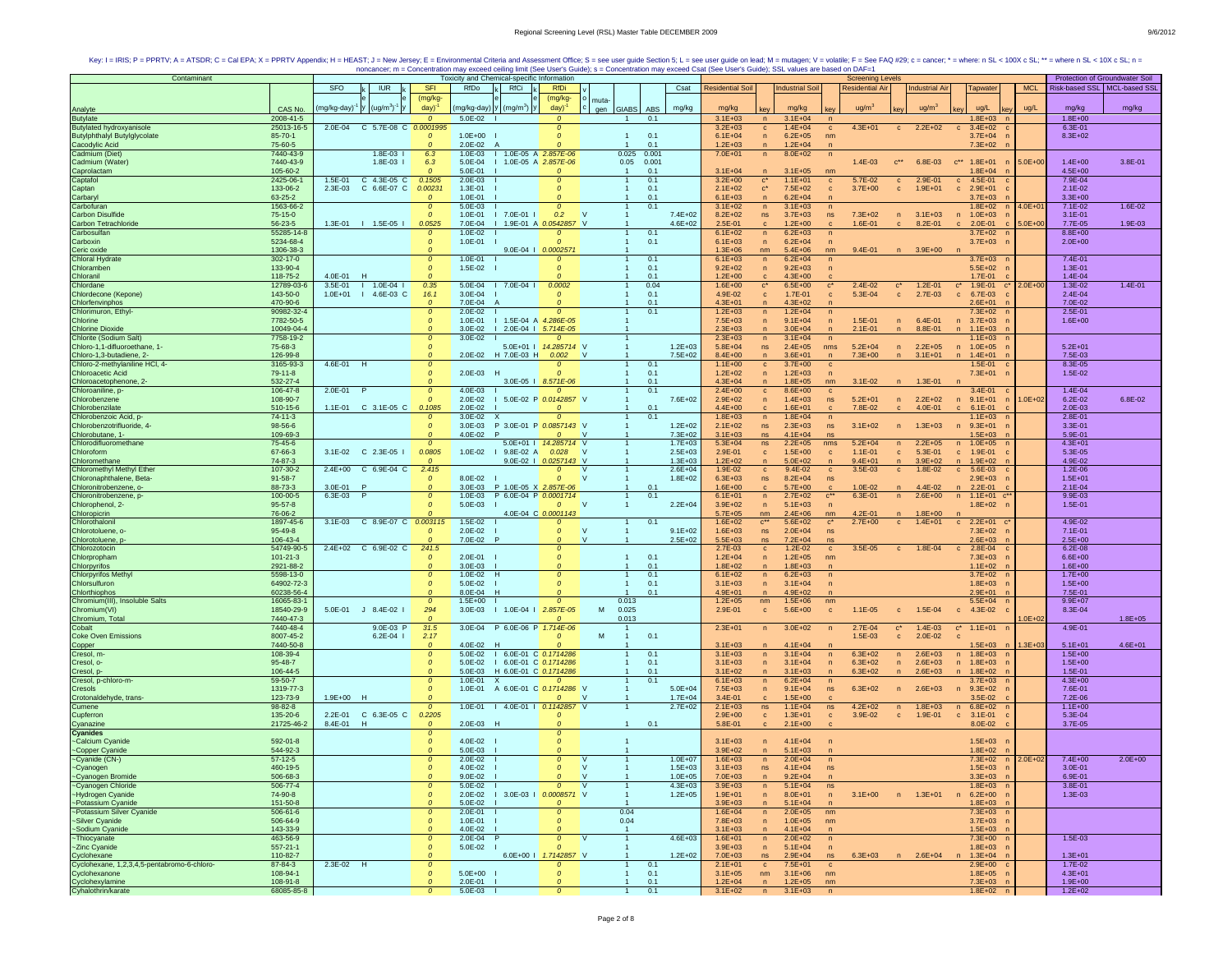| Contaminant                                                  |                        |                    |                       |                                 | Toxicity and Chemical-specific Information |                                     |                            |              |                        |             |                            |                                |                            | <b>Screening Levels</b>       |                                |                       |                                    |             | Protection of Groundwater Soil |             |
|--------------------------------------------------------------|------------------------|--------------------|-----------------------|---------------------------------|--------------------------------------------|-------------------------------------|----------------------------|--------------|------------------------|-------------|----------------------------|--------------------------------|----------------------------|-------------------------------|--------------------------------|-----------------------|------------------------------------|-------------|--------------------------------|-------------|
|                                                              |                        | SFO                | <b>IUR</b>            | <b>SFI</b>                      | RfDo                                       | RfCi                                | <b>RfDi</b>                |              |                        | Csat        | <b>Residential Soil</b>    |                                | <b>Industrial Soil</b>     | <b>Residential Air</b>        |                                | <b>Industrial Air</b> | Tapwater                           | <b>MCL</b>  | Risk-based SSL   MCL-based SSI |             |
|                                                              |                        |                    |                       | (mg/kg-                         |                                            |                                     | (mg/kg-                    |              |                        |             |                            |                                |                            |                               |                                |                       |                                    |             |                                |             |
|                                                              |                        |                    | $(ug/m3)-1$           | day)                            |                                            | mg/kg-day) y (mg/m <sup>3</sup> ) y | day)                       | muta-<br>gen | ABS                    |             | mg/kg                      |                                | mg/kg                      | ug/m <sup>3</sup>             |                                | ug/m <sup>3</sup>     | ug/L                               | ug/L        | mg/kg                          |             |
| Analyte                                                      | CAS No.<br>2008-41-5   | mg/kg-day)         |                       |                                 |                                            |                                     |                            |              | <b>GIABS</b>           | mg/kg       |                            |                                |                            |                               |                                |                       |                                    |             |                                | mg/kg       |
| <b>Butylate</b><br><b>Butvlated hydroxyanisole</b>           | 25013-16-5             | 2.0E-04            | C 5.7E-08 C 0.0001995 | $\Omega$                        | 5.0E-02                                    |                                     | $\Omega$                   |              | 0.1<br>1               |             | $3.1E + 03$<br>$3.2E + 03$ | n                              | $3.1E + 04$<br>$1.4E + 04$ | $4.3E + 01$                   |                                | $2.2E + 02$           | $1.8E + 03$<br>n<br>$3.4E + 02$    |             | $1.8E + 00$<br>6.3E-01         |             |
| <b>Butylphthalyl Butylglycolate</b>                          | 85-70-1                |                    |                       | $\mathcal{O}$                   | $1.0E + 00$                                |                                     | 0<br>$\Omega$              |              | 0.1                    |             | $6.1E + 04$                | $\mathbf{C}$<br>$\overline{p}$ | $6.2E + 05$                | $\mathbf{c}$                  | $\mathbf{C}$                   |                       | $\mathbf{C}$<br>$3.7E + 04$        |             | $8.3E + 02$                    |             |
|                                                              | 75-60-5                |                    |                       | $\Omega$                        | 2.0E-02<br>A                               |                                     |                            |              | 0.1                    |             | $1.2E + 03$                | $\mathsf{n}$                   | $1.2E + 04$                | nm                            |                                |                       | $7.3E + 02$                        |             |                                |             |
| Cacodylic Acid<br>Cadmium (Diet)                             | 7440-43-9              |                    | $1.8E - 03$           | 6.3                             | $1.0E - 03$                                | 1 1.0E-05 A 2.857E-06               |                            |              | 0.025<br>0.001         |             | $7.0E + 01$                | n                              | 8.0E+02                    | n                             |                                |                       |                                    |             |                                |             |
| Cadmium (Water)                                              | 7440-43-9              |                    | $1.8E-03$             | 6.3                             | 5.0E-04                                    | I 1.0E-05 A 2.857E-06               |                            |              | 0.05<br>0.001          |             |                            |                                |                            | $1.4E - 03$                   | $C^{\star\star}$               | 6.8E-03               | $c^{**}$ 1.8E+01                   | $5.0E + 00$ | $1.4E + 00$                    | 3.8E-01     |
|                                                              | 105-60-2               |                    |                       | $\mathcal{O}$                   | 5.0E-01                                    |                                     |                            |              | 0.1                    |             | $3.1E + 04$                |                                | $3.1E + 05$                | nm                            |                                |                       | $1.8E + 04$                        |             | $4.5E + 00$                    |             |
| Caprolactam<br>Captafol                                      | 2425-06-1              | 1.5E-01            | C 4.3E-05 C           | 0.1505                          | $2.0E - 03$                                |                                     | $\Omega$                   |              | 0.1                    |             | $3.2E + 00$                | $\mathbf{c}^*$                 | $1.1E + 01$                | 5.7E-02<br>$\mathbf{c}$       | $\mathbf{C}$                   | 2.9E-01               | 4.5E-01<br>$\mathbf c$             |             | 7.9E-04                        |             |
| Captan                                                       | 133-06-2               | 2.3E-03            | C 6.6E-07 C           | 0.00231                         | 1.3E-01                                    |                                     | $\Omega$                   |              | 0.1<br>-1              |             | $2.1E + 02$                | $\mathbf{c}^*$                 | 7.5E+02                    | $3.7E + 00$<br>$\mathbf{C}$   | $\mathbf{C}$                   | $1.9E + 01$           | $2.9E + 01$<br>$\mathbf{c}$        |             | $2.1E-02$                      |             |
| Carbaryl                                                     | 63-25-2                |                    |                       | $\mathcal{O}$                   | 1.0E-01                                    |                                     | $\Omega$                   |              | 0.1                    |             | $6.1E + 03$                | $\mathsf{n}$                   | $6.2E + 04$                | $\overline{ }$                |                                |                       | $3.7E + 03$                        |             | $3.3E + 00$                    |             |
| Carbofuran                                                   | 1563-66-2              |                    |                       | $\mathcal{O}$                   | 5.0E-03                                    |                                     | $\Omega$                   |              | 0.1                    |             | $3.1E + 02$                | $\mathsf{n}$                   | $3.1E + 03$                | $\sqrt{n}$                    |                                |                       | $1.8E + 02$                        | $4.0E + 01$ | 7.1E-02                        | 1.6E-02     |
| <b>Carbon Disulfide</b>                                      | 75-15-0                |                    |                       | $\mathcal{O}$                   | 1.0E-01                                    | $17.0E-011$                         | 0.2                        | $\mathbf{v}$ |                        | $7.4E + 02$ | $8.2E + 02$                | ns                             | $3.7E + 03$                | $7.3E + 02$<br>ns             |                                | $n = 3.1E + 03$       | $1.0E + 03$<br>n                   |             | $3.1E - 01$                    |             |
| Carbon Tetrachloride                                         | 56-23-5                |                    | 1.3E-01   1.5E-05     | 0.0525                          | 7.0E-04                                    | I 1.9E-01 A 0.0542857 V             |                            |              |                        | $4.6E + 02$ | 2.5E-01                    | $\mathbf{c}$                   | $1.2E + 00$                | 1.6E-01                       |                                | 8.2E-01               | 2.0E-01<br>$\mathbf{c}$            | $5.0E + 00$ | 7.7E-05                        | 1.9E-03     |
| Carbosulfan                                                  | 55285-14-8             |                    |                       | $\mathcal{O}$                   | $1.0E - 02$                                |                                     |                            |              | 0.1                    |             | $6.1E + 02$                | n                              | $6.2E + 03$                | $\sqrt{n}$                    |                                |                       | $3.7E + 02$                        |             | $8.8E + 00$                    |             |
| Carboxin                                                     | 5234-68-4              |                    |                       | $\mathcal{O}$                   | 1.0E-01                                    |                                     |                            |              | 0.1                    |             | $6.1E + 03$                | $\mathsf{n}$                   | $6.2E + 04$                |                               |                                |                       | $3.7E + 03$                        |             | $2.0E + 00$                    |             |
| Ceric oxide                                                  | 1306-38-3              |                    |                       | $\mathcal{O}$                   |                                            |                                     | 9.0E-04   0.0002571        |              |                        |             | $1.3E + 06$                | nm                             | $5.4E + 06$                | $9.4E - 01$<br>nm             |                                | $3.9E + 00$           |                                    |             |                                |             |
| Chloral Hydrate                                              | $302 - 17 - 0$         |                    |                       | $\mathcal{O}$                   | $1.0F - 01$                                |                                     | $\mathcal{O}$              |              | 0.1<br>$\mathbf{1}$    |             | $6.1E + 03$                | n                              | $6.2E + 04$                | $\sqrt{n}$                    |                                |                       | $3.7E + 03$                        |             | 7.4E-01                        |             |
| Chloramben                                                   | 133-90-4               |                    |                       | $\mathcal{O}$                   | $1.5E - 02$                                |                                     | $\Omega$                   |              | 0.1                    |             | $9.2E + 02$                | $\mathsf{n}$                   | $9.2E + 03$                | $\sqrt{n}$                    |                                |                       | $5.5E + 02$                        |             | 1.3E-01                        |             |
| Chloranil                                                    | 118-75-2               | 4.0E-01            |                       |                                 |                                            |                                     |                            |              | 0.1                    |             | $1.2E + 00$                |                                | $4.3E + 00$                |                               |                                |                       | $1.7E - 01$                        |             | 1.4E-04                        |             |
| Chlordane                                                    | 12789-03-6             | $3.5E-01$          | $1 1.0E-04$           | 0.35                            | $5.0E - 04$                                | $17.0E-041$                         | 0.0002                     |              | 0.04                   |             | $1.6E + 00$                | $\mathbf{c}^*$                 | $6.5E + 00$                | $\mathbf{c}^*$<br>$2.4E - 02$ | $\mathbf{c}^*$                 | $1.2E - 01$           | 1.9E-01<br>$\mathbf{c}^*$<br>$c^*$ | $2.0E + 00$ | $1.3E - 02$                    | $1.4E - 01$ |
| Chlordecone (Kepone)                                         | 143-50-0               | $1.0E + 01$<br>- 1 | 4.6E-03 C             | 16.1                            | $3.0E - 04$                                |                                     | $\Omega$                   |              | 0.1                    |             | 4.9E-02                    | $\mathbf{C}$                   | 1.7E-01                    | 5.3E-04<br>$\mathbf{c}$       | $\mathbf{c}$                   | 2.7E-03               | 6.7E-03<br>$\mathbf{c}$            |             | $2.4E - 04$                    |             |
| Chlorfenvinphos                                              | 470-90-6               |                    |                       | $\mathcal{O}$                   | 7.0E-04                                    |                                     |                            |              | 0.1                    |             | $4.3E + 01$                |                                | $4.3E + 02$                |                               |                                |                       | $2.6E + 01$                        |             | 7.0E-02                        |             |
| Chlorimuron, Ethyl-                                          | 90982-32-4             |                    |                       | $\mathcal{O}$                   | 2.0E-02                                    |                                     | $\Omega$                   |              | 0.1                    |             | $1.2E + 03$                | $\mathsf{n}$                   | $1.2E + 04$                | n                             |                                |                       | $7.3E + 02$                        |             | 2.5E-01                        |             |
| Chlorine                                                     | 7782-50-5              |                    |                       | $\mathcal{O}$                   | $1.0E - 01$                                | I 1.5E-04 A 4.286E-05               |                            |              |                        |             | $7.5E + 03$                | $\mathsf{n}$                   | $9.1E + 04$                | 1.5E-01<br>$\sqrt{n}$         | $\mathsf{n}$                   | $6.4E - 01$           | $n = 3.7E+03$                      |             | $1.6E + 00$                    |             |
| <b>Chlorine Dioxide</b>                                      | 10049-04-4             |                    |                       | $\mathfrak{o}$                  | 3.0E-02                                    | 1 2.0E-04 1 5.714E-05               |                            |              |                        |             | $2.3E + 03$                |                                | $3.0E + 04$                | $2.1E - 01$                   |                                | 8.8E-01               | $1.1E + 03$                        |             |                                |             |
| Chlorite (Sodium Salt)                                       | 7758-19-2              |                    |                       | $\mathcal{O}$                   | $3.0E - 02$                                |                                     | $\Omega$                   |              |                        |             | $2.3E + 03$                | n                              | $3.1E + 04$                | n                             |                                |                       | $1.1E + 03$                        |             |                                |             |
| Chloro-1,1-difluoroethane, 1-                                | 75-68-3                |                    |                       | $\mathcal{O}$                   |                                            |                                     | 5.0E+01   14.285714 V      |              |                        | $1.2E + 03$ | $5.8E + 04$                | ns.                            | $2.4E + 05$                | $5.2E + 04$<br>nms            | n                              | $2.2E + 05$           | n 1.0E+05                          |             | $5.2E + 01$                    |             |
| Chloro-1,3-butadiene, 2-<br>Chloro-2-methylaniline HCl, 4-   | 126-99-8               |                    |                       |                                 | 2.0E-02                                    | H 7.0E-03 H                         | 0.002                      | $\mathsf{v}$ |                        | $7.5E + 02$ | $8.4E + 00$                |                                | $3.6E + 01$                | $7.3E + 00$<br>$\sqrt{n}$     |                                | $3.1E + 01$           | $\sqrt{n}$<br>$1.4E + 01$          |             | 7.5E-03                        |             |
|                                                              | 3165-93-3<br>$79-11-8$ | 4.6E-01 H          |                       | $\mathfrak{o}$<br>$\mathcal{O}$ | 2.0E-03 H                                  |                                     | $\Omega$                   |              | 0.1<br>0.1             |             | $1.1E + 00$<br>$1.2E + 02$ | $\mathbf{c}$                   | $3.7E + 00$<br>$1.2E + 03$ | $\mathbf{c}$                  |                                |                       | 1.5E-01                            |             | 8.3E-05<br>1.5E-02             |             |
| Chloroacetic Acid<br>Chloroacetophenone, 2-                  | 532-27-4               |                    |                       | $\mathcal{O}$                   |                                            |                                     | 3.0E-05   8.571E-06        |              | 0.1                    |             | $4.3E + 04$                | $\sqrt{n}$<br>$\mathsf{n}$     | $1.8E + 05$                | $3.1E-02$<br>nm               | n                              | $1.3E - 01$           | $7.3E + 01$                        |             |                                |             |
| Chloroaniline, p-                                            | 106-47-8               | 2.0E-01            |                       | $\boldsymbol{o}$                | 4.0E-03                                    |                                     |                            |              | 0.1                    |             | $2.4E + 00$                | $\mathbf{c}$                   | $8.6E + 00$                | $\mathbf c$                   |                                |                       | 3.4E-01                            |             | 1.4E-04                        |             |
| Chlorobenzene                                                | 108-90-7               |                    |                       | $\mathcal{O}$                   | $2.0E - 02$                                |                                     | 5.0E-02 P 0.0142857 V      |              |                        | $7.6E + 02$ | $2.9E + 02$                | $\sqrt{n}$                     | $1.4E + 03$                | ns<br>$5.2E + 01$             | n                              | $2.2E + 02$           | $9.1E + 01$<br>n                   | 1.0E+02     | $6.2E - 02$                    | 6.8E-02     |
| Chlorobenzilate                                              | 510-15-6               |                    | 1.1E-01 C 3.1E-05 C   | 0.1085                          | 2.0E-02                                    |                                     | $\Omega$                   |              | 0.1                    |             | $4.4E + 00$                | $\mathbf{c}$                   | $1.6E + 01$                | 7.8E-02<br>c                  | $\mathbf{c}$                   | 4.0E-01               | $6.1E - 01$<br>$\mathbf{C}$        |             | 2.0E-03                        |             |
| Chlorobenzoic Acid, p-                                       | $74 - 11 - 3$          |                    |                       | $\Omega$                        | $3.0E - 02$                                | $\boldsymbol{\mathsf{x}}$           | $\Omega$                   |              | 0.1                    |             | $1.8E + 03$                | n                              | $1.8E + 04$                | n                             |                                |                       | $1.1E + 03$                        |             | 2.8E-01                        |             |
| Chlorobenzotrifluoride, 4-                                   | 98-56-6                |                    |                       | $\mathcal{O}$                   | $3.0E-03$                                  | P 3.0E-01 P 0.0857143 V             |                            |              |                        | $1.2E + 02$ | $2.1E + 02$                | ns                             | $2.3E + 03$                | ns<br>$3.1E + 02$             | $\mathsf{n}$                   | $1.3E + 03$           | $9.3E + 01$                        |             | 3.3E-01                        |             |
| Chlorobutane, 1-                                             | 109-69-3               |                    |                       | $\Omega$                        | 4.0E-02                                    | $\mathsf{P}$                        | $\Omega$                   | <b>N</b>     |                        | $7.3E + 02$ | $3.1E + 03$                | ns                             | $4.1E + 04$                | ns                            |                                |                       | $1.5E + 03$                        |             | 5.9E-01                        |             |
| Chlorodifluoromethane                                        | 75-45-6                |                    |                       | $\Omega$                        |                                            |                                     | 5.0E+01   14.285714 V      |              |                        | $1.7E + 03$ | $5.3E + 04$                | ns                             | $2.2E + 05$                | $5.2E + 04$<br>nms            | n                              | $2.2E + 05$           | $1.0E + 05$<br>n                   |             | $4.3E + 01$                    |             |
| Chloroform                                                   | 67-66-3                |                    | 3.1E-02 C 2.3E-05 I   | 0.0805                          | $1.0E - 02$                                | $1$ 9.8E-02 A                       | 0.028                      |              |                        | $2.5E + 03$ | 2.9E-01                    | $\mathbf{C}$                   | $1.5E + 00$                | $1.1E - 01$<br>$\mathbf{c}$   | $\mathbf{c}$                   | $5.3E - 01$           | c 1.9E-01                          |             | 5.3E-05                        |             |
| Chloromethane                                                | 74-87-3                |                    |                       |                                 |                                            |                                     | 9.0E-02   0.0257143 V      |              |                        | $1.3E + 03$ | $1.2E + 02$                |                                | $5.0E + 02$                | $9.4E + 01$                   | $\mathsf{n}$                   | $3.9E + 02$           | $1.9E + 02$<br>n                   |             | 4.9E-02                        |             |
| Chloromethyl Methyl Ether                                    | 107-30-2               |                    | 2.4E+00 C 6.9E-04 C   | 2.415                           |                                            |                                     | $\mathcal{O}$              | <b>V</b>     |                        | $2.6E + 04$ | 1.9E-02                    | $\mathbf{C}$                   | 9.4E-02                    | 3.5E-03<br>$\mathbf{C}$       | $\mathbf{c}$                   | 1.8E-02               | $c = 5.6E-03$                      |             | $1.2E - 06$                    |             |
| Chloronaphthalene, Beta-                                     | $91 - 58 - 7$          |                    |                       | $\mathcal{O}$                   | 8.0E-02                                    |                                     | $\Omega$                   | $\mathbf{v}$ |                        | $1.8E + 02$ | $6.3E + 03$                | ns                             | $8.2E + 04$                | ns                            |                                |                       | $2.9E + 03$                        |             | $1.5E + 01$                    |             |
| Chloronitrobenzene, o-                                       | 88-73-3                | 3.0E-01            | P                     | $\mathcal{O}$                   | $3.0E-03$                                  | P 1.0E-05 X 2.857E-06               |                            |              | 0.1                    |             | $1.6E + 00$                | $\mathbf{C}$                   | $5.7E + 00$                | $1.0E - 02$<br>$\mathbf{C}$   |                                | 4.4E-02               | n 2.2E-01                          |             | $2.1E - 04$                    |             |
| Chloronitrobenzene, p-                                       | 100-00-5               | 6.3E-03            | P                     | $\mathcal{O}$                   | $1.0E - 03$                                | P 6.0E-04 P 0.0001714               |                            |              | 0.1                    |             | $6.1E + 01$                | $\overline{p}$                 | $2.7E + 02$                | $C^{\star\star}$<br>6.3E-01   | n                              | $2.6E + 00$           | n<br>$1.1E + 01$                   |             | 9.9E-03                        |             |
| Chlorophenol, 2-                                             | $95 - 57 - 8$          |                    |                       | $\mathcal{O}$                   | 5.0E-03                                    |                                     | $\Omega$                   | <b>V</b>     |                        | $2.2E + 04$ | $3.9E + 02$                | $\overline{p}$                 | $5.1E + 03$                |                               |                                |                       | $1.8E + 02$                        |             | 1.5E-01                        |             |
| Chloropicrin                                                 | 76-06-2                |                    |                       |                                 |                                            |                                     | 4.0E-04 C 0.0001143        |              |                        |             | $5.7E + 0.5$               | nm                             | $2.4E + 06$                | 4.2E-01<br>nm                 |                                | $1.8E + 00$           |                                    |             |                                |             |
| Chlorothalonil                                               | 1897-45-6              | $3.1E-03$          | C 8.9E-07 C           | 0.003115                        | $1.5E - 02$                                |                                     | $\Omega$                   |              | 0.1                    |             | $1.6E + 02$                | $c^{**}$                       | $5.6E + 02$                | $c^*$<br>$2.7E + 00$          | $\mathbf{c}$                   | $1.4E + 01$           | $c = 2.2E+01$                      |             | 4.9E-02                        |             |
| Chlorotoluene, o-                                            | 95-49-8                |                    |                       | $\mathcal{O}$                   | $2.0E - 02$                                |                                     | $\Omega$                   | <b>V</b>     |                        | $9.1E + 02$ | $1.6E + 03$                | ns                             | $2.0E + 04$                | ns                            |                                |                       | $7.3E + 02$                        |             | 7.1E-01                        |             |
| Chlorotoluene, p                                             | 106-43-4               |                    |                       |                                 | 7.0E-02                                    |                                     |                            | $\vee$       |                        | $2.5E + 02$ | 5.5E+03                    | ns.                            | $7.2E + 04$                | ns                            |                                |                       | $2.6E + 03$                        |             | $2.5E + 00$                    |             |
| Chlorozotocin                                                | 54749-90-5             |                    | 2.4E+02 C 6.9E-02 C   | 241.5                           |                                            |                                     | $\Omega$                   |              |                        |             | 2.7E-03                    | $\mathbf{c}$                   | $1.2E-02$                  | 3.5E-05<br>$\mathbf{C}$       | $\mathbf{c}$                   | 1.8E-04               | 2.8E-04<br>$\mathbf{C}$            |             | $6.2E - 08$                    |             |
| Chlorpropham                                                 | $101 - 21 - 3$         |                    |                       | $\mathcal{O}$                   | 2.0E-01                                    |                                     | $\Omega$                   |              | 0.1<br>$\mathbf{1}$    |             | $1.2E + 04$                | $\sqrt{n}$                     | $1.2E + 05$                | nm                            |                                |                       | $7.3E + 03$                        |             | $6.6E + 00$                    |             |
| Chlorpyrifos                                                 | 2921-88-2              |                    |                       | $\mathcal{O}$                   | $3.0E-03$                                  |                                     |                            |              | 0.1<br>$\mathbf{1}$    |             | $1.8E + 02$                | $\overline{p}$                 | $1.8E + 03$                | n                             |                                |                       | $1.1E + 02$                        |             | $1.6E + 00$                    |             |
| <b>Chlorpyrifos Methyl</b>                                   | 5598-13-0              |                    |                       | $\mathcal{O}$                   | 1.0E-02                                    | H                                   |                            |              | 0.1                    |             | $6.1E + 02$                | n                              | $6.2E + 03$                | $\sqrt{n}$                    |                                |                       | $3.7E + 02$                        |             | $1.7E + 00$                    |             |
| Chlorsulfuron                                                | 64902-72-3             |                    |                       | $\boldsymbol{o}$                | $5.0E - 02$                                |                                     | $\Omega$                   |              | 0.1                    |             | $3.1E + 03$                | $\sqrt{n}$                     | $3.1E + 04$                | $\overline{p}$                |                                |                       | $1.8E + 03$                        |             | $1.5E + 00$                    |             |
| Chlorthiophos                                                | 60238-56-4             |                    |                       | $\Omega$                        | 8.0E-04                                    |                                     |                            |              | 0.1                    |             | $4.9E + 01$                | $\mathsf{n}$                   | $4.9E + 02$                |                               |                                |                       | $2.9E + 01$                        |             | 7.5E-01                        |             |
| Chromium(III), Insoluble Salts                               | 16065-83-1             |                    |                       | $\mathcal{O}$                   | $1.5E + 00$                                |                                     | $\Omega$                   |              | 0.013                  |             | $1.2E + 05$                | nm                             | $1.5E + 06$                | nm                            |                                |                       | $5.5E + 04$                        |             | $9.9E + 07$                    |             |
| Chromium(VI)                                                 | 18540-29-9             | 5.0E-01            | $J$ 8.4E-02 I         | 294                             | $3.0E - 03$                                | $1 1.0E-04$                         | 2.857E-05<br>$\Omega$      | M            | 0.025                  |             | 2.9E-01                    | $\mathbf{C}$                   | $5.6E + 00$                | $1.1E-05$<br>$\mathbf{c}$     | $\mathbf{C}$                   | 1.5E-04               | $c = 4.3E-02$                      |             | 8.3E-04                        |             |
| Chromium, Total<br>Cobalt                                    | 7440-47-3<br>7440-48-4 |                    | 9.0E-03 P             | $\Omega$                        |                                            | 3.0E-04 P 6.0E-06 P 1.714E-06       |                            |              | 0.013                  |             | $2.3E + 01$                |                                |                            | 2.7E-04                       |                                |                       |                                    | $.0E + 02$  | 4.9E-01                        | $1.8E + 05$ |
| <b>Coke Oven Emissions</b>                                   | 8007-45-2              |                    | $6.2E - 04$           | 31.5<br>2.17                    |                                            |                                     | $\Omega$                   | M            | 0.1                    |             |                            | n                              | $3.0E + 02$                | n<br>1.5E-03                  | $\mathbf{c}^*$<br>$\mathbf{c}$ | $1.4E-03$<br>2.0E-02  | $c^*$ 1.1E+01 n<br>$\mathbf{c}$    |             |                                |             |
|                                                              | 7440-50-8              |                    |                       | $\mathcal{O}$                   | 4.0E-02 H                                  |                                     |                            |              |                        |             | $3.1E + 03$                |                                | $4.1E + 04$                |                               |                                |                       | $.5E + 03$                         | $.3E + 03$  | $5.1E + 01$                    | $4.6E + 01$ |
| Copper<br>Cresol, m-                                         | 108-39-4               |                    |                       | $\boldsymbol{o}$                |                                            | 5.0E-02   6.0E-01 C 0.1714286       |                            |              | 0.1                    |             | $3.1E + 03$                | n                              | $3.1E + 04$                | $6.3E + 02$<br>n              | $\mathsf{n}$                   | $2.6E + 03$           | n 1.8E+03                          |             | $1.5E + 00$                    |             |
| Cresol, o-                                                   | 95-48-7                |                    |                       | $\mathcal{O}$                   |                                            | 5.0E-02   6.0E-01 C 0.1714286       |                            |              | 0.1                    |             | $3.1E + 03$                | $\sqrt{n}$                     | $3.1E + 04$                | $6.3E + 02$<br>n              | n                              | $2.6E + 03$           | n 1.8E+03                          |             | $1.5E + 00$                    |             |
| Cresol, p-                                                   | 106-44-5               |                    |                       | $\mathcal{O}$                   |                                            | 5.0E-03 H 6.0E-01 C 0.1714286       |                            |              | 0.1                    |             | $3.1E + 02$                | n                              | $3.1E + 03$                | $6.3E + 02$                   | n                              | $2.6E + 03$           | $1.8E + 02$<br>n                   |             | 1.5E-01                        |             |
| Cresol, p-chloro-m-                                          | 59-50-7                |                    |                       | $\mathcal{O}$                   | $1.0E - 01 X$                              |                                     | $\mathfrak{o}$             |              | 0.1                    |             | $6.1E + 03$                | n                              | $6.2E + 04$                |                               |                                |                       | $3.7E + 03$                        |             | $4.3E + 00$                    |             |
| Cresols                                                      | 1319-77-3              |                    |                       | $\boldsymbol{o}$                |                                            | 1.0E-01 A 6.0E-01 C 0.1714286 V     |                            |              |                        | $5.0E + 04$ | $7.5E + 03$                | $\sqrt{n}$                     | $9.1E + 04$                | $6.3E + 02$<br>ns             |                                | $2.6E + 03$           | $9.3E + 02$<br>n                   |             | 7.6E-01                        |             |
| Crotonaldehyde, trans-                                       | 123-73-9               | 1.9E+00 H          |                       | $\Omega$                        |                                            |                                     | $\Omega$                   | <b>N</b>     |                        | $1.7E + 04$ | $3.4E - 01$                | c                              | $1.5E + 00$                |                               |                                |                       | $3.5E-02$                          |             | 7.2E-06                        |             |
| Cumene                                                       | 98-82-8                |                    |                       | $\mathfrak{o}$                  | $1.0E - 01$                                | I 4.0E-01   0.1142857               |                            | $\mathsf{v}$ | $\mathbf{1}$           | $2.7E + 02$ | $2.1E + 03$                | ns                             | $1.1E + 04$                | $4.2E + 02$<br>ns             | n                              | $1.8E + 03$           | $6.8E + 02$<br>n                   |             | $1.1E + 00$                    |             |
| Cupferron                                                    | 135-20-6               | 2.2E-01            | C 6.3E-05 C           | 0.2205                          |                                            |                                     |                            |              |                        |             | $2.9E + 00$                | $\mathbf{c}$                   | $1.3E + 01$                | 3.9E-02<br>$\mathbf{c}$       | $\mathbf{c}$                   | 1.9E-01               | $\mathbf{c}$<br>$3.1E-01$          |             | 5.3E-04                        |             |
| Cyanazine                                                    | 21725-46-2             | 8.4E-01            | H                     | $\Omega$                        | $2.0E - 03$<br>- н                         |                                     |                            |              | 0.1<br>$\mathbf{1}$    |             | 5.8E-01                    | $\mathbf c$                    | $2.1E+00$                  |                               |                                |                       | 8.0E-02                            |             | 3.7E-05                        |             |
| Cyanides                                                     |                        |                    |                       | $\Omega$                        |                                            |                                     | $\Omega$                   |              |                        |             |                            |                                |                            |                               |                                |                       |                                    |             |                                |             |
| -Calcium Cyanide                                             | 592-01-8               |                    |                       | $\mathcal{O}$                   | $4.0F - 02$                                |                                     |                            |              |                        |             | $3.1E + 03$                | n                              | $4.1E + 04$                |                               |                                |                       | $1.5E + 03$                        |             |                                |             |
|                                                              | 544-92-3               |                    |                       |                                 | 5.0E-03                                    |                                     |                            |              |                        |             | $3.9E + 02$                |                                | $5.1E + 03$                |                               |                                |                       | $1.8E + 02$                        |             |                                |             |
| ~Copper Cyanide<br>~Cyanide (CN-)<br>~Cyanogen               | $57-12-5$              |                    |                       | $\mathcal{O}$                   | 2.0E-02                                    |                                     | $\mathfrak{o}$             | $\mathsf{V}$ |                        | $1.0E + 07$ | $1.6E + 03$                | n                              | $2.0E + 04$                | n                             |                                |                       | $7.3E + 02$                        | $2.0E + 02$ | $7.4E + 00$                    | $2.0E + 00$ |
|                                                              | 460-19-5               |                    |                       | $\boldsymbol{o}$                | 4.0E-02                                    |                                     | $\boldsymbol{o}$           | $\mathsf{V}$ |                        | $1.5E + 03$ | $3.1E + 03$                | ns                             | $4.1E + 04$                | ns                            |                                |                       | $1.5E + 03$                        |             | $3.0E - 01$                    |             |
|                                                              | 506-68-3               |                    |                       | $\Omega$                        | $9.0E - 02$                                |                                     | $\mathcal{O}$              | $\mathsf{v}$ | $\overline{1}$         | $1.0E + 05$ | $7.0E + 03$                | n                              | $9.2E + 04$                | $\sqrt{n}$                    |                                |                       | $3.3E+03$ n                        |             | 6.9E-01                        |             |
| ~Cyanogen Bromide<br>~Cyanogen Chloride<br>~Hydrogen Cyanide | 506-77-4               |                    |                       | $\mathcal{O}$                   | 5.0E-02                                    |                                     | $\mathcal{O}$              | $\mathsf{V}$ |                        | $4.3E + 03$ | $3.9E + 03$                | n                              | $5.1E + 04$                | ns                            |                                |                       | $1.8E + 03$                        |             | 3.8E-01                        |             |
|                                                              | 74-90-8                |                    |                       | $\mathcal{O}$                   | $2.0E - 02$                                | I 3.0E-03 I 0.0008571 V             |                            |              |                        | $1.2E + 05$ | $1.9E + 01$                | $\mathsf{n}$                   | $8.0E + 01$                | $3.1E + 00$<br>n              |                                | n 1.3E+01             | $n \quad 6.2E+00$                  |             | 1.3E-03                        |             |
| ~Potassium Cyanide                                           | 151-50-8               |                    |                       | $\Omega$                        | 5.0E-02                                    |                                     | $\Omega$                   |              |                        |             | $3.9E + 03$                | n                              | $5.1E + 04$                |                               |                                |                       | $1.8E + 03$                        |             |                                |             |
| ~Potassium Silver Cyanide<br>~Silver Cyanide                 | 506-61-6               |                    |                       | $\mathcal{O}$<br>$\mathcal{O}$  | 2.0E-01                                    |                                     | $\mathfrak{o}$<br>$\Omega$ |              | 0.04                   |             | $1.6E + 04$                | n                              | $2.0E + 05$                | nm                            |                                |                       | $7.3E + 03$                        |             |                                |             |
|                                                              | 506-64-9               |                    |                       | $\mathfrak{o}$                  | $1.0E - 01$                                |                                     |                            |              | 0.04<br>$\overline{1}$ |             | 7.8E+03                    | n                              | $1.0E + 05$                | nm                            |                                |                       | $3.7E + 03$                        |             |                                |             |
| ~Sodium Cyanide<br>~Thiocyanate                              | 143-33-9<br>463-56-9   |                    |                       | $\boldsymbol{o}$                | 4.0E-02<br>2.0E-04 P                       |                                     | $\mathfrak{o}$             | $\mathsf{V}$ | $\mathbf{1}$           | $4.6E + 03$ | $3.1E + 03$<br>$1.6E + 01$ | n<br>n                         | $4.1E + 04$<br>$2.0E + 02$ | $\sqrt{n}$                    |                                |                       | $1.5E + 03$<br>$7.3E+00$ n         |             | $1.5E - 03$                    |             |
| ~Zinc Cyanide                                                | $557 - 21 - 1$         |                    |                       | $\mathcal{O}$                   | $5.0E-02$                                  |                                     | $\Omega$                   |              |                        |             | $3.9E + 03$                | n                              | $5.1E + 04$                | n                             |                                |                       | $1.8E + 03$                        |             |                                |             |
|                                                              | 110-82-7               |                    |                       | $\mathcal{O}$                   |                                            |                                     | 6.0E+00   1.7142857 V      |              |                        | $1.2E + 02$ | $7.0E + 03$                | ns.                            | $2.9E + 04$                | $6.3E + 03$<br>ns             | n                              | $2.6E + 04$           | $1.3E + 04$<br>n                   |             | $1.3E + 01$                    |             |
| Cyclohexane<br>Cyclohexane, 1,2,3,4,5-pentabromo-6-chloro-   | 87-84-3                | 2.3E-02 H          |                       | $\mathcal{O}$                   |                                            |                                     | $\boldsymbol{0}$           |              | 0.1<br>$\mathbf{1}$    |             | $2.1E + 01$                | $\mathbf{c}$                   | $7.5E + 01$                | $\mathbf{c}$                  |                                |                       | $2.9E + 00$<br>$\mathbf{c}$        |             | 1.7E-02                        |             |
| Cyclohexanone                                                | 108-94-1               |                    |                       | $\boldsymbol{o}$                | $5.0E + 00$                                |                                     | $\mathfrak{o}$             |              | 0.1<br>$\mathbf{1}$    |             | $3.1E + 05$                | nm                             | $3.1E + 06$                | nm                            |                                |                       | $1.8E + 05$                        |             | $4.3E + 01$                    |             |
|                                                              | 108-91-8               |                    |                       | $\Omega$                        | $2.0E - 01$                                |                                     | $\Omega$                   |              | 0.1<br>$\mathbf{1}$    |             | $1.2E + 04$                | $\sqrt{n}$                     | $1.2E + 05$                | nm                            |                                |                       | $7.3E + 03$                        |             | $1.9E + 00$                    |             |
| Cyclohexylamine<br>Cyhalothrin/karate                        | 68085-85-8             |                    |                       | $\mathcal{O}$                   | 5.0E-03                                    |                                     | $\mathfrak{o}$             |              | 0.1                    |             | $3.1E + 02$                | n                              | $3.1E + 03$                | n                             |                                |                       | $1.8E + 02$ n                      |             | $1.2E + 02$                    |             |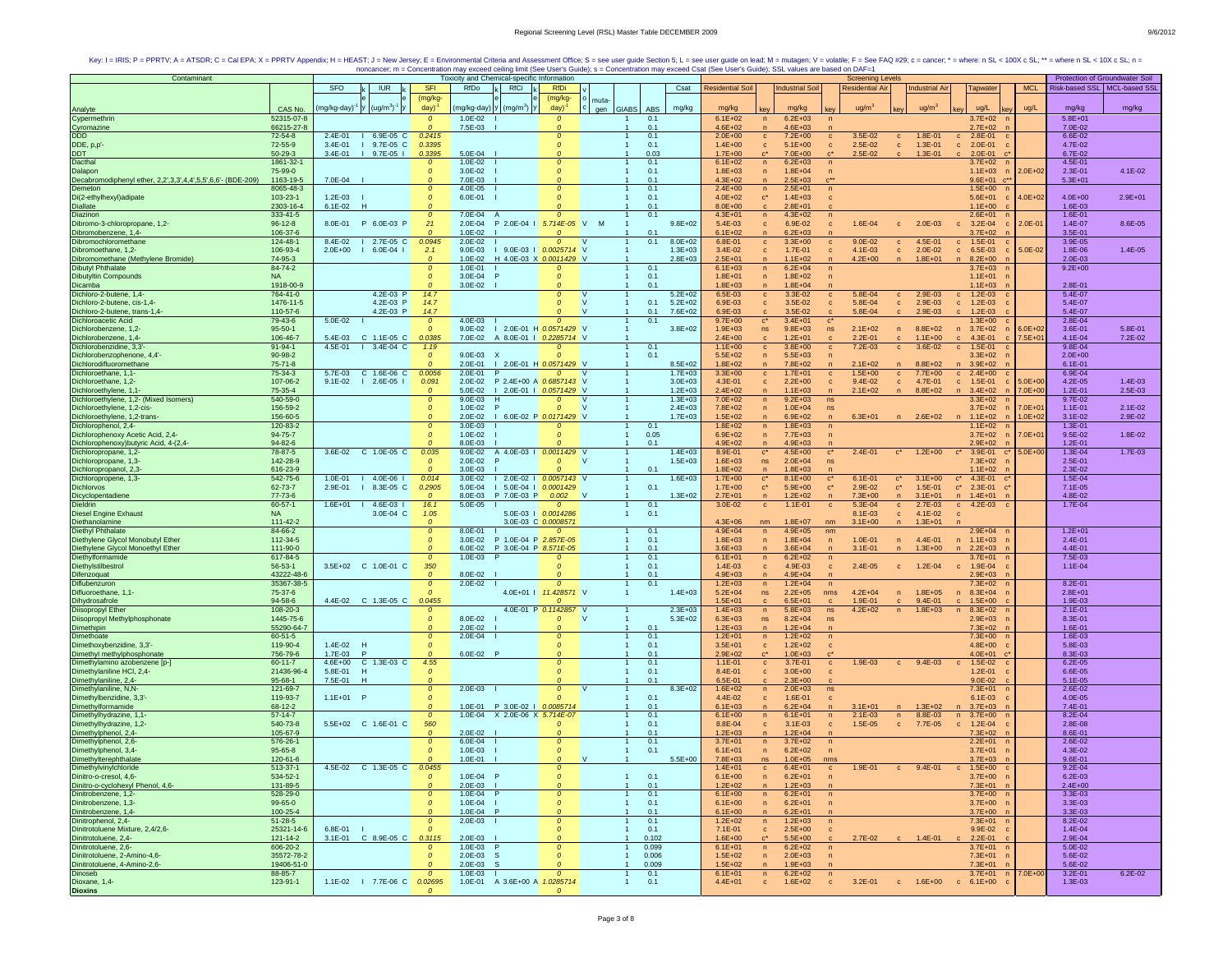| Contaminant                                                            |                       |                                     |                                | Toxicity and Chemical-specific Information                        |                          |                                     |             |                            |                                              | <b>Screening Levels</b>                                 |                        |                                                          |             | Protection of Groundwater Soil |             |
|------------------------------------------------------------------------|-----------------------|-------------------------------------|--------------------------------|-------------------------------------------------------------------|--------------------------|-------------------------------------|-------------|----------------------------|----------------------------------------------|---------------------------------------------------------|------------------------|----------------------------------------------------------|-------------|--------------------------------|-------------|
|                                                                        |                       | SFO<br><b>IUR</b>                   | <b>SFI</b>                     | RfDo<br>RfCi                                                      | <b>RfDi</b>              |                                     | Csat        | <b>Residential Soil</b>    | <b>Industrial Soil</b>                       | <b>Residential Air</b>                                  | <b>Industrial Air</b>  | Tapwater                                                 | <b>MCL</b>  | Risk-based SSL   MCL-based SSL |             |
|                                                                        |                       |                                     | (mg/kg-                        |                                                                   | (mg/kg-                  |                                     |             |                            |                                              |                                                         |                        |                                                          |             |                                |             |
|                                                                        | CAS No.               | $y \ (ug/m3)-1$<br>mg/kg-day)       | day)                           | mg/kg-day) y (mg/m <sup>3</sup> ) y                               | day)                     | muta-<br><b>GIABS</b><br>ABS<br>gen | mg/kg       | mg/kg                      | mg/kg                                        | ug/m <sup>3</sup>                                       | ug/m <sup>3</sup>      | ug/L                                                     | ug/L        | mg/kg                          | mg/kg       |
| Analyte<br>Cypermethrin                                                | 52315-07-8            |                                     | $\mathcal{O}$                  | $1.0E - 02$                                                       | $\Omega$                 | 0.1                                 |             | $6.1E + 02$                | $6.2E + 03$<br>$\sqrt{n}$                    |                                                         |                        | $3.7E + 02$                                              |             | $5.8E + 01$                    |             |
| Cyromazine                                                             | 66215-27-8            |                                     | $\Omega$                       | 7.5E-03                                                           | $\Omega$                 | 0.1                                 |             | 4.6E+02                    | $4.6E + 03$<br>n                             |                                                         |                        | $2.7E+02$                                                |             | 7.0E-02                        |             |
| DDD                                                                    | 72-54-8               | 2.4E-01<br>6.9E-05 C                | 0.2415                         |                                                                   | $\Omega$                 | 0.1                                 |             | $2.0E + 00$                | 7.2E+00<br>$\mathbf c$                       | 3.5E-02<br>$\mathbf{c}$<br>$\mathbf{C}$                 | 1.8E-01                | 2.8E-01<br>$\mathbf{C}$                                  |             | 6.6E-02                        |             |
| DDE, p,p'-                                                             | 72-55-9               | 3.4E-01<br>9.7E-05 C                | 0.3395                         |                                                                   | $\Omega$                 | 0.1                                 |             | $1.4E + 00$                | $5.1E + 00$<br>$\mathbf c$                   | 2.5E-02<br>$\mathbf{c}$<br>$\mathbf{c}$                 | 1.3E-01                | $2.0E-01$<br>$\mathbf{c}$                                |             | 4.7E-02                        |             |
| DDT                                                                    | 50-29-3               | 3.4E-01<br>9.7E-05                  | 0.3395                         | 5.0E-04                                                           |                          | 0.03                                |             | $1.7E + 00$                | 7.0E+00<br>$\mathbf{c}^{\star}$              | $2.5E - 02$                                             | 1.3E-01                | $2.0E - 01$<br>$\mathbf{c}$                              |             | 6.7E-02                        |             |
| Dacthal                                                                | 1861-32-1             |                                     | $\Omega$                       | $1.0E - 02$                                                       |                          | 0.1                                 |             | $6.1E + 02$                | $6.2E + 03$<br>$\mathsf{n}$                  | $\sqrt{n}$                                              |                        | $3.7E + 02$                                              |             | 4.5E-01                        |             |
| Dalapon                                                                | 75-99-0               |                                     | $\mathfrak{o}$                 | $3.0E - 02$                                                       |                          | 0.1                                 |             | $1.8E + 03$                | $1.8E + 04$<br>$\overline{p}$                |                                                         |                        | $1.1E + 03$                                              | $2.0E + 02$ | 2.3E-01                        | 4.1E-02     |
| Decabromodiphenyl ether, 2,2',3,3',4,4',5,5',6,6'- (BDE-209)           | 1163-19-5             | 7.0E-04                             | $\Omega$                       | 7.0E-03                                                           | Λ                        | 0.1                                 |             | $4.3E + 02$                | $2.5E + 03$<br>$\overline{n}$                |                                                         |                        | $9.6E+01$ $c**$                                          |             | $5.3E + 01$                    |             |
| Demeton                                                                | 8065-48-3             |                                     | $\Omega$                       | 4.0E-05                                                           | $\Omega$                 | 0.1                                 |             | $2.4E + 00$                | $2.5E + 01$<br>n                             | $\sqrt{n}$                                              |                        | $1.5E+00$ n                                              |             |                                |             |
| Di(2-ethylhexyl)adipate                                                | 103-23-1              | $1.2E - 03$                         | $\mathcal{O}$                  | 6.0E-01                                                           |                          | 0.1                                 |             | $4.0E + 02$                | $\mathbf{c}^*$<br>$1.4E + 03$                | c                                                       |                        | $5.6E + 01$<br>c                                         | $4.0E + 02$ | $4.0E + 00$                    | $2.9E + 01$ |
| Diallate                                                               | 2303-16-4             | $6.1E-02$<br>н                      |                                |                                                                   |                          | 0.1                                 |             | $8.0E + 00$                | $2.8E + 01$<br>$\mathbf{c}$                  |                                                         |                        | $1.1E + 00$                                              |             | 1.6E-03                        |             |
| Diazinon                                                               | 333-41-5              |                                     | $\mathfrak{o}$                 | 7.0E-04<br>- A                                                    | $\Omega$                 | 0.1                                 |             | $4.3E + 01$                | $4.3E + 02$<br>n                             |                                                         |                        | $2.6E + 01$                                              |             | 1.6E-01                        |             |
| Dibromo-3-chloropropane, 1,2-                                          | $96 - 12 - 8$         | P 6.0E-03 P<br>8.0E-01              | 21                             | $2.0F - 04$<br>P 2.0E-04 I                                        | 5.714E-05 V M            |                                     | $9.8E + 02$ | 5.4E-03                    | 6.9E-02<br>$\mathbf{C}$                      | 1.6E-04<br>$\mathbf{C}$<br>$\mathbf{C}$                 | $2.0E-03$              | $c = 3.2E - 04$                                          | $2.0E - 01$ | $1.4E - 07$                    | 8.6E-05     |
| Dibromobenzene, 1,4-                                                   | 106-37-6              |                                     | $\Omega$                       | $1.0E-02$                                                         |                          | 0.1                                 |             | $6.1E + 02$                | $6.2E + 03$<br>$\mathsf{n}$                  |                                                         |                        | $3.7E + 02$                                              |             | 3.5E-01                        |             |
| Dibromochloromethane                                                   | 124-48-1              | 8.4E-02<br>$12.7E-05C$              | 0.0945                         | $2.0E - 02$                                                       | $\Omega$                 | 0.1                                 | $8.0E + 02$ | 6.8E-01                    | $3.3E + 00$<br>$\mathbf{c}$                  | $9.0E - 02$<br>$\mathbf c$<br>$\mathbf{c}$              | 4.5E-01                | 1.5E-01<br>$\mathbf{c}$                                  |             | 3.9E-05                        |             |
| Dibromoethane, 1,2-                                                    | 106-93-4              | $2.0E + 00$<br>$6.0E - 04$  <br>- 1 | 2.1                            | $9.0E - 03$                                                       | I 9.0E-03 I 0.0025714 V  |                                     | $1.3E + 03$ | 3.4E-02                    | 1.7E-01<br>$\mathbf c$                       | 4.1E-03<br>$\mathbf{c}$<br>$\mathbf{c}$                 | $2.0E-02$              | $\mathbf{c}$<br>6.5E-03                                  | 5.0E-02     | 1.8E-06                        | 1.4E-05     |
| Dibromomethane (Methylene Bromide)                                     | 74-95-3               |                                     | $\mathcal{O}$                  | $1.0E - 02$                                                       | H 4.0E-03 X 0.0011429 V  |                                     | $2.8E + 03$ | $2.5E + 01$                | $1.1E + 02$<br>$\mathsf{n}$                  | $4.2E + 00$<br>n                                        | $1.8E + 01$            | $8.2E + 00$<br>n                                         |             | $2.0E - 03$                    |             |
| <b>Dibutyl Phthalate</b><br><b>Dibutyltin Compounds</b>                | 84-74-2               |                                     | $\mathcal{O}$                  | $1.0E - 01$                                                       | $\Omega$                 | 0.1                                 |             | $6.1E + 03$                | $6.2E + 04$<br>n                             | n                                                       |                        | $3.7E + 03$                                              |             | $9.2E + 00$                    |             |
|                                                                        | <b>NA</b>             |                                     | $\mathcal{O}$<br>$\Omega$      | $3.0E - 04$                                                       |                          | 0.1                                 |             | $1.8E + 01$                | $1.8E + 02$<br>$\overline{p}$                | $\sqrt{n}$                                              |                        | $1.1E + 01$                                              |             |                                |             |
| Dicamba<br>Dichloro-2-butene, 1,4-                                     | 1918-00-9<br>764-41-0 | 4.2E-03 P                           | 14.7                           | 3.0E-02                                                           | $\Omega$                 | 0.1<br>v                            | $5.2E + 02$ | $1.8E + 03$<br>6.5E-03     | $1.8E + 04$<br>$\mathsf{n}$<br>3.3E-02       | 5.8E-04                                                 | $2.9E - 03$            | $1.1E + 03$                                              |             | 2.8E-01<br>5.4E-07             |             |
|                                                                        | 1476-11-5             | 4.2E-03 P                           | 14.7                           |                                                                   | $\Omega$                 | 0.1<br>$\mathsf{V}$                 | $5.2E + 02$ | 6.9E-03                    | $\mathbf{C}$<br>3.5E-02<br>$\mathbf{C}$      | $\mathbf{C}$<br>$\mathbf{C}$<br>5.8E-04<br>$\mathbf{C}$ | 2.9E-03                | $1.2E - 03$<br>$\mathbf{C}$<br>$1.2E-03$<br>$\mathbf{c}$ |             | 5.4E-07                        |             |
| Dichloro-2-butene, cis-1,4-                                            | 110-57-6              | 4.2E-03 P                           | 14.7                           |                                                                   |                          | 0.1                                 | 7.6E+02     | 6.9E-03                    | 3.5E-02                                      | $\mathbf{c}$<br>5.8E-04                                 | 2.9E-03                | $1.2E-03$                                                |             | 5.4E-07                        |             |
| Dichloro-2-butene, trans-1,4-<br>Dichloroacetic Acid                   | 79-43-6               | 5.0E-02                             | $\mathcal{O}$                  | 4.0E-03                                                           |                          | 0.1                                 |             | $9.7E + 00$                | $3.4E + 01$<br>$\mathbf{c}^*$                | $\mathbf{c}^*$                                          |                        | $1.3E + 00$                                              |             | 2.8E-04                        |             |
| Dichlorobenzene, 1,2-                                                  | $95 - 50 - 1$         |                                     | $\Omega$                       | $9.0E - 02$                                                       | I 2.0E-01 H 0.0571429 V  |                                     | $3.8E + 02$ | $1.9E + 03$                | $9.8E + 03$<br>ns                            | $2.1E + 02$<br>ns<br>n                                  | 8.8E+02                | $3.7E + 02$<br>$\mathsf{n}$                              | $6.0E + 02$ | 3.6E-01                        | 5.8E-01     |
| Dichlorobenzene, 1,4-                                                  | 106-46-7              | C 1.1E-05 C<br>5.4E-03              | 0.0385                         | 7.0E-02 A 8.0E-01   0.2285714 V                                   |                          |                                     |             | $2.4E + 00$                | $1.2E + 01$<br>$\mathbf{c}$                  | $2.2E - 01$<br>$\mathbf{c}$                             | $1.1E + 00$            | $4.3E - 01$<br>$\mathbf{C}$                              | 7.5E+01     | 4.1E-04                        | 7.2E-02     |
| Dichlorobenzidine, 3,3'-                                               | $91 - 94 - 1$         | 4.5E-01<br>$1.3.4E-04$ C            | 1.19                           |                                                                   |                          | 0.1                                 |             | $1.1E + 00$                | $3.8E + 00$<br>$\mathbf{C}$                  | $7.2E - 03$<br>$\mathbf{c}$<br>$\mathbf{C}$             | 3.6E-02                | $1.5E-01$<br>$\mathbf{c}$                                |             | 9.8E-04                        |             |
| Dichlorobenzophenone, 4,4'-                                            | 90-98-2               |                                     | $\mathcal{O}$                  | 9.0E-03<br>X                                                      | $\Omega$                 | 0.1                                 |             | $5.5E + 02$                | $5.5E + 03$<br>$\overline{p}$                |                                                         |                        | $3.3E + 02$                                              |             | $2.0E + 00$                    |             |
| Dichlorodifluoromethane                                                | $75 - 71 - 8$         |                                     | $\Omega$                       | 2.0E-01<br>I 2.0E-01 H 0.0571429 V                                |                          |                                     | $8.5E + 02$ | $1.8E + 02$                | 7.8E+02<br>n                                 | $2.1E + 02$                                             | $8.8E + 02$            | $3.9E + 02$                                              |             | $6.1E - 01$                    |             |
| Dichloroethane, 1,1-                                                   | 75-34-3               | C 1.6E-06 C<br>5.7F-03              | 0.0056                         | 2.0E-01                                                           |                          |                                     | $1.7E + 03$ | $3.3E + 00$                | $1.7E + 01$<br>$\mathbf{c}$                  | $1.5E + 00$<br>$\mathbf{c}$<br>$\mathbf{c}$             | $7.7E+00$              | $c = 2.4E+00$                                            |             | $6.9F - 04$                    |             |
| Dichloroethane, 1,2-                                                   | 107-06-2              | $9.1E - 02$<br>$12.6E - 051$        | 0.091                          | $2.0E - 02$                                                       | P 2.4E+00 A 0.6857143 V  |                                     | $3.0E + 03$ | 4.3E-01                    | $2.2E + 00$<br>$\mathbf{c}$                  | $9.4E - 02$<br>$\mathbf{c}$<br>$\mathbf{c}$             | 4.7E-01                | $\mathbf{c}$<br>1.5E-01<br>$\mathbf{c}$                  | $5.0E + 00$ | 4.2E-05                        | 1.4E-03     |
| Dichloroethylene, 1,1-                                                 | 75-35-4               |                                     | $\mathcal{O}$                  | 5.0E-02                                                           | I 2.0E-01   0.0571429 V  |                                     | $1.2E + 03$ | $2.4E + 02$                | $1.1E + 03$<br>$\overline{n}$                | $2.1E + 02$                                             | $8.8E + 02$            | $3.4E + 02$<br>$\sqrt{n}$                                | $7.0E + 00$ | $1.2E - 01$                    | 2.5E-03     |
| Dichloroethylene, 1,2- (Mixed Isomers)                                 | 540-59-0              |                                     | $\boldsymbol{o}$               | $9.0E - 03$<br>н                                                  | $\mathcal{O}$            | v                                   | $1.3E + 03$ | $7.0E + 02$                | n<br>$9.2E + 03$                             | ns                                                      |                        | $3.3E + 02$                                              |             | 9.7E-02                        |             |
| Dichloroethylene, 1,2-cis-                                             | 156-59-2              |                                     | $\mathcal{O}$                  | $1.0E - 02$<br>P                                                  | $\Omega$                 | $\mathbf{V}$                        | $2.4E + 03$ | 7.8E+02                    | $1.0E + 04$<br>$\sqrt{n}$                    | ns                                                      |                        | $3.7E + 02$                                              | $7.0E + 0$  | $1.1E - 01$                    | $2.1E-02$   |
| Dichloroethylene, 1,2-trans-                                           | 156-60-5              |                                     | $\Omega$                       | 2.0E-02                                                           | 1 6.0E-02 P 0.0171429 V  |                                     | $1.7E + 03$ | $1.5E + 02$                | $6.9E + 02$<br>$\overline{p}$                | $6.3E + 01$<br>n                                        | $2.6E + 02$            | $1.1E + 02$<br>$\overline{ }$                            | $1.0E + 02$ | $3.1E - 02$                    | 2.9E-02     |
| Dichlorophenol, 2,4-                                                   | 120-83-2              |                                     | $\mathcal{O}$                  | $3.0E-03$                                                         |                          | 0.1                                 |             | $1.8E + 02$                | $1.8E + 03$<br>n                             | $\sqrt{n}$                                              |                        | $1.1E + 02$                                              |             | 1.3E-01                        |             |
| Dichlorophenoxy Acetic Acid, 2,4-                                      | 94-75-7               |                                     | $\mathcal{O}$                  | $1.0E-02$                                                         | $\Omega$                 | 0.05                                |             | $6.9E + 02$                | 7.7E+03<br>$\mathsf{n}$                      | $\sqrt{n}$                                              |                        | $3.7E + 02$                                              | 7.0E+01     | $9.5E - 02$                    | 1.8E-02     |
| Dichlorophenoxy) butyric Acid, 4-(2,4-                                 | 94-82-6               |                                     |                                | 8.0E-03                                                           |                          | 0.1                                 |             | $4.9E + 02$                | $4.9E + 03$<br>$\mathsf{n}$                  |                                                         |                        | $2.9E + 02$                                              |             | $1.2E - 01$                    |             |
| Dichloropropane, 1,2-                                                  | 78-87-5               | C 1.0E-05 C<br>3.6E-02              | 0.035                          | $9.0E - 02$                                                       | A 4.0E-03   0.0011429 V  |                                     | $1.4E + 03$ | 8.9E-01                    | $c^*$<br>$4.5E + 00$                         | $2.4E - 01$<br>$\mathbf{c}^*$<br>$\mathbf{c}^*$         | $1.2E + 00$            | 3.9E-01<br>$\mathbf{c}^*$<br>$C^*$                       | $5.0E + 00$ | 1.3E-04                        | $1.7E-03$   |
| Dichloropropane, 1,3-                                                  | 142-28-9              |                                     | $\mathcal{O}$                  | $2.0E-02$                                                         | $\Omega$                 | <b>V</b>                            | $1.5E + 03$ | $1.6E + 03$                | $2.0E + 04$<br>ns.                           | ns                                                      |                        | 7.3E+02                                                  |             | 2.5E-01                        |             |
| Dichloropropanol, 2,3-                                                 | 616-23-9              |                                     | $\Omega$                       | $3.0E-03$                                                         |                          | 0.1                                 |             | $1.8E + 02$                | $1.8E + 03$<br>$\mathsf{n}$                  |                                                         |                        | $1.1E + 02$                                              |             | 2.3E-02                        |             |
| Dichloropropene, 1,3-                                                  | 542-75-6              | $1.0E - 01$<br>$4.0E - 06$          | 0.014                          | $3.0E - 02$                                                       | $12.0E-02$ $0.0057143$ V |                                     | $1.6E + 03$ | $1.7E + 00$                | $\mathbf{c}^*$<br>$8.1E + 00$                | $6.1E - 01$<br>$C^*$<br>$\mathbf{c}^*$                  | $3.1E + 00$            | 4.3E-01<br>$\mathbf{c}^*$                                |             | $1.5E - 04$                    |             |
| Dichlorvos                                                             | 62-73-7               | 2.9E-01<br>8.3E-05 C                | 0.2905                         | 5.0E-04                                                           | 5.0E-04   0.0001429      | 0.1                                 |             | $1.7E + 00$                | $c^*$<br>$5.9E + 00$                         | $C^*$<br>2.9E-02<br>$\mathbf{c}^\star$                  | $1.5E-01$              | $C^*$<br>$2.3E-01$                                       |             | 7.1E-05                        |             |
| Dicyclopentadiene                                                      | 77-73-6               |                                     |                                | 8.0E-03<br>P 7.0E-03 P                                            | 0.002                    | <b>V</b>                            | $1.3E + 02$ | $2.7E + 01$                | 1.2E+02<br>$\mathsf{n}$                      | $7.3E + 00$<br>$\mathsf{n}$<br>$\sqrt{n}$               | $3.1E + 01$            | n<br>$1.4E + 01$                                         |             | 4.8E-02                        |             |
| Dieldrin                                                               | 60-57-1               | 1.6E+01   4.6E-03                   | 16.1                           | 5.0E-05                                                           | $\Omega$                 | 0.1                                 |             | $3.0E - 02$                | $1.1E - 01$<br>$\mathbf{C}$                  | 5.3E-04<br>$\mathbf{c}$<br>$\mathbf{c}$                 | $2.7E-03$              | $c = 4.2E-03$                                            |             | 1.7E-04                        |             |
| <b>Diesel Engine Exhaust</b>                                           | <b>NA</b>             | 3.0E-04 C                           | 1.05                           |                                                                   | 5.0E-03   0.0014286      | 0.1                                 |             |                            |                                              | $8.1E - 03$<br>$\mathbf{c}$                             | 4.1E-02                | $\mathbf{c}$                                             |             |                                |             |
| Diethanolamine                                                         | $111 - 42 - 2$        |                                     | $\boldsymbol{o}$               |                                                                   | 3.0E-03 C 0.0008571      |                                     |             | $4.3E + 06$                | $1.8E + 07$<br>nm                            | $3.1E + 00$<br>nm                                       | $1.3E + 01$            |                                                          |             |                                |             |
| Diethyl Phthalate                                                      | 84-66-2               |                                     | $\mathfrak{o}$                 | 8.0E-01                                                           | $\Omega$                 | 0.1                                 |             | $4.9E + 04$                | $4.9E + 05$<br>$\mathsf{n}$                  | nm                                                      |                        | $2.9E + 04$                                              |             | $1.2E + 01$                    |             |
| Diethylene Glycol Monobutyl Ether<br>Diethylene Glycol Monoethyl Ether | 112-34-5<br>111-90-0  |                                     | $\mathcal{O}$<br>$\mathcal{O}$ | 3.0E-02<br>P 1.0E-04 P 2.857E-05<br>6.0E-02 P 3.0E-04 P 8.571E-05 |                          | 0.1<br>0.1                          |             | $1.8E + 03$                | $1.8E + 04$<br>$\overline{p}$<br>$3.6E + 04$ | $1.0E - 01$<br>$\sqrt{n}$<br>$3.1E - 01$                | 4.4E-01<br>$1.3E + 00$ | $1.1E + 03$<br>n<br>n                                    |             | 2.4E-01                        |             |
| Diethylformamide                                                       | 617-84-5              |                                     | $\mathcal{O}$                  | 1.0E-03<br>$\mathsf{P}$                                           |                          | 0.1<br>$\mathbf{1}$                 |             | $3.6E + 03$<br>$6.1E + 01$ | $\mathsf{n}$<br>$6.2E + 02$<br>n             | n<br>$\sqrt{n}$                                         |                        | $2.2E + 03$<br>$3.7E + 01$                               |             | 4.4E-01<br>7.5E-03             |             |
| Diethylstilbestrol                                                     | 56-53-1               | 3.5E+02 C 1.0E-01 C                 | 350                            |                                                                   | $\Omega$                 | 0.1<br>$\mathbf{1}$                 |             | 1.4E-03                    | 4.9E-03<br>$\mathbf{C}$                      | $2.4E - 05$<br>$\mathbf{c}$<br>$\mathbf{c}$             | $1.2E - 04$            | 1.9E-04<br>$\mathbf{c}$                                  |             | 1.1E-04                        |             |
| Difenzoquat                                                            | 43222-48-6            |                                     | $\mathfrak{o}$                 | 8.0E-02                                                           |                          | 0.1                                 |             | $4.9E + 03$                | $4.9E + 04$<br>$\mathsf{n}$                  |                                                         |                        | 2.9E+03                                                  |             |                                |             |
| Diflubenzuron                                                          | 35367-38-5            |                                     | $\mathcal{O}$                  | 2.0E-02                                                           | $\Omega$                 | 0.1                                 |             | $1.2E + 03$                | $1.2E + 04$<br>n                             | $\sqrt{n}$                                              |                        | $7.3E + 02$                                              |             | 8.2E-01                        |             |
| Difluoroethane, 1,1-                                                   | 75-37-6               |                                     |                                |                                                                   | 4.0E+01   11.428571 V    |                                     | $1.4E + 03$ | $5.2E + 04$                | $2.2E + 05$<br>ns                            | $4.2F + 04$<br>nms<br>n                                 | $1.8E + 05$            | $8.3E + 04$<br>n                                         |             | $2.8E + 01$                    |             |
| Dihydrosafrole                                                         | $94 - 58 - 6$         | 4.4E-02 C 1.3E-05 C                 | 0.0455                         |                                                                   |                          |                                     |             | $1.5E + 01$                | $6.5E + 01$<br>$\mathbf{c}$                  | 1.9E-01<br>$\mathbf{c}$<br>$\mathbf{c}$                 | $9.4E - 01$            | $1.5E + 00$<br>$\mathbf{c}$                              |             | 1.9E-03                        |             |
| Diisopropyl Ether                                                      | 108-20-3              |                                     | $\mathcal{O}$                  |                                                                   | 4.0E-01 P 0.1142857 V    |                                     | $2.3E + 03$ | $1.4E + 03$                | $5.8E + 03$<br>$\overline{p}$                | ns<br>$4.2E + 02$                                       | $1.8E + 03$            | n<br>$8.3E + 02$                                         |             | $2.1E - 01$                    |             |
| Diisopropyl Methylphosphonate                                          | 1445-75-6             |                                     | $\mathcal{O}$                  | 8.0E-02                                                           | $\Omega$                 | <b>V</b>                            | $5.3E + 02$ | $6.3E + 03$                | ns<br>$8.2E + 04$                            | ns                                                      |                        | $2.9E + 03$                                              |             | 8.3E-01                        |             |
| Dimethipin                                                             | 55290-64-7            |                                     | $\Omega$                       | $2.0E - 02$                                                       |                          | 0.1                                 |             | $1.2E + 03$                | $1.2E + 04$<br>n                             |                                                         |                        | $7.3E + 02$                                              |             | 1.6E-01                        |             |
| Dimethoate                                                             | $60 - 51 - 5$         |                                     | $\Omega$                       | $2.0E - 04$                                                       |                          | 0.1                                 |             | $1.2E + 01$                | $1.2E + 02$<br>$\sqrt{n}$                    | n                                                       |                        | $7.3E + 00$                                              |             | 1.6E-03                        |             |
| Dimethoxybenzidine, 3,3'-                                              | 119-90-4              | 1.4E-02<br>-н                       |                                |                                                                   |                          | 0.1                                 |             | $3.5E + 01$                | $1.2E + 02$<br>$\mathbf{c}$                  | $\mathbf{C}$                                            |                        | $4.8E + 00$                                              |             | 5.8E-03                        |             |
| Dimethyl methylphosphonate                                             | 756-79-6              | 1.7E-03<br>P                        |                                | 6.0E-02 P                                                         |                          | 0.1                                 |             | $2.9E + 02$                | $1.0E + 03$<br>$c^*$                         |                                                         |                        | $4.0E + 01$                                              |             | 8.3E-03                        |             |
| Dimethylamino azobenzene [p-]                                          | $60 - 11 - 7$         | C 1.3E-03 C<br>$4.6E + 00$          | 4.55                           |                                                                   | $\Omega$                 | 0.1                                 |             | $1.1E - 01$                | 3.7E-01<br>$\mathbf{c}$                      | 1.9E-03<br>$\mathbf{c}$<br>$\mathbf{C}$                 | $9.4E - 03$            | $c = 1.5E-02$                                            |             | $6.2E - 05$                    |             |
| Dimethylaniline HCl, 2,4-                                              | 21436-96-4            | 5.8E-01                             | $\Omega$                       |                                                                   |                          | 0.1                                 |             | 8.4E-01                    | $3.0E + 00$<br>$\mathbf{c}$                  | $\mathbf{c}$                                            |                        | $1.2E - 01$                                              |             | 6.6E-05                        |             |
| Dimethylaniline, 2,4-                                                  | 95-68-1               | 7.5E-01<br>H                        | $\mathfrak{o}$                 |                                                                   |                          | 0.1                                 |             | 6.5E-01                    | $2.3E + 00$                                  |                                                         |                        | $9.0E - 02$                                              |             | $5.1E - 05$                    |             |
| Dimethylaniline, N,N-                                                  | 121-69-7              |                                     | $\boldsymbol{o}$               | $2.0E-03$                                                         | $\mathfrak{o}$           | $\mathbf{V}$                        | $8.3E + 02$ | $1.6E + 02$                | $2.0E + 03$<br>n                             | ns                                                      |                        | $7.3E + 01$                                              |             | 2.6E-02                        |             |
| Dimethylbenzidine, 3,3'                                                | 119-93-7              | $1.1E+01$ P                         | $\mathcal{O}$                  | 1.0E-01 P 3.0E-02   0.0085714                                     |                          | 0.1                                 |             | 4.4E-02                    | 1.6E-01<br>$\mathbf{C}$                      | $\mathbf{c}$                                            |                        | $6.1E-03$                                                |             | 4.0E-05                        |             |
| Dimethylformamide                                                      | 68-12-2               |                                     | $\Omega$                       |                                                                   |                          | 0.1<br>$\mathbf{1}$                 |             | $6.1E + 03$                | $6.2E + 04$<br>$\mathsf{n}$                  | $3.1E + 01$<br>n<br>n                                   | $1.3E + 02$            | $3.7E + 03$<br>n                                         |             | 7.4E-01                        |             |
| Dimethylhydrazine, 1,1-                                                | $57-14-7$             |                                     | $\mathfrak{o}$                 | 1.0E-04 X 2.0E-06 X 5.714E-07                                     |                          | 0.1                                 |             | $6.1E + 00$                | n<br>$6.1E + 01$                             | $2.1E - 03$<br>n<br>$\sqrt{n}$                          | 8.8E-03                | n<br>$3.7E + 00$                                         |             | 8.2E-04                        |             |
| Dimethylhydrazine, 1,2-                                                | 540-73-8<br>105-67-9  | 5.5E+02 C 1.6E-01 C                 | 560<br>$\Omega$                | 2.0E-02                                                           |                          | 0.1<br>0.1                          |             | 8.8E-04<br>$1.2E + 03$     | $3.1E-03$<br>$\mathbf c$<br>$1.2E + 04$<br>n | $1.5E - 05$<br>$\mathbf{c}$<br>$\mathbf c$              | 7.7E-05                | $\mathbf c$<br>$1.2E - 04$<br>$7.3E + 02$                |             | 2.8E-08<br>8.6E-01             |             |
| Dimethylphenol, 2,4-<br>Dimethylphenol, 2,6-                           | 576-26-1              |                                     | $\mathcal{O}$                  | 6.0E-04                                                           | $\Omega$                 | 0.1                                 |             | $3.7E + 01$                | $3.7E + 02$                                  |                                                         |                        | $2.2E + 01$                                              |             | 2.6E-02                        |             |
| Dimethylphenol, 3,4-                                                   | $95 - 65 - 8$         |                                     | $\Omega$                       | $1.0E - 03$                                                       |                          | 0.1                                 |             | $6.1E + 01$                | n<br>$6.2E + 02$<br>$\mathsf{n}$             | $\sqrt{n}$<br>$\sqrt{n}$                                |                        | $3.7E + 01$                                              |             | 4.3E-02                        |             |
|                                                                        | 120-61-6              |                                     |                                | 1.0E-01                                                           |                          | $\vee$                              | $5.5E + 00$ | 7.8E+03                    | 1.0E+05<br>ns                                | nms                                                     |                        | $3.7E + 03$                                              |             | 9.6E-01                        |             |
| Dimethylterephthalate<br>Dimethylvinylchloride                         | 513-37-1              | 4.5E-02<br>C 1.3E-05 C              | 0.0455                         |                                                                   |                          |                                     |             | $1.4E + 01$                | $6.4E + 01$<br>$\mathbf{C}$                  | 1.9E-01<br>$\mathbf{c}$                                 | $9.4E - 01$            | $1.5E + 00$<br>$\mathbf{C}$<br>$\mathbf{C}$              |             | $9.2E - 04$                    |             |
| Dinitro-o-cresol, 4,6-                                                 | 534-52-1              |                                     | $\mathcal{O}$                  | 1.0E-04 P                                                         | $\Omega$                 | 0.1<br>$\mathbf{1}$                 |             | $6.1E + 00$                | $6.2E + 01$<br>n                             | n                                                       |                        | $3.7E+00$ n                                              |             | $6.2E - 03$                    |             |
|                                                                        | 131-89-5              |                                     | $\mathcal{O}$                  | $2.0E-03$                                                         | $\Omega$                 | 0.1<br>$\mathbf{1}$                 |             | $1.2E + 02$                | $1.2E + 03$<br>$\mathsf{n}$                  | n                                                       |                        | $7.3E + 01$                                              |             | $2.4E + 00$                    |             |
| Dinitro-o-cyclohexyl Phenol, 4,6-<br>Dinitrobenzene, 1,2-              | 528-29-0              |                                     | $\mathcal{O}$                  | $1.0E - 04$                                                       | $\mathfrak{o}$           | 0.1                                 |             | $6.1E + 00$                | $6.2E + 01$<br>$\mathsf{n}$                  | $\overline{p}$                                          |                        | $3.7E + 00$                                              |             | $3.3E-03$                      |             |
| Dinitrobenzene, 1,3-                                                   | 99-65-0               |                                     | $\boldsymbol{o}$               | 1.0E-04                                                           | $\mathfrak{o}$           | 0.1                                 |             | $6.1E + 00$                | $6.2E + 01$<br>$\overline{p}$                | $\overline{p}$                                          |                        | $3.7E + 00$                                              |             | 3.3E-03                        |             |
| Dinitrobenzene, 1,4-                                                   | 100-25-4              |                                     | $\Omega$                       | 1.0E-04<br>$\mathsf{P}$                                           | $\Omega$                 | 0.1<br>$\mathbf{1}$                 |             | $6.1E + 00$                | $6.2E + 01$<br>n                             |                                                         |                        | $3.7E + 00$                                              |             | 3.3E-03                        |             |
| Dinitrophenol, 2,4-                                                    | $51 - 28 - 5$         |                                     | $\mathfrak{o}$                 | 2.0E-03                                                           | $\mathfrak{o}$           | 1<br>0.1                            |             | $1.2E + 02$                | n<br>$1.2E + 03$                             | $\mathsf{n}$                                            |                        | 7.3E+01 n                                                |             | 8.2E-02                        |             |
| Dinitrotoluene Mixture, 2,4/2,6-                                       | 25321-14-6            | 6.8E-01                             |                                |                                                                   | $\mathfrak{o}$           | 0.1                                 |             | 7.1E-01                    | $2.5E+00$<br>$\mathbf{C}$                    | $\mathbf{c}$                                            |                        | 9.9E-02                                                  |             | $1.4E - 04$                    |             |
| Dinitrotoluene, 2,4-                                                   | $121 - 14 - 2$        | 3.1E-01 C 8.9E-05 C                 | 0.3115                         | $2.0E-03$                                                         | $\Omega$                 | 0.102<br>$\overline{1}$             |             | $1.6E + 00$                | 5.5E+00<br>$c^*$                             | $2.7E-02$                                               | $1.4E - 01$            | $2.2E - 01$<br>$\mathbf{C}$                              |             | 2.9E-04                        |             |
| Dinitrotoluene, 2,6-                                                   | 606-20-2              |                                     | $\mathcal{O}$                  | $1.0E-03$ P                                                       | $\mathfrak{o}$           | 0.099<br>$\mathbf{1}$               |             | $6.1E + 01$                | $6.2E + 02$<br>n                             | n                                                       |                        | $3.7E+01$ n                                              |             | $5.0E - 02$                    |             |
| Dinitrotoluene, 2-Amino-4,6-                                           | 35572-78-2            |                                     | $\mathcal{O}$                  | $2.0E-03$ S                                                       | $\mathfrak{o}$           | 0.006<br>$\mathbf{1}$               |             | $1.5E + 02$                | $2.0E + 03$<br>n                             | n                                                       |                        | $7.3E + 01$<br>n                                         |             | 5.6E-02                        |             |
| Dinitrotoluene, 4-Amino-2,6-                                           | 19406-51-0            |                                     | $\mathfrak{o}$                 | 2.0E-03<br>-S                                                     |                          | 0.009<br>$\mathbf{1}$               |             | $1.5E + 02$                | $1.9E + 03$<br>$\mathsf{n}$                  | $\sqrt{n}$                                              |                        | $7.3E + 01$                                              |             | 5.6E-02                        |             |
| Dinoseb                                                                | 88-85-7               |                                     | $\mathcal{O}$                  | $1.0E-03$                                                         | $\mathfrak{o}$           | 0.1<br>$\mathbf{1}$                 |             | $6.1E + 01$                | n<br>$6.2E + 02$                             | n                                                       |                        | $3.7E + 01$<br>n                                         | 7.0E+00     | $3.2E - 01$                    | $6.2E - 02$ |
| Dioxane, 1,4-                                                          | 123-91-1              | 1.1E-02   7.7E-06 C                 | 0.02695                        | 1.0E-01 A 3.6E+00 A 1.0285714                                     |                          | 0.1<br>1                            |             | $4.4E + 01$                | $1.6E + 02$<br>$\mathbf{C}$                  | $3.2E - 01$<br>$\mathbf{C}$                             | $c = 1.6E + 00$        | $c = 6.1E+00$<br>$\mathbf{c}$                            |             | $1.3E-03$                      |             |
| <b>Dioxins</b>                                                         |                       |                                     | $\mathcal{O}$                  |                                                                   | $\Omega$                 |                                     |             |                            |                                              |                                                         |                        |                                                          |             |                                |             |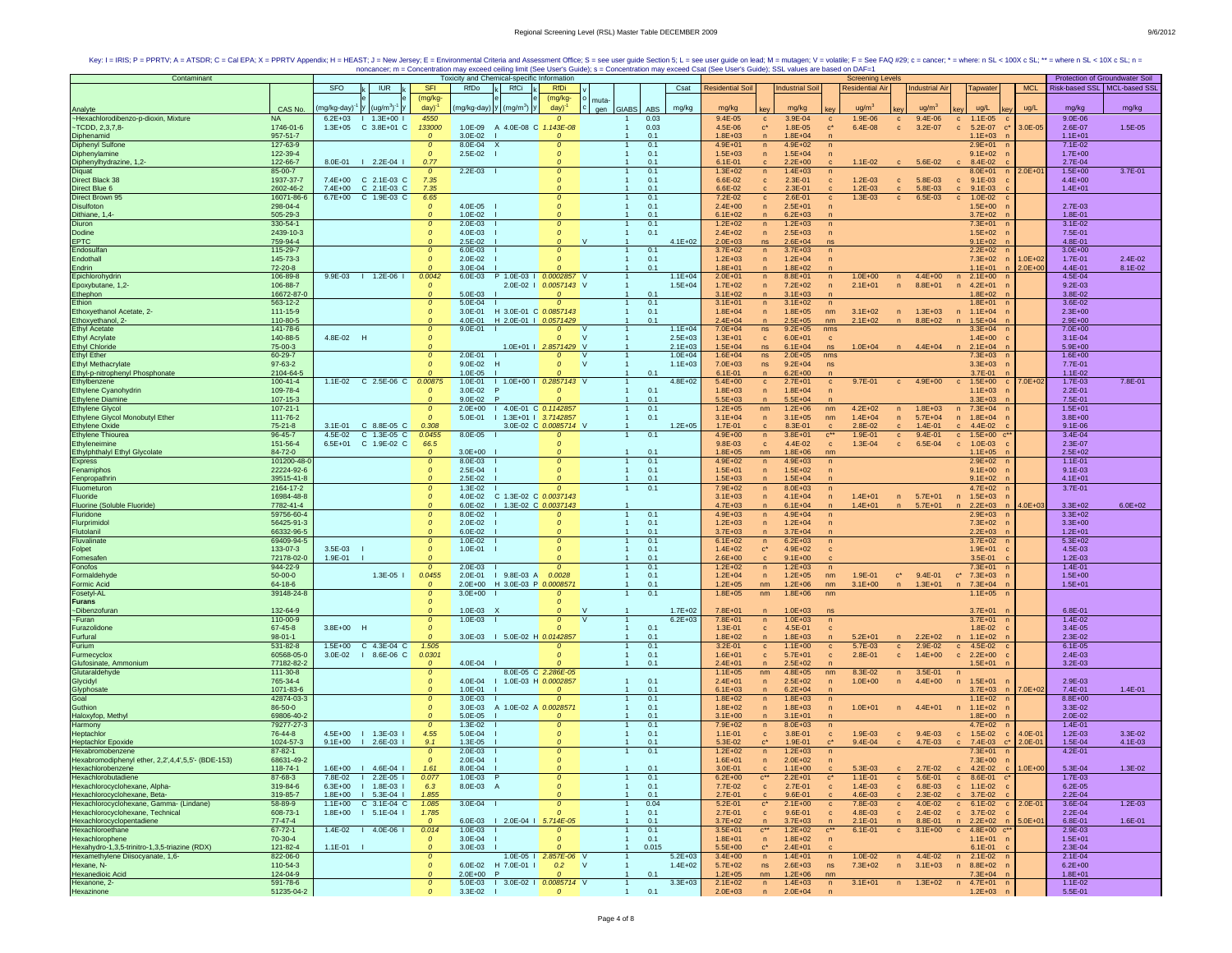| SFO<br>IUR.<br><b>SFI</b><br><b>RfDi</b><br><b>Residential Air</b><br><b>MCL</b><br>Risk-based SSL   MCL-based SSI<br>RfDo<br>RfCi<br>Csat<br><b>Residential Soil</b><br><b>Industrial Soi</b><br><b>Industrial Air</b><br>Tapwater<br>(mg/kg-<br>(mg/kg-<br>muta-<br>(ug/m <sup>3</sup> )<br>CAS No.<br>mg/kg-day)<br>day)<br>(mg/kg-day) y (mg/m <sup>3</sup> ) y<br>day)<br><b>GIABS</b><br><b>ABS</b><br>mg/kg<br>mg/kg<br>mg/kg<br>ug/m <sup>3</sup><br>ug/m <sup>3</sup><br>ug/L<br>mg/kg<br>mg/kg<br>ug/L<br>gen<br>Analyte<br>~Hexachlorodibenzo-p-dioxin, Mixture<br>$1.3E + 00$  <br>4550<br>3.9E-04<br>1.9E-06<br>$9.4E - 06$<br>$9.0E - 06$<br><b>NA</b><br>$6.2E + 03$<br>0.03<br>9.4E-05<br>$1.1E-05$<br>$\Omega$<br>$\mathbf{C}$<br>$\mathbf{c}$<br>$\mathbf{C}$<br>$\mathbf{C}$<br>$-TODD. 2.3.7.8-$<br>1746-01-6<br>$1.3E + 05$<br>C 3.8E+01 C<br>133000<br>1.0E-09 A 4.0E-08 C<br>1.143E-08<br>0.03<br>4.5E-06<br>$\mathbf{c}^\star$<br>1.8E-05<br>$c^*$<br>6.4E-08<br>3.2E-07<br>5.2E-07<br>3.0E-05<br>2.6E-07<br>1.5E-05<br>$\mathbf{c}$<br>$\mathbf{c}$<br>$\mathbf{C}^1$<br>957-51-7<br>$3.0E - 02$<br>0.1<br>$1.8E + 03$<br>$1.8E + 04$<br>$1.1E + 03$<br>$1.1E + 01$<br>Diphenamid<br>$\overline{p}$<br><b>Diphenyl Sulfone</b><br>127-63-9<br>$\mathfrak{o}$<br>8.0E-04<br>X<br>0.1<br>$4.9E + 01$<br>$4.9E + 02$<br>$2.9E + 01$<br>7.1E-02<br>0<br>$\sqrt{n}$<br>$\sqrt{n}$<br>122-39-4<br>2.5E-02<br>0.1<br>$1.5E + 03$<br>$1.5E + 04$<br>$9.1E + 02$<br>$1.7E + 00$<br>Diphenylamine<br>$\Omega$<br>$\Omega$<br>$\sqrt{n}$<br>$\sqrt{n}$<br>Diphenylhydrazine, 1,2-<br>122-66-7<br>8.0E-01   2.2E-04  <br>0.77<br>0.1<br>$6.1E - 01$<br>$2.2E + 00$<br>$1.1E - 02$<br>5.6E-02<br>$c = 8.4E - 02$<br>2.7E-04<br>$\mathbf{C}$<br>$3.7E - 01$<br>85-00-7<br>2.2E-03<br>0.1<br>$1.3E + 02$<br>$1.5E + 00$<br>$\mathcal{O}$<br>$1.4E + 03$<br>8.0E+01<br>$2.0E + 01$<br>$\sqrt{n}$<br>1937-37-7<br>7.4E+00 C 2.1E-03 C<br>0.1<br>5.8E-03<br>7.35<br>6.6E-02<br>$2.3E-01$<br>$1.2E - 03$<br>$9.1E-03$<br>$4.4E + 00$<br>$\mathbf c$<br>$\mathbf{c}$<br>$\mathbf{c}$<br>$\mathbf c$<br>Direct Blue 6<br>0.1<br>6.6E-02<br>2602-46-2<br>7.4E+00<br>C 2.1E-03 C<br>7.35<br>$2.3E-01$<br>$1.2E - 03$<br>5.8E-03<br>$1.4E + 01$<br>$9.1E-03$<br>Ω<br>$\mathbf{C}$<br>$\mathbf{C}$<br>$\mathbf{C}$<br>Direct Brown 95<br>6.7E+00 C 1.9E-03 C<br>16071-86-6<br>6.65<br>0.1<br>7.2E-02<br>2.6E-01<br>$1.3E - 03$<br>6.5E-03<br>$\mathbf{c}$<br>$1.0E - 02$<br>$\mathbf{c}$<br>$\mathbf{C}$<br>$\mathbf{c}$<br>Disulfoton<br>298-04-4<br>4.0E-05<br>0.1<br>$2.4E + 00$<br>$2.5E + 01$<br>$1.5E + 00$<br>2.7E-03<br>$\mathcal{O}$<br>$\boldsymbol{0}$<br>$\overline{p}$<br>$\overline{p}$<br>Dithiane, 1,4-<br>Diuron<br>505-29-3<br>1.0E-02<br>0.1<br>$6.1E + 02$<br>$6.2E + 03$<br>$3.7E + 02$<br>1.8E-01<br>$\mathcal{O}$<br>$\sqrt{n}$<br>$1.2E + 02$<br>330-54-1<br>0.1<br>$1.2E + 03$<br>$7.3E + 01$<br>$3.1E - 02$<br>$2.0E - 03$<br>$\Omega$<br>n<br>$\mathcal{O}$<br>$\sqrt{n}$<br>-1<br>Dodine<br>2439-10-3<br>4.0E-03<br>$\mathcal{O}$<br>0.1<br>$2.4E + 02$<br>$2.5E + 03$<br>$1.5E + 02$<br>7.5E-01<br>$\mathcal{O}$<br>n<br>$\mathsf{n}$<br><b>EPTC</b><br>759-94-4<br>2.5E-02<br><b>V</b><br>$4.1E + 02$<br>$2.0E + 03$<br>$2.6E + 04$<br>$9.1E + 02$<br>4.8E-01<br>ns.<br>ns<br>Endosulfan<br>115-29-7<br>$\mathcal{O}$<br>6.0E-03<br>0.1<br>$3.7E + 02$<br>$3.7E + 03$<br>$2.2E+02$ n<br>$3.0E + 00$<br>0<br>$\mathbf{1}$<br>n<br>$\sqrt{n}$<br>$\Omega$<br>0.1<br>Endothall<br>145-73-3<br>$2.0F - 02$<br>$1.2E + 03$<br>$1.2E + 04$<br>7.3E+02<br>$1.0E + 02$<br>1.7E-01<br>$\Omega$<br>$\mathbf{1}$<br>n<br>$\sqrt{n}$<br>n<br>Endrin<br>72-20-8<br>$3.0E - 04$<br>0.1<br>$1.8E + 01$<br>$1.8E + 02$<br>$1.1E + 01$<br>$2.0E + 00$<br>4.4E-01<br>$\Omega$<br>$\mathbf{1}$<br>n<br>$\overline{p}$<br>106-89-8<br>9.9E-03<br>$1 1.2E-06$<br>0.0042<br>6.0E-03<br>P 1.0E-03   0.0002857 V<br>$1.1E + 04$<br>$2.0E + 01$<br>$4.4E + 00$<br>$2.1E+00$<br>4.5E-04<br>Epichlorohydrin<br>n<br>$8.8E + 01$<br>$1.0E + 00$<br>$\mathsf{n}$<br>n<br>n<br>106-88-7<br>$1.5E + 04$<br>$9.2E - 03$<br>Epoxybutane, 1,2-<br>$2.0E - 02$  <br>0.0057143 V<br>$1.7E + 02$<br>$7.2E + 02$<br>$2.1E + 01$<br>n<br>$8.8E + 01$<br>$4.2E + 01$<br>$\mathsf{n}$<br>$\mathsf{n}$<br>$\sqrt{n}$<br>16672-87-0<br>$1.8E + 02$<br>3.8E-02<br>Ethephon<br>5.0E-03<br>0.1<br>$3.1E + 02$<br>$3.1E + 03$<br>$\Omega$<br>$\overline{n}$<br>Ethion<br>0.1<br>$3.1E + 02$<br>563-12-2<br>5.0E-04<br>$3.1E + 01$<br>$1.8E + 01$<br>3.6E-02<br>$\mathcal{O}$<br>$\Omega$<br>n<br>n<br>Ethoxyethanol Acetate, 2-<br>111-15-9<br>3.0E-01<br>H 3.0E-01 C 0.0857143<br>0.1<br>$1.8E + 04$<br>$1.8E + 05$<br>$3.1E + 02$<br>$1.3E + 03$<br>n 1.1E+04<br>$2.3E + 00$<br>$\mathcal{O}$<br>nm<br>$\sqrt{n}$<br>n<br>Ethoxyethanol, 2-<br>110-80-5<br>H 2.0E-01   0.0571429<br>0.1<br>$2.4E + 04$<br>$2.1E + 02$<br>$2.9E + 00$<br>4.0E-01<br>$2.5E + 05$<br>$8.8E + 02$<br>$1.5E + 04$<br>nm<br>$\sqrt{n}$<br><b>Ethyl Acetate</b><br>$1.1E + 04$<br>141-78-6<br>$\mathcal{O}$<br>$9.0E - 01$<br>$7.0E + 04$<br>ns<br>$9.2E + 05$<br>$3.3E + 04$<br>$7.0E + 00$<br>0<br><b>V</b><br>nms<br><b>Ethyl Acrylate</b><br>140-88-5<br>4.8E-02 H<br>$3.1E - 04$<br><b>V</b><br>$2.5E + 03$<br>$1.3E + 01$<br>$6.0E + 01$<br>$1.4E + 00$<br>$\Omega$<br>$\Omega$<br>$\mathbf{c}$<br>$\mathbf{C}$<br><b>Ethyl Chloride</b><br>75-00-3<br>$\Omega$<br>1.0E+01   2.8571429 V<br>$2.1E + 03$<br>$1.5E + 04$<br>$6.1E + 04$<br>$1.0E + 04$<br>$4.4E + 04$<br>$n = 2.1E+04$<br>$5.9E + 00$<br>ns.<br>ns<br>n<br><b>Ethyl Ether</b><br>60-29-7<br>2.0E-01<br>$1.0E + 04$<br>$1.6E + 04$<br>$7.3E + 03$<br>$1.6E + 00$<br>$\mathcal{O}$<br>$\overline{0}$<br><b>V</b><br>ns<br>$2.0E + 05$<br>nms<br><b>Ethyl Methacrylate</b><br>97-63-2<br>$9.0E - 02$<br><b>V</b><br>$1.1E + 03$<br>7.7E-01<br>$\mathcal{O}$<br>H<br>$7.0E + 03$<br>ns<br>$9.2E + 04$<br>$3.3E + 03$<br>$\Omega$<br>ns<br>Ethyl-p-nitrophenyl Phosphonate<br>2104-64-5<br>$1.0E - 05$<br>0.1<br>$6.1E - 01$<br>$6.2E + 00$<br>3.7E-01<br>$1.1E-02$<br>n<br>Ethylbenzene<br>$4.8E + 02$<br>$100 - 41 - 4$<br>1.1E-02 C 2.5E-06 C<br>0.00875<br>$1.0E - 01$<br>I 1.0E+00 I 0.2857143 V<br>$5.4E + 00$<br>$2.7E + 01$<br>$9.7E - 01$<br>$4.9E + 00$<br>$c = 1.5E+00$<br>$7.0E + 02$<br>1.7E-03<br>$\mathbf{C}$<br>$\mathbf{C}$<br>$\mathbf{c}$<br>Ethylene Cyanohydrin<br>109-78-4<br>$3.0E - 02$<br>0.1<br>$1.8E + 03$<br>$1.8E + 04$<br>$2.2E - 01$<br>$\mathcal{O}$<br>$\overline{p}$<br>$\sqrt{n}$<br>$1.1E + 03$<br>107-15-3<br>$9.0E - 02$<br>0.1<br>$5.5E + 03$<br>5.5E+04<br><b>Ethylene Diamine</b><br>$\mathcal{O}$<br>$3.3E + 03$<br>7.5E-01<br>$\mathbf{1}$<br>$\mathsf{n}$<br>1 4.0E-01 C 0.1142857<br>0.1<br><b>Ethylene Glycol</b><br>107-21-1<br>$2.0E + 00$<br>$1.2E + 05$<br>$1.2E + 06$<br>$4.2E + 02$<br>$1.8E + 03$<br>n 7.3E+04<br>$1.5E + 01$<br>$\mathfrak{o}$<br>$\mathbf{1}$<br>nm<br>nm<br>$\mathsf{n}$<br>0.1<br>$1.4E + 04$<br>Ethylene Glycol Monobutyl Ether<br>111-76-2<br>$\Omega$<br>5.0E-01<br>  1.3E+01   3.7142857<br>$3.1E + 04$<br>$5.7E + 04$<br>$3.8E + 00$<br>$3.1E + 05$<br>nm<br>n 1.8E+04<br>$\overline{1}$<br>n<br>n<br><b>Ethylene Oxide</b><br>$75 - 21 - 8$<br>3.1E-01 C 8.8E-05 C<br>0.308<br>3.0E-02 C 0.0085714 V<br>$1.2E + 05$<br>$1.7E - 01$<br>8.3E-01<br>2.8E-02<br>$1.4E - 01$<br>4.4E-02<br>$9.1E - 06$<br>$\overline{1}$<br>$\mathbf{c}$<br>$\mathbf{C}$<br>$\mathbf{C}$<br>c.<br>Ethylene Thiourea<br>96-45-7<br>4.5E-02<br>C 1.3E-05 C<br>0.1<br>$3.8E + 01$<br>1.9E-01<br>$9.4E - 01$<br>3.4E-04<br>0.0455<br>8.0E-05<br>$4.9E + 00$<br>n<br>$C^{\star\star}$<br>$\mathbf{c}$<br>$\mathbf{C}$<br>$1.5E + 00$<br>Ethyleneimine<br>151-56-4<br>$6.5E + 01$<br>C 1.9E-02 C<br>2.3E-07<br>66.5<br>$9.8E - 03$<br>$\mathbf{C}$<br>4.4E-02<br>$1.3E - 04$<br>$\mathbf{c}$<br>6.5E-04<br>$\mathbf{C}$<br>$1.0E-03$<br>$\mathbf{c}$<br>84-72-0<br>$1.8E + 05$<br>$1.8E + 06$<br>$1.1E + 05$<br>$2.5E + 02$<br>Ethylphthalyl Ethyl Glycolate<br>$3.0E + 00$<br>$\Omega$<br>$\mathbf{1}$<br>0.1<br>nm<br>nm<br>Express<br>101200-48-<br>8.0E-03<br>0.1<br>$4.9E + 02$<br>$4.9E + 03$<br>$2.9E + 02$<br>$1.1E - 01$<br>$\mathcal{O}$<br>$\mathbf{1}$<br>n<br>$\Omega$<br>$\sqrt{n}$<br>Fenamiphos<br>22224-92-6<br>$2.5E - 04$<br>0.1<br>$1.5E + 01$<br>$1.5E + 02$<br>$9.1E + 00$<br>$9.1E - 03$<br>$\mathcal{O}$<br>$\mathbf{1}$<br>$\overline{p}$<br>$\mathsf{n}$<br>39515-41-8<br>$2.5E - 02$<br>0.1<br>$1.5E + 03$<br>Fenpropathrin<br>$\mathcal{O}$<br>$1.5E + 04$<br>$9.1E + 02$<br>$4.1E + 01$<br>0<br>$\overline{p}$<br>2164-17-2<br>0.1<br>7.9E+02<br>1.3E-02<br>$8.0E + 03$<br>$4.7E + 02$<br>3.7E-01<br>Fluometuron<br>$\Omega$<br>$\Omega$<br>$\mathbf{1}$<br>$\sqrt{n}$<br>$\sqrt{n}$<br>16984-48-8<br>$\Omega$<br>4.0E-02 C 1.3E-02 C 0.0037143<br>$3.1E + 03$<br>$1.4E + 01$<br>n 5.7E+01<br>$1.5E + 03$<br>Fluoride<br>$4.1E + 04$<br>$\mathsf{n}$<br>n<br>n<br>6.0E-02   1.3E-02 C 0.0037143<br>Fluorine (Soluble Fluoride)<br>7782-41-4<br>$\Omega$<br>$4.7E + 03$<br>$6.1E + 04$<br>$1.4E + 01$<br>n 5.7E+01<br>$2.2E + 03$<br>$4.0E + 03$<br>$3.3E + 02$<br>$\overline{1}$<br>$\overline{p}$<br>n<br>$\mathsf{n}$<br>$\overline{p}$<br>Fluridone<br>59756-60-4<br>8.0E-02<br>0.1<br>$4.9E + 03$<br>$4.9E + 04$<br>$2.9E + 03$<br>$3.3E + 02$<br>$\mathbf{1}$<br>$\overline{p}$<br>Flurprimidol<br>56425-91-3<br>2.0E-02<br>0.1<br>$1.2E + 03$<br>$1.2E + 04$<br>$3.3E + 00$<br>$\mathcal{O}$<br>n<br>$7.3E + 02$<br>$\Omega$<br>$\mathsf{n}$<br>66332-96-5<br>$3.7E + 03$<br>Flutolanil<br>6.0E-02<br>0.1<br>$3.7E + 04$<br>$2.2E + 03$<br>$1.2E + 01$<br>$\Omega$<br>$\mathbf{1}$<br>n<br>Fluvalinate<br>69409-94-5<br>$1.0E - 02$<br>0.1<br>$6.1E + 02$<br>$6.2E + 03$<br>$3.7E + 02$<br>$5.3E + 02$<br>$\mathcal{O}$<br>$\Omega$<br>n<br>$\mathsf{n}$<br>133-07-3<br>$3.5E-03$<br>1.0E-01<br>0.1<br>$1.4E + 02$<br>4.9E+02<br>$1.9E + 01$<br>4.5E-03<br>Folpet<br>$\mathcal{O}$<br>$C^*$<br>c<br>72178-02-0<br>1.9E-01<br>0.1<br>$2.6E + 00$<br>1.2E-03<br>Fomesafen<br>$9.1E + 00$<br>$3.5E-01$<br>0.1<br>1.4E-01<br>Fonofos<br>944-22-9<br>$\Omega$<br>2.0E-03<br>$1.2E + 02$<br>$1.2E + 03$<br>$7.3E + 01$<br>$\mathcal{O}$<br>$\mathbf{1}$<br>n<br>n<br>Formaldehyde<br>$50-00-0$<br>$1.3E-05$  <br>0.0455<br>2.0E-01   9.8E-03 A<br>0.0028<br>0.1<br>$1.2E + 04$<br>$1.2E + 05$<br>1.9E-01<br>$c^*$ 9.4E-01<br>$\mathbf{c}^*$<br>$7.3E + 03$<br>$1.5E + 00$<br>$\overline{1}$<br>n<br>nm<br>64-18-6<br>2.0E+00 H 3.0E-03 P 0.0008571<br>0.1<br>$1.2E + 05$<br>$1.2E + 06$<br>$7.3E + 04$<br>$1.5E + 01$<br><b>Formic Acid</b><br>nm<br>nm<br>$3.1E + 00$<br>$1.3E + 01$<br>n<br>Fosetyl-AL<br>$1.8E + 05$<br>39148-24-8<br>$\mathcal{O}$<br>$3.0E + 00$<br>0.1<br>nm<br>$1.8E + 06$<br>nm<br>$1.1E + 05$<br>$\mathbf{1}$<br><b>Furans</b><br>$\mathcal{O}$<br>~Dibenzofurar<br>132-64-9<br>$1.0E - 03$<br>$1.7E + 02$<br>$7.8E + 01$<br>$1.0E + 03$<br>$3.7E + 01$<br>6.8E-01<br>$\Omega$<br>$\Omega$<br>$\sqrt{n}$<br>ns<br>$-Furan$<br>110-00-9<br>$6.2E + 03$<br>7.8E+01<br>$1.0E + 03$<br>$3.7E + 01$<br>1.4E-02<br>$1.0E - 03$<br>$\boldsymbol{0}$<br>$\mathsf{V}$<br>n<br>$\sqrt{n}$<br>67-45-8<br>3.8E+00 H<br>0.1<br>3.4E-05<br>Furazolidone<br>$1.3E - 01$<br>4.5E-01<br>1.8E-02<br>$\Omega$<br>$\mathbf c$<br>$\mathbf{c}$<br>$98 - 01 - 1$<br>3.0E-03   5.0E-02 H 0.0142857<br>$1.8E + 02$<br>2.3E-02<br>Furfural<br>0.1<br>$1.8E + 03$<br>$5.2E + 01$<br>$2.2E + 02$<br>$1.1E + 02$<br>$\mathbf{1}$<br>$\overline{n}$<br>$\mathsf{n}$<br>n<br>$531 - 82 - 8$<br>1.5E+00 C 4.3E-04 C<br>Furium<br>1.505<br>0.1<br>3.2E-01<br>$1.1E + 00$<br>5.7E-03<br>2.9E-02<br>4.5E-02<br>$6.1E - 05$<br>$\mathbf{c}$<br>$\mathbf{c}$<br>$\mathbf{C}$<br>$\mathbf{c}$<br>Furmecyclox<br>60568-05-0<br>3.0E-02<br>$18.6E-06C$<br>0.0301<br>0.1<br>$1.6E + 01$<br>$5.7E + 01$<br>2.8E-01<br>$1.4E + 00$<br>$c = 2.2E+00$<br>$2.4E-03$<br>$\mathbf{c}$<br>$\mathbf{c}$<br>$\mathbf{c}$<br>77182-82-2<br>4.0E-04  <br>0.1<br>$2.4E + 01$<br>$2.5E + 02$<br>$1.5E + 01$<br>$3.2E - 03$<br>Glufosinate, Ammonium<br>Glutaraldehyde<br>$\Omega$<br>$\mathsf{n}$<br>8.0E-05 C 2.286E-05<br>$1.1E + 0.5$<br>8.3E-02<br>$3.5E - 01$<br>111-30-8<br>$4.8E + 05$<br>nm<br>$\mathcal{O}$<br>nm<br>n<br>n<br>Glycidyl<br>$2.4E + 01$<br>$2.5E + 02$<br>$1.0E + 00$<br>765-34-4<br>4.0E-04   1.0E-03 H 0.0002857<br>0.1<br>$4.4E + 00$<br>n 1.5E+01<br>2.9E-03<br>$\mathcal{O}$<br>$\mathbf{1}$<br>n<br>$\sqrt{n}$<br>n<br>1071-83-6<br>Glyphosate<br>1.0E-01<br>0.1<br>$6.1E + 03$<br>$6.2E + 04$<br>$3.7E + 03$<br>$7.0E + 02$<br>7.4E-01<br>$1.4E - 01$<br>Goal<br>42874-03-3<br>$3.0E - 03$<br>0.1<br>$1.8E + 02$<br>$8.8E + 00$<br>$\mathcal{O}$<br>$\boldsymbol{0}$<br>$\mathbf{1}$<br>n<br>$1.8E + 03$<br>$1.1E + 02$<br>n<br>Guthion<br>86-50-0<br>A 1.0E-02 A 0.0028571<br>0.1<br>$\mathcal{O}$<br>$3.0E - 03$<br>$1.8E + 02$<br>$1.8E + 03$<br>$1.0E + 01$<br>$4.4E + 01$<br>$1.1E + 02$<br>$3.3E-02$<br>$\overline{ }$<br>$\sqrt{n}$<br>n<br>n<br>69806-40-2<br>5.0E-05<br>0.1<br>$3.1E + 00$<br>$3.1E + 01$<br>$1.8E + 00$<br>2.0E-02<br>Haloxyfop, Methy<br>$\Omega$<br>$\mathbf{1}$<br>$\mathsf{n}$<br>Harmony<br>79277-27-3<br>$1.3E - 02$<br>0.1<br>7.9E+02<br>$8.0E + 03$<br>$4.7E + 02$<br>1.4E-01<br>$\mathcal{O}$<br>$\Omega$<br>$\mathbf{1}$<br>n<br>$\sqrt{n}$<br>$\overline{ }$<br>76-44-8<br>4.5E+00<br>$1.3E-03$  <br>5.0E-04<br>0.1<br>3.8E-01<br>9.4E-03<br>$1.5E-02$<br>$1.2E - 03$<br>3.3E-02<br>Heptachlor<br>4.55<br>$\boldsymbol{0}$<br>$1.1E - 01$<br>1.9E-03<br>$\mathbf{c}$<br>$\mathbf{c}$<br>$4.0E - 0'$<br>$\mathbf{c}$<br>$\mathbf{c}$<br>$\mathbf{c}$<br>1024-57-3<br>2.6E-03 l<br>9.1<br>5.3E-02<br>1.9E-01<br>7.4E-03<br>1.5E-04<br>Heptachlor Epoxide<br>Hexabromobenzene<br>$9.1E + 00$<br>1.3E-05<br>0.1<br>$9.4E - 04$<br>4.7E-03<br>$2.0E - 0$<br>4.1E-03<br>$1.2E + 02$<br>87-82-1<br>0.1<br>$1.2E + 03$<br>$7.3E + 01$<br>4.2E-01<br>$\mathcal{O}$<br>$2.0E - 03$<br>$\mathcal{O}$<br>$\mathbf{1}$<br>n<br>$\sqrt{n}$<br>Hexabromodiphenyl ether, 2,2',4,4',5,5'- (BDE-153)<br>68631-49-2<br>$2.0E-04$<br>$1.6E + 01$<br>$2.0E + 02$<br>$7.3E + 00$<br>$\Omega$<br>$\Omega$<br>n<br>$\sqrt{n}$<br>Hexachlorobenzene<br>118-74-1<br>1.6E+00   4.6E-04  <br>8.0E-04<br>0.1<br>$3.0E - 01$<br>5.3E-03<br>$2.7E-02$<br>4.2E-02<br>$.0E + 00$<br>5.3E-04<br>1.3E-02<br>1.61<br>1<br>$1.1E + 00$<br>$\mathbf{c}$<br>$\mathbf{c}$<br>$\mathbf{c}$<br>$\mathbf{c}$<br>Hexachlorobutadiene<br>87-68-3<br>7.8E-02<br>$2.2E - 05$  <br>0.077<br>1.0E-03<br>0.1<br>$6.2E + 00$<br>$2.2E + 01$<br>$1.1E - 01$<br>5.6E-01<br>$c = 8.6E - 01$<br>1.7E-03<br>0<br>$C^{\star\star}$<br>$\mathbf{c}^*$<br>$\mathbf{C}$<br>Hexachlorocyclohexane, Alpha-<br>319-84-6<br>$1.8E - 03$  <br>0.1<br>$1.4E - 03$<br>6.8E-03<br>$6.2E - 05$<br>$6.3E + 00$<br>6.3<br>8.0E-03<br>7.7E-02<br>2.7E-01<br>$c = 1.1E-02$<br>$\Omega$<br>$\mathbf{c}$<br>- A<br>-1<br>$\mathbf{c}$<br>$\mathbf{c}$<br>Hexachlorocyclohexane, Beta-<br>Hexachlorocyclohexane, Gamma- (Lindane)<br>319-85-7<br>$1.8E + 00$<br>$1 5.3E-041$<br>1.855<br>0.1<br>2.7E-01<br>$9.6E - 01$<br>4.6E-03<br>$2.3E-02$<br>$c = 3.7E - 0.2$<br>2.2E-04<br>$\Omega$<br>$\mathbf{c}$<br>$\mathbf{c}$<br>$\mathbf{c}$<br>$1.2E - 03$<br>58-89-9<br>$1.1E + 00$<br>C 3.1E-04 C<br>1.085<br>3.0E-04  <br>0.04<br>5.2E-01<br>$2.1E + 00$<br>7.8E-03<br>4.0E-02<br>$c = 6.1E-02$<br>$2.0E - 01$<br>3.6E-04<br>$\boldsymbol{0}$<br>$\mathbf{c}^*$<br>$\mathbf{c}$<br>$\mathbf{C}$<br>$\mathbf{C}$<br>Hexachlorocyclohexane, Technical<br>608-73-1<br>$1 5.1E-041$<br>0.1<br>2.7E-01<br>$9.6E - 01$<br>4.8E-03<br>$2.4E - 02$<br>$c = 3.7E-02$<br>$2.2E - 04$<br>$1.8E + 00$<br>1.785<br>$\mathbf{c}$<br>$\mathbf{c}$<br>$\mathbf{c}$<br>Hexachlorocyclopentadiene<br>$77-47-4$<br>6.0E-03   2.0E-04   5.714E-05<br>$3.7E + 02$<br>$3.7E + 03$<br>$2.1E - 01$<br>1.6E-01<br>0.1<br>8.8E-01<br>$n = 2.2E+02$<br>$5.0E + 01$<br>6.8E-01<br>$\overline{1}$<br>$\Omega$<br>$\sqrt{n}$<br>n<br>$\overline{ }$<br>Hexachloroethane<br>$67 - 72 - 1$<br>$1.4E - 02$<br>$14.0E-061$<br>0.014<br>$1.0E - 03$<br>$\mathbf{1}$<br>0.1<br>$3.5E + 01$<br>$\mathbf{c}^{\star\star}$<br>$1.2E + 02$<br>$C^{\star\star}$<br>$6.1E - 01$<br>$\mathbf{c}$<br>$3.1E + 00$<br>c $4.8E+00$ c <sup>*</sup><br>2.9E-03<br>$\Omega$<br>Hexachlorophene<br>70-30-4<br>3.0E-04<br>0.1<br>$1.8E + 01$<br>$1.8E + 02$<br>$1.5E + 01$<br>$\mathcal{O}$<br>$\boldsymbol{0}$<br>$\mathbf{1}$<br>n<br>$1.1E + 01$<br>$\sqrt{n}$<br>0.015<br>Hexahydro-1,3,5-trinitro-1,3,5-triazine (RDX)<br>Hexamethylene Diisocyanate, 1,6-<br>121-82-4<br>$3.0E - 03$<br>5.5E+00<br>$2.4E + 01$<br>6.1E-01<br>$1.1E - 01$<br>$\mathcal{O}$<br>$\mathbf{1}$<br>$c^*$<br>2.3E-04<br>822-06-0<br>$4.4E - 02$<br>$2.1E - 04$<br>1.0E-05   2.857E-06 V<br>$5.2E + 03$<br>$3.4E + 00$<br>$1.4E + 01$<br>$1.0E - 02$<br>$n = 2.1E-02$<br>$\Omega$<br>$\overline{1}$<br>n<br>n<br>n<br>Hexane, N-<br>110-54-3<br>$\mathfrak{o}$<br>6.0E-02<br>H 7.0E-01 I<br>0.2<br>$\mathsf{V}$<br>$1.4E + 02$<br>$5.7E + 02$<br>ns<br>$2.6E + 03$<br>$7.3E + 02$<br>$3.1E + 03$<br>n<br>$8.8E + 02$<br>$6.2E + 00$<br>$\overline{1}$<br>ns<br>n<br>$\overline{ }$<br>124-04-9<br>Hexanedioic Acid<br>Hexanone, 2-<br>$2.0E + 00$<br>0.1<br>$1.2E + 05$<br>$1.2E + 06$<br>$7.3E + 04$<br>$1.8E + 01$<br>$\mathcal{O}$<br><b>P</b><br>nm<br>nm<br>591-78-6<br>$3.3E + 03$<br>$2.1E + 02$<br>$1.3E + 02$<br>$\mathcal{O}$<br>5.0E-03   3.0E-02   0.0085714 V<br>n<br>$1.4E + 03$<br>n<br>$3.1E + 01$<br>n<br>n 4.7E+01<br>$1.1E - 02$ | Contaminant |            |  |          |         | Toxicity and Chemical-specific Information |          |     |             |                               |            | <b>Screening Levels</b> |             | Protection of Groundwater Soil |             |
|-----------------------------------------------------------------------------------------------------------------------------------------------------------------------------------------------------------------------------------------------------------------------------------------------------------------------------------------------------------------------------------------------------------------------------------------------------------------------------------------------------------------------------------------------------------------------------------------------------------------------------------------------------------------------------------------------------------------------------------------------------------------------------------------------------------------------------------------------------------------------------------------------------------------------------------------------------------------------------------------------------------------------------------------------------------------------------------------------------------------------------------------------------------------------------------------------------------------------------------------------------------------------------------------------------------------------------------------------------------------------------------------------------------------------------------------------------------------------------------------------------------------------------------------------------------------------------------------------------------------------------------------------------------------------------------------------------------------------------------------------------------------------------------------------------------------------------------------------------------------------------------------------------------------------------------------------------------------------------------------------------------------------------------------------------------------------------------------------------------------------------------------------------------------------------------------------------------------------------------------------------------------------------------------------------------------------------------------------------------------------------------------------------------------------------------------------------------------------------------------------------------------------------------------------------------------------------------------------------------------------------------------------------------------------------------------------------------------------------------------------------------------------------------------------------------------------------------------------------------------------------------------------------------------------------------------------------------------------------------------------------------------------------------------------------------------------------------------------------------------------------------------------------------------------------------------------------------------------------------------------------------------------------------------------------------------------------------------------------------------------------------------------------------------------------------------------------------------------------------------------------------------------------------------------------------------------------------------------------------------------------------------------------------------------------------------------------------------------------------------------------------------------------------------------------------------------------------------------------------------------------------------------------------------------------------------------------------------------------------------------------------------------------------------------------------------------------------------------------------------------------------------------------------------------------------------------------------------------------------------------------------------------------------------------------------------------------------------------------------------------------------------------------------------------------------------------------------------------------------------------------------------------------------------------------------------------------------------------------------------------------------------------------------------------------------------------------------------------------------------------------------------------------------------------------------------------------------------------------------------------------------------------------------------------------------------------------------------------------------------------------------------------------------------------------------------------------------------------------------------------------------------------------------------------------------------------------------------------------------------------------------------------------------------------------------------------------------------------------------------------------------------------------------------------------------------------------------------------------------------------------------------------------------------------------------------------------------------------------------------------------------------------------------------------------------------------------------------------------------------------------------------------------------------------------------------------------------------------------------------------------------------------------------------------------------------------------------------------------------------------------------------------------------------------------------------------------------------------------------------------------------------------------------------------------------------------------------------------------------------------------------------------------------------------------------------------------------------------------------------------------------------------------------------------------------------------------------------------------------------------------------------------------------------------------------------------------------------------------------------------------------------------------------------------------------------------------------------------------------------------------------------------------------------------------------------------------------------------------------------------------------------------------------------------------------------------------------------------------------------------------------------------------------------------------------------------------------------------------------------------------------------------------------------------------------------------------------------------------------------------------------------------------------------------------------------------------------------------------------------------------------------------------------------------------------------------------------------------------------------------------------------------------------------------------------------------------------------------------------------------------------------------------------------------------------------------------------------------------------------------------------------------------------------------------------------------------------------------------------------------------------------------------------------------------------------------------------------------------------------------------------------------------------------------------------------------------------------------------------------------------------------------------------------------------------------------------------------------------------------------------------------------------------------------------------------------------------------------------------------------------------------------------------------------------------------------------------------------------------------------------------------------------------------------------------------------------------------------------------------------------------------------------------------------------------------------------------------------------------------------------------------------------------------------------------------------------------------------------------------------------------------------------------------------------------------------------------------------------------------------------------------------------------------------------------------------------------------------------------------------------------------------------------------------------------------------------------------------------------------------------------------------------------------------------------------------------------------------------------------------------------------------------------------------------------------------------------------------------------------------------------------------------------------------------------------------------------------------------------------------------------------------------------------------------------------------------------------------------------------------------------------------------------------------------------------------------------------------------------------------------------------------------------------------------------------------------------------------------------------------------------------------------------------------------------------------------------------------------------------------------------------------------------------------------------------------------------------------------------------------------------------------------------------------------------------------------------------------------------------------------------------------------------------------------------------------------------------------------------------------------------------------------------------------------------------------------------------------------------------------------------------------------------------------------------------------------------------------------------------------------------------------------------------------------------------------------------------------------------------------------------------------------------------------------------------------------------------------------------------------------------------------------------------------------------------------------------------------------------------------------------------------------------------------------------------------------------------------------------------------------------------------------------------------------------------------------------------------------------------------------------------------------------------------------------------------------------------------------------------------------------------------------------------------------------------------------------------------------------------------------------------------------------------------------------------------------------------------------------------------------------------------------------------------------------------------------------------------------------------------------------------------------------------------------------------------------------------------------------------------------------------------------------------------------------------------------------------------------------------------------------------------------------------------------------------------------------------------------------------------------------------------------------------------------------------------------------------------------------------------------------------------------------------------------------------------------------------------------------------------------------------------------------------------------------------------------------------------------------------------------------------------------------------------------------------------------------------------------------------------------------------------------------------------------------------------------------------------------------------------------------------------------------------------------------------------------------------------------------------------------------------------------------------------------------------------------------------------------------------------------------------------------------------------------------------------------------------------------------------------------------------------------------------------------------------------------------------------------------------------------------------------------------------------------------------------------------------------------------------------------------------------------------------------------------------------------------------------------------------------------------------------------------------------------------------------------------------------------------------------------------------------------------------------------------------------------------------------------------------------------------------------------------------------------------------------------------------------------------------------------------------------------------------------------------------------------------------------------------------------------------------------------------------------------------------------------------------------------------------------------------------------------------------------------------------------------------------------------------------------------------------------------------------------------------------------------------------------------------------------------------------------------------------------------------------------------------------------------------------------------------------------------------------------------------------------------------------------------------------------------------------------------------------------------------------------------------------------------------------------------------------------------------------------------------------------------------------------------------------------------------------------------------------------------------------------------------------------------------------------------------------------------------------------------------------------------------------------------------------------------------------------------------------------------------------------------------------------------------------------------------------------------------------------------------------------------------------------------------------------------------------------------------------------------------------------------------------------------------------------------------------------------------------------------------------------------------------------------------------------------------------------------------------------------------------------------------------------------------------------------------------------------------------------------------------------------------------------------------------------------------------------------------------------------------------------------------------------------------------------------------------------------------------------------------------------------------------------------------------------------------------------------------------------------------------------------------------------------------------------------------------------------------------------------------------------------------------------------------------------------------------------------------------------------------------------------------------------------------------------------------------------------------------------------------------------------------------------------------------------------------------------------------------------------------------------------------------------------------------------------------------------------------------------------------------------------------------------------------------------------------------------------------------------------------------------------------------------------------------------------------------------------------------------------------------------------------------------------------------------------------------------------------------------------------------------------------------------------------------------------------------------------------------------------------------------------------------------------------------------------------------------------------------------------------------------------------------------------------------------------------------------------|-------------|------------|--|----------|---------|--------------------------------------------|----------|-----|-------------|-------------------------------|------------|-------------------------|-------------|--------------------------------|-------------|
| Diquat<br>Direct Black 38                                                                                                                                                                                                                                                                                                                                                                                                                                                                                                                                                                                                                                                                                                                                                                                                                                                                                                                                                                                                                                                                                                                                                                                                                                                                                                                                                                                                                                                                                                                                                                                                                                                                                                                                                                                                                                                                                                                                                                                                                                                                                                                                                                                                                                                                                                                                                                                                                                                                                                                                                                                                                                                                                                                                                                                                                                                                                                                                                                                                                                                                                                                                                                                                                                                                                                                                                                                                                                                                                                                                                                                                                                                                                                                                                                                                                                                                                                                                                                                                                                                                                                                                                                                                                                                                                                                                                                                                                                                                                                                                                                                                                                                                                                                                                                                                                                                                                                                                                                                                                                                                                                                                                                                                                                                                                                                                                                                                                                                                                                                                                                                                                                                                                                                                                                                                                                                                                                                                                                                                                                                                                                                                                                                                                                                                                                                                                                                                                                                                                                                                                                                                                                                                                                                                                                                                                                                                                                                                                                                                                                                                                                                                                                                                                                                                                                                                                                                                                                                                                                                                                                                                                                                                                                                                                                                                                                                                                                                                                                                                                                                                                                                                                                                                                                                                                                                                                                                                                                                                                                                                                                                                                                                                                                                                                                                                                                                                                                                                                                                                                                                                                                                                                                                                                                                                                                                                                                                                                                                                                                                                                                                                                                                                                                                                                                                                                                                                                                                                                                                                                                                                                                                                                                                                                                                                                                                                                                                                                                                                                                                                                                                                                                                                                                                                                                                                                                                                                                                                                                                                                                                                                                                                                                                                                                                                                                                                                                                                                                                                                                                                                                                                                                                                                                                                                                                                                                                                                                                                                                                                                                                                                                                                                                                                                                                                                                                                                                                                                                                                                                                                                                                                                                                                                                                                                                                                                                                                                                                                                                                                                                                                                                                                                                                                                                                                                                                                                                                                                                                                                                                                                                                                                                                                                                                                                                                                                                                                                                                                                                                                                                                                                                                                                                                                                                                                                                                                                                                                                                                                                                                                                                                                                                                                                                                                                                                                                                                                                                                                                                                                                                                                                                                                                                                                                                                                                                                                                                                                                                                                                                                                                                                                                                                                                                                                                                                                                                                                                                                                                                                                                                                                                                                                                                                                                                                                                                                                                                                                                                                                                                                                                                                                                                                                                                                                                                                                                                                                                                                                                                                                                                                                                                                                                                                                                                                                                                                                                                                                                                                                                                                                                                                                                           |             |            |  |          |         |                                            |          |     |             |                               |            |                         |             |                                |             |
|                                                                                                                                                                                                                                                                                                                                                                                                                                                                                                                                                                                                                                                                                                                                                                                                                                                                                                                                                                                                                                                                                                                                                                                                                                                                                                                                                                                                                                                                                                                                                                                                                                                                                                                                                                                                                                                                                                                                                                                                                                                                                                                                                                                                                                                                                                                                                                                                                                                                                                                                                                                                                                                                                                                                                                                                                                                                                                                                                                                                                                                                                                                                                                                                                                                                                                                                                                                                                                                                                                                                                                                                                                                                                                                                                                                                                                                                                                                                                                                                                                                                                                                                                                                                                                                                                                                                                                                                                                                                                                                                                                                                                                                                                                                                                                                                                                                                                                                                                                                                                                                                                                                                                                                                                                                                                                                                                                                                                                                                                                                                                                                                                                                                                                                                                                                                                                                                                                                                                                                                                                                                                                                                                                                                                                                                                                                                                                                                                                                                                                                                                                                                                                                                                                                                                                                                                                                                                                                                                                                                                                                                                                                                                                                                                                                                                                                                                                                                                                                                                                                                                                                                                                                                                                                                                                                                                                                                                                                                                                                                                                                                                                                                                                                                                                                                                                                                                                                                                                                                                                                                                                                                                                                                                                                                                                                                                                                                                                                                                                                                                                                                                                                                                                                                                                                                                                                                                                                                                                                                                                                                                                                                                                                                                                                                                                                                                                                                                                                                                                                                                                                                                                                                                                                                                                                                                                                                                                                                                                                                                                                                                                                                                                                                                                                                                                                                                                                                                                                                                                                                                                                                                                                                                                                                                                                                                                                                                                                                                                                                                                                                                                                                                                                                                                                                                                                                                                                                                                                                                                                                                                                                                                                                                                                                                                                                                                                                                                                                                                                                                                                                                                                                                                                                                                                                                                                                                                                                                                                                                                                                                                                                                                                                                                                                                                                                                                                                                                                                                                                                                                                                                                                                                                                                                                                                                                                                                                                                                                                                                                                                                                                                                                                                                                                                                                                                                                                                                                                                                                                                                                                                                                                                                                                                                                                                                                                                                                                                                                                                                                                                                                                                                                                                                                                                                                                                                                                                                                                                                                                                                                                                                                                                                                                                                                                                                                                                                                                                                                                                                                                                                                                                                                                                                                                                                                                                                                                                                                                                                                                                                                                                                                                                                                                                                                                                                                                                                                                                                                                                                                                                                                                                                                                                                                                                                                                                                                                                                                                                                                                                                                                                                                                                                                                     |             |            |  |          |         |                                            |          |     |             |                               |            |                         |             |                                |             |
|                                                                                                                                                                                                                                                                                                                                                                                                                                                                                                                                                                                                                                                                                                                                                                                                                                                                                                                                                                                                                                                                                                                                                                                                                                                                                                                                                                                                                                                                                                                                                                                                                                                                                                                                                                                                                                                                                                                                                                                                                                                                                                                                                                                                                                                                                                                                                                                                                                                                                                                                                                                                                                                                                                                                                                                                                                                                                                                                                                                                                                                                                                                                                                                                                                                                                                                                                                                                                                                                                                                                                                                                                                                                                                                                                                                                                                                                                                                                                                                                                                                                                                                                                                                                                                                                                                                                                                                                                                                                                                                                                                                                                                                                                                                                                                                                                                                                                                                                                                                                                                                                                                                                                                                                                                                                                                                                                                                                                                                                                                                                                                                                                                                                                                                                                                                                                                                                                                                                                                                                                                                                                                                                                                                                                                                                                                                                                                                                                                                                                                                                                                                                                                                                                                                                                                                                                                                                                                                                                                                                                                                                                                                                                                                                                                                                                                                                                                                                                                                                                                                                                                                                                                                                                                                                                                                                                                                                                                                                                                                                                                                                                                                                                                                                                                                                                                                                                                                                                                                                                                                                                                                                                                                                                                                                                                                                                                                                                                                                                                                                                                                                                                                                                                                                                                                                                                                                                                                                                                                                                                                                                                                                                                                                                                                                                                                                                                                                                                                                                                                                                                                                                                                                                                                                                                                                                                                                                                                                                                                                                                                                                                                                                                                                                                                                                                                                                                                                                                                                                                                                                                                                                                                                                                                                                                                                                                                                                                                                                                                                                                                                                                                                                                                                                                                                                                                                                                                                                                                                                                                                                                                                                                                                                                                                                                                                                                                                                                                                                                                                                                                                                                                                                                                                                                                                                                                                                                                                                                                                                                                                                                                                                                                                                                                                                                                                                                                                                                                                                                                                                                                                                                                                                                                                                                                                                                                                                                                                                                                                                                                                                                                                                                                                                                                                                                                                                                                                                                                                                                                                                                                                                                                                                                                                                                                                                                                                                                                                                                                                                                                                                                                                                                                                                                                                                                                                                                                                                                                                                                                                                                                                                                                                                                                                                                                                                                                                                                                                                                                                                                                                                                                                                                                                                                                                                                                                                                                                                                                                                                                                                                                                                                                                                                                                                                                                                                                                                                                                                                                                                                                                                                                                                                                                                                                                                                                                                                                                                                                                                                                                                                                                                                                                                                                     |             |            |  |          |         |                                            |          |     |             |                               |            |                         |             |                                |             |
|                                                                                                                                                                                                                                                                                                                                                                                                                                                                                                                                                                                                                                                                                                                                                                                                                                                                                                                                                                                                                                                                                                                                                                                                                                                                                                                                                                                                                                                                                                                                                                                                                                                                                                                                                                                                                                                                                                                                                                                                                                                                                                                                                                                                                                                                                                                                                                                                                                                                                                                                                                                                                                                                                                                                                                                                                                                                                                                                                                                                                                                                                                                                                                                                                                                                                                                                                                                                                                                                                                                                                                                                                                                                                                                                                                                                                                                                                                                                                                                                                                                                                                                                                                                                                                                                                                                                                                                                                                                                                                                                                                                                                                                                                                                                                                                                                                                                                                                                                                                                                                                                                                                                                                                                                                                                                                                                                                                                                                                                                                                                                                                                                                                                                                                                                                                                                                                                                                                                                                                                                                                                                                                                                                                                                                                                                                                                                                                                                                                                                                                                                                                                                                                                                                                                                                                                                                                                                                                                                                                                                                                                                                                                                                                                                                                                                                                                                                                                                                                                                                                                                                                                                                                                                                                                                                                                                                                                                                                                                                                                                                                                                                                                                                                                                                                                                                                                                                                                                                                                                                                                                                                                                                                                                                                                                                                                                                                                                                                                                                                                                                                                                                                                                                                                                                                                                                                                                                                                                                                                                                                                                                                                                                                                                                                                                                                                                                                                                                                                                                                                                                                                                                                                                                                                                                                                                                                                                                                                                                                                                                                                                                                                                                                                                                                                                                                                                                                                                                                                                                                                                                                                                                                                                                                                                                                                                                                                                                                                                                                                                                                                                                                                                                                                                                                                                                                                                                                                                                                                                                                                                                                                                                                                                                                                                                                                                                                                                                                                                                                                                                                                                                                                                                                                                                                                                                                                                                                                                                                                                                                                                                                                                                                                                                                                                                                                                                                                                                                                                                                                                                                                                                                                                                                                                                                                                                                                                                                                                                                                                                                                                                                                                                                                                                                                                                                                                                                                                                                                                                                                                                                                                                                                                                                                                                                                                                                                                                                                                                                                                                                                                                                                                                                                                                                                                                                                                                                                                                                                                                                                                                                                                                                                                                                                                                                                                                                                                                                                                                                                                                                                                                                                                                                                                                                                                                                                                                                                                                                                                                                                                                                                                                                                                                                                                                                                                                                                                                                                                                                                                                                                                                                                                                                                                                                                                                                                                                                                                                                                                                                                                                                                                                                                                                                     |             |            |  |          |         |                                            |          |     |             |                               |            |                         |             |                                |             |
|                                                                                                                                                                                                                                                                                                                                                                                                                                                                                                                                                                                                                                                                                                                                                                                                                                                                                                                                                                                                                                                                                                                                                                                                                                                                                                                                                                                                                                                                                                                                                                                                                                                                                                                                                                                                                                                                                                                                                                                                                                                                                                                                                                                                                                                                                                                                                                                                                                                                                                                                                                                                                                                                                                                                                                                                                                                                                                                                                                                                                                                                                                                                                                                                                                                                                                                                                                                                                                                                                                                                                                                                                                                                                                                                                                                                                                                                                                                                                                                                                                                                                                                                                                                                                                                                                                                                                                                                                                                                                                                                                                                                                                                                                                                                                                                                                                                                                                                                                                                                                                                                                                                                                                                                                                                                                                                                                                                                                                                                                                                                                                                                                                                                                                                                                                                                                                                                                                                                                                                                                                                                                                                                                                                                                                                                                                                                                                                                                                                                                                                                                                                                                                                                                                                                                                                                                                                                                                                                                                                                                                                                                                                                                                                                                                                                                                                                                                                                                                                                                                                                                                                                                                                                                                                                                                                                                                                                                                                                                                                                                                                                                                                                                                                                                                                                                                                                                                                                                                                                                                                                                                                                                                                                                                                                                                                                                                                                                                                                                                                                                                                                                                                                                                                                                                                                                                                                                                                                                                                                                                                                                                                                                                                                                                                                                                                                                                                                                                                                                                                                                                                                                                                                                                                                                                                                                                                                                                                                                                                                                                                                                                                                                                                                                                                                                                                                                                                                                                                                                                                                                                                                                                                                                                                                                                                                                                                                                                                                                                                                                                                                                                                                                                                                                                                                                                                                                                                                                                                                                                                                                                                                                                                                                                                                                                                                                                                                                                                                                                                                                                                                                                                                                                                                                                                                                                                                                                                                                                                                                                                                                                                                                                                                                                                                                                                                                                                                                                                                                                                                                                                                                                                                                                                                                                                                                                                                                                                                                                                                                                                                                                                                                                                                                                                                                                                                                                                                                                                                                                                                                                                                                                                                                                                                                                                                                                                                                                                                                                                                                                                                                                                                                                                                                                                                                                                                                                                                                                                                                                                                                                                                                                                                                                                                                                                                                                                                                                                                                                                                                                                                                                                                                                                                                                                                                                                                                                                                                                                                                                                                                                                                                                                                                                                                                                                                                                                                                                                                                                                                                                                                                                                                                                                                                                                                                                                                                                                                                                                                                                                                                                                                                                                                                                                     |             |            |  |          |         |                                            |          |     |             |                               |            |                         |             |                                |             |
|                                                                                                                                                                                                                                                                                                                                                                                                                                                                                                                                                                                                                                                                                                                                                                                                                                                                                                                                                                                                                                                                                                                                                                                                                                                                                                                                                                                                                                                                                                                                                                                                                                                                                                                                                                                                                                                                                                                                                                                                                                                                                                                                                                                                                                                                                                                                                                                                                                                                                                                                                                                                                                                                                                                                                                                                                                                                                                                                                                                                                                                                                                                                                                                                                                                                                                                                                                                                                                                                                                                                                                                                                                                                                                                                                                                                                                                                                                                                                                                                                                                                                                                                                                                                                                                                                                                                                                                                                                                                                                                                                                                                                                                                                                                                                                                                                                                                                                                                                                                                                                                                                                                                                                                                                                                                                                                                                                                                                                                                                                                                                                                                                                                                                                                                                                                                                                                                                                                                                                                                                                                                                                                                                                                                                                                                                                                                                                                                                                                                                                                                                                                                                                                                                                                                                                                                                                                                                                                                                                                                                                                                                                                                                                                                                                                                                                                                                                                                                                                                                                                                                                                                                                                                                                                                                                                                                                                                                                                                                                                                                                                                                                                                                                                                                                                                                                                                                                                                                                                                                                                                                                                                                                                                                                                                                                                                                                                                                                                                                                                                                                                                                                                                                                                                                                                                                                                                                                                                                                                                                                                                                                                                                                                                                                                                                                                                                                                                                                                                                                                                                                                                                                                                                                                                                                                                                                                                                                                                                                                                                                                                                                                                                                                                                                                                                                                                                                                                                                                                                                                                                                                                                                                                                                                                                                                                                                                                                                                                                                                                                                                                                                                                                                                                                                                                                                                                                                                                                                                                                                                                                                                                                                                                                                                                                                                                                                                                                                                                                                                                                                                                                                                                                                                                                                                                                                                                                                                                                                                                                                                                                                                                                                                                                                                                                                                                                                                                                                                                                                                                                                                                                                                                                                                                                                                                                                                                                                                                                                                                                                                                                                                                                                                                                                                                                                                                                                                                                                                                                                                                                                                                                                                                                                                                                                                                                                                                                                                                                                                                                                                                                                                                                                                                                                                                                                                                                                                                                                                                                                                                                                                                                                                                                                                                                                                                                                                                                                                                                                                                                                                                                                                                                                                                                                                                                                                                                                                                                                                                                                                                                                                                                                                                                                                                                                                                                                                                                                                                                                                                                                                                                                                                                                                                                                                                                                                                                                                                                                                                                                                                                                                                                                                                                                                     |             |            |  |          |         |                                            |          |     |             |                               |            |                         |             |                                |             |
|                                                                                                                                                                                                                                                                                                                                                                                                                                                                                                                                                                                                                                                                                                                                                                                                                                                                                                                                                                                                                                                                                                                                                                                                                                                                                                                                                                                                                                                                                                                                                                                                                                                                                                                                                                                                                                                                                                                                                                                                                                                                                                                                                                                                                                                                                                                                                                                                                                                                                                                                                                                                                                                                                                                                                                                                                                                                                                                                                                                                                                                                                                                                                                                                                                                                                                                                                                                                                                                                                                                                                                                                                                                                                                                                                                                                                                                                                                                                                                                                                                                                                                                                                                                                                                                                                                                                                                                                                                                                                                                                                                                                                                                                                                                                                                                                                                                                                                                                                                                                                                                                                                                                                                                                                                                                                                                                                                                                                                                                                                                                                                                                                                                                                                                                                                                                                                                                                                                                                                                                                                                                                                                                                                                                                                                                                                                                                                                                                                                                                                                                                                                                                                                                                                                                                                                                                                                                                                                                                                                                                                                                                                                                                                                                                                                                                                                                                                                                                                                                                                                                                                                                                                                                                                                                                                                                                                                                                                                                                                                                                                                                                                                                                                                                                                                                                                                                                                                                                                                                                                                                                                                                                                                                                                                                                                                                                                                                                                                                                                                                                                                                                                                                                                                                                                                                                                                                                                                                                                                                                                                                                                                                                                                                                                                                                                                                                                                                                                                                                                                                                                                                                                                                                                                                                                                                                                                                                                                                                                                                                                                                                                                                                                                                                                                                                                                                                                                                                                                                                                                                                                                                                                                                                                                                                                                                                                                                                                                                                                                                                                                                                                                                                                                                                                                                                                                                                                                                                                                                                                                                                                                                                                                                                                                                                                                                                                                                                                                                                                                                                                                                                                                                                                                                                                                                                                                                                                                                                                                                                                                                                                                                                                                                                                                                                                                                                                                                                                                                                                                                                                                                                                                                                                                                                                                                                                                                                                                                                                                                                                                                                                                                                                                                                                                                                                                                                                                                                                                                                                                                                                                                                                                                                                                                                                                                                                                                                                                                                                                                                                                                                                                                                                                                                                                                                                                                                                                                                                                                                                                                                                                                                                                                                                                                                                                                                                                                                                                                                                                                                                                                                                                                                                                                                                                                                                                                                                                                                                                                                                                                                                                                                                                                                                                                                                                                                                                                                                                                                                                                                                                                                                                                                                                                                                                                                                                                                                                                                                                                                                                                                                                                                                                                                                                     |             |            |  |          |         |                                            |          |     |             |                               |            |                         |             |                                |             |
|                                                                                                                                                                                                                                                                                                                                                                                                                                                                                                                                                                                                                                                                                                                                                                                                                                                                                                                                                                                                                                                                                                                                                                                                                                                                                                                                                                                                                                                                                                                                                                                                                                                                                                                                                                                                                                                                                                                                                                                                                                                                                                                                                                                                                                                                                                                                                                                                                                                                                                                                                                                                                                                                                                                                                                                                                                                                                                                                                                                                                                                                                                                                                                                                                                                                                                                                                                                                                                                                                                                                                                                                                                                                                                                                                                                                                                                                                                                                                                                                                                                                                                                                                                                                                                                                                                                                                                                                                                                                                                                                                                                                                                                                                                                                                                                                                                                                                                                                                                                                                                                                                                                                                                                                                                                                                                                                                                                                                                                                                                                                                                                                                                                                                                                                                                                                                                                                                                                                                                                                                                                                                                                                                                                                                                                                                                                                                                                                                                                                                                                                                                                                                                                                                                                                                                                                                                                                                                                                                                                                                                                                                                                                                                                                                                                                                                                                                                                                                                                                                                                                                                                                                                                                                                                                                                                                                                                                                                                                                                                                                                                                                                                                                                                                                                                                                                                                                                                                                                                                                                                                                                                                                                                                                                                                                                                                                                                                                                                                                                                                                                                                                                                                                                                                                                                                                                                                                                                                                                                                                                                                                                                                                                                                                                                                                                                                                                                                                                                                                                                                                                                                                                                                                                                                                                                                                                                                                                                                                                                                                                                                                                                                                                                                                                                                                                                                                                                                                                                                                                                                                                                                                                                                                                                                                                                                                                                                                                                                                                                                                                                                                                                                                                                                                                                                                                                                                                                                                                                                                                                                                                                                                                                                                                                                                                                                                                                                                                                                                                                                                                                                                                                                                                                                                                                                                                                                                                                                                                                                                                                                                                                                                                                                                                                                                                                                                                                                                                                                                                                                                                                                                                                                                                                                                                                                                                                                                                                                                                                                                                                                                                                                                                                                                                                                                                                                                                                                                                                                                                                                                                                                                                                                                                                                                                                                                                                                                                                                                                                                                                                                                                                                                                                                                                                                                                                                                                                                                                                                                                                                                                                                                                                                                                                                                                                                                                                                                                                                                                                                                                                                                                                                                                                                                                                                                                                                                                                                                                                                                                                                                                                                                                                                                                                                                                                                                                                                                                                                                                                                                                                                                                                                                                                                                                                                                                                                                                                                                                                                                                                                                                                                                                                                                                                     |             |            |  |          |         |                                            |          |     |             |                               |            |                         |             |                                |             |
|                                                                                                                                                                                                                                                                                                                                                                                                                                                                                                                                                                                                                                                                                                                                                                                                                                                                                                                                                                                                                                                                                                                                                                                                                                                                                                                                                                                                                                                                                                                                                                                                                                                                                                                                                                                                                                                                                                                                                                                                                                                                                                                                                                                                                                                                                                                                                                                                                                                                                                                                                                                                                                                                                                                                                                                                                                                                                                                                                                                                                                                                                                                                                                                                                                                                                                                                                                                                                                                                                                                                                                                                                                                                                                                                                                                                                                                                                                                                                                                                                                                                                                                                                                                                                                                                                                                                                                                                                                                                                                                                                                                                                                                                                                                                                                                                                                                                                                                                                                                                                                                                                                                                                                                                                                                                                                                                                                                                                                                                                                                                                                                                                                                                                                                                                                                                                                                                                                                                                                                                                                                                                                                                                                                                                                                                                                                                                                                                                                                                                                                                                                                                                                                                                                                                                                                                                                                                                                                                                                                                                                                                                                                                                                                                                                                                                                                                                                                                                                                                                                                                                                                                                                                                                                                                                                                                                                                                                                                                                                                                                                                                                                                                                                                                                                                                                                                                                                                                                                                                                                                                                                                                                                                                                                                                                                                                                                                                                                                                                                                                                                                                                                                                                                                                                                                                                                                                                                                                                                                                                                                                                                                                                                                                                                                                                                                                                                                                                                                                                                                                                                                                                                                                                                                                                                                                                                                                                                                                                                                                                                                                                                                                                                                                                                                                                                                                                                                                                                                                                                                                                                                                                                                                                                                                                                                                                                                                                                                                                                                                                                                                                                                                                                                                                                                                                                                                                                                                                                                                                                                                                                                                                                                                                                                                                                                                                                                                                                                                                                                                                                                                                                                                                                                                                                                                                                                                                                                                                                                                                                                                                                                                                                                                                                                                                                                                                                                                                                                                                                                                                                                                                                                                                                                                                                                                                                                                                                                                                                                                                                                                                                                                                                                                                                                                                                                                                                                                                                                                                                                                                                                                                                                                                                                                                                                                                                                                                                                                                                                                                                                                                                                                                                                                                                                                                                                                                                                                                                                                                                                                                                                                                                                                                                                                                                                                                                                                                                                                                                                                                                                                                                                                                                                                                                                                                                                                                                                                                                                                                                                                                                                                                                                                                                                                                                                                                                                                                                                                                                                                                                                                                                                                                                                                                                                                                                                                                                                                                                                                                                                                                                                                                                                                                                                     |             |            |  |          |         |                                            |          |     |             |                               |            |                         |             |                                |             |
|                                                                                                                                                                                                                                                                                                                                                                                                                                                                                                                                                                                                                                                                                                                                                                                                                                                                                                                                                                                                                                                                                                                                                                                                                                                                                                                                                                                                                                                                                                                                                                                                                                                                                                                                                                                                                                                                                                                                                                                                                                                                                                                                                                                                                                                                                                                                                                                                                                                                                                                                                                                                                                                                                                                                                                                                                                                                                                                                                                                                                                                                                                                                                                                                                                                                                                                                                                                                                                                                                                                                                                                                                                                                                                                                                                                                                                                                                                                                                                                                                                                                                                                                                                                                                                                                                                                                                                                                                                                                                                                                                                                                                                                                                                                                                                                                                                                                                                                                                                                                                                                                                                                                                                                                                                                                                                                                                                                                                                                                                                                                                                                                                                                                                                                                                                                                                                                                                                                                                                                                                                                                                                                                                                                                                                                                                                                                                                                                                                                                                                                                                                                                                                                                                                                                                                                                                                                                                                                                                                                                                                                                                                                                                                                                                                                                                                                                                                                                                                                                                                                                                                                                                                                                                                                                                                                                                                                                                                                                                                                                                                                                                                                                                                                                                                                                                                                                                                                                                                                                                                                                                                                                                                                                                                                                                                                                                                                                                                                                                                                                                                                                                                                                                                                                                                                                                                                                                                                                                                                                                                                                                                                                                                                                                                                                                                                                                                                                                                                                                                                                                                                                                                                                                                                                                                                                                                                                                                                                                                                                                                                                                                                                                                                                                                                                                                                                                                                                                                                                                                                                                                                                                                                                                                                                                                                                                                                                                                                                                                                                                                                                                                                                                                                                                                                                                                                                                                                                                                                                                                                                                                                                                                                                                                                                                                                                                                                                                                                                                                                                                                                                                                                                                                                                                                                                                                                                                                                                                                                                                                                                                                                                                                                                                                                                                                                                                                                                                                                                                                                                                                                                                                                                                                                                                                                                                                                                                                                                                                                                                                                                                                                                                                                                                                                                                                                                                                                                                                                                                                                                                                                                                                                                                                                                                                                                                                                                                                                                                                                                                                                                                                                                                                                                                                                                                                                                                                                                                                                                                                                                                                                                                                                                                                                                                                                                                                                                                                                                                                                                                                                                                                                                                                                                                                                                                                                                                                                                                                                                                                                                                                                                                                                                                                                                                                                                                                                                                                                                                                                                                                                                                                                                                                                                                                                                                                                                                                                                                                                                                                                                                                                                                                                                                                                     |             |            |  |          |         |                                            |          |     |             |                               |            |                         |             |                                |             |
|                                                                                                                                                                                                                                                                                                                                                                                                                                                                                                                                                                                                                                                                                                                                                                                                                                                                                                                                                                                                                                                                                                                                                                                                                                                                                                                                                                                                                                                                                                                                                                                                                                                                                                                                                                                                                                                                                                                                                                                                                                                                                                                                                                                                                                                                                                                                                                                                                                                                                                                                                                                                                                                                                                                                                                                                                                                                                                                                                                                                                                                                                                                                                                                                                                                                                                                                                                                                                                                                                                                                                                                                                                                                                                                                                                                                                                                                                                                                                                                                                                                                                                                                                                                                                                                                                                                                                                                                                                                                                                                                                                                                                                                                                                                                                                                                                                                                                                                                                                                                                                                                                                                                                                                                                                                                                                                                                                                                                                                                                                                                                                                                                                                                                                                                                                                                                                                                                                                                                                                                                                                                                                                                                                                                                                                                                                                                                                                                                                                                                                                                                                                                                                                                                                                                                                                                                                                                                                                                                                                                                                                                                                                                                                                                                                                                                                                                                                                                                                                                                                                                                                                                                                                                                                                                                                                                                                                                                                                                                                                                                                                                                                                                                                                                                                                                                                                                                                                                                                                                                                                                                                                                                                                                                                                                                                                                                                                                                                                                                                                                                                                                                                                                                                                                                                                                                                                                                                                                                                                                                                                                                                                                                                                                                                                                                                                                                                                                                                                                                                                                                                                                                                                                                                                                                                                                                                                                                                                                                                                                                                                                                                                                                                                                                                                                                                                                                                                                                                                                                                                                                                                                                                                                                                                                                                                                                                                                                                                                                                                                                                                                                                                                                                                                                                                                                                                                                                                                                                                                                                                                                                                                                                                                                                                                                                                                                                                                                                                                                                                                                                                                                                                                                                                                                                                                                                                                                                                                                                                                                                                                                                                                                                                                                                                                                                                                                                                                                                                                                                                                                                                                                                                                                                                                                                                                                                                                                                                                                                                                                                                                                                                                                                                                                                                                                                                                                                                                                                                                                                                                                                                                                                                                                                                                                                                                                                                                                                                                                                                                                                                                                                                                                                                                                                                                                                                                                                                                                                                                                                                                                                                                                                                                                                                                                                                                                                                                                                                                                                                                                                                                                                                                                                                                                                                                                                                                                                                                                                                                                                                                                                                                                                                                                                                                                                                                                                                                                                                                                                                                                                                                                                                                                                                                                                                                                                                                                                                                                                                                                                                                                                                                                                                                                                                     |             |            |  |          |         |                                            |          |     |             |                               |            |                         |             |                                |             |
|                                                                                                                                                                                                                                                                                                                                                                                                                                                                                                                                                                                                                                                                                                                                                                                                                                                                                                                                                                                                                                                                                                                                                                                                                                                                                                                                                                                                                                                                                                                                                                                                                                                                                                                                                                                                                                                                                                                                                                                                                                                                                                                                                                                                                                                                                                                                                                                                                                                                                                                                                                                                                                                                                                                                                                                                                                                                                                                                                                                                                                                                                                                                                                                                                                                                                                                                                                                                                                                                                                                                                                                                                                                                                                                                                                                                                                                                                                                                                                                                                                                                                                                                                                                                                                                                                                                                                                                                                                                                                                                                                                                                                                                                                                                                                                                                                                                                                                                                                                                                                                                                                                                                                                                                                                                                                                                                                                                                                                                                                                                                                                                                                                                                                                                                                                                                                                                                                                                                                                                                                                                                                                                                                                                                                                                                                                                                                                                                                                                                                                                                                                                                                                                                                                                                                                                                                                                                                                                                                                                                                                                                                                                                                                                                                                                                                                                                                                                                                                                                                                                                                                                                                                                                                                                                                                                                                                                                                                                                                                                                                                                                                                                                                                                                                                                                                                                                                                                                                                                                                                                                                                                                                                                                                                                                                                                                                                                                                                                                                                                                                                                                                                                                                                                                                                                                                                                                                                                                                                                                                                                                                                                                                                                                                                                                                                                                                                                                                                                                                                                                                                                                                                                                                                                                                                                                                                                                                                                                                                                                                                                                                                                                                                                                                                                                                                                                                                                                                                                                                                                                                                                                                                                                                                                                                                                                                                                                                                                                                                                                                                                                                                                                                                                                                                                                                                                                                                                                                                                                                                                                                                                                                                                                                                                                                                                                                                                                                                                                                                                                                                                                                                                                                                                                                                                                                                                                                                                                                                                                                                                                                                                                                                                                                                                                                                                                                                                                                                                                                                                                                                                                                                                                                                                                                                                                                                                                                                                                                                                                                                                                                                                                                                                                                                                                                                                                                                                                                                                                                                                                                                                                                                                                                                                                                                                                                                                                                                                                                                                                                                                                                                                                                                                                                                                                                                                                                                                                                                                                                                                                                                                                                                                                                                                                                                                                                                                                                                                                                                                                                                                                                                                                                                                                                                                                                                                                                                                                                                                                                                                                                                                                                                                                                                                                                                                                                                                                                                                                                                                                                                                                                                                                                                                                                                                                                                                                                                                                                                                                                                                                                                                                                                                                                                                     |             |            |  |          |         |                                            |          |     |             |                               |            |                         |             |                                |             |
|                                                                                                                                                                                                                                                                                                                                                                                                                                                                                                                                                                                                                                                                                                                                                                                                                                                                                                                                                                                                                                                                                                                                                                                                                                                                                                                                                                                                                                                                                                                                                                                                                                                                                                                                                                                                                                                                                                                                                                                                                                                                                                                                                                                                                                                                                                                                                                                                                                                                                                                                                                                                                                                                                                                                                                                                                                                                                                                                                                                                                                                                                                                                                                                                                                                                                                                                                                                                                                                                                                                                                                                                                                                                                                                                                                                                                                                                                                                                                                                                                                                                                                                                                                                                                                                                                                                                                                                                                                                                                                                                                                                                                                                                                                                                                                                                                                                                                                                                                                                                                                                                                                                                                                                                                                                                                                                                                                                                                                                                                                                                                                                                                                                                                                                                                                                                                                                                                                                                                                                                                                                                                                                                                                                                                                                                                                                                                                                                                                                                                                                                                                                                                                                                                                                                                                                                                                                                                                                                                                                                                                                                                                                                                                                                                                                                                                                                                                                                                                                                                                                                                                                                                                                                                                                                                                                                                                                                                                                                                                                                                                                                                                                                                                                                                                                                                                                                                                                                                                                                                                                                                                                                                                                                                                                                                                                                                                                                                                                                                                                                                                                                                                                                                                                                                                                                                                                                                                                                                                                                                                                                                                                                                                                                                                                                                                                                                                                                                                                                                                                                                                                                                                                                                                                                                                                                                                                                                                                                                                                                                                                                                                                                                                                                                                                                                                                                                                                                                                                                                                                                                                                                                                                                                                                                                                                                                                                                                                                                                                                                                                                                                                                                                                                                                                                                                                                                                                                                                                                                                                                                                                                                                                                                                                                                                                                                                                                                                                                                                                                                                                                                                                                                                                                                                                                                                                                                                                                                                                                                                                                                                                                                                                                                                                                                                                                                                                                                                                                                                                                                                                                                                                                                                                                                                                                                                                                                                                                                                                                                                                                                                                                                                                                                                                                                                                                                                                                                                                                                                                                                                                                                                                                                                                                                                                                                                                                                                                                                                                                                                                                                                                                                                                                                                                                                                                                                                                                                                                                                                                                                                                                                                                                                                                                                                                                                                                                                                                                                                                                                                                                                                                                                                                                                                                                                                                                                                                                                                                                                                                                                                                                                                                                                                                                                                                                                                                                                                                                                                                                                                                                                                                                                                                                                                                                                                                                                                                                                                                                                                                                                                                                                                                                                                                                     |             |            |  |          |         |                                            |          |     |             |                               |            |                         |             |                                |             |
|                                                                                                                                                                                                                                                                                                                                                                                                                                                                                                                                                                                                                                                                                                                                                                                                                                                                                                                                                                                                                                                                                                                                                                                                                                                                                                                                                                                                                                                                                                                                                                                                                                                                                                                                                                                                                                                                                                                                                                                                                                                                                                                                                                                                                                                                                                                                                                                                                                                                                                                                                                                                                                                                                                                                                                                                                                                                                                                                                                                                                                                                                                                                                                                                                                                                                                                                                                                                                                                                                                                                                                                                                                                                                                                                                                                                                                                                                                                                                                                                                                                                                                                                                                                                                                                                                                                                                                                                                                                                                                                                                                                                                                                                                                                                                                                                                                                                                                                                                                                                                                                                                                                                                                                                                                                                                                                                                                                                                                                                                                                                                                                                                                                                                                                                                                                                                                                                                                                                                                                                                                                                                                                                                                                                                                                                                                                                                                                                                                                                                                                                                                                                                                                                                                                                                                                                                                                                                                                                                                                                                                                                                                                                                                                                                                                                                                                                                                                                                                                                                                                                                                                                                                                                                                                                                                                                                                                                                                                                                                                                                                                                                                                                                                                                                                                                                                                                                                                                                                                                                                                                                                                                                                                                                                                                                                                                                                                                                                                                                                                                                                                                                                                                                                                                                                                                                                                                                                                                                                                                                                                                                                                                                                                                                                                                                                                                                                                                                                                                                                                                                                                                                                                                                                                                                                                                                                                                                                                                                                                                                                                                                                                                                                                                                                                                                                                                                                                                                                                                                                                                                                                                                                                                                                                                                                                                                                                                                                                                                                                                                                                                                                                                                                                                                                                                                                                                                                                                                                                                                                                                                                                                                                                                                                                                                                                                                                                                                                                                                                                                                                                                                                                                                                                                                                                                                                                                                                                                                                                                                                                                                                                                                                                                                                                                                                                                                                                                                                                                                                                                                                                                                                                                                                                                                                                                                                                                                                                                                                                                                                                                                                                                                                                                                                                                                                                                                                                                                                                                                                                                                                                                                                                                                                                                                                                                                                                                                                                                                                                                                                                                                                                                                                                                                                                                                                                                                                                                                                                                                                                                                                                                                                                                                                                                                                                                                                                                                                                                                                                                                                                                                                                                                                                                                                                                                                                                                                                                                                                                                                                                                                                                                                                                                                                                                                                                                                                                                                                                                                                                                                                                                                                                                                                                                                                                                                                                                                                                                                                                                                                                                                                                                                                                                                                     |             |            |  |          |         |                                            |          |     |             |                               |            |                         |             |                                |             |
|                                                                                                                                                                                                                                                                                                                                                                                                                                                                                                                                                                                                                                                                                                                                                                                                                                                                                                                                                                                                                                                                                                                                                                                                                                                                                                                                                                                                                                                                                                                                                                                                                                                                                                                                                                                                                                                                                                                                                                                                                                                                                                                                                                                                                                                                                                                                                                                                                                                                                                                                                                                                                                                                                                                                                                                                                                                                                                                                                                                                                                                                                                                                                                                                                                                                                                                                                                                                                                                                                                                                                                                                                                                                                                                                                                                                                                                                                                                                                                                                                                                                                                                                                                                                                                                                                                                                                                                                                                                                                                                                                                                                                                                                                                                                                                                                                                                                                                                                                                                                                                                                                                                                                                                                                                                                                                                                                                                                                                                                                                                                                                                                                                                                                                                                                                                                                                                                                                                                                                                                                                                                                                                                                                                                                                                                                                                                                                                                                                                                                                                                                                                                                                                                                                                                                                                                                                                                                                                                                                                                                                                                                                                                                                                                                                                                                                                                                                                                                                                                                                                                                                                                                                                                                                                                                                                                                                                                                                                                                                                                                                                                                                                                                                                                                                                                                                                                                                                                                                                                                                                                                                                                                                                                                                                                                                                                                                                                                                                                                                                                                                                                                                                                                                                                                                                                                                                                                                                                                                                                                                                                                                                                                                                                                                                                                                                                                                                                                                                                                                                                                                                                                                                                                                                                                                                                                                                                                                                                                                                                                                                                                                                                                                                                                                                                                                                                                                                                                                                                                                                                                                                                                                                                                                                                                                                                                                                                                                                                                                                                                                                                                                                                                                                                                                                                                                                                                                                                                                                                                                                                                                                                                                                                                                                                                                                                                                                                                                                                                                                                                                                                                                                                                                                                                                                                                                                                                                                                                                                                                                                                                                                                                                                                                                                                                                                                                                                                                                                                                                                                                                                                                                                                                                                                                                                                                                                                                                                                                                                                                                                                                                                                                                                                                                                                                                                                                                                                                                                                                                                                                                                                                                                                                                                                                                                                                                                                                                                                                                                                                                                                                                                                                                                                                                                                                                                                                                                                                                                                                                                                                                                                                                                                                                                                                                                                                                                                                                                                                                                                                                                                                                                                                                                                                                                                                                                                                                                                                                                                                                                                                                                                                                                                                                                                                                                                                                                                                                                                                                                                                                                                                                                                                                                                                                                                                                                                                                                                                                                                                                                                                                                                                                                                                                                     |             |            |  |          |         |                                            |          |     |             |                               |            |                         |             |                                |             |
|                                                                                                                                                                                                                                                                                                                                                                                                                                                                                                                                                                                                                                                                                                                                                                                                                                                                                                                                                                                                                                                                                                                                                                                                                                                                                                                                                                                                                                                                                                                                                                                                                                                                                                                                                                                                                                                                                                                                                                                                                                                                                                                                                                                                                                                                                                                                                                                                                                                                                                                                                                                                                                                                                                                                                                                                                                                                                                                                                                                                                                                                                                                                                                                                                                                                                                                                                                                                                                                                                                                                                                                                                                                                                                                                                                                                                                                                                                                                                                                                                                                                                                                                                                                                                                                                                                                                                                                                                                                                                                                                                                                                                                                                                                                                                                                                                                                                                                                                                                                                                                                                                                                                                                                                                                                                                                                                                                                                                                                                                                                                                                                                                                                                                                                                                                                                                                                                                                                                                                                                                                                                                                                                                                                                                                                                                                                                                                                                                                                                                                                                                                                                                                                                                                                                                                                                                                                                                                                                                                                                                                                                                                                                                                                                                                                                                                                                                                                                                                                                                                                                                                                                                                                                                                                                                                                                                                                                                                                                                                                                                                                                                                                                                                                                                                                                                                                                                                                                                                                                                                                                                                                                                                                                                                                                                                                                                                                                                                                                                                                                                                                                                                                                                                                                                                                                                                                                                                                                                                                                                                                                                                                                                                                                                                                                                                                                                                                                                                                                                                                                                                                                                                                                                                                                                                                                                                                                                                                                                                                                                                                                                                                                                                                                                                                                                                                                                                                                                                                                                                                                                                                                                                                                                                                                                                                                                                                                                                                                                                                                                                                                                                                                                                                                                                                                                                                                                                                                                                                                                                                                                                                                                                                                                                                                                                                                                                                                                                                                                                                                                                                                                                                                                                                                                                                                                                                                                                                                                                                                                                                                                                                                                                                                                                                                                                                                                                                                                                                                                                                                                                                                                                                                                                                                                                                                                                                                                                                                                                                                                                                                                                                                                                                                                                                                                                                                                                                                                                                                                                                                                                                                                                                                                                                                                                                                                                                                                                                                                                                                                                                                                                                                                                                                                                                                                                                                                                                                                                                                                                                                                                                                                                                                                                                                                                                                                                                                                                                                                                                                                                                                                                                                                                                                                                                                                                                                                                                                                                                                                                                                                                                                                                                                                                                                                                                                                                                                                                                                                                                                                                                                                                                                                                                                                                                                                                                                                                                                                                                                                                                                                                                                                                                                                                                     |             |            |  |          |         |                                            |          |     |             |                               |            |                         |             |                                |             |
|                                                                                                                                                                                                                                                                                                                                                                                                                                                                                                                                                                                                                                                                                                                                                                                                                                                                                                                                                                                                                                                                                                                                                                                                                                                                                                                                                                                                                                                                                                                                                                                                                                                                                                                                                                                                                                                                                                                                                                                                                                                                                                                                                                                                                                                                                                                                                                                                                                                                                                                                                                                                                                                                                                                                                                                                                                                                                                                                                                                                                                                                                                                                                                                                                                                                                                                                                                                                                                                                                                                                                                                                                                                                                                                                                                                                                                                                                                                                                                                                                                                                                                                                                                                                                                                                                                                                                                                                                                                                                                                                                                                                                                                                                                                                                                                                                                                                                                                                                                                                                                                                                                                                                                                                                                                                                                                                                                                                                                                                                                                                                                                                                                                                                                                                                                                                                                                                                                                                                                                                                                                                                                                                                                                                                                                                                                                                                                                                                                                                                                                                                                                                                                                                                                                                                                                                                                                                                                                                                                                                                                                                                                                                                                                                                                                                                                                                                                                                                                                                                                                                                                                                                                                                                                                                                                                                                                                                                                                                                                                                                                                                                                                                                                                                                                                                                                                                                                                                                                                                                                                                                                                                                                                                                                                                                                                                                                                                                                                                                                                                                                                                                                                                                                                                                                                                                                                                                                                                                                                                                                                                                                                                                                                                                                                                                                                                                                                                                                                                                                                                                                                                                                                                                                                                                                                                                                                                                                                                                                                                                                                                                                                                                                                                                                                                                                                                                                                                                                                                                                                                                                                                                                                                                                                                                                                                                                                                                                                                                                                                                                                                                                                                                                                                                                                                                                                                                                                                                                                                                                                                                                                                                                                                                                                                                                                                                                                                                                                                                                                                                                                                                                                                                                                                                                                                                                                                                                                                                                                                                                                                                                                                                                                                                                                                                                                                                                                                                                                                                                                                                                                                                                                                                                                                                                                                                                                                                                                                                                                                                                                                                                                                                                                                                                                                                                                                                                                                                                                                                                                                                                                                                                                                                                                                                                                                                                                                                                                                                                                                                                                                                                                                                                                                                                                                                                                                                                                                                                                                                                                                                                                                                                                                                                                                                                                                                                                                                                                                                                                                                                                                                                                                                                                                                                                                                                                                                                                                                                                                                                                                                                                                                                                                                                                                                                                                                                                                                                                                                                                                                                                                                                                                                                                                                                                                                                                                                                                                                                                                                                                                                                                                                                                                                                                     |             |            |  |          |         |                                            |          |     |             |                               |            |                         |             |                                |             |
|                                                                                                                                                                                                                                                                                                                                                                                                                                                                                                                                                                                                                                                                                                                                                                                                                                                                                                                                                                                                                                                                                                                                                                                                                                                                                                                                                                                                                                                                                                                                                                                                                                                                                                                                                                                                                                                                                                                                                                                                                                                                                                                                                                                                                                                                                                                                                                                                                                                                                                                                                                                                                                                                                                                                                                                                                                                                                                                                                                                                                                                                                                                                                                                                                                                                                                                                                                                                                                                                                                                                                                                                                                                                                                                                                                                                                                                                                                                                                                                                                                                                                                                                                                                                                                                                                                                                                                                                                                                                                                                                                                                                                                                                                                                                                                                                                                                                                                                                                                                                                                                                                                                                                                                                                                                                                                                                                                                                                                                                                                                                                                                                                                                                                                                                                                                                                                                                                                                                                                                                                                                                                                                                                                                                                                                                                                                                                                                                                                                                                                                                                                                                                                                                                                                                                                                                                                                                                                                                                                                                                                                                                                                                                                                                                                                                                                                                                                                                                                                                                                                                                                                                                                                                                                                                                                                                                                                                                                                                                                                                                                                                                                                                                                                                                                                                                                                                                                                                                                                                                                                                                                                                                                                                                                                                                                                                                                                                                                                                                                                                                                                                                                                                                                                                                                                                                                                                                                                                                                                                                                                                                                                                                                                                                                                                                                                                                                                                                                                                                                                                                                                                                                                                                                                                                                                                                                                                                                                                                                                                                                                                                                                                                                                                                                                                                                                                                                                                                                                                                                                                                                                                                                                                                                                                                                                                                                                                                                                                                                                                                                                                                                                                                                                                                                                                                                                                                                                                                                                                                                                                                                                                                                                                                                                                                                                                                                                                                                                                                                                                                                                                                                                                                                                                                                                                                                                                                                                                                                                                                                                                                                                                                                                                                                                                                                                                                                                                                                                                                                                                                                                                                                                                                                                                                                                                                                                                                                                                                                                                                                                                                                                                                                                                                                                                                                                                                                                                                                                                                                                                                                                                                                                                                                                                                                                                                                                                                                                                                                                                                                                                                                                                                                                                                                                                                                                                                                                                                                                                                                                                                                                                                                                                                                                                                                                                                                                                                                                                                                                                                                                                                                                                                                                                                                                                                                                                                                                                                                                                                                                                                                                                                                                                                                                                                                                                                                                                                                                                                                                                                                                                                                                                                                                                                                                                                                                                                                                                                                                                                                                                                                                                                                                                                                                     |             |            |  |          |         |                                            |          |     |             |                               |            |                         |             |                                |             |
|                                                                                                                                                                                                                                                                                                                                                                                                                                                                                                                                                                                                                                                                                                                                                                                                                                                                                                                                                                                                                                                                                                                                                                                                                                                                                                                                                                                                                                                                                                                                                                                                                                                                                                                                                                                                                                                                                                                                                                                                                                                                                                                                                                                                                                                                                                                                                                                                                                                                                                                                                                                                                                                                                                                                                                                                                                                                                                                                                                                                                                                                                                                                                                                                                                                                                                                                                                                                                                                                                                                                                                                                                                                                                                                                                                                                                                                                                                                                                                                                                                                                                                                                                                                                                                                                                                                                                                                                                                                                                                                                                                                                                                                                                                                                                                                                                                                                                                                                                                                                                                                                                                                                                                                                                                                                                                                                                                                                                                                                                                                                                                                                                                                                                                                                                                                                                                                                                                                                                                                                                                                                                                                                                                                                                                                                                                                                                                                                                                                                                                                                                                                                                                                                                                                                                                                                                                                                                                                                                                                                                                                                                                                                                                                                                                                                                                                                                                                                                                                                                                                                                                                                                                                                                                                                                                                                                                                                                                                                                                                                                                                                                                                                                                                                                                                                                                                                                                                                                                                                                                                                                                                                                                                                                                                                                                                                                                                                                                                                                                                                                                                                                                                                                                                                                                                                                                                                                                                                                                                                                                                                                                                                                                                                                                                                                                                                                                                                                                                                                                                                                                                                                                                                                                                                                                                                                                                                                                                                                                                                                                                                                                                                                                                                                                                                                                                                                                                                                                                                                                                                                                                                                                                                                                                                                                                                                                                                                                                                                                                                                                                                                                                                                                                                                                                                                                                                                                                                                                                                                                                                                                                                                                                                                                                                                                                                                                                                                                                                                                                                                                                                                                                                                                                                                                                                                                                                                                                                                                                                                                                                                                                                                                                                                                                                                                                                                                                                                                                                                                                                                                                                                                                                                                                                                                                                                                                                                                                                                                                                                                                                                                                                                                                                                                                                                                                                                                                                                                                                                                                                                                                                                                                                                                                                                                                                                                                                                                                                                                                                                                                                                                                                                                                                                                                                                                                                                                                                                                                                                                                                                                                                                                                                                                                                                                                                                                                                                                                                                                                                                                                                                                                                                                                                                                                                                                                                                                                                                                                                                                                                                                                                                                                                                                                                                                                                                                                                                                                                                                                                                                                                                                                                                                                                                                                                                                                                                                                                                                                                                                                                                                                                                                                                                                                     |             |            |  |          |         |                                            |          |     |             |                               |            |                         |             |                                |             |
|                                                                                                                                                                                                                                                                                                                                                                                                                                                                                                                                                                                                                                                                                                                                                                                                                                                                                                                                                                                                                                                                                                                                                                                                                                                                                                                                                                                                                                                                                                                                                                                                                                                                                                                                                                                                                                                                                                                                                                                                                                                                                                                                                                                                                                                                                                                                                                                                                                                                                                                                                                                                                                                                                                                                                                                                                                                                                                                                                                                                                                                                                                                                                                                                                                                                                                                                                                                                                                                                                                                                                                                                                                                                                                                                                                                                                                                                                                                                                                                                                                                                                                                                                                                                                                                                                                                                                                                                                                                                                                                                                                                                                                                                                                                                                                                                                                                                                                                                                                                                                                                                                                                                                                                                                                                                                                                                                                                                                                                                                                                                                                                                                                                                                                                                                                                                                                                                                                                                                                                                                                                                                                                                                                                                                                                                                                                                                                                                                                                                                                                                                                                                                                                                                                                                                                                                                                                                                                                                                                                                                                                                                                                                                                                                                                                                                                                                                                                                                                                                                                                                                                                                                                                                                                                                                                                                                                                                                                                                                                                                                                                                                                                                                                                                                                                                                                                                                                                                                                                                                                                                                                                                                                                                                                                                                                                                                                                                                                                                                                                                                                                                                                                                                                                                                                                                                                                                                                                                                                                                                                                                                                                                                                                                                                                                                                                                                                                                                                                                                                                                                                                                                                                                                                                                                                                                                                                                                                                                                                                                                                                                                                                                                                                                                                                                                                                                                                                                                                                                                                                                                                                                                                                                                                                                                                                                                                                                                                                                                                                                                                                                                                                                                                                                                                                                                                                                                                                                                                                                                                                                                                                                                                                                                                                                                                                                                                                                                                                                                                                                                                                                                                                                                                                                                                                                                                                                                                                                                                                                                                                                                                                                                                                                                                                                                                                                                                                                                                                                                                                                                                                                                                                                                                                                                                                                                                                                                                                                                                                                                                                                                                                                                                                                                                                                                                                                                                                                                                                                                                                                                                                                                                                                                                                                                                                                                                                                                                                                                                                                                                                                                                                                                                                                                                                                                                                                                                                                                                                                                                                                                                                                                                                                                                                                                                                                                                                                                                                                                                                                                                                                                                                                                                                                                                                                                                                                                                                                                                                                                                                                                                                                                                                                                                                                                                                                                                                                                                                                                                                                                                                                                                                                                                                                                                                                                                                                                                                                                                                                                                                                                                                                                                                                                                                     |             |            |  |          |         |                                            |          |     |             |                               |            |                         |             |                                | $2.4E - 02$ |
|                                                                                                                                                                                                                                                                                                                                                                                                                                                                                                                                                                                                                                                                                                                                                                                                                                                                                                                                                                                                                                                                                                                                                                                                                                                                                                                                                                                                                                                                                                                                                                                                                                                                                                                                                                                                                                                                                                                                                                                                                                                                                                                                                                                                                                                                                                                                                                                                                                                                                                                                                                                                                                                                                                                                                                                                                                                                                                                                                                                                                                                                                                                                                                                                                                                                                                                                                                                                                                                                                                                                                                                                                                                                                                                                                                                                                                                                                                                                                                                                                                                                                                                                                                                                                                                                                                                                                                                                                                                                                                                                                                                                                                                                                                                                                                                                                                                                                                                                                                                                                                                                                                                                                                                                                                                                                                                                                                                                                                                                                                                                                                                                                                                                                                                                                                                                                                                                                                                                                                                                                                                                                                                                                                                                                                                                                                                                                                                                                                                                                                                                                                                                                                                                                                                                                                                                                                                                                                                                                                                                                                                                                                                                                                                                                                                                                                                                                                                                                                                                                                                                                                                                                                                                                                                                                                                                                                                                                                                                                                                                                                                                                                                                                                                                                                                                                                                                                                                                                                                                                                                                                                                                                                                                                                                                                                                                                                                                                                                                                                                                                                                                                                                                                                                                                                                                                                                                                                                                                                                                                                                                                                                                                                                                                                                                                                                                                                                                                                                                                                                                                                                                                                                                                                                                                                                                                                                                                                                                                                                                                                                                                                                                                                                                                                                                                                                                                                                                                                                                                                                                                                                                                                                                                                                                                                                                                                                                                                                                                                                                                                                                                                                                                                                                                                                                                                                                                                                                                                                                                                                                                                                                                                                                                                                                                                                                                                                                                                                                                                                                                                                                                                                                                                                                                                                                                                                                                                                                                                                                                                                                                                                                                                                                                                                                                                                                                                                                                                                                                                                                                                                                                                                                                                                                                                                                                                                                                                                                                                                                                                                                                                                                                                                                                                                                                                                                                                                                                                                                                                                                                                                                                                                                                                                                                                                                                                                                                                                                                                                                                                                                                                                                                                                                                                                                                                                                                                                                                                                                                                                                                                                                                                                                                                                                                                                                                                                                                                                                                                                                                                                                                                                                                                                                                                                                                                                                                                                                                                                                                                                                                                                                                                                                                                                                                                                                                                                                                                                                                                                                                                                                                                                                                                                                                                                                                                                                                                                                                                                                                                                                                                                                                                                                                                                     |             |            |  |          |         |                                            |          |     |             |                               |            |                         |             |                                | 8.1E-02     |
|                                                                                                                                                                                                                                                                                                                                                                                                                                                                                                                                                                                                                                                                                                                                                                                                                                                                                                                                                                                                                                                                                                                                                                                                                                                                                                                                                                                                                                                                                                                                                                                                                                                                                                                                                                                                                                                                                                                                                                                                                                                                                                                                                                                                                                                                                                                                                                                                                                                                                                                                                                                                                                                                                                                                                                                                                                                                                                                                                                                                                                                                                                                                                                                                                                                                                                                                                                                                                                                                                                                                                                                                                                                                                                                                                                                                                                                                                                                                                                                                                                                                                                                                                                                                                                                                                                                                                                                                                                                                                                                                                                                                                                                                                                                                                                                                                                                                                                                                                                                                                                                                                                                                                                                                                                                                                                                                                                                                                                                                                                                                                                                                                                                                                                                                                                                                                                                                                                                                                                                                                                                                                                                                                                                                                                                                                                                                                                                                                                                                                                                                                                                                                                                                                                                                                                                                                                                                                                                                                                                                                                                                                                                                                                                                                                                                                                                                                                                                                                                                                                                                                                                                                                                                                                                                                                                                                                                                                                                                                                                                                                                                                                                                                                                                                                                                                                                                                                                                                                                                                                                                                                                                                                                                                                                                                                                                                                                                                                                                                                                                                                                                                                                                                                                                                                                                                                                                                                                                                                                                                                                                                                                                                                                                                                                                                                                                                                                                                                                                                                                                                                                                                                                                                                                                                                                                                                                                                                                                                                                                                                                                                                                                                                                                                                                                                                                                                                                                                                                                                                                                                                                                                                                                                                                                                                                                                                                                                                                                                                                                                                                                                                                                                                                                                                                                                                                                                                                                                                                                                                                                                                                                                                                                                                                                                                                                                                                                                                                                                                                                                                                                                                                                                                                                                                                                                                                                                                                                                                                                                                                                                                                                                                                                                                                                                                                                                                                                                                                                                                                                                                                                                                                                                                                                                                                                                                                                                                                                                                                                                                                                                                                                                                                                                                                                                                                                                                                                                                                                                                                                                                                                                                                                                                                                                                                                                                                                                                                                                                                                                                                                                                                                                                                                                                                                                                                                                                                                                                                                                                                                                                                                                                                                                                                                                                                                                                                                                                                                                                                                                                                                                                                                                                                                                                                                                                                                                                                                                                                                                                                                                                                                                                                                                                                                                                                                                                                                                                                                                                                                                                                                                                                                                                                                                                                                                                                                                                                                                                                                                                                                                                                                                                                                                                                     |             |            |  |          |         |                                            |          |     |             |                               |            |                         |             |                                |             |
|                                                                                                                                                                                                                                                                                                                                                                                                                                                                                                                                                                                                                                                                                                                                                                                                                                                                                                                                                                                                                                                                                                                                                                                                                                                                                                                                                                                                                                                                                                                                                                                                                                                                                                                                                                                                                                                                                                                                                                                                                                                                                                                                                                                                                                                                                                                                                                                                                                                                                                                                                                                                                                                                                                                                                                                                                                                                                                                                                                                                                                                                                                                                                                                                                                                                                                                                                                                                                                                                                                                                                                                                                                                                                                                                                                                                                                                                                                                                                                                                                                                                                                                                                                                                                                                                                                                                                                                                                                                                                                                                                                                                                                                                                                                                                                                                                                                                                                                                                                                                                                                                                                                                                                                                                                                                                                                                                                                                                                                                                                                                                                                                                                                                                                                                                                                                                                                                                                                                                                                                                                                                                                                                                                                                                                                                                                                                                                                                                                                                                                                                                                                                                                                                                                                                                                                                                                                                                                                                                                                                                                                                                                                                                                                                                                                                                                                                                                                                                                                                                                                                                                                                                                                                                                                                                                                                                                                                                                                                                                                                                                                                                                                                                                                                                                                                                                                                                                                                                                                                                                                                                                                                                                                                                                                                                                                                                                                                                                                                                                                                                                                                                                                                                                                                                                                                                                                                                                                                                                                                                                                                                                                                                                                                                                                                                                                                                                                                                                                                                                                                                                                                                                                                                                                                                                                                                                                                                                                                                                                                                                                                                                                                                                                                                                                                                                                                                                                                                                                                                                                                                                                                                                                                                                                                                                                                                                                                                                                                                                                                                                                                                                                                                                                                                                                                                                                                                                                                                                                                                                                                                                                                                                                                                                                                                                                                                                                                                                                                                                                                                                                                                                                                                                                                                                                                                                                                                                                                                                                                                                                                                                                                                                                                                                                                                                                                                                                                                                                                                                                                                                                                                                                                                                                                                                                                                                                                                                                                                                                                                                                                                                                                                                                                                                                                                                                                                                                                                                                                                                                                                                                                                                                                                                                                                                                                                                                                                                                                                                                                                                                                                                                                                                                                                                                                                                                                                                                                                                                                                                                                                                                                                                                                                                                                                                                                                                                                                                                                                                                                                                                                                                                                                                                                                                                                                                                                                                                                                                                                                                                                                                                                                                                                                                                                                                                                                                                                                                                                                                                                                                                                                                                                                                                                                                                                                                                                                                                                                                                                                                                                                                                                                                                                                                                     |             |            |  |          |         |                                            |          |     |             |                               |            |                         |             |                                |             |
|                                                                                                                                                                                                                                                                                                                                                                                                                                                                                                                                                                                                                                                                                                                                                                                                                                                                                                                                                                                                                                                                                                                                                                                                                                                                                                                                                                                                                                                                                                                                                                                                                                                                                                                                                                                                                                                                                                                                                                                                                                                                                                                                                                                                                                                                                                                                                                                                                                                                                                                                                                                                                                                                                                                                                                                                                                                                                                                                                                                                                                                                                                                                                                                                                                                                                                                                                                                                                                                                                                                                                                                                                                                                                                                                                                                                                                                                                                                                                                                                                                                                                                                                                                                                                                                                                                                                                                                                                                                                                                                                                                                                                                                                                                                                                                                                                                                                                                                                                                                                                                                                                                                                                                                                                                                                                                                                                                                                                                                                                                                                                                                                                                                                                                                                                                                                                                                                                                                                                                                                                                                                                                                                                                                                                                                                                                                                                                                                                                                                                                                                                                                                                                                                                                                                                                                                                                                                                                                                                                                                                                                                                                                                                                                                                                                                                                                                                                                                                                                                                                                                                                                                                                                                                                                                                                                                                                                                                                                                                                                                                                                                                                                                                                                                                                                                                                                                                                                                                                                                                                                                                                                                                                                                                                                                                                                                                                                                                                                                                                                                                                                                                                                                                                                                                                                                                                                                                                                                                                                                                                                                                                                                                                                                                                                                                                                                                                                                                                                                                                                                                                                                                                                                                                                                                                                                                                                                                                                                                                                                                                                                                                                                                                                                                                                                                                                                                                                                                                                                                                                                                                                                                                                                                                                                                                                                                                                                                                                                                                                                                                                                                                                                                                                                                                                                                                                                                                                                                                                                                                                                                                                                                                                                                                                                                                                                                                                                                                                                                                                                                                                                                                                                                                                                                                                                                                                                                                                                                                                                                                                                                                                                                                                                                                                                                                                                                                                                                                                                                                                                                                                                                                                                                                                                                                                                                                                                                                                                                                                                                                                                                                                                                                                                                                                                                                                                                                                                                                                                                                                                                                                                                                                                                                                                                                                                                                                                                                                                                                                                                                                                                                                                                                                                                                                                                                                                                                                                                                                                                                                                                                                                                                                                                                                                                                                                                                                                                                                                                                                                                                                                                                                                                                                                                                                                                                                                                                                                                                                                                                                                                                                                                                                                                                                                                                                                                                                                                                                                                                                                                                                                                                                                                                                                                                                                                                                                                                                                                                                                                                                                                                                                                                                                                                                     |             |            |  |          |         |                                            |          |     |             |                               |            |                         |             |                                |             |
|                                                                                                                                                                                                                                                                                                                                                                                                                                                                                                                                                                                                                                                                                                                                                                                                                                                                                                                                                                                                                                                                                                                                                                                                                                                                                                                                                                                                                                                                                                                                                                                                                                                                                                                                                                                                                                                                                                                                                                                                                                                                                                                                                                                                                                                                                                                                                                                                                                                                                                                                                                                                                                                                                                                                                                                                                                                                                                                                                                                                                                                                                                                                                                                                                                                                                                                                                                                                                                                                                                                                                                                                                                                                                                                                                                                                                                                                                                                                                                                                                                                                                                                                                                                                                                                                                                                                                                                                                                                                                                                                                                                                                                                                                                                                                                                                                                                                                                                                                                                                                                                                                                                                                                                                                                                                                                                                                                                                                                                                                                                                                                                                                                                                                                                                                                                                                                                                                                                                                                                                                                                                                                                                                                                                                                                                                                                                                                                                                                                                                                                                                                                                                                                                                                                                                                                                                                                                                                                                                                                                                                                                                                                                                                                                                                                                                                                                                                                                                                                                                                                                                                                                                                                                                                                                                                                                                                                                                                                                                                                                                                                                                                                                                                                                                                                                                                                                                                                                                                                                                                                                                                                                                                                                                                                                                                                                                                                                                                                                                                                                                                                                                                                                                                                                                                                                                                                                                                                                                                                                                                                                                                                                                                                                                                                                                                                                                                                                                                                                                                                                                                                                                                                                                                                                                                                                                                                                                                                                                                                                                                                                                                                                                                                                                                                                                                                                                                                                                                                                                                                                                                                                                                                                                                                                                                                                                                                                                                                                                                                                                                                                                                                                                                                                                                                                                                                                                                                                                                                                                                                                                                                                                                                                                                                                                                                                                                                                                                                                                                                                                                                                                                                                                                                                                                                                                                                                                                                                                                                                                                                                                                                                                                                                                                                                                                                                                                                                                                                                                                                                                                                                                                                                                                                                                                                                                                                                                                                                                                                                                                                                                                                                                                                                                                                                                                                                                                                                                                                                                                                                                                                                                                                                                                                                                                                                                                                                                                                                                                                                                                                                                                                                                                                                                                                                                                                                                                                                                                                                                                                                                                                                                                                                                                                                                                                                                                                                                                                                                                                                                                                                                                                                                                                                                                                                                                                                                                                                                                                                                                                                                                                                                                                                                                                                                                                                                                                                                                                                                                                                                                                                                                                                                                                                                                                                                                                                                                                                                                                                                                                                                                                                                                                                                                                     |             |            |  |          |         |                                            |          |     |             |                               |            |                         |             |                                |             |
|                                                                                                                                                                                                                                                                                                                                                                                                                                                                                                                                                                                                                                                                                                                                                                                                                                                                                                                                                                                                                                                                                                                                                                                                                                                                                                                                                                                                                                                                                                                                                                                                                                                                                                                                                                                                                                                                                                                                                                                                                                                                                                                                                                                                                                                                                                                                                                                                                                                                                                                                                                                                                                                                                                                                                                                                                                                                                                                                                                                                                                                                                                                                                                                                                                                                                                                                                                                                                                                                                                                                                                                                                                                                                                                                                                                                                                                                                                                                                                                                                                                                                                                                                                                                                                                                                                                                                                                                                                                                                                                                                                                                                                                                                                                                                                                                                                                                                                                                                                                                                                                                                                                                                                                                                                                                                                                                                                                                                                                                                                                                                                                                                                                                                                                                                                                                                                                                                                                                                                                                                                                                                                                                                                                                                                                                                                                                                                                                                                                                                                                                                                                                                                                                                                                                                                                                                                                                                                                                                                                                                                                                                                                                                                                                                                                                                                                                                                                                                                                                                                                                                                                                                                                                                                                                                                                                                                                                                                                                                                                                                                                                                                                                                                                                                                                                                                                                                                                                                                                                                                                                                                                                                                                                                                                                                                                                                                                                                                                                                                                                                                                                                                                                                                                                                                                                                                                                                                                                                                                                                                                                                                                                                                                                                                                                                                                                                                                                                                                                                                                                                                                                                                                                                                                                                                                                                                                                                                                                                                                                                                                                                                                                                                                                                                                                                                                                                                                                                                                                                                                                                                                                                                                                                                                                                                                                                                                                                                                                                                                                                                                                                                                                                                                                                                                                                                                                                                                                                                                                                                                                                                                                                                                                                                                                                                                                                                                                                                                                                                                                                                                                                                                                                                                                                                                                                                                                                                                                                                                                                                                                                                                                                                                                                                                                                                                                                                                                                                                                                                                                                                                                                                                                                                                                                                                                                                                                                                                                                                                                                                                                                                                                                                                                                                                                                                                                                                                                                                                                                                                                                                                                                                                                                                                                                                                                                                                                                                                                                                                                                                                                                                                                                                                                                                                                                                                                                                                                                                                                                                                                                                                                                                                                                                                                                                                                                                                                                                                                                                                                                                                                                                                                                                                                                                                                                                                                                                                                                                                                                                                                                                                                                                                                                                                                                                                                                                                                                                                                                                                                                                                                                                                                                                                                                                                                                                                                                                                                                                                                                                                                                                                                                                                                                                                     |             |            |  |          |         |                                            |          |     |             |                               |            |                         |             |                                |             |
|                                                                                                                                                                                                                                                                                                                                                                                                                                                                                                                                                                                                                                                                                                                                                                                                                                                                                                                                                                                                                                                                                                                                                                                                                                                                                                                                                                                                                                                                                                                                                                                                                                                                                                                                                                                                                                                                                                                                                                                                                                                                                                                                                                                                                                                                                                                                                                                                                                                                                                                                                                                                                                                                                                                                                                                                                                                                                                                                                                                                                                                                                                                                                                                                                                                                                                                                                                                                                                                                                                                                                                                                                                                                                                                                                                                                                                                                                                                                                                                                                                                                                                                                                                                                                                                                                                                                                                                                                                                                                                                                                                                                                                                                                                                                                                                                                                                                                                                                                                                                                                                                                                                                                                                                                                                                                                                                                                                                                                                                                                                                                                                                                                                                                                                                                                                                                                                                                                                                                                                                                                                                                                                                                                                                                                                                                                                                                                                                                                                                                                                                                                                                                                                                                                                                                                                                                                                                                                                                                                                                                                                                                                                                                                                                                                                                                                                                                                                                                                                                                                                                                                                                                                                                                                                                                                                                                                                                                                                                                                                                                                                                                                                                                                                                                                                                                                                                                                                                                                                                                                                                                                                                                                                                                                                                                                                                                                                                                                                                                                                                                                                                                                                                                                                                                                                                                                                                                                                                                                                                                                                                                                                                                                                                                                                                                                                                                                                                                                                                                                                                                                                                                                                                                                                                                                                                                                                                                                                                                                                                                                                                                                                                                                                                                                                                                                                                                                                                                                                                                                                                                                                                                                                                                                                                                                                                                                                                                                                                                                                                                                                                                                                                                                                                                                                                                                                                                                                                                                                                                                                                                                                                                                                                                                                                                                                                                                                                                                                                                                                                                                                                                                                                                                                                                                                                                                                                                                                                                                                                                                                                                                                                                                                                                                                                                                                                                                                                                                                                                                                                                                                                                                                                                                                                                                                                                                                                                                                                                                                                                                                                                                                                                                                                                                                                                                                                                                                                                                                                                                                                                                                                                                                                                                                                                                                                                                                                                                                                                                                                                                                                                                                                                                                                                                                                                                                                                                                                                                                                                                                                                                                                                                                                                                                                                                                                                                                                                                                                                                                                                                                                                                                                                                                                                                                                                                                                                                                                                                                                                                                                                                                                                                                                                                                                                                                                                                                                                                                                                                                                                                                                                                                                                                                                                                                                                                                                                                                                                                                                                                                                                                                                                                                                                                                     |             |            |  |          |         |                                            |          |     |             |                               |            |                         |             |                                |             |
|                                                                                                                                                                                                                                                                                                                                                                                                                                                                                                                                                                                                                                                                                                                                                                                                                                                                                                                                                                                                                                                                                                                                                                                                                                                                                                                                                                                                                                                                                                                                                                                                                                                                                                                                                                                                                                                                                                                                                                                                                                                                                                                                                                                                                                                                                                                                                                                                                                                                                                                                                                                                                                                                                                                                                                                                                                                                                                                                                                                                                                                                                                                                                                                                                                                                                                                                                                                                                                                                                                                                                                                                                                                                                                                                                                                                                                                                                                                                                                                                                                                                                                                                                                                                                                                                                                                                                                                                                                                                                                                                                                                                                                                                                                                                                                                                                                                                                                                                                                                                                                                                                                                                                                                                                                                                                                                                                                                                                                                                                                                                                                                                                                                                                                                                                                                                                                                                                                                                                                                                                                                                                                                                                                                                                                                                                                                                                                                                                                                                                                                                                                                                                                                                                                                                                                                                                                                                                                                                                                                                                                                                                                                                                                                                                                                                                                                                                                                                                                                                                                                                                                                                                                                                                                                                                                                                                                                                                                                                                                                                                                                                                                                                                                                                                                                                                                                                                                                                                                                                                                                                                                                                                                                                                                                                                                                                                                                                                                                                                                                                                                                                                                                                                                                                                                                                                                                                                                                                                                                                                                                                                                                                                                                                                                                                                                                                                                                                                                                                                                                                                                                                                                                                                                                                                                                                                                                                                                                                                                                                                                                                                                                                                                                                                                                                                                                                                                                                                                                                                                                                                                                                                                                                                                                                                                                                                                                                                                                                                                                                                                                                                                                                                                                                                                                                                                                                                                                                                                                                                                                                                                                                                                                                                                                                                                                                                                                                                                                                                                                                                                                                                                                                                                                                                                                                                                                                                                                                                                                                                                                                                                                                                                                                                                                                                                                                                                                                                                                                                                                                                                                                                                                                                                                                                                                                                                                                                                                                                                                                                                                                                                                                                                                                                                                                                                                                                                                                                                                                                                                                                                                                                                                                                                                                                                                                                                                                                                                                                                                                                                                                                                                                                                                                                                                                                                                                                                                                                                                                                                                                                                                                                                                                                                                                                                                                                                                                                                                                                                                                                                                                                                                                                                                                                                                                                                                                                                                                                                                                                                                                                                                                                                                                                                                                                                                                                                                                                                                                                                                                                                                                                                                                                                                                                                                                                                                                                                                                                                                                                                                                                                                                                                                                                                                     |             |            |  |          |         |                                            |          |     |             |                               |            |                         |             |                                |             |
|                                                                                                                                                                                                                                                                                                                                                                                                                                                                                                                                                                                                                                                                                                                                                                                                                                                                                                                                                                                                                                                                                                                                                                                                                                                                                                                                                                                                                                                                                                                                                                                                                                                                                                                                                                                                                                                                                                                                                                                                                                                                                                                                                                                                                                                                                                                                                                                                                                                                                                                                                                                                                                                                                                                                                                                                                                                                                                                                                                                                                                                                                                                                                                                                                                                                                                                                                                                                                                                                                                                                                                                                                                                                                                                                                                                                                                                                                                                                                                                                                                                                                                                                                                                                                                                                                                                                                                                                                                                                                                                                                                                                                                                                                                                                                                                                                                                                                                                                                                                                                                                                                                                                                                                                                                                                                                                                                                                                                                                                                                                                                                                                                                                                                                                                                                                                                                                                                                                                                                                                                                                                                                                                                                                                                                                                                                                                                                                                                                                                                                                                                                                                                                                                                                                                                                                                                                                                                                                                                                                                                                                                                                                                                                                                                                                                                                                                                                                                                                                                                                                                                                                                                                                                                                                                                                                                                                                                                                                                                                                                                                                                                                                                                                                                                                                                                                                                                                                                                                                                                                                                                                                                                                                                                                                                                                                                                                                                                                                                                                                                                                                                                                                                                                                                                                                                                                                                                                                                                                                                                                                                                                                                                                                                                                                                                                                                                                                                                                                                                                                                                                                                                                                                                                                                                                                                                                                                                                                                                                                                                                                                                                                                                                                                                                                                                                                                                                                                                                                                                                                                                                                                                                                                                                                                                                                                                                                                                                                                                                                                                                                                                                                                                                                                                                                                                                                                                                                                                                                                                                                                                                                                                                                                                                                                                                                                                                                                                                                                                                                                                                                                                                                                                                                                                                                                                                                                                                                                                                                                                                                                                                                                                                                                                                                                                                                                                                                                                                                                                                                                                                                                                                                                                                                                                                                                                                                                                                                                                                                                                                                                                                                                                                                                                                                                                                                                                                                                                                                                                                                                                                                                                                                                                                                                                                                                                                                                                                                                                                                                                                                                                                                                                                                                                                                                                                                                                                                                                                                                                                                                                                                                                                                                                                                                                                                                                                                                                                                                                                                                                                                                                                                                                                                                                                                                                                                                                                                                                                                                                                                                                                                                                                                                                                                                                                                                                                                                                                                                                                                                                                                                                                                                                                                                                                                                                                                                                                                                                                                                                                                                                                                                                                                                                                                     |             |            |  |          |         |                                            |          |     |             |                               |            |                         |             |                                |             |
|                                                                                                                                                                                                                                                                                                                                                                                                                                                                                                                                                                                                                                                                                                                                                                                                                                                                                                                                                                                                                                                                                                                                                                                                                                                                                                                                                                                                                                                                                                                                                                                                                                                                                                                                                                                                                                                                                                                                                                                                                                                                                                                                                                                                                                                                                                                                                                                                                                                                                                                                                                                                                                                                                                                                                                                                                                                                                                                                                                                                                                                                                                                                                                                                                                                                                                                                                                                                                                                                                                                                                                                                                                                                                                                                                                                                                                                                                                                                                                                                                                                                                                                                                                                                                                                                                                                                                                                                                                                                                                                                                                                                                                                                                                                                                                                                                                                                                                                                                                                                                                                                                                                                                                                                                                                                                                                                                                                                                                                                                                                                                                                                                                                                                                                                                                                                                                                                                                                                                                                                                                                                                                                                                                                                                                                                                                                                                                                                                                                                                                                                                                                                                                                                                                                                                                                                                                                                                                                                                                                                                                                                                                                                                                                                                                                                                                                                                                                                                                                                                                                                                                                                                                                                                                                                                                                                                                                                                                                                                                                                                                                                                                                                                                                                                                                                                                                                                                                                                                                                                                                                                                                                                                                                                                                                                                                                                                                                                                                                                                                                                                                                                                                                                                                                                                                                                                                                                                                                                                                                                                                                                                                                                                                                                                                                                                                                                                                                                                                                                                                                                                                                                                                                                                                                                                                                                                                                                                                                                                                                                                                                                                                                                                                                                                                                                                                                                                                                                                                                                                                                                                                                                                                                                                                                                                                                                                                                                                                                                                                                                                                                                                                                                                                                                                                                                                                                                                                                                                                                                                                                                                                                                                                                                                                                                                                                                                                                                                                                                                                                                                                                                                                                                                                                                                                                                                                                                                                                                                                                                                                                                                                                                                                                                                                                                                                                                                                                                                                                                                                                                                                                                                                                                                                                                                                                                                                                                                                                                                                                                                                                                                                                                                                                                                                                                                                                                                                                                                                                                                                                                                                                                                                                                                                                                                                                                                                                                                                                                                                                                                                                                                                                                                                                                                                                                                                                                                                                                                                                                                                                                                                                                                                                                                                                                                                                                                                                                                                                                                                                                                                                                                                                                                                                                                                                                                                                                                                                                                                                                                                                                                                                                                                                                                                                                                                                                                                                                                                                                                                                                                                                                                                                                                                                                                                                                                                                                                                                                                                                                                                                                                                                                                                                                                                     |             |            |  |          |         |                                            |          |     |             |                               |            |                         |             |                                |             |
|                                                                                                                                                                                                                                                                                                                                                                                                                                                                                                                                                                                                                                                                                                                                                                                                                                                                                                                                                                                                                                                                                                                                                                                                                                                                                                                                                                                                                                                                                                                                                                                                                                                                                                                                                                                                                                                                                                                                                                                                                                                                                                                                                                                                                                                                                                                                                                                                                                                                                                                                                                                                                                                                                                                                                                                                                                                                                                                                                                                                                                                                                                                                                                                                                                                                                                                                                                                                                                                                                                                                                                                                                                                                                                                                                                                                                                                                                                                                                                                                                                                                                                                                                                                                                                                                                                                                                                                                                                                                                                                                                                                                                                                                                                                                                                                                                                                                                                                                                                                                                                                                                                                                                                                                                                                                                                                                                                                                                                                                                                                                                                                                                                                                                                                                                                                                                                                                                                                                                                                                                                                                                                                                                                                                                                                                                                                                                                                                                                                                                                                                                                                                                                                                                                                                                                                                                                                                                                                                                                                                                                                                                                                                                                                                                                                                                                                                                                                                                                                                                                                                                                                                                                                                                                                                                                                                                                                                                                                                                                                                                                                                                                                                                                                                                                                                                                                                                                                                                                                                                                                                                                                                                                                                                                                                                                                                                                                                                                                                                                                                                                                                                                                                                                                                                                                                                                                                                                                                                                                                                                                                                                                                                                                                                                                                                                                                                                                                                                                                                                                                                                                                                                                                                                                                                                                                                                                                                                                                                                                                                                                                                                                                                                                                                                                                                                                                                                                                                                                                                                                                                                                                                                                                                                                                                                                                                                                                                                                                                                                                                                                                                                                                                                                                                                                                                                                                                                                                                                                                                                                                                                                                                                                                                                                                                                                                                                                                                                                                                                                                                                                                                                                                                                                                                                                                                                                                                                                                                                                                                                                                                                                                                                                                                                                                                                                                                                                                                                                                                                                                                                                                                                                                                                                                                                                                                                                                                                                                                                                                                                                                                                                                                                                                                                                                                                                                                                                                                                                                                                                                                                                                                                                                                                                                                                                                                                                                                                                                                                                                                                                                                                                                                                                                                                                                                                                                                                                                                                                                                                                                                                                                                                                                                                                                                                                                                                                                                                                                                                                                                                                                                                                                                                                                                                                                                                                                                                                                                                                                                                                                                                                                                                                                                                                                                                                                                                                                                                                                                                                                                                                                                                                                                                                                                                                                                                                                                                                                                                                                                                                                                                                                                                                                                                                     |             |            |  |          |         |                                            |          |     |             |                               |            |                         |             |                                |             |
|                                                                                                                                                                                                                                                                                                                                                                                                                                                                                                                                                                                                                                                                                                                                                                                                                                                                                                                                                                                                                                                                                                                                                                                                                                                                                                                                                                                                                                                                                                                                                                                                                                                                                                                                                                                                                                                                                                                                                                                                                                                                                                                                                                                                                                                                                                                                                                                                                                                                                                                                                                                                                                                                                                                                                                                                                                                                                                                                                                                                                                                                                                                                                                                                                                                                                                                                                                                                                                                                                                                                                                                                                                                                                                                                                                                                                                                                                                                                                                                                                                                                                                                                                                                                                                                                                                                                                                                                                                                                                                                                                                                                                                                                                                                                                                                                                                                                                                                                                                                                                                                                                                                                                                                                                                                                                                                                                                                                                                                                                                                                                                                                                                                                                                                                                                                                                                                                                                                                                                                                                                                                                                                                                                                                                                                                                                                                                                                                                                                                                                                                                                                                                                                                                                                                                                                                                                                                                                                                                                                                                                                                                                                                                                                                                                                                                                                                                                                                                                                                                                                                                                                                                                                                                                                                                                                                                                                                                                                                                                                                                                                                                                                                                                                                                                                                                                                                                                                                                                                                                                                                                                                                                                                                                                                                                                                                                                                                                                                                                                                                                                                                                                                                                                                                                                                                                                                                                                                                                                                                                                                                                                                                                                                                                                                                                                                                                                                                                                                                                                                                                                                                                                                                                                                                                                                                                                                                                                                                                                                                                                                                                                                                                                                                                                                                                                                                                                                                                                                                                                                                                                                                                                                                                                                                                                                                                                                                                                                                                                                                                                                                                                                                                                                                                                                                                                                                                                                                                                                                                                                                                                                                                                                                                                                                                                                                                                                                                                                                                                                                                                                                                                                                                                                                                                                                                                                                                                                                                                                                                                                                                                                                                                                                                                                                                                                                                                                                                                                                                                                                                                                                                                                                                                                                                                                                                                                                                                                                                                                                                                                                                                                                                                                                                                                                                                                                                                                                                                                                                                                                                                                                                                                                                                                                                                                                                                                                                                                                                                                                                                                                                                                                                                                                                                                                                                                                                                                                                                                                                                                                                                                                                                                                                                                                                                                                                                                                                                                                                                                                                                                                                                                                                                                                                                                                                                                                                                                                                                                                                                                                                                                                                                                                                                                                                                                                                                                                                                                                                                                                                                                                                                                                                                                                                                                                                                                                                                                                                                                                                                                                                                                                                                                                                                                     |             |            |  |          |         |                                            |          |     |             |                               |            |                         |             |                                |             |
|                                                                                                                                                                                                                                                                                                                                                                                                                                                                                                                                                                                                                                                                                                                                                                                                                                                                                                                                                                                                                                                                                                                                                                                                                                                                                                                                                                                                                                                                                                                                                                                                                                                                                                                                                                                                                                                                                                                                                                                                                                                                                                                                                                                                                                                                                                                                                                                                                                                                                                                                                                                                                                                                                                                                                                                                                                                                                                                                                                                                                                                                                                                                                                                                                                                                                                                                                                                                                                                                                                                                                                                                                                                                                                                                                                                                                                                                                                                                                                                                                                                                                                                                                                                                                                                                                                                                                                                                                                                                                                                                                                                                                                                                                                                                                                                                                                                                                                                                                                                                                                                                                                                                                                                                                                                                                                                                                                                                                                                                                                                                                                                                                                                                                                                                                                                                                                                                                                                                                                                                                                                                                                                                                                                                                                                                                                                                                                                                                                                                                                                                                                                                                                                                                                                                                                                                                                                                                                                                                                                                                                                                                                                                                                                                                                                                                                                                                                                                                                                                                                                                                                                                                                                                                                                                                                                                                                                                                                                                                                                                                                                                                                                                                                                                                                                                                                                                                                                                                                                                                                                                                                                                                                                                                                                                                                                                                                                                                                                                                                                                                                                                                                                                                                                                                                                                                                                                                                                                                                                                                                                                                                                                                                                                                                                                                                                                                                                                                                                                                                                                                                                                                                                                                                                                                                                                                                                                                                                                                                                                                                                                                                                                                                                                                                                                                                                                                                                                                                                                                                                                                                                                                                                                                                                                                                                                                                                                                                                                                                                                                                                                                                                                                                                                                                                                                                                                                                                                                                                                                                                                                                                                                                                                                                                                                                                                                                                                                                                                                                                                                                                                                                                                                                                                                                                                                                                                                                                                                                                                                                                                                                                                                                                                                                                                                                                                                                                                                                                                                                                                                                                                                                                                                                                                                                                                                                                                                                                                                                                                                                                                                                                                                                                                                                                                                                                                                                                                                                                                                                                                                                                                                                                                                                                                                                                                                                                                                                                                                                                                                                                                                                                                                                                                                                                                                                                                                                                                                                                                                                                                                                                                                                                                                                                                                                                                                                                                                                                                                                                                                                                                                                                                                                                                                                                                                                                                                                                                                                                                                                                                                                                                                                                                                                                                                                                                                                                                                                                                                                                                                                                                                                                                                                                                                                                                                                                                                                                                                                                                                                                                                                                                                                                                                                                     |             |            |  |          |         |                                            |          |     |             |                               |            |                         |             |                                |             |
|                                                                                                                                                                                                                                                                                                                                                                                                                                                                                                                                                                                                                                                                                                                                                                                                                                                                                                                                                                                                                                                                                                                                                                                                                                                                                                                                                                                                                                                                                                                                                                                                                                                                                                                                                                                                                                                                                                                                                                                                                                                                                                                                                                                                                                                                                                                                                                                                                                                                                                                                                                                                                                                                                                                                                                                                                                                                                                                                                                                                                                                                                                                                                                                                                                                                                                                                                                                                                                                                                                                                                                                                                                                                                                                                                                                                                                                                                                                                                                                                                                                                                                                                                                                                                                                                                                                                                                                                                                                                                                                                                                                                                                                                                                                                                                                                                                                                                                                                                                                                                                                                                                                                                                                                                                                                                                                                                                                                                                                                                                                                                                                                                                                                                                                                                                                                                                                                                                                                                                                                                                                                                                                                                                                                                                                                                                                                                                                                                                                                                                                                                                                                                                                                                                                                                                                                                                                                                                                                                                                                                                                                                                                                                                                                                                                                                                                                                                                                                                                                                                                                                                                                                                                                                                                                                                                                                                                                                                                                                                                                                                                                                                                                                                                                                                                                                                                                                                                                                                                                                                                                                                                                                                                                                                                                                                                                                                                                                                                                                                                                                                                                                                                                                                                                                                                                                                                                                                                                                                                                                                                                                                                                                                                                                                                                                                                                                                                                                                                                                                                                                                                                                                                                                                                                                                                                                                                                                                                                                                                                                                                                                                                                                                                                                                                                                                                                                                                                                                                                                                                                                                                                                                                                                                                                                                                                                                                                                                                                                                                                                                                                                                                                                                                                                                                                                                                                                                                                                                                                                                                                                                                                                                                                                                                                                                                                                                                                                                                                                                                                                                                                                                                                                                                                                                                                                                                                                                                                                                                                                                                                                                                                                                                                                                                                                                                                                                                                                                                                                                                                                                                                                                                                                                                                                                                                                                                                                                                                                                                                                                                                                                                                                                                                                                                                                                                                                                                                                                                                                                                                                                                                                                                                                                                                                                                                                                                                                                                                                                                                                                                                                                                                                                                                                                                                                                                                                                                                                                                                                                                                                                                                                                                                                                                                                                                                                                                                                                                                                                                                                                                                                                                                                                                                                                                                                                                                                                                                                                                                                                                                                                                                                                                                                                                                                                                                                                                                                                                                                                                                                                                                                                                                                                                                                                                                                                                                                                                                                                                                                                                                                                                                                                                                                                                     |             |            |  |          |         |                                            |          |     |             |                               |            |                         |             |                                | 7.8E-01     |
|                                                                                                                                                                                                                                                                                                                                                                                                                                                                                                                                                                                                                                                                                                                                                                                                                                                                                                                                                                                                                                                                                                                                                                                                                                                                                                                                                                                                                                                                                                                                                                                                                                                                                                                                                                                                                                                                                                                                                                                                                                                                                                                                                                                                                                                                                                                                                                                                                                                                                                                                                                                                                                                                                                                                                                                                                                                                                                                                                                                                                                                                                                                                                                                                                                                                                                                                                                                                                                                                                                                                                                                                                                                                                                                                                                                                                                                                                                                                                                                                                                                                                                                                                                                                                                                                                                                                                                                                                                                                                                                                                                                                                                                                                                                                                                                                                                                                                                                                                                                                                                                                                                                                                                                                                                                                                                                                                                                                                                                                                                                                                                                                                                                                                                                                                                                                                                                                                                                                                                                                                                                                                                                                                                                                                                                                                                                                                                                                                                                                                                                                                                                                                                                                                                                                                                                                                                                                                                                                                                                                                                                                                                                                                                                                                                                                                                                                                                                                                                                                                                                                                                                                                                                                                                                                                                                                                                                                                                                                                                                                                                                                                                                                                                                                                                                                                                                                                                                                                                                                                                                                                                                                                                                                                                                                                                                                                                                                                                                                                                                                                                                                                                                                                                                                                                                                                                                                                                                                                                                                                                                                                                                                                                                                                                                                                                                                                                                                                                                                                                                                                                                                                                                                                                                                                                                                                                                                                                                                                                                                                                                                                                                                                                                                                                                                                                                                                                                                                                                                                                                                                                                                                                                                                                                                                                                                                                                                                                                                                                                                                                                                                                                                                                                                                                                                                                                                                                                                                                                                                                                                                                                                                                                                                                                                                                                                                                                                                                                                                                                                                                                                                                                                                                                                                                                                                                                                                                                                                                                                                                                                                                                                                                                                                                                                                                                                                                                                                                                                                                                                                                                                                                                                                                                                                                                                                                                                                                                                                                                                                                                                                                                                                                                                                                                                                                                                                                                                                                                                                                                                                                                                                                                                                                                                                                                                                                                                                                                                                                                                                                                                                                                                                                                                                                                                                                                                                                                                                                                                                                                                                                                                                                                                                                                                                                                                                                                                                                                                                                                                                                                                                                                                                                                                                                                                                                                                                                                                                                                                                                                                                                                                                                                                                                                                                                                                                                                                                                                                                                                                                                                                                                                                                                                                                                                                                                                                                                                                                                                                                                                                                                                                                                                                                                                     |             |            |  |          |         |                                            |          |     |             |                               |            |                         |             |                                |             |
|                                                                                                                                                                                                                                                                                                                                                                                                                                                                                                                                                                                                                                                                                                                                                                                                                                                                                                                                                                                                                                                                                                                                                                                                                                                                                                                                                                                                                                                                                                                                                                                                                                                                                                                                                                                                                                                                                                                                                                                                                                                                                                                                                                                                                                                                                                                                                                                                                                                                                                                                                                                                                                                                                                                                                                                                                                                                                                                                                                                                                                                                                                                                                                                                                                                                                                                                                                                                                                                                                                                                                                                                                                                                                                                                                                                                                                                                                                                                                                                                                                                                                                                                                                                                                                                                                                                                                                                                                                                                                                                                                                                                                                                                                                                                                                                                                                                                                                                                                                                                                                                                                                                                                                                                                                                                                                                                                                                                                                                                                                                                                                                                                                                                                                                                                                                                                                                                                                                                                                                                                                                                                                                                                                                                                                                                                                                                                                                                                                                                                                                                                                                                                                                                                                                                                                                                                                                                                                                                                                                                                                                                                                                                                                                                                                                                                                                                                                                                                                                                                                                                                                                                                                                                                                                                                                                                                                                                                                                                                                                                                                                                                                                                                                                                                                                                                                                                                                                                                                                                                                                                                                                                                                                                                                                                                                                                                                                                                                                                                                                                                                                                                                                                                                                                                                                                                                                                                                                                                                                                                                                                                                                                                                                                                                                                                                                                                                                                                                                                                                                                                                                                                                                                                                                                                                                                                                                                                                                                                                                                                                                                                                                                                                                                                                                                                                                                                                                                                                                                                                                                                                                                                                                                                                                                                                                                                                                                                                                                                                                                                                                                                                                                                                                                                                                                                                                                                                                                                                                                                                                                                                                                                                                                                                                                                                                                                                                                                                                                                                                                                                                                                                                                                                                                                                                                                                                                                                                                                                                                                                                                                                                                                                                                                                                                                                                                                                                                                                                                                                                                                                                                                                                                                                                                                                                                                                                                                                                                                                                                                                                                                                                                                                                                                                                                                                                                                                                                                                                                                                                                                                                                                                                                                                                                                                                                                                                                                                                                                                                                                                                                                                                                                                                                                                                                                                                                                                                                                                                                                                                                                                                                                                                                                                                                                                                                                                                                                                                                                                                                                                                                                                                                                                                                                                                                                                                                                                                                                                                                                                                                                                                                                                                                                                                                                                                                                                                                                                                                                                                                                                                                                                                                                                                                                                                                                                                                                                                                                                                                                                                                                                                                                                                                                                                     |             |            |  |          |         |                                            |          |     |             |                               |            |                         |             |                                |             |
|                                                                                                                                                                                                                                                                                                                                                                                                                                                                                                                                                                                                                                                                                                                                                                                                                                                                                                                                                                                                                                                                                                                                                                                                                                                                                                                                                                                                                                                                                                                                                                                                                                                                                                                                                                                                                                                                                                                                                                                                                                                                                                                                                                                                                                                                                                                                                                                                                                                                                                                                                                                                                                                                                                                                                                                                                                                                                                                                                                                                                                                                                                                                                                                                                                                                                                                                                                                                                                                                                                                                                                                                                                                                                                                                                                                                                                                                                                                                                                                                                                                                                                                                                                                                                                                                                                                                                                                                                                                                                                                                                                                                                                                                                                                                                                                                                                                                                                                                                                                                                                                                                                                                                                                                                                                                                                                                                                                                                                                                                                                                                                                                                                                                                                                                                                                                                                                                                                                                                                                                                                                                                                                                                                                                                                                                                                                                                                                                                                                                                                                                                                                                                                                                                                                                                                                                                                                                                                                                                                                                                                                                                                                                                                                                                                                                                                                                                                                                                                                                                                                                                                                                                                                                                                                                                                                                                                                                                                                                                                                                                                                                                                                                                                                                                                                                                                                                                                                                                                                                                                                                                                                                                                                                                                                                                                                                                                                                                                                                                                                                                                                                                                                                                                                                                                                                                                                                                                                                                                                                                                                                                                                                                                                                                                                                                                                                                                                                                                                                                                                                                                                                                                                                                                                                                                                                                                                                                                                                                                                                                                                                                                                                                                                                                                                                                                                                                                                                                                                                                                                                                                                                                                                                                                                                                                                                                                                                                                                                                                                                                                                                                                                                                                                                                                                                                                                                                                                                                                                                                                                                                                                                                                                                                                                                                                                                                                                                                                                                                                                                                                                                                                                                                                                                                                                                                                                                                                                                                                                                                                                                                                                                                                                                                                                                                                                                                                                                                                                                                                                                                                                                                                                                                                                                                                                                                                                                                                                                                                                                                                                                                                                                                                                                                                                                                                                                                                                                                                                                                                                                                                                                                                                                                                                                                                                                                                                                                                                                                                                                                                                                                                                                                                                                                                                                                                                                                                                                                                                                                                                                                                                                                                                                                                                                                                                                                                                                                                                                                                                                                                                                                                                                                                                                                                                                                                                                                                                                                                                                                                                                                                                                                                                                                                                                                                                                                                                                                                                                                                                                                                                                                                                                                                                                                                                                                                                                                                                                                                                                                                                                                                                                                                                                                                                     |             |            |  |          |         |                                            |          |     |             |                               |            |                         |             |                                |             |
|                                                                                                                                                                                                                                                                                                                                                                                                                                                                                                                                                                                                                                                                                                                                                                                                                                                                                                                                                                                                                                                                                                                                                                                                                                                                                                                                                                                                                                                                                                                                                                                                                                                                                                                                                                                                                                                                                                                                                                                                                                                                                                                                                                                                                                                                                                                                                                                                                                                                                                                                                                                                                                                                                                                                                                                                                                                                                                                                                                                                                                                                                                                                                                                                                                                                                                                                                                                                                                                                                                                                                                                                                                                                                                                                                                                                                                                                                                                                                                                                                                                                                                                                                                                                                                                                                                                                                                                                                                                                                                                                                                                                                                                                                                                                                                                                                                                                                                                                                                                                                                                                                                                                                                                                                                                                                                                                                                                                                                                                                                                                                                                                                                                                                                                                                                                                                                                                                                                                                                                                                                                                                                                                                                                                                                                                                                                                                                                                                                                                                                                                                                                                                                                                                                                                                                                                                                                                                                                                                                                                                                                                                                                                                                                                                                                                                                                                                                                                                                                                                                                                                                                                                                                                                                                                                                                                                                                                                                                                                                                                                                                                                                                                                                                                                                                                                                                                                                                                                                                                                                                                                                                                                                                                                                                                                                                                                                                                                                                                                                                                                                                                                                                                                                                                                                                                                                                                                                                                                                                                                                                                                                                                                                                                                                                                                                                                                                                                                                                                                                                                                                                                                                                                                                                                                                                                                                                                                                                                                                                                                                                                                                                                                                                                                                                                                                                                                                                                                                                                                                                                                                                                                                                                                                                                                                                                                                                                                                                                                                                                                                                                                                                                                                                                                                                                                                                                                                                                                                                                                                                                                                                                                                                                                                                                                                                                                                                                                                                                                                                                                                                                                                                                                                                                                                                                                                                                                                                                                                                                                                                                                                                                                                                                                                                                                                                                                                                                                                                                                                                                                                                                                                                                                                                                                                                                                                                                                                                                                                                                                                                                                                                                                                                                                                                                                                                                                                                                                                                                                                                                                                                                                                                                                                                                                                                                                                                                                                                                                                                                                                                                                                                                                                                                                                                                                                                                                                                                                                                                                                                                                                                                                                                                                                                                                                                                                                                                                                                                                                                                                                                                                                                                                                                                                                                                                                                                                                                                                                                                                                                                                                                                                                                                                                                                                                                                                                                                                                                                                                                                                                                                                                                                                                                                                                                                                                                                                                                                                                                                                                                                                                                                                                                                                                                     |             |            |  |          |         |                                            |          |     |             |                               |            |                         |             |                                |             |
|                                                                                                                                                                                                                                                                                                                                                                                                                                                                                                                                                                                                                                                                                                                                                                                                                                                                                                                                                                                                                                                                                                                                                                                                                                                                                                                                                                                                                                                                                                                                                                                                                                                                                                                                                                                                                                                                                                                                                                                                                                                                                                                                                                                                                                                                                                                                                                                                                                                                                                                                                                                                                                                                                                                                                                                                                                                                                                                                                                                                                                                                                                                                                                                                                                                                                                                                                                                                                                                                                                                                                                                                                                                                                                                                                                                                                                                                                                                                                                                                                                                                                                                                                                                                                                                                                                                                                                                                                                                                                                                                                                                                                                                                                                                                                                                                                                                                                                                                                                                                                                                                                                                                                                                                                                                                                                                                                                                                                                                                                                                                                                                                                                                                                                                                                                                                                                                                                                                                                                                                                                                                                                                                                                                                                                                                                                                                                                                                                                                                                                                                                                                                                                                                                                                                                                                                                                                                                                                                                                                                                                                                                                                                                                                                                                                                                                                                                                                                                                                                                                                                                                                                                                                                                                                                                                                                                                                                                                                                                                                                                                                                                                                                                                                                                                                                                                                                                                                                                                                                                                                                                                                                                                                                                                                                                                                                                                                                                                                                                                                                                                                                                                                                                                                                                                                                                                                                                                                                                                                                                                                                                                                                                                                                                                                                                                                                                                                                                                                                                                                                                                                                                                                                                                                                                                                                                                                                                                                                                                                                                                                                                                                                                                                                                                                                                                                                                                                                                                                                                                                                                                                                                                                                                                                                                                                                                                                                                                                                                                                                                                                                                                                                                                                                                                                                                                                                                                                                                                                                                                                                                                                                                                                                                                                                                                                                                                                                                                                                                                                                                                                                                                                                                                                                                                                                                                                                                                                                                                                                                                                                                                                                                                                                                                                                                                                                                                                                                                                                                                                                                                                                                                                                                                                                                                                                                                                                                                                                                                                                                                                                                                                                                                                                                                                                                                                                                                                                                                                                                                                                                                                                                                                                                                                                                                                                                                                                                                                                                                                                                                                                                                                                                                                                                                                                                                                                                                                                                                                                                                                                                                                                                                                                                                                                                                                                                                                                                                                                                                                                                                                                                                                                                                                                                                                                                                                                                                                                                                                                                                                                                                                                                                                                                                                                                                                                                                                                                                                                                                                                                                                                                                                                                                                                                                                                                                                                                                                                                                                                                                                                                                                                                                                                                                                     |             |            |  |          |         |                                            |          |     |             |                               |            |                         |             |                                |             |
|                                                                                                                                                                                                                                                                                                                                                                                                                                                                                                                                                                                                                                                                                                                                                                                                                                                                                                                                                                                                                                                                                                                                                                                                                                                                                                                                                                                                                                                                                                                                                                                                                                                                                                                                                                                                                                                                                                                                                                                                                                                                                                                                                                                                                                                                                                                                                                                                                                                                                                                                                                                                                                                                                                                                                                                                                                                                                                                                                                                                                                                                                                                                                                                                                                                                                                                                                                                                                                                                                                                                                                                                                                                                                                                                                                                                                                                                                                                                                                                                                                                                                                                                                                                                                                                                                                                                                                                                                                                                                                                                                                                                                                                                                                                                                                                                                                                                                                                                                                                                                                                                                                                                                                                                                                                                                                                                                                                                                                                                                                                                                                                                                                                                                                                                                                                                                                                                                                                                                                                                                                                                                                                                                                                                                                                                                                                                                                                                                                                                                                                                                                                                                                                                                                                                                                                                                                                                                                                                                                                                                                                                                                                                                                                                                                                                                                                                                                                                                                                                                                                                                                                                                                                                                                                                                                                                                                                                                                                                                                                                                                                                                                                                                                                                                                                                                                                                                                                                                                                                                                                                                                                                                                                                                                                                                                                                                                                                                                                                                                                                                                                                                                                                                                                                                                                                                                                                                                                                                                                                                                                                                                                                                                                                                                                                                                                                                                                                                                                                                                                                                                                                                                                                                                                                                                                                                                                                                                                                                                                                                                                                                                                                                                                                                                                                                                                                                                                                                                                                                                                                                                                                                                                                                                                                                                                                                                                                                                                                                                                                                                                                                                                                                                                                                                                                                                                                                                                                                                                                                                                                                                                                                                                                                                                                                                                                                                                                                                                                                                                                                                                                                                                                                                                                                                                                                                                                                                                                                                                                                                                                                                                                                                                                                                                                                                                                                                                                                                                                                                                                                                                                                                                                                                                                                                                                                                                                                                                                                                                                                                                                                                                                                                                                                                                                                                                                                                                                                                                                                                                                                                                                                                                                                                                                                                                                                                                                                                                                                                                                                                                                                                                                                                                                                                                                                                                                                                                                                                                                                                                                                                                                                                                                                                                                                                                                                                                                                                                                                                                                                                                                                                                                                                                                                                                                                                                                                                                                                                                                                                                                                                                                                                                                                                                                                                                                                                                                                                                                                                                                                                                                                                                                                                                                                                                                                                                                                                                                                                                                                                                                                                                                                                                                                                                     |             |            |  |          |         |                                            |          |     |             |                               |            |                         |             |                                |             |
|                                                                                                                                                                                                                                                                                                                                                                                                                                                                                                                                                                                                                                                                                                                                                                                                                                                                                                                                                                                                                                                                                                                                                                                                                                                                                                                                                                                                                                                                                                                                                                                                                                                                                                                                                                                                                                                                                                                                                                                                                                                                                                                                                                                                                                                                                                                                                                                                                                                                                                                                                                                                                                                                                                                                                                                                                                                                                                                                                                                                                                                                                                                                                                                                                                                                                                                                                                                                                                                                                                                                                                                                                                                                                                                                                                                                                                                                                                                                                                                                                                                                                                                                                                                                                                                                                                                                                                                                                                                                                                                                                                                                                                                                                                                                                                                                                                                                                                                                                                                                                                                                                                                                                                                                                                                                                                                                                                                                                                                                                                                                                                                                                                                                                                                                                                                                                                                                                                                                                                                                                                                                                                                                                                                                                                                                                                                                                                                                                                                                                                                                                                                                                                                                                                                                                                                                                                                                                                                                                                                                                                                                                                                                                                                                                                                                                                                                                                                                                                                                                                                                                                                                                                                                                                                                                                                                                                                                                                                                                                                                                                                                                                                                                                                                                                                                                                                                                                                                                                                                                                                                                                                                                                                                                                                                                                                                                                                                                                                                                                                                                                                                                                                                                                                                                                                                                                                                                                                                                                                                                                                                                                                                                                                                                                                                                                                                                                                                                                                                                                                                                                                                                                                                                                                                                                                                                                                                                                                                                                                                                                                                                                                                                                                                                                                                                                                                                                                                                                                                                                                                                                                                                                                                                                                                                                                                                                                                                                                                                                                                                                                                                                                                                                                                                                                                                                                                                                                                                                                                                                                                                                                                                                                                                                                                                                                                                                                                                                                                                                                                                                                                                                                                                                                                                                                                                                                                                                                                                                                                                                                                                                                                                                                                                                                                                                                                                                                                                                                                                                                                                                                                                                                                                                                                                                                                                                                                                                                                                                                                                                                                                                                                                                                                                                                                                                                                                                                                                                                                                                                                                                                                                                                                                                                                                                                                                                                                                                                                                                                                                                                                                                                                                                                                                                                                                                                                                                                                                                                                                                                                                                                                                                                                                                                                                                                                                                                                                                                                                                                                                                                                                                                                                                                                                                                                                                                                                                                                                                                                                                                                                                                                                                                                                                                                                                                                                                                                                                                                                                                                                                                                                                                                                                                                                                                                                                                                                                                                                                                                                                                                                                                                                                                                                                                     |             |            |  |          |         |                                            |          |     |             |                               |            |                         |             |                                |             |
|                                                                                                                                                                                                                                                                                                                                                                                                                                                                                                                                                                                                                                                                                                                                                                                                                                                                                                                                                                                                                                                                                                                                                                                                                                                                                                                                                                                                                                                                                                                                                                                                                                                                                                                                                                                                                                                                                                                                                                                                                                                                                                                                                                                                                                                                                                                                                                                                                                                                                                                                                                                                                                                                                                                                                                                                                                                                                                                                                                                                                                                                                                                                                                                                                                                                                                                                                                                                                                                                                                                                                                                                                                                                                                                                                                                                                                                                                                                                                                                                                                                                                                                                                                                                                                                                                                                                                                                                                                                                                                                                                                                                                                                                                                                                                                                                                                                                                                                                                                                                                                                                                                                                                                                                                                                                                                                                                                                                                                                                                                                                                                                                                                                                                                                                                                                                                                                                                                                                                                                                                                                                                                                                                                                                                                                                                                                                                                                                                                                                                                                                                                                                                                                                                                                                                                                                                                                                                                                                                                                                                                                                                                                                                                                                                                                                                                                                                                                                                                                                                                                                                                                                                                                                                                                                                                                                                                                                                                                                                                                                                                                                                                                                                                                                                                                                                                                                                                                                                                                                                                                                                                                                                                                                                                                                                                                                                                                                                                                                                                                                                                                                                                                                                                                                                                                                                                                                                                                                                                                                                                                                                                                                                                                                                                                                                                                                                                                                                                                                                                                                                                                                                                                                                                                                                                                                                                                                                                                                                                                                                                                                                                                                                                                                                                                                                                                                                                                                                                                                                                                                                                                                                                                                                                                                                                                                                                                                                                                                                                                                                                                                                                                                                                                                                                                                                                                                                                                                                                                                                                                                                                                                                                                                                                                                                                                                                                                                                                                                                                                                                                                                                                                                                                                                                                                                                                                                                                                                                                                                                                                                                                                                                                                                                                                                                                                                                                                                                                                                                                                                                                                                                                                                                                                                                                                                                                                                                                                                                                                                                                                                                                                                                                                                                                                                                                                                                                                                                                                                                                                                                                                                                                                                                                                                                                                                                                                                                                                                                                                                                                                                                                                                                                                                                                                                                                                                                                                                                                                                                                                                                                                                                                                                                                                                                                                                                                                                                                                                                                                                                                                                                                                                                                                                                                                                                                                                                                                                                                                                                                                                                                                                                                                                                                                                                                                                                                                                                                                                                                                                                                                                                                                                                                                                                                                                                                                                                                                                                                                                                                                                                                                                                                                                                                                     |             |            |  |          |         |                                            |          |     |             |                               |            |                         |             |                                |             |
|                                                                                                                                                                                                                                                                                                                                                                                                                                                                                                                                                                                                                                                                                                                                                                                                                                                                                                                                                                                                                                                                                                                                                                                                                                                                                                                                                                                                                                                                                                                                                                                                                                                                                                                                                                                                                                                                                                                                                                                                                                                                                                                                                                                                                                                                                                                                                                                                                                                                                                                                                                                                                                                                                                                                                                                                                                                                                                                                                                                                                                                                                                                                                                                                                                                                                                                                                                                                                                                                                                                                                                                                                                                                                                                                                                                                                                                                                                                                                                                                                                                                                                                                                                                                                                                                                                                                                                                                                                                                                                                                                                                                                                                                                                                                                                                                                                                                                                                                                                                                                                                                                                                                                                                                                                                                                                                                                                                                                                                                                                                                                                                                                                                                                                                                                                                                                                                                                                                                                                                                                                                                                                                                                                                                                                                                                                                                                                                                                                                                                                                                                                                                                                                                                                                                                                                                                                                                                                                                                                                                                                                                                                                                                                                                                                                                                                                                                                                                                                                                                                                                                                                                                                                                                                                                                                                                                                                                                                                                                                                                                                                                                                                                                                                                                                                                                                                                                                                                                                                                                                                                                                                                                                                                                                                                                                                                                                                                                                                                                                                                                                                                                                                                                                                                                                                                                                                                                                                                                                                                                                                                                                                                                                                                                                                                                                                                                                                                                                                                                                                                                                                                                                                                                                                                                                                                                                                                                                                                                                                                                                                                                                                                                                                                                                                                                                                                                                                                                                                                                                                                                                                                                                                                                                                                                                                                                                                                                                                                                                                                                                                                                                                                                                                                                                                                                                                                                                                                                                                                                                                                                                                                                                                                                                                                                                                                                                                                                                                                                                                                                                                                                                                                                                                                                                                                                                                                                                                                                                                                                                                                                                                                                                                                                                                                                                                                                                                                                                                                                                                                                                                                                                                                                                                                                                                                                                                                                                                                                                                                                                                                                                                                                                                                                                                                                                                                                                                                                                                                                                                                                                                                                                                                                                                                                                                                                                                                                                                                                                                                                                                                                                                                                                                                                                                                                                                                                                                                                                                                                                                                                                                                                                                                                                                                                                                                                                                                                                                                                                                                                                                                                                                                                                                                                                                                                                                                                                                                                                                                                                                                                                                                                                                                                                                                                                                                                                                                                                                                                                                                                                                                                                                                                                                                                                                                                                                                                                                                                                                                                                                                                                                                                                                                                                                     |             |            |  |          |         |                                            |          |     |             |                               |            |                         |             |                                |             |
|                                                                                                                                                                                                                                                                                                                                                                                                                                                                                                                                                                                                                                                                                                                                                                                                                                                                                                                                                                                                                                                                                                                                                                                                                                                                                                                                                                                                                                                                                                                                                                                                                                                                                                                                                                                                                                                                                                                                                                                                                                                                                                                                                                                                                                                                                                                                                                                                                                                                                                                                                                                                                                                                                                                                                                                                                                                                                                                                                                                                                                                                                                                                                                                                                                                                                                                                                                                                                                                                                                                                                                                                                                                                                                                                                                                                                                                                                                                                                                                                                                                                                                                                                                                                                                                                                                                                                                                                                                                                                                                                                                                                                                                                                                                                                                                                                                                                                                                                                                                                                                                                                                                                                                                                                                                                                                                                                                                                                                                                                                                                                                                                                                                                                                                                                                                                                                                                                                                                                                                                                                                                                                                                                                                                                                                                                                                                                                                                                                                                                                                                                                                                                                                                                                                                                                                                                                                                                                                                                                                                                                                                                                                                                                                                                                                                                                                                                                                                                                                                                                                                                                                                                                                                                                                                                                                                                                                                                                                                                                                                                                                                                                                                                                                                                                                                                                                                                                                                                                                                                                                                                                                                                                                                                                                                                                                                                                                                                                                                                                                                                                                                                                                                                                                                                                                                                                                                                                                                                                                                                                                                                                                                                                                                                                                                                                                                                                                                                                                                                                                                                                                                                                                                                                                                                                                                                                                                                                                                                                                                                                                                                                                                                                                                                                                                                                                                                                                                                                                                                                                                                                                                                                                                                                                                                                                                                                                                                                                                                                                                                                                                                                                                                                                                                                                                                                                                                                                                                                                                                                                                                                                                                                                                                                                                                                                                                                                                                                                                                                                                                                                                                                                                                                                                                                                                                                                                                                                                                                                                                                                                                                                                                                                                                                                                                                                                                                                                                                                                                                                                                                                                                                                                                                                                                                                                                                                                                                                                                                                                                                                                                                                                                                                                                                                                                                                                                                                                                                                                                                                                                                                                                                                                                                                                                                                                                                                                                                                                                                                                                                                                                                                                                                                                                                                                                                                                                                                                                                                                                                                                                                                                                                                                                                                                                                                                                                                                                                                                                                                                                                                                                                                                                                                                                                                                                                                                                                                                                                                                                                                                                                                                                                                                                                                                                                                                                                                                                                                                                                                                                                                                                                                                                                                                                                                                                                                                                                                                                                                                                                                                                                                                                                                                                                                     |             |            |  |          |         |                                            |          |     |             |                               |            |                         |             |                                |             |
|                                                                                                                                                                                                                                                                                                                                                                                                                                                                                                                                                                                                                                                                                                                                                                                                                                                                                                                                                                                                                                                                                                                                                                                                                                                                                                                                                                                                                                                                                                                                                                                                                                                                                                                                                                                                                                                                                                                                                                                                                                                                                                                                                                                                                                                                                                                                                                                                                                                                                                                                                                                                                                                                                                                                                                                                                                                                                                                                                                                                                                                                                                                                                                                                                                                                                                                                                                                                                                                                                                                                                                                                                                                                                                                                                                                                                                                                                                                                                                                                                                                                                                                                                                                                                                                                                                                                                                                                                                                                                                                                                                                                                                                                                                                                                                                                                                                                                                                                                                                                                                                                                                                                                                                                                                                                                                                                                                                                                                                                                                                                                                                                                                                                                                                                                                                                                                                                                                                                                                                                                                                                                                                                                                                                                                                                                                                                                                                                                                                                                                                                                                                                                                                                                                                                                                                                                                                                                                                                                                                                                                                                                                                                                                                                                                                                                                                                                                                                                                                                                                                                                                                                                                                                                                                                                                                                                                                                                                                                                                                                                                                                                                                                                                                                                                                                                                                                                                                                                                                                                                                                                                                                                                                                                                                                                                                                                                                                                                                                                                                                                                                                                                                                                                                                                                                                                                                                                                                                                                                                                                                                                                                                                                                                                                                                                                                                                                                                                                                                                                                                                                                                                                                                                                                                                                                                                                                                                                                                                                                                                                                                                                                                                                                                                                                                                                                                                                                                                                                                                                                                                                                                                                                                                                                                                                                                                                                                                                                                                                                                                                                                                                                                                                                                                                                                                                                                                                                                                                                                                                                                                                                                                                                                                                                                                                                                                                                                                                                                                                                                                                                                                                                                                                                                                                                                                                                                                                                                                                                                                                                                                                                                                                                                                                                                                                                                                                                                                                                                                                                                                                                                                                                                                                                                                                                                                                                                                                                                                                                                                                                                                                                                                                                                                                                                                                                                                                                                                                                                                                                                                                                                                                                                                                                                                                                                                                                                                                                                                                                                                                                                                                                                                                                                                                                                                                                                                                                                                                                                                                                                                                                                                                                                                                                                                                                                                                                                                                                                                                                                                                                                                                                                                                                                                                                                                                                                                                                                                                                                                                                                                                                                                                                                                                                                                                                                                                                                                                                                                                                                                                                                                                                                                                                                                                                                                                                                                                                                                                                                                                                                                                                                                                                                                                                     |             |            |  |          |         |                                            |          |     |             |                               |            |                         |             |                                |             |
|                                                                                                                                                                                                                                                                                                                                                                                                                                                                                                                                                                                                                                                                                                                                                                                                                                                                                                                                                                                                                                                                                                                                                                                                                                                                                                                                                                                                                                                                                                                                                                                                                                                                                                                                                                                                                                                                                                                                                                                                                                                                                                                                                                                                                                                                                                                                                                                                                                                                                                                                                                                                                                                                                                                                                                                                                                                                                                                                                                                                                                                                                                                                                                                                                                                                                                                                                                                                                                                                                                                                                                                                                                                                                                                                                                                                                                                                                                                                                                                                                                                                                                                                                                                                                                                                                                                                                                                                                                                                                                                                                                                                                                                                                                                                                                                                                                                                                                                                                                                                                                                                                                                                                                                                                                                                                                                                                                                                                                                                                                                                                                                                                                                                                                                                                                                                                                                                                                                                                                                                                                                                                                                                                                                                                                                                                                                                                                                                                                                                                                                                                                                                                                                                                                                                                                                                                                                                                                                                                                                                                                                                                                                                                                                                                                                                                                                                                                                                                                                                                                                                                                                                                                                                                                                                                                                                                                                                                                                                                                                                                                                                                                                                                                                                                                                                                                                                                                                                                                                                                                                                                                                                                                                                                                                                                                                                                                                                                                                                                                                                                                                                                                                                                                                                                                                                                                                                                                                                                                                                                                                                                                                                                                                                                                                                                                                                                                                                                                                                                                                                                                                                                                                                                                                                                                                                                                                                                                                                                                                                                                                                                                                                                                                                                                                                                                                                                                                                                                                                                                                                                                                                                                                                                                                                                                                                                                                                                                                                                                                                                                                                                                                                                                                                                                                                                                                                                                                                                                                                                                                                                                                                                                                                                                                                                                                                                                                                                                                                                                                                                                                                                                                                                                                                                                                                                                                                                                                                                                                                                                                                                                                                                                                                                                                                                                                                                                                                                                                                                                                                                                                                                                                                                                                                                                                                                                                                                                                                                                                                                                                                                                                                                                                                                                                                                                                                                                                                                                                                                                                                                                                                                                                                                                                                                                                                                                                                                                                                                                                                                                                                                                                                                                                                                                                                                                                                                                                                                                                                                                                                                                                                                                                                                                                                                                                                                                                                                                                                                                                                                                                                                                                                                                                                                                                                                                                                                                                                                                                                                                                                                                                                                                                                                                                                                                                                                                                                                                                                                                                                                                                                                                                                                                                                                                                                                                                                                                                                                                                                                                                                                                                                                                                                                                                     |             |            |  |          |         |                                            |          |     |             |                               |            |                         |             |                                |             |
|                                                                                                                                                                                                                                                                                                                                                                                                                                                                                                                                                                                                                                                                                                                                                                                                                                                                                                                                                                                                                                                                                                                                                                                                                                                                                                                                                                                                                                                                                                                                                                                                                                                                                                                                                                                                                                                                                                                                                                                                                                                                                                                                                                                                                                                                                                                                                                                                                                                                                                                                                                                                                                                                                                                                                                                                                                                                                                                                                                                                                                                                                                                                                                                                                                                                                                                                                                                                                                                                                                                                                                                                                                                                                                                                                                                                                                                                                                                                                                                                                                                                                                                                                                                                                                                                                                                                                                                                                                                                                                                                                                                                                                                                                                                                                                                                                                                                                                                                                                                                                                                                                                                                                                                                                                                                                                                                                                                                                                                                                                                                                                                                                                                                                                                                                                                                                                                                                                                                                                                                                                                                                                                                                                                                                                                                                                                                                                                                                                                                                                                                                                                                                                                                                                                                                                                                                                                                                                                                                                                                                                                                                                                                                                                                                                                                                                                                                                                                                                                                                                                                                                                                                                                                                                                                                                                                                                                                                                                                                                                                                                                                                                                                                                                                                                                                                                                                                                                                                                                                                                                                                                                                                                                                                                                                                                                                                                                                                                                                                                                                                                                                                                                                                                                                                                                                                                                                                                                                                                                                                                                                                                                                                                                                                                                                                                                                                                                                                                                                                                                                                                                                                                                                                                                                                                                                                                                                                                                                                                                                                                                                                                                                                                                                                                                                                                                                                                                                                                                                                                                                                                                                                                                                                                                                                                                                                                                                                                                                                                                                                                                                                                                                                                                                                                                                                                                                                                                                                                                                                                                                                                                                                                                                                                                                                                                                                                                                                                                                                                                                                                                                                                                                                                                                                                                                                                                                                                                                                                                                                                                                                                                                                                                                                                                                                                                                                                                                                                                                                                                                                                                                                                                                                                                                                                                                                                                                                                                                                                                                                                                                                                                                                                                                                                                                                                                                                                                                                                                                                                                                                                                                                                                                                                                                                                                                                                                                                                                                                                                                                                                                                                                                                                                                                                                                                                                                                                                                                                                                                                                                                                                                                                                                                                                                                                                                                                                                                                                                                                                                                                                                                                                                                                                                                                                                                                                                                                                                                                                                                                                                                                                                                                                                                                                                                                                                                                                                                                                                                                                                                                                                                                                                                                                                                                                                                                                                                                                                                                                                                                                                                                                                                                                                                                                     |             |            |  |          |         |                                            |          |     |             |                               |            |                         |             |                                |             |
|                                                                                                                                                                                                                                                                                                                                                                                                                                                                                                                                                                                                                                                                                                                                                                                                                                                                                                                                                                                                                                                                                                                                                                                                                                                                                                                                                                                                                                                                                                                                                                                                                                                                                                                                                                                                                                                                                                                                                                                                                                                                                                                                                                                                                                                                                                                                                                                                                                                                                                                                                                                                                                                                                                                                                                                                                                                                                                                                                                                                                                                                                                                                                                                                                                                                                                                                                                                                                                                                                                                                                                                                                                                                                                                                                                                                                                                                                                                                                                                                                                                                                                                                                                                                                                                                                                                                                                                                                                                                                                                                                                                                                                                                                                                                                                                                                                                                                                                                                                                                                                                                                                                                                                                                                                                                                                                                                                                                                                                                                                                                                                                                                                                                                                                                                                                                                                                                                                                                                                                                                                                                                                                                                                                                                                                                                                                                                                                                                                                                                                                                                                                                                                                                                                                                                                                                                                                                                                                                                                                                                                                                                                                                                                                                                                                                                                                                                                                                                                                                                                                                                                                                                                                                                                                                                                                                                                                                                                                                                                                                                                                                                                                                                                                                                                                                                                                                                                                                                                                                                                                                                                                                                                                                                                                                                                                                                                                                                                                                                                                                                                                                                                                                                                                                                                                                                                                                                                                                                                                                                                                                                                                                                                                                                                                                                                                                                                                                                                                                                                                                                                                                                                                                                                                                                                                                                                                                                                                                                                                                                                                                                                                                                                                                                                                                                                                                                                                                                                                                                                                                                                                                                                                                                                                                                                                                                                                                                                                                                                                                                                                                                                                                                                                                                                                                                                                                                                                                                                                                                                                                                                                                                                                                                                                                                                                                                                                                                                                                                                                                                                                                                                                                                                                                                                                                                                                                                                                                                                                                                                                                                                                                                                                                                                                                                                                                                                                                                                                                                                                                                                                                                                                                                                                                                                                                                                                                                                                                                                                                                                                                                                                                                                                                                                                                                                                                                                                                                                                                                                                                                                                                                                                                                                                                                                                                                                                                                                                                                                                                                                                                                                                                                                                                                                                                                                                                                                                                                                                                                                                                                                                                                                                                                                                                                                                                                                                                                                                                                                                                                                                                                                                                                                                                                                                                                                                                                                                                                                                                                                                                                                                                                                                                                                                                                                                                                                                                                                                                                                                                                                                                                                                                                                                                                                                                                                                                                                                                                                                                                                                                                                                                                                                                                                                     |             |            |  |          |         |                                            |          |     |             |                               |            |                         |             |                                | $6.0E + 02$ |
|                                                                                                                                                                                                                                                                                                                                                                                                                                                                                                                                                                                                                                                                                                                                                                                                                                                                                                                                                                                                                                                                                                                                                                                                                                                                                                                                                                                                                                                                                                                                                                                                                                                                                                                                                                                                                                                                                                                                                                                                                                                                                                                                                                                                                                                                                                                                                                                                                                                                                                                                                                                                                                                                                                                                                                                                                                                                                                                                                                                                                                                                                                                                                                                                                                                                                                                                                                                                                                                                                                                                                                                                                                                                                                                                                                                                                                                                                                                                                                                                                                                                                                                                                                                                                                                                                                                                                                                                                                                                                                                                                                                                                                                                                                                                                                                                                                                                                                                                                                                                                                                                                                                                                                                                                                                                                                                                                                                                                                                                                                                                                                                                                                                                                                                                                                                                                                                                                                                                                                                                                                                                                                                                                                                                                                                                                                                                                                                                                                                                                                                                                                                                                                                                                                                                                                                                                                                                                                                                                                                                                                                                                                                                                                                                                                                                                                                                                                                                                                                                                                                                                                                                                                                                                                                                                                                                                                                                                                                                                                                                                                                                                                                                                                                                                                                                                                                                                                                                                                                                                                                                                                                                                                                                                                                                                                                                                                                                                                                                                                                                                                                                                                                                                                                                                                                                                                                                                                                                                                                                                                                                                                                                                                                                                                                                                                                                                                                                                                                                                                                                                                                                                                                                                                                                                                                                                                                                                                                                                                                                                                                                                                                                                                                                                                                                                                                                                                                                                                                                                                                                                                                                                                                                                                                                                                                                                                                                                                                                                                                                                                                                                                                                                                                                                                                                                                                                                                                                                                                                                                                                                                                                                                                                                                                                                                                                                                                                                                                                                                                                                                                                                                                                                                                                                                                                                                                                                                                                                                                                                                                                                                                                                                                                                                                                                                                                                                                                                                                                                                                                                                                                                                                                                                                                                                                                                                                                                                                                                                                                                                                                                                                                                                                                                                                                                                                                                                                                                                                                                                                                                                                                                                                                                                                                                                                                                                                                                                                                                                                                                                                                                                                                                                                                                                                                                                                                                                                                                                                                                                                                                                                                                                                                                                                                                                                                                                                                                                                                                                                                                                                                                                                                                                                                                                                                                                                                                                                                                                                                                                                                                                                                                                                                                                                                                                                                                                                                                                                                                                                                                                                                                                                                                                                                                                                                                                                                                                                                                                                                                                                                                                                                                                                                                                                     |             |            |  |          |         |                                            |          |     |             |                               |            |                         |             |                                |             |
|                                                                                                                                                                                                                                                                                                                                                                                                                                                                                                                                                                                                                                                                                                                                                                                                                                                                                                                                                                                                                                                                                                                                                                                                                                                                                                                                                                                                                                                                                                                                                                                                                                                                                                                                                                                                                                                                                                                                                                                                                                                                                                                                                                                                                                                                                                                                                                                                                                                                                                                                                                                                                                                                                                                                                                                                                                                                                                                                                                                                                                                                                                                                                                                                                                                                                                                                                                                                                                                                                                                                                                                                                                                                                                                                                                                                                                                                                                                                                                                                                                                                                                                                                                                                                                                                                                                                                                                                                                                                                                                                                                                                                                                                                                                                                                                                                                                                                                                                                                                                                                                                                                                                                                                                                                                                                                                                                                                                                                                                                                                                                                                                                                                                                                                                                                                                                                                                                                                                                                                                                                                                                                                                                                                                                                                                                                                                                                                                                                                                                                                                                                                                                                                                                                                                                                                                                                                                                                                                                                                                                                                                                                                                                                                                                                                                                                                                                                                                                                                                                                                                                                                                                                                                                                                                                                                                                                                                                                                                                                                                                                                                                                                                                                                                                                                                                                                                                                                                                                                                                                                                                                                                                                                                                                                                                                                                                                                                                                                                                                                                                                                                                                                                                                                                                                                                                                                                                                                                                                                                                                                                                                                                                                                                                                                                                                                                                                                                                                                                                                                                                                                                                                                                                                                                                                                                                                                                                                                                                                                                                                                                                                                                                                                                                                                                                                                                                                                                                                                                                                                                                                                                                                                                                                                                                                                                                                                                                                                                                                                                                                                                                                                                                                                                                                                                                                                                                                                                                                                                                                                                                                                                                                                                                                                                                                                                                                                                                                                                                                                                                                                                                                                                                                                                                                                                                                                                                                                                                                                                                                                                                                                                                                                                                                                                                                                                                                                                                                                                                                                                                                                                                                                                                                                                                                                                                                                                                                                                                                                                                                                                                                                                                                                                                                                                                                                                                                                                                                                                                                                                                                                                                                                                                                                                                                                                                                                                                                                                                                                                                                                                                                                                                                                                                                                                                                                                                                                                                                                                                                                                                                                                                                                                                                                                                                                                                                                                                                                                                                                                                                                                                                                                                                                                                                                                                                                                                                                                                                                                                                                                                                                                                                                                                                                                                                                                                                                                                                                                                                                                                                                                                                                                                                                                                                                                                                                                                                                                                                                                                                                                                                                                                                                                                                                     |             |            |  |          |         |                                            |          |     |             |                               |            |                         |             |                                |             |
|                                                                                                                                                                                                                                                                                                                                                                                                                                                                                                                                                                                                                                                                                                                                                                                                                                                                                                                                                                                                                                                                                                                                                                                                                                                                                                                                                                                                                                                                                                                                                                                                                                                                                                                                                                                                                                                                                                                                                                                                                                                                                                                                                                                                                                                                                                                                                                                                                                                                                                                                                                                                                                                                                                                                                                                                                                                                                                                                                                                                                                                                                                                                                                                                                                                                                                                                                                                                                                                                                                                                                                                                                                                                                                                                                                                                                                                                                                                                                                                                                                                                                                                                                                                                                                                                                                                                                                                                                                                                                                                                                                                                                                                                                                                                                                                                                                                                                                                                                                                                                                                                                                                                                                                                                                                                                                                                                                                                                                                                                                                                                                                                                                                                                                                                                                                                                                                                                                                                                                                                                                                                                                                                                                                                                                                                                                                                                                                                                                                                                                                                                                                                                                                                                                                                                                                                                                                                                                                                                                                                                                                                                                                                                                                                                                                                                                                                                                                                                                                                                                                                                                                                                                                                                                                                                                                                                                                                                                                                                                                                                                                                                                                                                                                                                                                                                                                                                                                                                                                                                                                                                                                                                                                                                                                                                                                                                                                                                                                                                                                                                                                                                                                                                                                                                                                                                                                                                                                                                                                                                                                                                                                                                                                                                                                                                                                                                                                                                                                                                                                                                                                                                                                                                                                                                                                                                                                                                                                                                                                                                                                                                                                                                                                                                                                                                                                                                                                                                                                                                                                                                                                                                                                                                                                                                                                                                                                                                                                                                                                                                                                                                                                                                                                                                                                                                                                                                                                                                                                                                                                                                                                                                                                                                                                                                                                                                                                                                                                                                                                                                                                                                                                                                                                                                                                                                                                                                                                                                                                                                                                                                                                                                                                                                                                                                                                                                                                                                                                                                                                                                                                                                                                                                                                                                                                                                                                                                                                                                                                                                                                                                                                                                                                                                                                                                                                                                                                                                                                                                                                                                                                                                                                                                                                                                                                                                                                                                                                                                                                                                                                                                                                                                                                                                                                                                                                                                                                                                                                                                                                                                                                                                                                                                                                                                                                                                                                                                                                                                                                                                                                                                                                                                                                                                                                                                                                                                                                                                                                                                                                                                                                                                                                                                                                                                                                                                                                                                                                                                                                                                                                                                                                                                                                                                                                                                                                                                                                                                                                                                                                                                                                                                                                                                                                     |             |            |  |          |         |                                            |          |     |             |                               |            |                         |             |                                |             |
|                                                                                                                                                                                                                                                                                                                                                                                                                                                                                                                                                                                                                                                                                                                                                                                                                                                                                                                                                                                                                                                                                                                                                                                                                                                                                                                                                                                                                                                                                                                                                                                                                                                                                                                                                                                                                                                                                                                                                                                                                                                                                                                                                                                                                                                                                                                                                                                                                                                                                                                                                                                                                                                                                                                                                                                                                                                                                                                                                                                                                                                                                                                                                                                                                                                                                                                                                                                                                                                                                                                                                                                                                                                                                                                                                                                                                                                                                                                                                                                                                                                                                                                                                                                                                                                                                                                                                                                                                                                                                                                                                                                                                                                                                                                                                                                                                                                                                                                                                                                                                                                                                                                                                                                                                                                                                                                                                                                                                                                                                                                                                                                                                                                                                                                                                                                                                                                                                                                                                                                                                                                                                                                                                                                                                                                                                                                                                                                                                                                                                                                                                                                                                                                                                                                                                                                                                                                                                                                                                                                                                                                                                                                                                                                                                                                                                                                                                                                                                                                                                                                                                                                                                                                                                                                                                                                                                                                                                                                                                                                                                                                                                                                                                                                                                                                                                                                                                                                                                                                                                                                                                                                                                                                                                                                                                                                                                                                                                                                                                                                                                                                                                                                                                                                                                                                                                                                                                                                                                                                                                                                                                                                                                                                                                                                                                                                                                                                                                                                                                                                                                                                                                                                                                                                                                                                                                                                                                                                                                                                                                                                                                                                                                                                                                                                                                                                                                                                                                                                                                                                                                                                                                                                                                                                                                                                                                                                                                                                                                                                                                                                                                                                                                                                                                                                                                                                                                                                                                                                                                                                                                                                                                                                                                                                                                                                                                                                                                                                                                                                                                                                                                                                                                                                                                                                                                                                                                                                                                                                                                                                                                                                                                                                                                                                                                                                                                                                                                                                                                                                                                                                                                                                                                                                                                                                                                                                                                                                                                                                                                                                                                                                                                                                                                                                                                                                                                                                                                                                                                                                                                                                                                                                                                                                                                                                                                                                                                                                                                                                                                                                                                                                                                                                                                                                                                                                                                                                                                                                                                                                                                                                                                                                                                                                                                                                                                                                                                                                                                                                                                                                                                                                                                                                                                                                                                                                                                                                                                                                                                                                                                                                                                                                                                                                                                                                                                                                                                                                                                                                                                                                                                                                                                                                                                                                                                                                                                                                                                                                                                                                                                                                                                                                                                                                     |             |            |  |          |         |                                            |          |     |             |                               |            |                         |             |                                |             |
|                                                                                                                                                                                                                                                                                                                                                                                                                                                                                                                                                                                                                                                                                                                                                                                                                                                                                                                                                                                                                                                                                                                                                                                                                                                                                                                                                                                                                                                                                                                                                                                                                                                                                                                                                                                                                                                                                                                                                                                                                                                                                                                                                                                                                                                                                                                                                                                                                                                                                                                                                                                                                                                                                                                                                                                                                                                                                                                                                                                                                                                                                                                                                                                                                                                                                                                                                                                                                                                                                                                                                                                                                                                                                                                                                                                                                                                                                                                                                                                                                                                                                                                                                                                                                                                                                                                                                                                                                                                                                                                                                                                                                                                                                                                                                                                                                                                                                                                                                                                                                                                                                                                                                                                                                                                                                                                                                                                                                                                                                                                                                                                                                                                                                                                                                                                                                                                                                                                                                                                                                                                                                                                                                                                                                                                                                                                                                                                                                                                                                                                                                                                                                                                                                                                                                                                                                                                                                                                                                                                                                                                                                                                                                                                                                                                                                                                                                                                                                                                                                                                                                                                                                                                                                                                                                                                                                                                                                                                                                                                                                                                                                                                                                                                                                                                                                                                                                                                                                                                                                                                                                                                                                                                                                                                                                                                                                                                                                                                                                                                                                                                                                                                                                                                                                                                                                                                                                                                                                                                                                                                                                                                                                                                                                                                                                                                                                                                                                                                                                                                                                                                                                                                                                                                                                                                                                                                                                                                                                                                                                                                                                                                                                                                                                                                                                                                                                                                                                                                                                                                                                                                                                                                                                                                                                                                                                                                                                                                                                                                                                                                                                                                                                                                                                                                                                                                                                                                                                                                                                                                                                                                                                                                                                                                                                                                                                                                                                                                                                                                                                                                                                                                                                                                                                                                                                                                                                                                                                                                                                                                                                                                                                                                                                                                                                                                                                                                                                                                                                                                                                                                                                                                                                                                                                                                                                                                                                                                                                                                                                                                                                                                                                                                                                                                                                                                                                                                                                                                                                                                                                                                                                                                                                                                                                                                                                                                                                                                                                                                                                                                                                                                                                                                                                                                                                                                                                                                                                                                                                                                                                                                                                                                                                                                                                                                                                                                                                                                                                                                                                                                                                                                                                                                                                                                                                                                                                                                                                                                                                                                                                                                                                                                                                                                                                                                                                                                                                                                                                                                                                                                                                                                                                                                                                                                                                                                                                                                                                                                                                                                                                                                                                                                                                                                     |             |            |  |          |         |                                            |          |     |             |                               |            |                         |             |                                |             |
|                                                                                                                                                                                                                                                                                                                                                                                                                                                                                                                                                                                                                                                                                                                                                                                                                                                                                                                                                                                                                                                                                                                                                                                                                                                                                                                                                                                                                                                                                                                                                                                                                                                                                                                                                                                                                                                                                                                                                                                                                                                                                                                                                                                                                                                                                                                                                                                                                                                                                                                                                                                                                                                                                                                                                                                                                                                                                                                                                                                                                                                                                                                                                                                                                                                                                                                                                                                                                                                                                                                                                                                                                                                                                                                                                                                                                                                                                                                                                                                                                                                                                                                                                                                                                                                                                                                                                                                                                                                                                                                                                                                                                                                                                                                                                                                                                                                                                                                                                                                                                                                                                                                                                                                                                                                                                                                                                                                                                                                                                                                                                                                                                                                                                                                                                                                                                                                                                                                                                                                                                                                                                                                                                                                                                                                                                                                                                                                                                                                                                                                                                                                                                                                                                                                                                                                                                                                                                                                                                                                                                                                                                                                                                                                                                                                                                                                                                                                                                                                                                                                                                                                                                                                                                                                                                                                                                                                                                                                                                                                                                                                                                                                                                                                                                                                                                                                                                                                                                                                                                                                                                                                                                                                                                                                                                                                                                                                                                                                                                                                                                                                                                                                                                                                                                                                                                                                                                                                                                                                                                                                                                                                                                                                                                                                                                                                                                                                                                                                                                                                                                                                                                                                                                                                                                                                                                                                                                                                                                                                                                                                                                                                                                                                                                                                                                                                                                                                                                                                                                                                                                                                                                                                                                                                                                                                                                                                                                                                                                                                                                                                                                                                                                                                                                                                                                                                                                                                                                                                                                                                                                                                                                                                                                                                                                                                                                                                                                                                                                                                                                                                                                                                                                                                                                                                                                                                                                                                                                                                                                                                                                                                                                                                                                                                                                                                                                                                                                                                                                                                                                                                                                                                                                                                                                                                                                                                                                                                                                                                                                                                                                                                                                                                                                                                                                                                                                                                                                                                                                                                                                                                                                                                                                                                                                                                                                                                                                                                                                                                                                                                                                                                                                                                                                                                                                                                                                                                                                                                                                                                                                                                                                                                                                                                                                                                                                                                                                                                                                                                                                                                                                                                                                                                                                                                                                                                                                                                                                                                                                                                                                                                                                                                                                                                                                                                                                                                                                                                                                                                                                                                                                                                                                                                                                                                                                                                                                                                                                                                                                                                                                                                                                                                                                                                     |             |            |  |          |         |                                            |          |     |             |                               |            |                         |             |                                |             |
|                                                                                                                                                                                                                                                                                                                                                                                                                                                                                                                                                                                                                                                                                                                                                                                                                                                                                                                                                                                                                                                                                                                                                                                                                                                                                                                                                                                                                                                                                                                                                                                                                                                                                                                                                                                                                                                                                                                                                                                                                                                                                                                                                                                                                                                                                                                                                                                                                                                                                                                                                                                                                                                                                                                                                                                                                                                                                                                                                                                                                                                                                                                                                                                                                                                                                                                                                                                                                                                                                                                                                                                                                                                                                                                                                                                                                                                                                                                                                                                                                                                                                                                                                                                                                                                                                                                                                                                                                                                                                                                                                                                                                                                                                                                                                                                                                                                                                                                                                                                                                                                                                                                                                                                                                                                                                                                                                                                                                                                                                                                                                                                                                                                                                                                                                                                                                                                                                                                                                                                                                                                                                                                                                                                                                                                                                                                                                                                                                                                                                                                                                                                                                                                                                                                                                                                                                                                                                                                                                                                                                                                                                                                                                                                                                                                                                                                                                                                                                                                                                                                                                                                                                                                                                                                                                                                                                                                                                                                                                                                                                                                                                                                                                                                                                                                                                                                                                                                                                                                                                                                                                                                                                                                                                                                                                                                                                                                                                                                                                                                                                                                                                                                                                                                                                                                                                                                                                                                                                                                                                                                                                                                                                                                                                                                                                                                                                                                                                                                                                                                                                                                                                                                                                                                                                                                                                                                                                                                                                                                                                                                                                                                                                                                                                                                                                                                                                                                                                                                                                                                                                                                                                                                                                                                                                                                                                                                                                                                                                                                                                                                                                                                                                                                                                                                                                                                                                                                                                                                                                                                                                                                                                                                                                                                                                                                                                                                                                                                                                                                                                                                                                                                                                                                                                                                                                                                                                                                                                                                                                                                                                                                                                                                                                                                                                                                                                                                                                                                                                                                                                                                                                                                                                                                                                                                                                                                                                                                                                                                                                                                                                                                                                                                                                                                                                                                                                                                                                                                                                                                                                                                                                                                                                                                                                                                                                                                                                                                                                                                                                                                                                                                                                                                                                                                                                                                                                                                                                                                                                                                                                                                                                                                                                                                                                                                                                                                                                                                                                                                                                                                                                                                                                                                                                                                                                                                                                                                                                                                                                                                                                                                                                                                                                                                                                                                                                                                                                                                                                                                                                                                                                                                                                                                                                                                                                                                                                                                                                                                                                                                                                                                                                                                                                                                     |             |            |  |          |         |                                            |          |     |             |                               |            |                         |             |                                |             |
|                                                                                                                                                                                                                                                                                                                                                                                                                                                                                                                                                                                                                                                                                                                                                                                                                                                                                                                                                                                                                                                                                                                                                                                                                                                                                                                                                                                                                                                                                                                                                                                                                                                                                                                                                                                                                                                                                                                                                                                                                                                                                                                                                                                                                                                                                                                                                                                                                                                                                                                                                                                                                                                                                                                                                                                                                                                                                                                                                                                                                                                                                                                                                                                                                                                                                                                                                                                                                                                                                                                                                                                                                                                                                                                                                                                                                                                                                                                                                                                                                                                                                                                                                                                                                                                                                                                                                                                                                                                                                                                                                                                                                                                                                                                                                                                                                                                                                                                                                                                                                                                                                                                                                                                                                                                                                                                                                                                                                                                                                                                                                                                                                                                                                                                                                                                                                                                                                                                                                                                                                                                                                                                                                                                                                                                                                                                                                                                                                                                                                                                                                                                                                                                                                                                                                                                                                                                                                                                                                                                                                                                                                                                                                                                                                                                                                                                                                                                                                                                                                                                                                                                                                                                                                                                                                                                                                                                                                                                                                                                                                                                                                                                                                                                                                                                                                                                                                                                                                                                                                                                                                                                                                                                                                                                                                                                                                                                                                                                                                                                                                                                                                                                                                                                                                                                                                                                                                                                                                                                                                                                                                                                                                                                                                                                                                                                                                                                                                                                                                                                                                                                                                                                                                                                                                                                                                                                                                                                                                                                                                                                                                                                                                                                                                                                                                                                                                                                                                                                                                                                                                                                                                                                                                                                                                                                                                                                                                                                                                                                                                                                                                                                                                                                                                                                                                                                                                                                                                                                                                                                                                                                                                                                                                                                                                                                                                                                                                                                                                                                                                                                                                                                                                                                                                                                                                                                                                                                                                                                                                                                                                                                                                                                                                                                                                                                                                                                                                                                                                                                                                                                                                                                                                                                                                                                                                                                                                                                                                                                                                                                                                                                                                                                                                                                                                                                                                                                                                                                                                                                                                                                                                                                                                                                                                                                                                                                                                                                                                                                                                                                                                                                                                                                                                                                                                                                                                                                                                                                                                                                                                                                                                                                                                                                                                                                                                                                                                                                                                                                                                                                                                                                                                                                                                                                                                                                                                                                                                                                                                                                                                                                                                                                                                                                                                                                                                                                                                                                                                                                                                                                                                                                                                                                                                                                                                                                                                                                                                                                                                                                                                                                                                                                                                                                     |             |            |  |          |         |                                            |          |     |             |                               |            |                         |             |                                |             |
|                                                                                                                                                                                                                                                                                                                                                                                                                                                                                                                                                                                                                                                                                                                                                                                                                                                                                                                                                                                                                                                                                                                                                                                                                                                                                                                                                                                                                                                                                                                                                                                                                                                                                                                                                                                                                                                                                                                                                                                                                                                                                                                                                                                                                                                                                                                                                                                                                                                                                                                                                                                                                                                                                                                                                                                                                                                                                                                                                                                                                                                                                                                                                                                                                                                                                                                                                                                                                                                                                                                                                                                                                                                                                                                                                                                                                                                                                                                                                                                                                                                                                                                                                                                                                                                                                                                                                                                                                                                                                                                                                                                                                                                                                                                                                                                                                                                                                                                                                                                                                                                                                                                                                                                                                                                                                                                                                                                                                                                                                                                                                                                                                                                                                                                                                                                                                                                                                                                                                                                                                                                                                                                                                                                                                                                                                                                                                                                                                                                                                                                                                                                                                                                                                                                                                                                                                                                                                                                                                                                                                                                                                                                                                                                                                                                                                                                                                                                                                                                                                                                                                                                                                                                                                                                                                                                                                                                                                                                                                                                                                                                                                                                                                                                                                                                                                                                                                                                                                                                                                                                                                                                                                                                                                                                                                                                                                                                                                                                                                                                                                                                                                                                                                                                                                                                                                                                                                                                                                                                                                                                                                                                                                                                                                                                                                                                                                                                                                                                                                                                                                                                                                                                                                                                                                                                                                                                                                                                                                                                                                                                                                                                                                                                                                                                                                                                                                                                                                                                                                                                                                                                                                                                                                                                                                                                                                                                                                                                                                                                                                                                                                                                                                                                                                                                                                                                                                                                                                                                                                                                                                                                                                                                                                                                                                                                                                                                                                                                                                                                                                                                                                                                                                                                                                                                                                                                                                                                                                                                                                                                                                                                                                                                                                                                                                                                                                                                                                                                                                                                                                                                                                                                                                                                                                                                                                                                                                                                                                                                                                                                                                                                                                                                                                                                                                                                                                                                                                                                                                                                                                                                                                                                                                                                                                                                                                                                                                                                                                                                                                                                                                                                                                                                                                                                                                                                                                                                                                                                                                                                                                                                                                                                                                                                                                                                                                                                                                                                                                                                                                                                                                                                                                                                                                                                                                                                                                                                                                                                                                                                                                                                                                                                                                                                                                                                                                                                                                                                                                                                                                                                                                                                                                                                                                                                                                                                                                                                                                                                                                                                                                                                                                                                                                                                     |             |            |  |          |         |                                            |          |     |             |                               |            |                         |             |                                |             |
|                                                                                                                                                                                                                                                                                                                                                                                                                                                                                                                                                                                                                                                                                                                                                                                                                                                                                                                                                                                                                                                                                                                                                                                                                                                                                                                                                                                                                                                                                                                                                                                                                                                                                                                                                                                                                                                                                                                                                                                                                                                                                                                                                                                                                                                                                                                                                                                                                                                                                                                                                                                                                                                                                                                                                                                                                                                                                                                                                                                                                                                                                                                                                                                                                                                                                                                                                                                                                                                                                                                                                                                                                                                                                                                                                                                                                                                                                                                                                                                                                                                                                                                                                                                                                                                                                                                                                                                                                                                                                                                                                                                                                                                                                                                                                                                                                                                                                                                                                                                                                                                                                                                                                                                                                                                                                                                                                                                                                                                                                                                                                                                                                                                                                                                                                                                                                                                                                                                                                                                                                                                                                                                                                                                                                                                                                                                                                                                                                                                                                                                                                                                                                                                                                                                                                                                                                                                                                                                                                                                                                                                                                                                                                                                                                                                                                                                                                                                                                                                                                                                                                                                                                                                                                                                                                                                                                                                                                                                                                                                                                                                                                                                                                                                                                                                                                                                                                                                                                                                                                                                                                                                                                                                                                                                                                                                                                                                                                                                                                                                                                                                                                                                                                                                                                                                                                                                                                                                                                                                                                                                                                                                                                                                                                                                                                                                                                                                                                                                                                                                                                                                                                                                                                                                                                                                                                                                                                                                                                                                                                                                                                                                                                                                                                                                                                                                                                                                                                                                                                                                                                                                                                                                                                                                                                                                                                                                                                                                                                                                                                                                                                                                                                                                                                                                                                                                                                                                                                                                                                                                                                                                                                                                                                                                                                                                                                                                                                                                                                                                                                                                                                                                                                                                                                                                                                                                                                                                                                                                                                                                                                                                                                                                                                                                                                                                                                                                                                                                                                                                                                                                                                                                                                                                                                                                                                                                                                                                                                                                                                                                                                                                                                                                                                                                                                                                                                                                                                                                                                                                                                                                                                                                                                                                                                                                                                                                                                                                                                                                                                                                                                                                                                                                                                                                                                                                                                                                                                                                                                                                                                                                                                                                                                                                                                                                                                                                                                                                                                                                                                                                                                                                                                                                                                                                                                                                                                                                                                                                                                                                                                                                                                                                                                                                                                                                                                                                                                                                                                                                                                                                                                                                                                                                                                                                                                                                                                                                                                                                                                                                                                                                                                                                                                                                     |             |            |  |          |         |                                            |          |     |             |                               |            |                         |             |                                |             |
|                                                                                                                                                                                                                                                                                                                                                                                                                                                                                                                                                                                                                                                                                                                                                                                                                                                                                                                                                                                                                                                                                                                                                                                                                                                                                                                                                                                                                                                                                                                                                                                                                                                                                                                                                                                                                                                                                                                                                                                                                                                                                                                                                                                                                                                                                                                                                                                                                                                                                                                                                                                                                                                                                                                                                                                                                                                                                                                                                                                                                                                                                                                                                                                                                                                                                                                                                                                                                                                                                                                                                                                                                                                                                                                                                                                                                                                                                                                                                                                                                                                                                                                                                                                                                                                                                                                                                                                                                                                                                                                                                                                                                                                                                                                                                                                                                                                                                                                                                                                                                                                                                                                                                                                                                                                                                                                                                                                                                                                                                                                                                                                                                                                                                                                                                                                                                                                                                                                                                                                                                                                                                                                                                                                                                                                                                                                                                                                                                                                                                                                                                                                                                                                                                                                                                                                                                                                                                                                                                                                                                                                                                                                                                                                                                                                                                                                                                                                                                                                                                                                                                                                                                                                                                                                                                                                                                                                                                                                                                                                                                                                                                                                                                                                                                                                                                                                                                                                                                                                                                                                                                                                                                                                                                                                                                                                                                                                                                                                                                                                                                                                                                                                                                                                                                                                                                                                                                                                                                                                                                                                                                                                                                                                                                                                                                                                                                                                                                                                                                                                                                                                                                                                                                                                                                                                                                                                                                                                                                                                                                                                                                                                                                                                                                                                                                                                                                                                                                                                                                                                                                                                                                                                                                                                                                                                                                                                                                                                                                                                                                                                                                                                                                                                                                                                                                                                                                                                                                                                                                                                                                                                                                                                                                                                                                                                                                                                                                                                                                                                                                                                                                                                                                                                                                                                                                                                                                                                                                                                                                                                                                                                                                                                                                                                                                                                                                                                                                                                                                                                                                                                                                                                                                                                                                                                                                                                                                                                                                                                                                                                                                                                                                                                                                                                                                                                                                                                                                                                                                                                                                                                                                                                                                                                                                                                                                                                                                                                                                                                                                                                                                                                                                                                                                                                                                                                                                                                                                                                                                                                                                                                                                                                                                                                                                                                                                                                                                                                                                                                                                                                                                                                                                                                                                                                                                                                                                                                                                                                                                                                                                                                                                                                                                                                                                                                                                                                                                                                                                                                                                                                                                                                                                                                                                                                                                                                                                                                                                                                                                                                                                                                                                                                                                                                     |             |            |  |          |         |                                            |          |     |             |                               |            |                         |             |                                |             |
|                                                                                                                                                                                                                                                                                                                                                                                                                                                                                                                                                                                                                                                                                                                                                                                                                                                                                                                                                                                                                                                                                                                                                                                                                                                                                                                                                                                                                                                                                                                                                                                                                                                                                                                                                                                                                                                                                                                                                                                                                                                                                                                                                                                                                                                                                                                                                                                                                                                                                                                                                                                                                                                                                                                                                                                                                                                                                                                                                                                                                                                                                                                                                                                                                                                                                                                                                                                                                                                                                                                                                                                                                                                                                                                                                                                                                                                                                                                                                                                                                                                                                                                                                                                                                                                                                                                                                                                                                                                                                                                                                                                                                                                                                                                                                                                                                                                                                                                                                                                                                                                                                                                                                                                                                                                                                                                                                                                                                                                                                                                                                                                                                                                                                                                                                                                                                                                                                                                                                                                                                                                                                                                                                                                                                                                                                                                                                                                                                                                                                                                                                                                                                                                                                                                                                                                                                                                                                                                                                                                                                                                                                                                                                                                                                                                                                                                                                                                                                                                                                                                                                                                                                                                                                                                                                                                                                                                                                                                                                                                                                                                                                                                                                                                                                                                                                                                                                                                                                                                                                                                                                                                                                                                                                                                                                                                                                                                                                                                                                                                                                                                                                                                                                                                                                                                                                                                                                                                                                                                                                                                                                                                                                                                                                                                                                                                                                                                                                                                                                                                                                                                                                                                                                                                                                                                                                                                                                                                                                                                                                                                                                                                                                                                                                                                                                                                                                                                                                                                                                                                                                                                                                                                                                                                                                                                                                                                                                                                                                                                                                                                                                                                                                                                                                                                                                                                                                                                                                                                                                                                                                                                                                                                                                                                                                                                                                                                                                                                                                                                                                                                                                                                                                                                                                                                                                                                                                                                                                                                                                                                                                                                                                                                                                                                                                                                                                                                                                                                                                                                                                                                                                                                                                                                                                                                                                                                                                                                                                                                                                                                                                                                                                                                                                                                                                                                                                                                                                                                                                                                                                                                                                                                                                                                                                                                                                                                                                                                                                                                                                                                                                                                                                                                                                                                                                                                                                                                                                                                                                                                                                                                                                                                                                                                                                                                                                                                                                                                                                                                                                                                                                                                                                                                                                                                                                                                                                                                                                                                                                                                                                                                                                                                                                                                                                                                                                                                                                                                                                                                                                                                                                                                                                                                                                                                                                                                                                                                                                                                                                                                                                                                                                                                                                                                     |             |            |  |          |         |                                            |          |     |             |                               |            |                         |             |                                |             |
|                                                                                                                                                                                                                                                                                                                                                                                                                                                                                                                                                                                                                                                                                                                                                                                                                                                                                                                                                                                                                                                                                                                                                                                                                                                                                                                                                                                                                                                                                                                                                                                                                                                                                                                                                                                                                                                                                                                                                                                                                                                                                                                                                                                                                                                                                                                                                                                                                                                                                                                                                                                                                                                                                                                                                                                                                                                                                                                                                                                                                                                                                                                                                                                                                                                                                                                                                                                                                                                                                                                                                                                                                                                                                                                                                                                                                                                                                                                                                                                                                                                                                                                                                                                                                                                                                                                                                                                                                                                                                                                                                                                                                                                                                                                                                                                                                                                                                                                                                                                                                                                                                                                                                                                                                                                                                                                                                                                                                                                                                                                                                                                                                                                                                                                                                                                                                                                                                                                                                                                                                                                                                                                                                                                                                                                                                                                                                                                                                                                                                                                                                                                                                                                                                                                                                                                                                                                                                                                                                                                                                                                                                                                                                                                                                                                                                                                                                                                                                                                                                                                                                                                                                                                                                                                                                                                                                                                                                                                                                                                                                                                                                                                                                                                                                                                                                                                                                                                                                                                                                                                                                                                                                                                                                                                                                                                                                                                                                                                                                                                                                                                                                                                                                                                                                                                                                                                                                                                                                                                                                                                                                                                                                                                                                                                                                                                                                                                                                                                                                                                                                                                                                                                                                                                                                                                                                                                                                                                                                                                                                                                                                                                                                                                                                                                                                                                                                                                                                                                                                                                                                                                                                                                                                                                                                                                                                                                                                                                                                                                                                                                                                                                                                                                                                                                                                                                                                                                                                                                                                                                                                                                                                                                                                                                                                                                                                                                                                                                                                                                                                                                                                                                                                                                                                                                                                                                                                                                                                                                                                                                                                                                                                                                                                                                                                                                                                                                                                                                                                                                                                                                                                                                                                                                                                                                                                                                                                                                                                                                                                                                                                                                                                                                                                                                                                                                                                                                                                                                                                                                                                                                                                                                                                                                                                                                                                                                                                                                                                                                                                                                                                                                                                                                                                                                                                                                                                                                                                                                                                                                                                                                                                                                                                                                                                                                                                                                                                                                                                                                                                                                                                                                                                                                                                                                                                                                                                                                                                                                                                                                                                                                                                                                                                                                                                                                                                                                                                                                                                                                                                                                                                                                                                                                                                                                                                                                                                                                                                                                                                                                                                                                                                                                                                                                     |             |            |  |          |         |                                            |          |     |             |                               |            |                         |             |                                |             |
|                                                                                                                                                                                                                                                                                                                                                                                                                                                                                                                                                                                                                                                                                                                                                                                                                                                                                                                                                                                                                                                                                                                                                                                                                                                                                                                                                                                                                                                                                                                                                                                                                                                                                                                                                                                                                                                                                                                                                                                                                                                                                                                                                                                                                                                                                                                                                                                                                                                                                                                                                                                                                                                                                                                                                                                                                                                                                                                                                                                                                                                                                                                                                                                                                                                                                                                                                                                                                                                                                                                                                                                                                                                                                                                                                                                                                                                                                                                                                                                                                                                                                                                                                                                                                                                                                                                                                                                                                                                                                                                                                                                                                                                                                                                                                                                                                                                                                                                                                                                                                                                                                                                                                                                                                                                                                                                                                                                                                                                                                                                                                                                                                                                                                                                                                                                                                                                                                                                                                                                                                                                                                                                                                                                                                                                                                                                                                                                                                                                                                                                                                                                                                                                                                                                                                                                                                                                                                                                                                                                                                                                                                                                                                                                                                                                                                                                                                                                                                                                                                                                                                                                                                                                                                                                                                                                                                                                                                                                                                                                                                                                                                                                                                                                                                                                                                                                                                                                                                                                                                                                                                                                                                                                                                                                                                                                                                                                                                                                                                                                                                                                                                                                                                                                                                                                                                                                                                                                                                                                                                                                                                                                                                                                                                                                                                                                                                                                                                                                                                                                                                                                                                                                                                                                                                                                                                                                                                                                                                                                                                                                                                                                                                                                                                                                                                                                                                                                                                                                                                                                                                                                                                                                                                                                                                                                                                                                                                                                                                                                                                                                                                                                                                                                                                                                                                                                                                                                                                                                                                                                                                                                                                                                                                                                                                                                                                                                                                                                                                                                                                                                                                                                                                                                                                                                                                                                                                                                                                                                                                                                                                                                                                                                                                                                                                                                                                                                                                                                                                                                                                                                                                                                                                                                                                                                                                                                                                                                                                                                                                                                                                                                                                                                                                                                                                                                                                                                                                                                                                                                                                                                                                                                                                                                                                                                                                                                                                                                                                                                                                                                                                                                                                                                                                                                                                                                                                                                                                                                                                                                                                                                                                                                                                                                                                                                                                                                                                                                                                                                                                                                                                                                                                                                                                                                                                                                                                                                                                                                                                                                                                                                                                                                                                                                                                                                                                                                                                                                                                                                                                                                                                                                                                                                                                                                                                                                                                                                                                                                                                                                                                                                                                                                                                                                     |             |            |  |          |         |                                            |          |     |             |                               |            |                         |             |                                |             |
|                                                                                                                                                                                                                                                                                                                                                                                                                                                                                                                                                                                                                                                                                                                                                                                                                                                                                                                                                                                                                                                                                                                                                                                                                                                                                                                                                                                                                                                                                                                                                                                                                                                                                                                                                                                                                                                                                                                                                                                                                                                                                                                                                                                                                                                                                                                                                                                                                                                                                                                                                                                                                                                                                                                                                                                                                                                                                                                                                                                                                                                                                                                                                                                                                                                                                                                                                                                                                                                                                                                                                                                                                                                                                                                                                                                                                                                                                                                                                                                                                                                                                                                                                                                                                                                                                                                                                                                                                                                                                                                                                                                                                                                                                                                                                                                                                                                                                                                                                                                                                                                                                                                                                                                                                                                                                                                                                                                                                                                                                                                                                                                                                                                                                                                                                                                                                                                                                                                                                                                                                                                                                                                                                                                                                                                                                                                                                                                                                                                                                                                                                                                                                                                                                                                                                                                                                                                                                                                                                                                                                                                                                                                                                                                                                                                                                                                                                                                                                                                                                                                                                                                                                                                                                                                                                                                                                                                                                                                                                                                                                                                                                                                                                                                                                                                                                                                                                                                                                                                                                                                                                                                                                                                                                                                                                                                                                                                                                                                                                                                                                                                                                                                                                                                                                                                                                                                                                                                                                                                                                                                                                                                                                                                                                                                                                                                                                                                                                                                                                                                                                                                                                                                                                                                                                                                                                                                                                                                                                                                                                                                                                                                                                                                                                                                                                                                                                                                                                                                                                                                                                                                                                                                                                                                                                                                                                                                                                                                                                                                                                                                                                                                                                                                                                                                                                                                                                                                                                                                                                                                                                                                                                                                                                                                                                                                                                                                                                                                                                                                                                                                                                                                                                                                                                                                                                                                                                                                                                                                                                                                                                                                                                                                                                                                                                                                                                                                                                                                                                                                                                                                                                                                                                                                                                                                                                                                                                                                                                                                                                                                                                                                                                                                                                                                                                                                                                                                                                                                                                                                                                                                                                                                                                                                                                                                                                                                                                                                                                                                                                                                                                                                                                                                                                                                                                                                                                                                                                                                                                                                                                                                                                                                                                                                                                                                                                                                                                                                                                                                                                                                                                                                                                                                                                                                                                                                                                                                                                                                                                                                                                                                                                                                                                                                                                                                                                                                                                                                                                                                                                                                                                                                                                                                                                                                                                                                                                                                                                                                                                                                                                                                                                                                                                                                     |             |            |  |          |         |                                            |          |     |             |                               |            |                         |             |                                |             |
|                                                                                                                                                                                                                                                                                                                                                                                                                                                                                                                                                                                                                                                                                                                                                                                                                                                                                                                                                                                                                                                                                                                                                                                                                                                                                                                                                                                                                                                                                                                                                                                                                                                                                                                                                                                                                                                                                                                                                                                                                                                                                                                                                                                                                                                                                                                                                                                                                                                                                                                                                                                                                                                                                                                                                                                                                                                                                                                                                                                                                                                                                                                                                                                                                                                                                                                                                                                                                                                                                                                                                                                                                                                                                                                                                                                                                                                                                                                                                                                                                                                                                                                                                                                                                                                                                                                                                                                                                                                                                                                                                                                                                                                                                                                                                                                                                                                                                                                                                                                                                                                                                                                                                                                                                                                                                                                                                                                                                                                                                                                                                                                                                                                                                                                                                                                                                                                                                                                                                                                                                                                                                                                                                                                                                                                                                                                                                                                                                                                                                                                                                                                                                                                                                                                                                                                                                                                                                                                                                                                                                                                                                                                                                                                                                                                                                                                                                                                                                                                                                                                                                                                                                                                                                                                                                                                                                                                                                                                                                                                                                                                                                                                                                                                                                                                                                                                                                                                                                                                                                                                                                                                                                                                                                                                                                                                                                                                                                                                                                                                                                                                                                                                                                                                                                                                                                                                                                                                                                                                                                                                                                                                                                                                                                                                                                                                                                                                                                                                                                                                                                                                                                                                                                                                                                                                                                                                                                                                                                                                                                                                                                                                                                                                                                                                                                                                                                                                                                                                                                                                                                                                                                                                                                                                                                                                                                                                                                                                                                                                                                                                                                                                                                                                                                                                                                                                                                                                                                                                                                                                                                                                                                                                                                                                                                                                                                                                                                                                                                                                                                                                                                                                                                                                                                                                                                                                                                                                                                                                                                                                                                                                                                                                                                                                                                                                                                                                                                                                                                                                                                                                                                                                                                                                                                                                                                                                                                                                                                                                                                                                                                                                                                                                                                                                                                                                                                                                                                                                                                                                                                                                                                                                                                                                                                                                                                                                                                                                                                                                                                                                                                                                                                                                                                                                                                                                                                                                                                                                                                                                                                                                                                                                                                                                                                                                                                                                                                                                                                                                                                                                                                                                                                                                                                                                                                                                                                                                                                                                                                                                                                                                                                                                                                                                                                                                                                                                                                                                                                                                                                                                                                                                                                                                                                                                                                                                                                                                                                                                                                                                                                                                                                                                                                                                     |             |            |  |          |         |                                            |          |     |             |                               |            |                         |             |                                |             |
|                                                                                                                                                                                                                                                                                                                                                                                                                                                                                                                                                                                                                                                                                                                                                                                                                                                                                                                                                                                                                                                                                                                                                                                                                                                                                                                                                                                                                                                                                                                                                                                                                                                                                                                                                                                                                                                                                                                                                                                                                                                                                                                                                                                                                                                                                                                                                                                                                                                                                                                                                                                                                                                                                                                                                                                                                                                                                                                                                                                                                                                                                                                                                                                                                                                                                                                                                                                                                                                                                                                                                                                                                                                                                                                                                                                                                                                                                                                                                                                                                                                                                                                                                                                                                                                                                                                                                                                                                                                                                                                                                                                                                                                                                                                                                                                                                                                                                                                                                                                                                                                                                                                                                                                                                                                                                                                                                                                                                                                                                                                                                                                                                                                                                                                                                                                                                                                                                                                                                                                                                                                                                                                                                                                                                                                                                                                                                                                                                                                                                                                                                                                                                                                                                                                                                                                                                                                                                                                                                                                                                                                                                                                                                                                                                                                                                                                                                                                                                                                                                                                                                                                                                                                                                                                                                                                                                                                                                                                                                                                                                                                                                                                                                                                                                                                                                                                                                                                                                                                                                                                                                                                                                                                                                                                                                                                                                                                                                                                                                                                                                                                                                                                                                                                                                                                                                                                                                                                                                                                                                                                                                                                                                                                                                                                                                                                                                                                                                                                                                                                                                                                                                                                                                                                                                                                                                                                                                                                                                                                                                                                                                                                                                                                                                                                                                                                                                                                                                                                                                                                                                                                                                                                                                                                                                                                                                                                                                                                                                                                                                                                                                                                                                                                                                                                                                                                                                                                                                                                                                                                                                                                                                                                                                                                                                                                                                                                                                                                                                                                                                                                                                                                                                                                                                                                                                                                                                                                                                                                                                                                                                                                                                                                                                                                                                                                                                                                                                                                                                                                                                                                                                                                                                                                                                                                                                                                                                                                                                                                                                                                                                                                                                                                                                                                                                                                                                                                                                                                                                                                                                                                                                                                                                                                                                                                                                                                                                                                                                                                                                                                                                                                                                                                                                                                                                                                                                                                                                                                                                                                                                                                                                                                                                                                                                                                                                                                                                                                                                                                                                                                                                                                                                                                                                                                                                                                                                                                                                                                                                                                                                                                                                                                                                                                                                                                                                                                                                                                                                                                                                                                                                                                                                                                                                                                                                                                                                                                                                                                                                                                                                                                                                                                                                                                     |             |            |  |          |         |                                            |          |     |             |                               |            |                         |             |                                |             |
|                                                                                                                                                                                                                                                                                                                                                                                                                                                                                                                                                                                                                                                                                                                                                                                                                                                                                                                                                                                                                                                                                                                                                                                                                                                                                                                                                                                                                                                                                                                                                                                                                                                                                                                                                                                                                                                                                                                                                                                                                                                                                                                                                                                                                                                                                                                                                                                                                                                                                                                                                                                                                                                                                                                                                                                                                                                                                                                                                                                                                                                                                                                                                                                                                                                                                                                                                                                                                                                                                                                                                                                                                                                                                                                                                                                                                                                                                                                                                                                                                                                                                                                                                                                                                                                                                                                                                                                                                                                                                                                                                                                                                                                                                                                                                                                                                                                                                                                                                                                                                                                                                                                                                                                                                                                                                                                                                                                                                                                                                                                                                                                                                                                                                                                                                                                                                                                                                                                                                                                                                                                                                                                                                                                                                                                                                                                                                                                                                                                                                                                                                                                                                                                                                                                                                                                                                                                                                                                                                                                                                                                                                                                                                                                                                                                                                                                                                                                                                                                                                                                                                                                                                                                                                                                                                                                                                                                                                                                                                                                                                                                                                                                                                                                                                                                                                                                                                                                                                                                                                                                                                                                                                                                                                                                                                                                                                                                                                                                                                                                                                                                                                                                                                                                                                                                                                                                                                                                                                                                                                                                                                                                                                                                                                                                                                                                                                                                                                                                                                                                                                                                                                                                                                                                                                                                                                                                                                                                                                                                                                                                                                                                                                                                                                                                                                                                                                                                                                                                                                                                                                                                                                                                                                                                                                                                                                                                                                                                                                                                                                                                                                                                                                                                                                                                                                                                                                                                                                                                                                                                                                                                                                                                                                                                                                                                                                                                                                                                                                                                                                                                                                                                                                                                                                                                                                                                                                                                                                                                                                                                                                                                                                                                                                                                                                                                                                                                                                                                                                                                                                                                                                                                                                                                                                                                                                                                                                                                                                                                                                                                                                                                                                                                                                                                                                                                                                                                                                                                                                                                                                                                                                                                                                                                                                                                                                                                                                                                                                                                                                                                                                                                                                                                                                                                                                                                                                                                                                                                                                                                                                                                                                                                                                                                                                                                                                                                                                                                                                                                                                                                                                                                                                                                                                                                                                                                                                                                                                                                                                                                                                                                                                                                                                                                                                                                                                                                                                                                                                                                                                                                                                                                                                                                                                                                                                                                                                                                                                                                                                                                                                                                                                                                                                                                     |             |            |  |          |         |                                            |          |     |             |                               |            |                         |             |                                |             |
|                                                                                                                                                                                                                                                                                                                                                                                                                                                                                                                                                                                                                                                                                                                                                                                                                                                                                                                                                                                                                                                                                                                                                                                                                                                                                                                                                                                                                                                                                                                                                                                                                                                                                                                                                                                                                                                                                                                                                                                                                                                                                                                                                                                                                                                                                                                                                                                                                                                                                                                                                                                                                                                                                                                                                                                                                                                                                                                                                                                                                                                                                                                                                                                                                                                                                                                                                                                                                                                                                                                                                                                                                                                                                                                                                                                                                                                                                                                                                                                                                                                                                                                                                                                                                                                                                                                                                                                                                                                                                                                                                                                                                                                                                                                                                                                                                                                                                                                                                                                                                                                                                                                                                                                                                                                                                                                                                                                                                                                                                                                                                                                                                                                                                                                                                                                                                                                                                                                                                                                                                                                                                                                                                                                                                                                                                                                                                                                                                                                                                                                                                                                                                                                                                                                                                                                                                                                                                                                                                                                                                                                                                                                                                                                                                                                                                                                                                                                                                                                                                                                                                                                                                                                                                                                                                                                                                                                                                                                                                                                                                                                                                                                                                                                                                                                                                                                                                                                                                                                                                                                                                                                                                                                                                                                                                                                                                                                                                                                                                                                                                                                                                                                                                                                                                                                                                                                                                                                                                                                                                                                                                                                                                                                                                                                                                                                                                                                                                                                                                                                                                                                                                                                                                                                                                                                                                                                                                                                                                                                                                                                                                                                                                                                                                                                                                                                                                                                                                                                                                                                                                                                                                                                                                                                                                                                                                                                                                                                                                                                                                                                                                                                                                                                                                                                                                                                                                                                                                                                                                                                                                                                                                                                                                                                                                                                                                                                                                                                                                                                                                                                                                                                                                                                                                                                                                                                                                                                                                                                                                                                                                                                                                                                                                                                                                                                                                                                                                                                                                                                                                                                                                                                                                                                                                                                                                                                                                                                                                                                                                                                                                                                                                                                                                                                                                                                                                                                                                                                                                                                                                                                                                                                                                                                                                                                                                                                                                                                                                                                                                                                                                                                                                                                                                                                                                                                                                                                                                                                                                                                                                                                                                                                                                                                                                                                                                                                                                                                                                                                                                                                                                                                                                                                                                                                                                                                                                                                                                                                                                                                                                                                                                                                                                                                                                                                                                                                                                                                                                                                                                                                                                                                                                                                                                                                                                                                                                                                                                                                                                                                                                                                                                                                                                                                     |             |            |  |          |         |                                            |          |     |             |                               |            |                         |             |                                |             |
|                                                                                                                                                                                                                                                                                                                                                                                                                                                                                                                                                                                                                                                                                                                                                                                                                                                                                                                                                                                                                                                                                                                                                                                                                                                                                                                                                                                                                                                                                                                                                                                                                                                                                                                                                                                                                                                                                                                                                                                                                                                                                                                                                                                                                                                                                                                                                                                                                                                                                                                                                                                                                                                                                                                                                                                                                                                                                                                                                                                                                                                                                                                                                                                                                                                                                                                                                                                                                                                                                                                                                                                                                                                                                                                                                                                                                                                                                                                                                                                                                                                                                                                                                                                                                                                                                                                                                                                                                                                                                                                                                                                                                                                                                                                                                                                                                                                                                                                                                                                                                                                                                                                                                                                                                                                                                                                                                                                                                                                                                                                                                                                                                                                                                                                                                                                                                                                                                                                                                                                                                                                                                                                                                                                                                                                                                                                                                                                                                                                                                                                                                                                                                                                                                                                                                                                                                                                                                                                                                                                                                                                                                                                                                                                                                                                                                                                                                                                                                                                                                                                                                                                                                                                                                                                                                                                                                                                                                                                                                                                                                                                                                                                                                                                                                                                                                                                                                                                                                                                                                                                                                                                                                                                                                                                                                                                                                                                                                                                                                                                                                                                                                                                                                                                                                                                                                                                                                                                                                                                                                                                                                                                                                                                                                                                                                                                                                                                                                                                                                                                                                                                                                                                                                                                                                                                                                                                                                                                                                                                                                                                                                                                                                                                                                                                                                                                                                                                                                                                                                                                                                                                                                                                                                                                                                                                                                                                                                                                                                                                                                                                                                                                                                                                                                                                                                                                                                                                                                                                                                                                                                                                                                                                                                                                                                                                                                                                                                                                                                                                                                                                                                                                                                                                                                                                                                                                                                                                                                                                                                                                                                                                                                                                                                                                                                                                                                                                                                                                                                                                                                                                                                                                                                                                                                                                                                                                                                                                                                                                                                                                                                                                                                                                                                                                                                                                                                                                                                                                                                                                                                                                                                                                                                                                                                                                                                                                                                                                                                                                                                                                                                                                                                                                                                                                                                                                                                                                                                                                                                                                                                                                                                                                                                                                                                                                                                                                                                                                                                                                                                                                                                                                                                                                                                                                                                                                                                                                                                                                                                                                                                                                                                                                                                                                                                                                                                                                                                                                                                                                                                                                                                                                                                                                                                                                                                                                                                                                                                                                                                                                                                                                                                                                                                                                     |             |            |  |          |         |                                            |          |     |             |                               |            |                         |             |                                |             |
|                                                                                                                                                                                                                                                                                                                                                                                                                                                                                                                                                                                                                                                                                                                                                                                                                                                                                                                                                                                                                                                                                                                                                                                                                                                                                                                                                                                                                                                                                                                                                                                                                                                                                                                                                                                                                                                                                                                                                                                                                                                                                                                                                                                                                                                                                                                                                                                                                                                                                                                                                                                                                                                                                                                                                                                                                                                                                                                                                                                                                                                                                                                                                                                                                                                                                                                                                                                                                                                                                                                                                                                                                                                                                                                                                                                                                                                                                                                                                                                                                                                                                                                                                                                                                                                                                                                                                                                                                                                                                                                                                                                                                                                                                                                                                                                                                                                                                                                                                                                                                                                                                                                                                                                                                                                                                                                                                                                                                                                                                                                                                                                                                                                                                                                                                                                                                                                                                                                                                                                                                                                                                                                                                                                                                                                                                                                                                                                                                                                                                                                                                                                                                                                                                                                                                                                                                                                                                                                                                                                                                                                                                                                                                                                                                                                                                                                                                                                                                                                                                                                                                                                                                                                                                                                                                                                                                                                                                                                                                                                                                                                                                                                                                                                                                                                                                                                                                                                                                                                                                                                                                                                                                                                                                                                                                                                                                                                                                                                                                                                                                                                                                                                                                                                                                                                                                                                                                                                                                                                                                                                                                                                                                                                                                                                                                                                                                                                                                                                                                                                                                                                                                                                                                                                                                                                                                                                                                                                                                                                                                                                                                                                                                                                                                                                                                                                                                                                                                                                                                                                                                                                                                                                                                                                                                                                                                                                                                                                                                                                                                                                                                                                                                                                                                                                                                                                                                                                                                                                                                                                                                                                                                                                                                                                                                                                                                                                                                                                                                                                                                                                                                                                                                                                                                                                                                                                                                                                                                                                                                                                                                                                                                                                                                                                                                                                                                                                                                                                                                                                                                                                                                                                                                                                                                                                                                                                                                                                                                                                                                                                                                                                                                                                                                                                                                                                                                                                                                                                                                                                                                                                                                                                                                                                                                                                                                                                                                                                                                                                                                                                                                                                                                                                                                                                                                                                                                                                                                                                                                                                                                                                                                                                                                                                                                                                                                                                                                                                                                                                                                                                                                                                                                                                                                                                                                                                                                                                                                                                                                                                                                                                                                                                                                                                                                                                                                                                                                                                                                                                                                                                                                                                                                                                                                                                                                                                                                                                                                                                                                                                                                                                                                                                                                                                     |             |            |  |          |         |                                            |          |     |             |                               |            |                         |             |                                |             |
|                                                                                                                                                                                                                                                                                                                                                                                                                                                                                                                                                                                                                                                                                                                                                                                                                                                                                                                                                                                                                                                                                                                                                                                                                                                                                                                                                                                                                                                                                                                                                                                                                                                                                                                                                                                                                                                                                                                                                                                                                                                                                                                                                                                                                                                                                                                                                                                                                                                                                                                                                                                                                                                                                                                                                                                                                                                                                                                                                                                                                                                                                                                                                                                                                                                                                                                                                                                                                                                                                                                                                                                                                                                                                                                                                                                                                                                                                                                                                                                                                                                                                                                                                                                                                                                                                                                                                                                                                                                                                                                                                                                                                                                                                                                                                                                                                                                                                                                                                                                                                                                                                                                                                                                                                                                                                                                                                                                                                                                                                                                                                                                                                                                                                                                                                                                                                                                                                                                                                                                                                                                                                                                                                                                                                                                                                                                                                                                                                                                                                                                                                                                                                                                                                                                                                                                                                                                                                                                                                                                                                                                                                                                                                                                                                                                                                                                                                                                                                                                                                                                                                                                                                                                                                                                                                                                                                                                                                                                                                                                                                                                                                                                                                                                                                                                                                                                                                                                                                                                                                                                                                                                                                                                                                                                                                                                                                                                                                                                                                                                                                                                                                                                                                                                                                                                                                                                                                                                                                                                                                                                                                                                                                                                                                                                                                                                                                                                                                                                                                                                                                                                                                                                                                                                                                                                                                                                                                                                                                                                                                                                                                                                                                                                                                                                                                                                                                                                                                                                                                                                                                                                                                                                                                                                                                                                                                                                                                                                                                                                                                                                                                                                                                                                                                                                                                                                                                                                                                                                                                                                                                                                                                                                                                                                                                                                                                                                                                                                                                                                                                                                                                                                                                                                                                                                                                                                                                                                                                                                                                                                                                                                                                                                                                                                                                                                                                                                                                                                                                                                                                                                                                                                                                                                                                                                                                                                                                                                                                                                                                                                                                                                                                                                                                                                                                                                                                                                                                                                                                                                                                                                                                                                                                                                                                                                                                                                                                                                                                                                                                                                                                                                                                                                                                                                                                                                                                                                                                                                                                                                                                                                                                                                                                                                                                                                                                                                                                                                                                                                                                                                                                                                                                                                                                                                                                                                                                                                                                                                                                                                                                                                                                                                                                                                                                                                                                                                                                                                                                                                                                                                                                                                                                                                                                                                                                                                                                                                                                                                                                                                                                                                                                                                                                                                     |             |            |  |          |         |                                            |          |     |             |                               |            |                         |             |                                |             |
|                                                                                                                                                                                                                                                                                                                                                                                                                                                                                                                                                                                                                                                                                                                                                                                                                                                                                                                                                                                                                                                                                                                                                                                                                                                                                                                                                                                                                                                                                                                                                                                                                                                                                                                                                                                                                                                                                                                                                                                                                                                                                                                                                                                                                                                                                                                                                                                                                                                                                                                                                                                                                                                                                                                                                                                                                                                                                                                                                                                                                                                                                                                                                                                                                                                                                                                                                                                                                                                                                                                                                                                                                                                                                                                                                                                                                                                                                                                                                                                                                                                                                                                                                                                                                                                                                                                                                                                                                                                                                                                                                                                                                                                                                                                                                                                                                                                                                                                                                                                                                                                                                                                                                                                                                                                                                                                                                                                                                                                                                                                                                                                                                                                                                                                                                                                                                                                                                                                                                                                                                                                                                                                                                                                                                                                                                                                                                                                                                                                                                                                                                                                                                                                                                                                                                                                                                                                                                                                                                                                                                                                                                                                                                                                                                                                                                                                                                                                                                                                                                                                                                                                                                                                                                                                                                                                                                                                                                                                                                                                                                                                                                                                                                                                                                                                                                                                                                                                                                                                                                                                                                                                                                                                                                                                                                                                                                                                                                                                                                                                                                                                                                                                                                                                                                                                                                                                                                                                                                                                                                                                                                                                                                                                                                                                                                                                                                                                                                                                                                                                                                                                                                                                                                                                                                                                                                                                                                                                                                                                                                                                                                                                                                                                                                                                                                                                                                                                                                                                                                                                                                                                                                                                                                                                                                                                                                                                                                                                                                                                                                                                                                                                                                                                                                                                                                                                                                                                                                                                                                                                                                                                                                                                                                                                                                                                                                                                                                                                                                                                                                                                                                                                                                                                                                                                                                                                                                                                                                                                                                                                                                                                                                                                                                                                                                                                                                                                                                                                                                                                                                                                                                                                                                                                                                                                                                                                                                                                                                                                                                                                                                                                                                                                                                                                                                                                                                                                                                                                                                                                                                                                                                                                                                                                                                                                                                                                                                                                                                                                                                                                                                                                                                                                                                                                                                                                                                                                                                                                                                                                                                                                                                                                                                                                                                                                                                                                                                                                                                                                                                                                                                                                                                                                                                                                                                                                                                                                                                                                                                                                                                                                                                                                                                                                                                                                                                                                                                                                                                                                                                                                                                                                                                                                                                                                                                                                                                                                                                                                                                                                                                                                                                                                                                                                     |             |            |  |          |         |                                            |          |     |             |                               |            |                         |             |                                |             |
|                                                                                                                                                                                                                                                                                                                                                                                                                                                                                                                                                                                                                                                                                                                                                                                                                                                                                                                                                                                                                                                                                                                                                                                                                                                                                                                                                                                                                                                                                                                                                                                                                                                                                                                                                                                                                                                                                                                                                                                                                                                                                                                                                                                                                                                                                                                                                                                                                                                                                                                                                                                                                                                                                                                                                                                                                                                                                                                                                                                                                                                                                                                                                                                                                                                                                                                                                                                                                                                                                                                                                                                                                                                                                                                                                                                                                                                                                                                                                                                                                                                                                                                                                                                                                                                                                                                                                                                                                                                                                                                                                                                                                                                                                                                                                                                                                                                                                                                                                                                                                                                                                                                                                                                                                                                                                                                                                                                                                                                                                                                                                                                                                                                                                                                                                                                                                                                                                                                                                                                                                                                                                                                                                                                                                                                                                                                                                                                                                                                                                                                                                                                                                                                                                                                                                                                                                                                                                                                                                                                                                                                                                                                                                                                                                                                                                                                                                                                                                                                                                                                                                                                                                                                                                                                                                                                                                                                                                                                                                                                                                                                                                                                                                                                                                                                                                                                                                                                                                                                                                                                                                                                                                                                                                                                                                                                                                                                                                                                                                                                                                                                                                                                                                                                                                                                                                                                                                                                                                                                                                                                                                                                                                                                                                                                                                                                                                                                                                                                                                                                                                                                                                                                                                                                                                                                                                                                                                                                                                                                                                                                                                                                                                                                                                                                                                                                                                                                                                                                                                                                                                                                                                                                                                                                                                                                                                                                                                                                                                                                                                                                                                                                                                                                                                                                                                                                                                                                                                                                                                                                                                                                                                                                                                                                                                                                                                                                                                                                                                                                                                                                                                                                                                                                                                                                                                                                                                                                                                                                                                                                                                                                                                                                                                                                                                                                                                                                                                                                                                                                                                                                                                                                                                                                                                                                                                                                                                                                                                                                                                                                                                                                                                                                                                                                                                                                                                                                                                                                                                                                                                                                                                                                                                                                                                                                                                                                                                                                                                                                                                                                                                                                                                                                                                                                                                                                                                                                                                                                                                                                                                                                                                                                                                                                                                                                                                                                                                                                                                                                                                                                                                                                                                                                                                                                                                                                                                                                                                                                                                                                                                                                                                                                                                                                                                                                                                                                                                                                                                                                                                                                                                                                                                                                                                                                                                                                                                                                                                                                                                                                                                                                                                                                                                                                     |             |            |  |          |         |                                            |          |     |             |                               |            |                         |             |                                |             |
|                                                                                                                                                                                                                                                                                                                                                                                                                                                                                                                                                                                                                                                                                                                                                                                                                                                                                                                                                                                                                                                                                                                                                                                                                                                                                                                                                                                                                                                                                                                                                                                                                                                                                                                                                                                                                                                                                                                                                                                                                                                                                                                                                                                                                                                                                                                                                                                                                                                                                                                                                                                                                                                                                                                                                                                                                                                                                                                                                                                                                                                                                                                                                                                                                                                                                                                                                                                                                                                                                                                                                                                                                                                                                                                                                                                                                                                                                                                                                                                                                                                                                                                                                                                                                                                                                                                                                                                                                                                                                                                                                                                                                                                                                                                                                                                                                                                                                                                                                                                                                                                                                                                                                                                                                                                                                                                                                                                                                                                                                                                                                                                                                                                                                                                                                                                                                                                                                                                                                                                                                                                                                                                                                                                                                                                                                                                                                                                                                                                                                                                                                                                                                                                                                                                                                                                                                                                                                                                                                                                                                                                                                                                                                                                                                                                                                                                                                                                                                                                                                                                                                                                                                                                                                                                                                                                                                                                                                                                                                                                                                                                                                                                                                                                                                                                                                                                                                                                                                                                                                                                                                                                                                                                                                                                                                                                                                                                                                                                                                                                                                                                                                                                                                                                                                                                                                                                                                                                                                                                                                                                                                                                                                                                                                                                                                                                                                                                                                                                                                                                                                                                                                                                                                                                                                                                                                                                                                                                                                                                                                                                                                                                                                                                                                                                                                                                                                                                                                                                                                                                                                                                                                                                                                                                                                                                                                                                                                                                                                                                                                                                                                                                                                                                                                                                                                                                                                                                                                                                                                                                                                                                                                                                                                                                                                                                                                                                                                                                                                                                                                                                                                                                                                                                                                                                                                                                                                                                                                                                                                                                                                                                                                                                                                                                                                                                                                                                                                                                                                                                                                                                                                                                                                                                                                                                                                                                                                                                                                                                                                                                                                                                                                                                                                                                                                                                                                                                                                                                                                                                                                                                                                                                                                                                                                                                                                                                                                                                                                                                                                                                                                                                                                                                                                                                                                                                                                                                                                                                                                                                                                                                                                                                                                                                                                                                                                                                                                                                                                                                                                                                                                                                                                                                                                                                                                                                                                                                                                                                                                                                                                                                                                                                                                                                                                                                                                                                                                                                                                                                                                                                                                                                                                                                                                                                                                                                                                                                                                                                                                                                                                                                                                                                                                                                     |             |            |  |          |         |                                            |          |     |             |                               |            |                         |             |                                |             |
|                                                                                                                                                                                                                                                                                                                                                                                                                                                                                                                                                                                                                                                                                                                                                                                                                                                                                                                                                                                                                                                                                                                                                                                                                                                                                                                                                                                                                                                                                                                                                                                                                                                                                                                                                                                                                                                                                                                                                                                                                                                                                                                                                                                                                                                                                                                                                                                                                                                                                                                                                                                                                                                                                                                                                                                                                                                                                                                                                                                                                                                                                                                                                                                                                                                                                                                                                                                                                                                                                                                                                                                                                                                                                                                                                                                                                                                                                                                                                                                                                                                                                                                                                                                                                                                                                                                                                                                                                                                                                                                                                                                                                                                                                                                                                                                                                                                                                                                                                                                                                                                                                                                                                                                                                                                                                                                                                                                                                                                                                                                                                                                                                                                                                                                                                                                                                                                                                                                                                                                                                                                                                                                                                                                                                                                                                                                                                                                                                                                                                                                                                                                                                                                                                                                                                                                                                                                                                                                                                                                                                                                                                                                                                                                                                                                                                                                                                                                                                                                                                                                                                                                                                                                                                                                                                                                                                                                                                                                                                                                                                                                                                                                                                                                                                                                                                                                                                                                                                                                                                                                                                                                                                                                                                                                                                                                                                                                                                                                                                                                                                                                                                                                                                                                                                                                                                                                                                                                                                                                                                                                                                                                                                                                                                                                                                                                                                                                                                                                                                                                                                                                                                                                                                                                                                                                                                                                                                                                                                                                                                                                                                                                                                                                                                                                                                                                                                                                                                                                                                                                                                                                                                                                                                                                                                                                                                                                                                                                                                                                                                                                                                                                                                                                                                                                                                                                                                                                                                                                                                                                                                                                                                                                                                                                                                                                                                                                                                                                                                                                                                                                                                                                                                                                                                                                                                                                                                                                                                                                                                                                                                                                                                                                                                                                                                                                                                                                                                                                                                                                                                                                                                                                                                                                                                                                                                                                                                                                                                                                                                                                                                                                                                                                                                                                                                                                                                                                                                                                                                                                                                                                                                                                                                                                                                                                                                                                                                                                                                                                                                                                                                                                                                                                                                                                                                                                                                                                                                                                                                                                                                                                                                                                                                                                                                                                                                                                                                                                                                                                                                                                                                                                                                                                                                                                                                                                                                                                                                                                                                                                                                                                                                                                                                                                                                                                                                                                                                                                                                                                                                                                                                                                                                                                                                                                                                                                                                                                                                                                                                                                                                                                                                                                                                                                     |             |            |  |          |         |                                            |          |     |             |                               |            |                         |             |                                |             |
|                                                                                                                                                                                                                                                                                                                                                                                                                                                                                                                                                                                                                                                                                                                                                                                                                                                                                                                                                                                                                                                                                                                                                                                                                                                                                                                                                                                                                                                                                                                                                                                                                                                                                                                                                                                                                                                                                                                                                                                                                                                                                                                                                                                                                                                                                                                                                                                                                                                                                                                                                                                                                                                                                                                                                                                                                                                                                                                                                                                                                                                                                                                                                                                                                                                                                                                                                                                                                                                                                                                                                                                                                                                                                                                                                                                                                                                                                                                                                                                                                                                                                                                                                                                                                                                                                                                                                                                                                                                                                                                                                                                                                                                                                                                                                                                                                                                                                                                                                                                                                                                                                                                                                                                                                                                                                                                                                                                                                                                                                                                                                                                                                                                                                                                                                                                                                                                                                                                                                                                                                                                                                                                                                                                                                                                                                                                                                                                                                                                                                                                                                                                                                                                                                                                                                                                                                                                                                                                                                                                                                                                                                                                                                                                                                                                                                                                                                                                                                                                                                                                                                                                                                                                                                                                                                                                                                                                                                                                                                                                                                                                                                                                                                                                                                                                                                                                                                                                                                                                                                                                                                                                                                                                                                                                                                                                                                                                                                                                                                                                                                                                                                                                                                                                                                                                                                                                                                                                                                                                                                                                                                                                                                                                                                                                                                                                                                                                                                                                                                                                                                                                                                                                                                                                                                                                                                                                                                                                                                                                                                                                                                                                                                                                                                                                                                                                                                                                                                                                                                                                                                                                                                                                                                                                                                                                                                                                                                                                                                                                                                                                                                                                                                                                                                                                                                                                                                                                                                                                                                                                                                                                                                                                                                                                                                                                                                                                                                                                                                                                                                                                                                                                                                                                                                                                                                                                                                                                                                                                                                                                                                                                                                                                                                                                                                                                                                                                                                                                                                                                                                                                                                                                                                                                                                                                                                                                                                                                                                                                                                                                                                                                                                                                                                                                                                                                                                                                                                                                                                                                                                                                                                                                                                                                                                                                                                                                                                                                                                                                                                                                                                                                                                                                                                                                                                                                                                                                                                                                                                                                                                                                                                                                                                                                                                                                                                                                                                                                                                                                                                                                                                                                                                                                                                                                                                                                                                                                                                                                                                                                                                                                                                                                                                                                                                                                                                                                                                                                                                                                                                                                                                                                                                                                                                                                                                                                                                                                                                                                                                                                                                                                                                                                                                                                     |             |            |  |          |         |                                            |          |     |             |                               |            |                         |             |                                |             |
|                                                                                                                                                                                                                                                                                                                                                                                                                                                                                                                                                                                                                                                                                                                                                                                                                                                                                                                                                                                                                                                                                                                                                                                                                                                                                                                                                                                                                                                                                                                                                                                                                                                                                                                                                                                                                                                                                                                                                                                                                                                                                                                                                                                                                                                                                                                                                                                                                                                                                                                                                                                                                                                                                                                                                                                                                                                                                                                                                                                                                                                                                                                                                                                                                                                                                                                                                                                                                                                                                                                                                                                                                                                                                                                                                                                                                                                                                                                                                                                                                                                                                                                                                                                                                                                                                                                                                                                                                                                                                                                                                                                                                                                                                                                                                                                                                                                                                                                                                                                                                                                                                                                                                                                                                                                                                                                                                                                                                                                                                                                                                                                                                                                                                                                                                                                                                                                                                                                                                                                                                                                                                                                                                                                                                                                                                                                                                                                                                                                                                                                                                                                                                                                                                                                                                                                                                                                                                                                                                                                                                                                                                                                                                                                                                                                                                                                                                                                                                                                                                                                                                                                                                                                                                                                                                                                                                                                                                                                                                                                                                                                                                                                                                                                                                                                                                                                                                                                                                                                                                                                                                                                                                                                                                                                                                                                                                                                                                                                                                                                                                                                                                                                                                                                                                                                                                                                                                                                                                                                                                                                                                                                                                                                                                                                                                                                                                                                                                                                                                                                                                                                                                                                                                                                                                                                                                                                                                                                                                                                                                                                                                                                                                                                                                                                                                                                                                                                                                                                                                                                                                                                                                                                                                                                                                                                                                                                                                                                                                                                                                                                                                                                                                                                                                                                                                                                                                                                                                                                                                                                                                                                                                                                                                                                                                                                                                                                                                                                                                                                                                                                                                                                                                                                                                                                                                                                                                                                                                                                                                                                                                                                                                                                                                                                                                                                                                                                                                                                                                                                                                                                                                                                                                                                                                                                                                                                                                                                                                                                                                                                                                                                                                                                                                                                                                                                                                                                                                                                                                                                                                                                                                                                                                                                                                                                                                                                                                                                                                                                                                                                                                                                                                                                                                                                                                                                                                                                                                                                                                                                                                                                                                                                                                                                                                                                                                                                                                                                                                                                                                                                                                                                                                                                                                                                                                                                                                                                                                                                                                                                                                                                                                                                                                                                                                                                                                                                                                                                                                                                                                                                                                                                                                                                                                                                                                                                                                                                                                                                                                                                                                                                                                                                                                                                     |             |            |  |          |         |                                            |          |     |             |                               |            |                         |             |                                |             |
|                                                                                                                                                                                                                                                                                                                                                                                                                                                                                                                                                                                                                                                                                                                                                                                                                                                                                                                                                                                                                                                                                                                                                                                                                                                                                                                                                                                                                                                                                                                                                                                                                                                                                                                                                                                                                                                                                                                                                                                                                                                                                                                                                                                                                                                                                                                                                                                                                                                                                                                                                                                                                                                                                                                                                                                                                                                                                                                                                                                                                                                                                                                                                                                                                                                                                                                                                                                                                                                                                                                                                                                                                                                                                                                                                                                                                                                                                                                                                                                                                                                                                                                                                                                                                                                                                                                                                                                                                                                                                                                                                                                                                                                                                                                                                                                                                                                                                                                                                                                                                                                                                                                                                                                                                                                                                                                                                                                                                                                                                                                                                                                                                                                                                                                                                                                                                                                                                                                                                                                                                                                                                                                                                                                                                                                                                                                                                                                                                                                                                                                                                                                                                                                                                                                                                                                                                                                                                                                                                                                                                                                                                                                                                                                                                                                                                                                                                                                                                                                                                                                                                                                                                                                                                                                                                                                                                                                                                                                                                                                                                                                                                                                                                                                                                                                                                                                                                                                                                                                                                                                                                                                                                                                                                                                                                                                                                                                                                                                                                                                                                                                                                                                                                                                                                                                                                                                                                                                                                                                                                                                                                                                                                                                                                                                                                                                                                                                                                                                                                                                                                                                                                                                                                                                                                                                                                                                                                                                                                                                                                                                                                                                                                                                                                                                                                                                                                                                                                                                                                                                                                                                                                                                                                                                                                                                                                                                                                                                                                                                                                                                                                                                                                                                                                                                                                                                                                                                                                                                                                                                                                                                                                                                                                                                                                                                                                                                                                                                                                                                                                                                                                                                                                                                                                                                                                                                                                                                                                                                                                                                                                                                                                                                                                                                                                                                                                                                                                                                                                                                                                                                                                                                                                                                                                                                                                                                                                                                                                                                                                                                                                                                                                                                                                                                                                                                                                                                                                                                                                                                                                                                                                                                                                                                                                                                                                                                                                                                                                                                                                                                                                                                                                                                                                                                                                                                                                                                                                                                                                                                                                                                                                                                                                                                                                                                                                                                                                                                                                                                                                                                                                                                                                                                                                                                                                                                                                                                                                                                                                                                                                                                                                                                                                                                                                                                                                                                                                                                                                                                                                                                                                                                                                                                                                                                                                                                                                                                                                                                                                                                                                                                                                                                                                                                     |             |            |  |          |         |                                            |          |     |             |                               |            |                         |             |                                |             |
|                                                                                                                                                                                                                                                                                                                                                                                                                                                                                                                                                                                                                                                                                                                                                                                                                                                                                                                                                                                                                                                                                                                                                                                                                                                                                                                                                                                                                                                                                                                                                                                                                                                                                                                                                                                                                                                                                                                                                                                                                                                                                                                                                                                                                                                                                                                                                                                                                                                                                                                                                                                                                                                                                                                                                                                                                                                                                                                                                                                                                                                                                                                                                                                                                                                                                                                                                                                                                                                                                                                                                                                                                                                                                                                                                                                                                                                                                                                                                                                                                                                                                                                                                                                                                                                                                                                                                                                                                                                                                                                                                                                                                                                                                                                                                                                                                                                                                                                                                                                                                                                                                                                                                                                                                                                                                                                                                                                                                                                                                                                                                                                                                                                                                                                                                                                                                                                                                                                                                                                                                                                                                                                                                                                                                                                                                                                                                                                                                                                                                                                                                                                                                                                                                                                                                                                                                                                                                                                                                                                                                                                                                                                                                                                                                                                                                                                                                                                                                                                                                                                                                                                                                                                                                                                                                                                                                                                                                                                                                                                                                                                                                                                                                                                                                                                                                                                                                                                                                                                                                                                                                                                                                                                                                                                                                                                                                                                                                                                                                                                                                                                                                                                                                                                                                                                                                                                                                                                                                                                                                                                                                                                                                                                                                                                                                                                                                                                                                                                                                                                                                                                                                                                                                                                                                                                                                                                                                                                                                                                                                                                                                                                                                                                                                                                                                                                                                                                                                                                                                                                                                                                                                                                                                                                                                                                                                                                                                                                                                                                                                                                                                                                                                                                                                                                                                                                                                                                                                                                                                                                                                                                                                                                                                                                                                                                                                                                                                                                                                                                                                                                                                                                                                                                                                                                                                                                                                                                                                                                                                                                                                                                                                                                                                                                                                                                                                                                                                                                                                                                                                                                                                                                                                                                                                                                                                                                                                                                                                                                                                                                                                                                                                                                                                                                                                                                                                                                                                                                                                                                                                                                                                                                                                                                                                                                                                                                                                                                                                                                                                                                                                                                                                                                                                                                                                                                                                                                                                                                                                                                                                                                                                                                                                                                                                                                                                                                                                                                                                                                                                                                                                                                                                                                                                                                                                                                                                                                                                                                                                                                                                                                                                                                                                                                                                                                                                                                                                                                                                                                                                                                                                                                                                                                                                                                                                                                                                                                                                                                                                                                                                                                                                                                                                                                     |             |            |  |          |         |                                            |          |     |             |                               |            |                         |             |                                |             |
|                                                                                                                                                                                                                                                                                                                                                                                                                                                                                                                                                                                                                                                                                                                                                                                                                                                                                                                                                                                                                                                                                                                                                                                                                                                                                                                                                                                                                                                                                                                                                                                                                                                                                                                                                                                                                                                                                                                                                                                                                                                                                                                                                                                                                                                                                                                                                                                                                                                                                                                                                                                                                                                                                                                                                                                                                                                                                                                                                                                                                                                                                                                                                                                                                                                                                                                                                                                                                                                                                                                                                                                                                                                                                                                                                                                                                                                                                                                                                                                                                                                                                                                                                                                                                                                                                                                                                                                                                                                                                                                                                                                                                                                                                                                                                                                                                                                                                                                                                                                                                                                                                                                                                                                                                                                                                                                                                                                                                                                                                                                                                                                                                                                                                                                                                                                                                                                                                                                                                                                                                                                                                                                                                                                                                                                                                                                                                                                                                                                                                                                                                                                                                                                                                                                                                                                                                                                                                                                                                                                                                                                                                                                                                                                                                                                                                                                                                                                                                                                                                                                                                                                                                                                                                                                                                                                                                                                                                                                                                                                                                                                                                                                                                                                                                                                                                                                                                                                                                                                                                                                                                                                                                                                                                                                                                                                                                                                                                                                                                                                                                                                                                                                                                                                                                                                                                                                                                                                                                                                                                                                                                                                                                                                                                                                                                                                                                                                                                                                                                                                                                                                                                                                                                                                                                                                                                                                                                                                                                                                                                                                                                                                                                                                                                                                                                                                                                                                                                                                                                                                                                                                                                                                                                                                                                                                                                                                                                                                                                                                                                                                                                                                                                                                                                                                                                                                                                                                                                                                                                                                                                                                                                                                                                                                                                                                                                                                                                                                                                                                                                                                                                                                                                                                                                                                                                                                                                                                                                                                                                                                                                                                                                                                                                                                                                                                                                                                                                                                                                                                                                                                                                                                                                                                                                                                                                                                                                                                                                                                                                                                                                                                                                                                                                                                                                                                                                                                                                                                                                                                                                                                                                                                                                                                                                                                                                                                                                                                                                                                                                                                                                                                                                                                                                                                                                                                                                                                                                                                                                                                                                                                                                                                                                                                                                                                                                                                                                                                                                                                                                                                                                                                                                                                                                                                                                                                                                                                                                                                                                                                                                                                                                                                                                                                                                                                                                                                                                                                                                                                                                                                                                                                                                                                                                                                                                                                                                                                                                                                                                                                                                                                                                                                                                                                     |             |            |  |          |         |                                            |          |     |             |                               |            |                         |             |                                |             |
|                                                                                                                                                                                                                                                                                                                                                                                                                                                                                                                                                                                                                                                                                                                                                                                                                                                                                                                                                                                                                                                                                                                                                                                                                                                                                                                                                                                                                                                                                                                                                                                                                                                                                                                                                                                                                                                                                                                                                                                                                                                                                                                                                                                                                                                                                                                                                                                                                                                                                                                                                                                                                                                                                                                                                                                                                                                                                                                                                                                                                                                                                                                                                                                                                                                                                                                                                                                                                                                                                                                                                                                                                                                                                                                                                                                                                                                                                                                                                                                                                                                                                                                                                                                                                                                                                                                                                                                                                                                                                                                                                                                                                                                                                                                                                                                                                                                                                                                                                                                                                                                                                                                                                                                                                                                                                                                                                                                                                                                                                                                                                                                                                                                                                                                                                                                                                                                                                                                                                                                                                                                                                                                                                                                                                                                                                                                                                                                                                                                                                                                                                                                                                                                                                                                                                                                                                                                                                                                                                                                                                                                                                                                                                                                                                                                                                                                                                                                                                                                                                                                                                                                                                                                                                                                                                                                                                                                                                                                                                                                                                                                                                                                                                                                                                                                                                                                                                                                                                                                                                                                                                                                                                                                                                                                                                                                                                                                                                                                                                                                                                                                                                                                                                                                                                                                                                                                                                                                                                                                                                                                                                                                                                                                                                                                                                                                                                                                                                                                                                                                                                                                                                                                                                                                                                                                                                                                                                                                                                                                                                                                                                                                                                                                                                                                                                                                                                                                                                                                                                                                                                                                                                                                                                                                                                                                                                                                                                                                                                                                                                                                                                                                                                                                                                                                                                                                                                                                                                                                                                                                                                                                                                                                                                                                                                                                                                                                                                                                                                                                                                                                                                                                                                                                                                                                                                                                                                                                                                                                                                                                                                                                                                                                                                                                                                                                                                                                                                                                                                                                                                                                                                                                                                                                                                                                                                                                                                                                                                                                                                                                                                                                                                                                                                                                                                                                                                                                                                                                                                                                                                                                                                                                                                                                                                                                                                                                                                                                                                                                                                                                                                                                                                                                                                                                                                                                                                                                                                                                                                                                                                                                                                                                                                                                                                                                                                                                                                                                                                                                                                                                                                                                                                                                                                                                                                                                                                                                                                                                                                                                                                                                                                                                                                                                                                                                                                                                                                                                                                                                                                                                                                                                                                                                                                                                                                                                                                                                                                                                                                                                                                                                                                                                                                                                     |             |            |  |          |         |                                            |          |     |             |                               |            |                         |             |                                |             |
|                                                                                                                                                                                                                                                                                                                                                                                                                                                                                                                                                                                                                                                                                                                                                                                                                                                                                                                                                                                                                                                                                                                                                                                                                                                                                                                                                                                                                                                                                                                                                                                                                                                                                                                                                                                                                                                                                                                                                                                                                                                                                                                                                                                                                                                                                                                                                                                                                                                                                                                                                                                                                                                                                                                                                                                                                                                                                                                                                                                                                                                                                                                                                                                                                                                                                                                                                                                                                                                                                                                                                                                                                                                                                                                                                                                                                                                                                                                                                                                                                                                                                                                                                                                                                                                                                                                                                                                                                                                                                                                                                                                                                                                                                                                                                                                                                                                                                                                                                                                                                                                                                                                                                                                                                                                                                                                                                                                                                                                                                                                                                                                                                                                                                                                                                                                                                                                                                                                                                                                                                                                                                                                                                                                                                                                                                                                                                                                                                                                                                                                                                                                                                                                                                                                                                                                                                                                                                                                                                                                                                                                                                                                                                                                                                                                                                                                                                                                                                                                                                                                                                                                                                                                                                                                                                                                                                                                                                                                                                                                                                                                                                                                                                                                                                                                                                                                                                                                                                                                                                                                                                                                                                                                                                                                                                                                                                                                                                                                                                                                                                                                                                                                                                                                                                                                                                                                                                                                                                                                                                                                                                                                                                                                                                                                                                                                                                                                                                                                                                                                                                                                                                                                                                                                                                                                                                                                                                                                                                                                                                                                                                                                                                                                                                                                                                                                                                                                                                                                                                                                                                                                                                                                                                                                                                                                                                                                                                                                                                                                                                                                                                                                                                                                                                                                                                                                                                                                                                                                                                                                                                                                                                                                                                                                                                                                                                                                                                                                                                                                                                                                                                                                                                                                                                                                                                                                                                                                                                                                                                                                                                                                                                                                                                                                                                                                                                                                                                                                                                                                                                                                                                                                                                                                                                                                                                                                                                                                                                                                                                                                                                                                                                                                                                                                                                                                                                                                                                                                                                                                                                                                                                                                                                                                                                                                                                                                                                                                                                                                                                                                                                                                                                                                                                                                                                                                                                                                                                                                                                                                                                                                                                                                                                                                                                                                                                                                                                                                                                                                                                                                                                                                                                                                                                                                                                                                                                                                                                                                                                                                                                                                                                                                                                                                                                                                                                                                                                                                                                                                                                                                                                                                                                                                                                                                                                                                                                                                                                                                                                                                                                                                                                                                                                                                     |             |            |  |          |         |                                            |          |     |             |                               |            |                         |             |                                |             |
|                                                                                                                                                                                                                                                                                                                                                                                                                                                                                                                                                                                                                                                                                                                                                                                                                                                                                                                                                                                                                                                                                                                                                                                                                                                                                                                                                                                                                                                                                                                                                                                                                                                                                                                                                                                                                                                                                                                                                                                                                                                                                                                                                                                                                                                                                                                                                                                                                                                                                                                                                                                                                                                                                                                                                                                                                                                                                                                                                                                                                                                                                                                                                                                                                                                                                                                                                                                                                                                                                                                                                                                                                                                                                                                                                                                                                                                                                                                                                                                                                                                                                                                                                                                                                                                                                                                                                                                                                                                                                                                                                                                                                                                                                                                                                                                                                                                                                                                                                                                                                                                                                                                                                                                                                                                                                                                                                                                                                                                                                                                                                                                                                                                                                                                                                                                                                                                                                                                                                                                                                                                                                                                                                                                                                                                                                                                                                                                                                                                                                                                                                                                                                                                                                                                                                                                                                                                                                                                                                                                                                                                                                                                                                                                                                                                                                                                                                                                                                                                                                                                                                                                                                                                                                                                                                                                                                                                                                                                                                                                                                                                                                                                                                                                                                                                                                                                                                                                                                                                                                                                                                                                                                                                                                                                                                                                                                                                                                                                                                                                                                                                                                                                                                                                                                                                                                                                                                                                                                                                                                                                                                                                                                                                                                                                                                                                                                                                                                                                                                                                                                                                                                                                                                                                                                                                                                                                                                                                                                                                                                                                                                                                                                                                                                                                                                                                                                                                                                                                                                                                                                                                                                                                                                                                                                                                                                                                                                                                                                                                                                                                                                                                                                                                                                                                                                                                                                                                                                                                                                                                                                                                                                                                                                                                                                                                                                                                                                                                                                                                                                                                                                                                                                                                                                                                                                                                                                                                                                                                                                                                                                                                                                                                                                                                                                                                                                                                                                                                                                                                                                                                                                                                                                                                                                                                                                                                                                                                                                                                                                                                                                                                                                                                                                                                                                                                                                                                                                                                                                                                                                                                                                                                                                                                                                                                                                                                                                                                                                                                                                                                                                                                                                                                                                                                                                                                                                                                                                                                                                                                                                                                                                                                                                                                                                                                                                                                                                                                                                                                                                                                                                                                                                                                                                                                                                                                                                                                                                                                                                                                                                                                                                                                                                                                                                                                                                                                                                                                                                                                                                                                                                                                                                                                                                                                                                                                                                                                                                                                                                                                                                                                                                                                                                                                     |             |            |  |          |         |                                            |          |     |             |                               |            |                         |             |                                |             |
|                                                                                                                                                                                                                                                                                                                                                                                                                                                                                                                                                                                                                                                                                                                                                                                                                                                                                                                                                                                                                                                                                                                                                                                                                                                                                                                                                                                                                                                                                                                                                                                                                                                                                                                                                                                                                                                                                                                                                                                                                                                                                                                                                                                                                                                                                                                                                                                                                                                                                                                                                                                                                                                                                                                                                                                                                                                                                                                                                                                                                                                                                                                                                                                                                                                                                                                                                                                                                                                                                                                                                                                                                                                                                                                                                                                                                                                                                                                                                                                                                                                                                                                                                                                                                                                                                                                                                                                                                                                                                                                                                                                                                                                                                                                                                                                                                                                                                                                                                                                                                                                                                                                                                                                                                                                                                                                                                                                                                                                                                                                                                                                                                                                                                                                                                                                                                                                                                                                                                                                                                                                                                                                                                                                                                                                                                                                                                                                                                                                                                                                                                                                                                                                                                                                                                                                                                                                                                                                                                                                                                                                                                                                                                                                                                                                                                                                                                                                                                                                                                                                                                                                                                                                                                                                                                                                                                                                                                                                                                                                                                                                                                                                                                                                                                                                                                                                                                                                                                                                                                                                                                                                                                                                                                                                                                                                                                                                                                                                                                                                                                                                                                                                                                                                                                                                                                                                                                                                                                                                                                                                                                                                                                                                                                                                                                                                                                                                                                                                                                                                                                                                                                                                                                                                                                                                                                                                                                                                                                                                                                                                                                                                                                                                                                                                                                                                                                                                                                                                                                                                                                                                                                                                                                                                                                                                                                                                                                                                                                                                                                                                                                                                                                                                                                                                                                                                                                                                                                                                                                                                                                                                                                                                                                                                                                                                                                                                                                                                                                                                                                                                                                                                                                                                                                                                                                                                                                                                                                                                                                                                                                                                                                                                                                                                                                                                                                                                                                                                                                                                                                                                                                                                                                                                                                                                                                                                                                                                                                                                                                                                                                                                                                                                                                                                                                                                                                                                                                                                                                                                                                                                                                                                                                                                                                                                                                                                                                                                                                                                                                                                                                                                                                                                                                                                                                                                                                                                                                                                                                                                                                                                                                                                                                                                                                                                                                                                                                                                                                                                                                                                                                                                                                                                                                                                                                                                                                                                                                                                                                                                                                                                                                                                                                                                                                                                                                                                                                                                                                                                                                                                                                                                                                                                                                                                                                                                                                                                                                                                                                                                                                                                                                                                                                                                     |             |            |  |          |         |                                            |          |     |             |                               |            |                         |             |                                |             |
|                                                                                                                                                                                                                                                                                                                                                                                                                                                                                                                                                                                                                                                                                                                                                                                                                                                                                                                                                                                                                                                                                                                                                                                                                                                                                                                                                                                                                                                                                                                                                                                                                                                                                                                                                                                                                                                                                                                                                                                                                                                                                                                                                                                                                                                                                                                                                                                                                                                                                                                                                                                                                                                                                                                                                                                                                                                                                                                                                                                                                                                                                                                                                                                                                                                                                                                                                                                                                                                                                                                                                                                                                                                                                                                                                                                                                                                                                                                                                                                                                                                                                                                                                                                                                                                                                                                                                                                                                                                                                                                                                                                                                                                                                                                                                                                                                                                                                                                                                                                                                                                                                                                                                                                                                                                                                                                                                                                                                                                                                                                                                                                                                                                                                                                                                                                                                                                                                                                                                                                                                                                                                                                                                                                                                                                                                                                                                                                                                                                                                                                                                                                                                                                                                                                                                                                                                                                                                                                                                                                                                                                                                                                                                                                                                                                                                                                                                                                                                                                                                                                                                                                                                                                                                                                                                                                                                                                                                                                                                                                                                                                                                                                                                                                                                                                                                                                                                                                                                                                                                                                                                                                                                                                                                                                                                                                                                                                                                                                                                                                                                                                                                                                                                                                                                                                                                                                                                                                                                                                                                                                                                                                                                                                                                                                                                                                                                                                                                                                                                                                                                                                                                                                                                                                                                                                                                                                                                                                                                                                                                                                                                                                                                                                                                                                                                                                                                                                                                                                                                                                                                                                                                                                                                                                                                                                                                                                                                                                                                                                                                                                                                                                                                                                                                                                                                                                                                                                                                                                                                                                                                                                                                                                                                                                                                                                                                                                                                                                                                                                                                                                                                                                                                                                                                                                                                                                                                                                                                                                                                                                                                                                                                                                                                                                                                                                                                                                                                                                                                                                                                                                                                                                                                                                                                                                                                                                                                                                                                                                                                                                                                                                                                                                                                                                                                                                                                                                                                                                                                                                                                                                                                                                                                                                                                                                                                                                                                                                                                                                                                                                                                                                                                                                                                                                                                                                                                                                                                                                                                                                                                                                                                                                                                                                                                                                                                                                                                                                                                                                                                                                                                                                                                                                                                                                                                                                                                                                                                                                                                                                                                                                                                                                                                                                                                                                                                                                                                                                                                                                                                                                                                                                                                                                                                                                                                                                                                                                                                                                                                                                                                                                                                                                                                                                     |             |            |  |          |         |                                            |          |     |             |                               |            |                         |             |                                |             |
|                                                                                                                                                                                                                                                                                                                                                                                                                                                                                                                                                                                                                                                                                                                                                                                                                                                                                                                                                                                                                                                                                                                                                                                                                                                                                                                                                                                                                                                                                                                                                                                                                                                                                                                                                                                                                                                                                                                                                                                                                                                                                                                                                                                                                                                                                                                                                                                                                                                                                                                                                                                                                                                                                                                                                                                                                                                                                                                                                                                                                                                                                                                                                                                                                                                                                                                                                                                                                                                                                                                                                                                                                                                                                                                                                                                                                                                                                                                                                                                                                                                                                                                                                                                                                                                                                                                                                                                                                                                                                                                                                                                                                                                                                                                                                                                                                                                                                                                                                                                                                                                                                                                                                                                                                                                                                                                                                                                                                                                                                                                                                                                                                                                                                                                                                                                                                                                                                                                                                                                                                                                                                                                                                                                                                                                                                                                                                                                                                                                                                                                                                                                                                                                                                                                                                                                                                                                                                                                                                                                                                                                                                                                                                                                                                                                                                                                                                                                                                                                                                                                                                                                                                                                                                                                                                                                                                                                                                                                                                                                                                                                                                                                                                                                                                                                                                                                                                                                                                                                                                                                                                                                                                                                                                                                                                                                                                                                                                                                                                                                                                                                                                                                                                                                                                                                                                                                                                                                                                                                                                                                                                                                                                                                                                                                                                                                                                                                                                                                                                                                                                                                                                                                                                                                                                                                                                                                                                                                                                                                                                                                                                                                                                                                                                                                                                                                                                                                                                                                                                                                                                                                                                                                                                                                                                                                                                                                                                                                                                                                                                                                                                                                                                                                                                                                                                                                                                                                                                                                                                                                                                                                                                                                                                                                                                                                                                                                                                                                                                                                                                                                                                                                                                                                                                                                                                                                                                                                                                                                                                                                                                                                                                                                                                                                                                                                                                                                                                                                                                                                                                                                                                                                                                                                                                                                                                                                                                                                                                                                                                                                                                                                                                                                                                                                                                                                                                                                                                                                                                                                                                                                                                                                                                                                                                                                                                                                                                                                                                                                                                                                                                                                                                                                                                                                                                                                                                                                                                                                                                                                                                                                                                                                                                                                                                                                                                                                                                                                                                                                                                                                                                                                                                                                                                                                                                                                                                                                                                                                                                                                                                                                                                                                                                                                                                                                                                                                                                                                                                                                                                                                                                                                                                                                                                                                                                                                                                                                                                                                                                                                                                                                                                                                                                                                     |             |            |  |          |         |                                            |          |     |             |                               |            |                         |             |                                |             |
|                                                                                                                                                                                                                                                                                                                                                                                                                                                                                                                                                                                                                                                                                                                                                                                                                                                                                                                                                                                                                                                                                                                                                                                                                                                                                                                                                                                                                                                                                                                                                                                                                                                                                                                                                                                                                                                                                                                                                                                                                                                                                                                                                                                                                                                                                                                                                                                                                                                                                                                                                                                                                                                                                                                                                                                                                                                                                                                                                                                                                                                                                                                                                                                                                                                                                                                                                                                                                                                                                                                                                                                                                                                                                                                                                                                                                                                                                                                                                                                                                                                                                                                                                                                                                                                                                                                                                                                                                                                                                                                                                                                                                                                                                                                                                                                                                                                                                                                                                                                                                                                                                                                                                                                                                                                                                                                                                                                                                                                                                                                                                                                                                                                                                                                                                                                                                                                                                                                                                                                                                                                                                                                                                                                                                                                                                                                                                                                                                                                                                                                                                                                                                                                                                                                                                                                                                                                                                                                                                                                                                                                                                                                                                                                                                                                                                                                                                                                                                                                                                                                                                                                                                                                                                                                                                                                                                                                                                                                                                                                                                                                                                                                                                                                                                                                                                                                                                                                                                                                                                                                                                                                                                                                                                                                                                                                                                                                                                                                                                                                                                                                                                                                                                                                                                                                                                                                                                                                                                                                                                                                                                                                                                                                                                                                                                                                                                                                                                                                                                                                                                                                                                                                                                                                                                                                                                                                                                                                                                                                                                                                                                                                                                                                                                                                                                                                                                                                                                                                                                                                                                                                                                                                                                                                                                                                                                                                                                                                                                                                                                                                                                                                                                                                                                                                                                                                                                                                                                                                                                                                                                                                                                                                                                                                                                                                                                                                                                                                                                                                                                                                                                                                                                                                                                                                                                                                                                                                                                                                                                                                                                                                                                                                                                                                                                                                                                                                                                                                                                                                                                                                                                                                                                                                                                                                                                                                                                                                                                                                                                                                                                                                                                                                                                                                                                                                                                                                                                                                                                                                                                                                                                                                                                                                                                                                                                                                                                                                                                                                                                                                                                                                                                                                                                                                                                                                                                                                                                                                                                                                                                                                                                                                                                                                                                                                                                                                                                                                                                                                                                                                                                                                                                                                                                                                                                                                                                                                                                                                                                                                                                                                                                                                                                                                                                                                                                                                                                                                                                                                                                                                                                                                                                                                                                                                                                                                                                                                                                                                                                                                                                                                                                                                                                                                     |             |            |  |          |         |                                            |          |     |             |                               |            |                         |             |                                |             |
|                                                                                                                                                                                                                                                                                                                                                                                                                                                                                                                                                                                                                                                                                                                                                                                                                                                                                                                                                                                                                                                                                                                                                                                                                                                                                                                                                                                                                                                                                                                                                                                                                                                                                                                                                                                                                                                                                                                                                                                                                                                                                                                                                                                                                                                                                                                                                                                                                                                                                                                                                                                                                                                                                                                                                                                                                                                                                                                                                                                                                                                                                                                                                                                                                                                                                                                                                                                                                                                                                                                                                                                                                                                                                                                                                                                                                                                                                                                                                                                                                                                                                                                                                                                                                                                                                                                                                                                                                                                                                                                                                                                                                                                                                                                                                                                                                                                                                                                                                                                                                                                                                                                                                                                                                                                                                                                                                                                                                                                                                                                                                                                                                                                                                                                                                                                                                                                                                                                                                                                                                                                                                                                                                                                                                                                                                                                                                                                                                                                                                                                                                                                                                                                                                                                                                                                                                                                                                                                                                                                                                                                                                                                                                                                                                                                                                                                                                                                                                                                                                                                                                                                                                                                                                                                                                                                                                                                                                                                                                                                                                                                                                                                                                                                                                                                                                                                                                                                                                                                                                                                                                                                                                                                                                                                                                                                                                                                                                                                                                                                                                                                                                                                                                                                                                                                                                                                                                                                                                                                                                                                                                                                                                                                                                                                                                                                                                                                                                                                                                                                                                                                                                                                                                                                                                                                                                                                                                                                                                                                                                                                                                                                                                                                                                                                                                                                                                                                                                                                                                                                                                                                                                                                                                                                                                                                                                                                                                                                                                                                                                                                                                                                                                                                                                                                                                                                                                                                                                                                                                                                                                                                                                                                                                                                                                                                                                                                                                                                                                                                                                                                                                                                                                                                                                                                                                                                                                                                                                                                                                                                                                                                                                                                                                                                                                                                                                                                                                                                                                                                                                                                                                                                                                                                                                                                                                                                                                                                                                                                                                                                                                                                                                                                                                                                                                                                                                                                                                                                                                                                                                                                                                                                                                                                                                                                                                                                                                                                                                                                                                                                                                                                                                                                                                                                                                                                                                                                                                                                                                                                                                                                                                                                                                                                                                                                                                                                                                                                                                                                                                                                                                                                                                                                                                                                                                                                                                                                                                                                                                                                                                                                                                                                                                                                                                                                                                                                                                                                                                                                                                                                                                                                                                                                                                                                                                                                                                                                                                                                                                                                                                                                                                                                                                                                     |             |            |  |          |         |                                            |          |     |             |                               |            |                         |             |                                |             |
|                                                                                                                                                                                                                                                                                                                                                                                                                                                                                                                                                                                                                                                                                                                                                                                                                                                                                                                                                                                                                                                                                                                                                                                                                                                                                                                                                                                                                                                                                                                                                                                                                                                                                                                                                                                                                                                                                                                                                                                                                                                                                                                                                                                                                                                                                                                                                                                                                                                                                                                                                                                                                                                                                                                                                                                                                                                                                                                                                                                                                                                                                                                                                                                                                                                                                                                                                                                                                                                                                                                                                                                                                                                                                                                                                                                                                                                                                                                                                                                                                                                                                                                                                                                                                                                                                                                                                                                                                                                                                                                                                                                                                                                                                                                                                                                                                                                                                                                                                                                                                                                                                                                                                                                                                                                                                                                                                                                                                                                                                                                                                                                                                                                                                                                                                                                                                                                                                                                                                                                                                                                                                                                                                                                                                                                                                                                                                                                                                                                                                                                                                                                                                                                                                                                                                                                                                                                                                                                                                                                                                                                                                                                                                                                                                                                                                                                                                                                                                                                                                                                                                                                                                                                                                                                                                                                                                                                                                                                                                                                                                                                                                                                                                                                                                                                                                                                                                                                                                                                                                                                                                                                                                                                                                                                                                                                                                                                                                                                                                                                                                                                                                                                                                                                                                                                                                                                                                                                                                                                                                                                                                                                                                                                                                                                                                                                                                                                                                                                                                                                                                                                                                                                                                                                                                                                                                                                                                                                                                                                                                                                                                                                                                                                                                                                                                                                                                                                                                                                                                                                                                                                                                                                                                                                                                                                                                                                                                                                                                                                                                                                                                                                                                                                                                                                                                                                                                                                                                                                                                                                                                                                                                                                                                                                                                                                                                                                                                                                                                                                                                                                                                                                                                                                                                                                                                                                                                                                                                                                                                                                                                                                                                                                                                                                                                                                                                                                                                                                                                                                                                                                                                                                                                                                                                                                                                                                                                                                                                                                                                                                                                                                                                                                                                                                                                                                                                                                                                                                                                                                                                                                                                                                                                                                                                                                                                                                                                                                                                                                                                                                                                                                                                                                                                                                                                                                                                                                                                                                                                                                                                                                                                                                                                                                                                                                                                                                                                                                                                                                                                                                                                                                                                                                                                                                                                                                                                                                                                                                                                                                                                                                                                                                                                                                                                                                                                                                                                                                                                                                                                                                                                                                                                                                                                                                                                                                                                                                                                                                                                                                                                                                                                                                                                                                     |             |            |  |          |         |                                            |          |     |             |                               |            |                         |             |                                |             |
|                                                                                                                                                                                                                                                                                                                                                                                                                                                                                                                                                                                                                                                                                                                                                                                                                                                                                                                                                                                                                                                                                                                                                                                                                                                                                                                                                                                                                                                                                                                                                                                                                                                                                                                                                                                                                                                                                                                                                                                                                                                                                                                                                                                                                                                                                                                                                                                                                                                                                                                                                                                                                                                                                                                                                                                                                                                                                                                                                                                                                                                                                                                                                                                                                                                                                                                                                                                                                                                                                                                                                                                                                                                                                                                                                                                                                                                                                                                                                                                                                                                                                                                                                                                                                                                                                                                                                                                                                                                                                                                                                                                                                                                                                                                                                                                                                                                                                                                                                                                                                                                                                                                                                                                                                                                                                                                                                                                                                                                                                                                                                                                                                                                                                                                                                                                                                                                                                                                                                                                                                                                                                                                                                                                                                                                                                                                                                                                                                                                                                                                                                                                                                                                                                                                                                                                                                                                                                                                                                                                                                                                                                                                                                                                                                                                                                                                                                                                                                                                                                                                                                                                                                                                                                                                                                                                                                                                                                                                                                                                                                                                                                                                                                                                                                                                                                                                                                                                                                                                                                                                                                                                                                                                                                                                                                                                                                                                                                                                                                                                                                                                                                                                                                                                                                                                                                                                                                                                                                                                                                                                                                                                                                                                                                                                                                                                                                                                                                                                                                                                                                                                                                                                                                                                                                                                                                                                                                                                                                                                                                                                                                                                                                                                                                                                                                                                                                                                                                                                                                                                                                                                                                                                                                                                                                                                                                                                                                                                                                                                                                                                                                                                                                                                                                                                                                                                                                                                                                                                                                                                                                                                                                                                                                                                                                                                                                                                                                                                                                                                                                                                                                                                                                                                                                                                                                                                                                                                                                                                                                                                                                                                                                                                                                                                                                                                                                                                                                                                                                                                                                                                                                                                                                                                                                                                                                                                                                                                                                                                                                                                                                                                                                                                                                                                                                                                                                                                                                                                                                                                                                                                                                                                                                                                                                                                                                                                                                                                                                                                                                                                                                                                                                                                                                                                                                                                                                                                                                                                                                                                                                                                                                                                                                                                                                                                                                                                                                                                                                                                                                                                                                                                                                                                                                                                                                                                                                                                                                                                                                                                                                                                                                                                                                                                                                                                                                                                                                                                                                                                                                                                                                                                                                                                                                                                                                                                                                                                                                                                                                                                                                                                                                                                                                                                     |             |            |  |          |         |                                            |          |     |             |                               |            |                         |             |                                |             |
|                                                                                                                                                                                                                                                                                                                                                                                                                                                                                                                                                                                                                                                                                                                                                                                                                                                                                                                                                                                                                                                                                                                                                                                                                                                                                                                                                                                                                                                                                                                                                                                                                                                                                                                                                                                                                                                                                                                                                                                                                                                                                                                                                                                                                                                                                                                                                                                                                                                                                                                                                                                                                                                                                                                                                                                                                                                                                                                                                                                                                                                                                                                                                                                                                                                                                                                                                                                                                                                                                                                                                                                                                                                                                                                                                                                                                                                                                                                                                                                                                                                                                                                                                                                                                                                                                                                                                                                                                                                                                                                                                                                                                                                                                                                                                                                                                                                                                                                                                                                                                                                                                                                                                                                                                                                                                                                                                                                                                                                                                                                                                                                                                                                                                                                                                                                                                                                                                                                                                                                                                                                                                                                                                                                                                                                                                                                                                                                                                                                                                                                                                                                                                                                                                                                                                                                                                                                                                                                                                                                                                                                                                                                                                                                                                                                                                                                                                                                                                                                                                                                                                                                                                                                                                                                                                                                                                                                                                                                                                                                                                                                                                                                                                                                                                                                                                                                                                                                                                                                                                                                                                                                                                                                                                                                                                                                                                                                                                                                                                                                                                                                                                                                                                                                                                                                                                                                                                                                                                                                                                                                                                                                                                                                                                                                                                                                                                                                                                                                                                                                                                                                                                                                                                                                                                                                                                                                                                                                                                                                                                                                                                                                                                                                                                                                                                                                                                                                                                                                                                                                                                                                                                                                                                                                                                                                                                                                                                                                                                                                                                                                                                                                                                                                                                                                                                                                                                                                                                                                                                                                                                                                                                                                                                                                                                                                                                                                                                                                                                                                                                                                                                                                                                                                                                                                                                                                                                                                                                                                                                                                                                                                                                                                                                                                                                                                                                                                                                                                                                                                                                                                                                                                                                                                                                                                                                                                                                                                                                                                                                                                                                                                                                                                                                                                                                                                                                                                                                                                                                                                                                                                                                                                                                                                                                                                                                                                                                                                                                                                                                                                                                                                                                                                                                                                                                                                                                                                                                                                                                                                                                                                                                                                                                                                                                                                                                                                                                                                                                                                                                                                                                                                                                                                                                                                                                                                                                                                                                                                                                                                                                                                                                                                                                                                                                                                                                                                                                                                                                                                                                                                                                                                                                                                                                                                                                                                                                                                                                                                                                                                                                                                                                                                                                                                     |             |            |  |          |         |                                            |          |     |             |                               |            |                         |             |                                |             |
|                                                                                                                                                                                                                                                                                                                                                                                                                                                                                                                                                                                                                                                                                                                                                                                                                                                                                                                                                                                                                                                                                                                                                                                                                                                                                                                                                                                                                                                                                                                                                                                                                                                                                                                                                                                                                                                                                                                                                                                                                                                                                                                                                                                                                                                                                                                                                                                                                                                                                                                                                                                                                                                                                                                                                                                                                                                                                                                                                                                                                                                                                                                                                                                                                                                                                                                                                                                                                                                                                                                                                                                                                                                                                                                                                                                                                                                                                                                                                                                                                                                                                                                                                                                                                                                                                                                                                                                                                                                                                                                                                                                                                                                                                                                                                                                                                                                                                                                                                                                                                                                                                                                                                                                                                                                                                                                                                                                                                                                                                                                                                                                                                                                                                                                                                                                                                                                                                                                                                                                                                                                                                                                                                                                                                                                                                                                                                                                                                                                                                                                                                                                                                                                                                                                                                                                                                                                                                                                                                                                                                                                                                                                                                                                                                                                                                                                                                                                                                                                                                                                                                                                                                                                                                                                                                                                                                                                                                                                                                                                                                                                                                                                                                                                                                                                                                                                                                                                                                                                                                                                                                                                                                                                                                                                                                                                                                                                                                                                                                                                                                                                                                                                                                                                                                                                                                                                                                                                                                                                                                                                                                                                                                                                                                                                                                                                                                                                                                                                                                                                                                                                                                                                                                                                                                                                                                                                                                                                                                                                                                                                                                                                                                                                                                                                                                                                                                                                                                                                                                                                                                                                                                                                                                                                                                                                                                                                                                                                                                                                                                                                                                                                                                                                                                                                                                                                                                                                                                                                                                                                                                                                                                                                                                                                                                                                                                                                                                                                                                                                                                                                                                                                                                                                                                                                                                                                                                                                                                                                                                                                                                                                                                                                                                                                                                                                                                                                                                                                                                                                                                                                                                                                                                                                                                                                                                                                                                                                                                                                                                                                                                                                                                                                                                                                                                                                                                                                                                                                                                                                                                                                                                                                                                                                                                                                                                                                                                                                                                                                                                                                                                                                                                                                                                                                                                                                                                                                                                                                                                                                                                                                                                                                                                                                                                                                                                                                                                                                                                                                                                                                                                                                                                                                                                                                                                                                                                                                                                                                                                                                                                                                                                                                                                                                                                                                                                                                                                                                                                                                                                                                                                                                                                                                                                                                                                                                                                                                                                                                                                                                                                                                                                                                                                                                     | Hexazinone  | 51235-04-2 |  | $\Omega$ | 3.3E-02 |                                            | $\Omega$ | 0.1 | $2.0E + 03$ | $2.0E + 04$<br>$\overline{n}$ | $\sqrt{n}$ |                         | $1.2E + 03$ | 5.5E-01                        |             |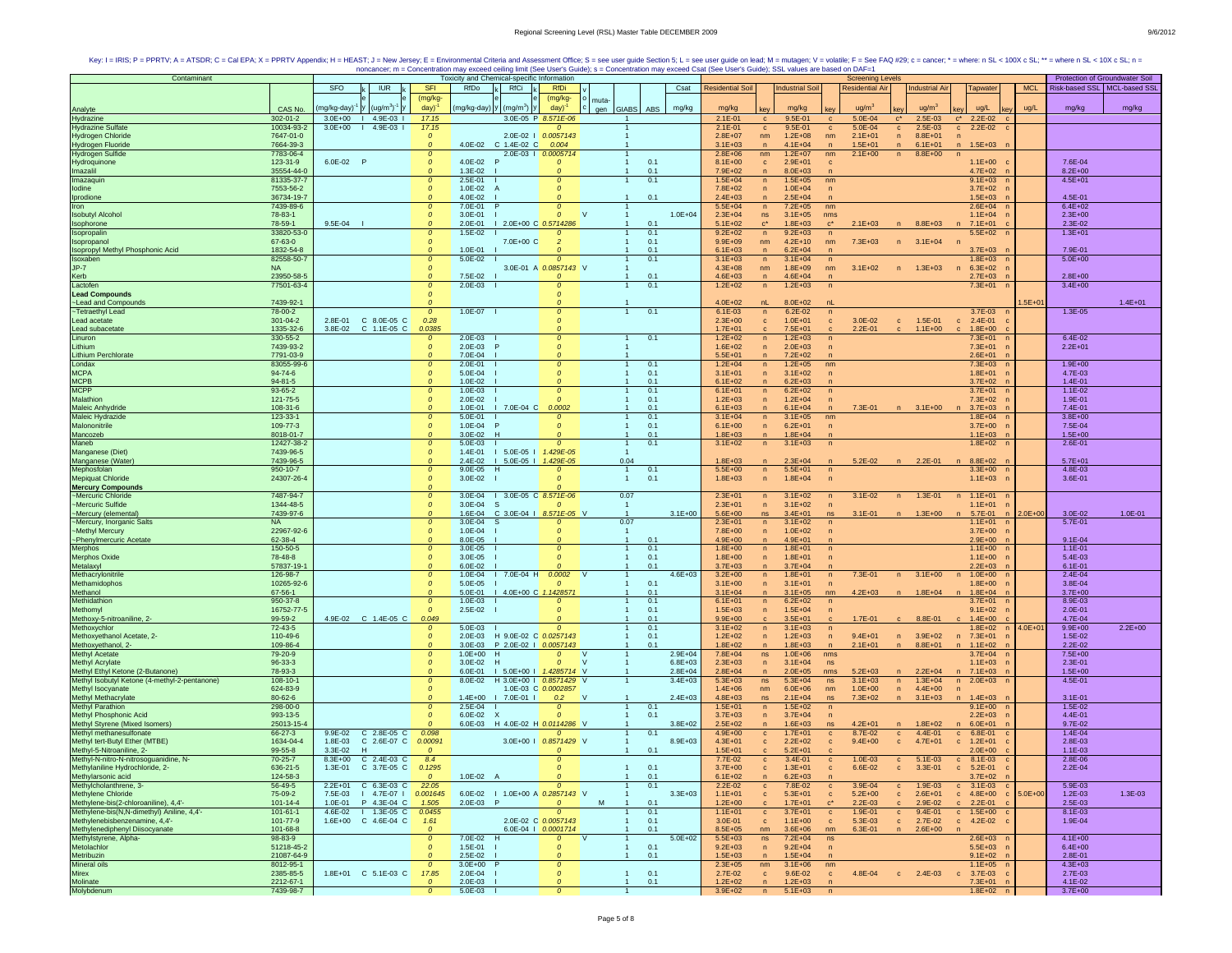| Contaminant                                                                                                                                                                                                               |                        |                    |                                                              |                           | Toxicity and Chemical-specific Information |                                         |                         |                            |                     |                            |                     |                            |                  | <b>Screening Levels</b> |              |                       |                                             |             | Protection of Groundwater Soil |             |
|---------------------------------------------------------------------------------------------------------------------------------------------------------------------------------------------------------------------------|------------------------|--------------------|--------------------------------------------------------------|---------------------------|--------------------------------------------|-----------------------------------------|-------------------------|----------------------------|---------------------|----------------------------|---------------------|----------------------------|------------------|-------------------------|--------------|-----------------------|---------------------------------------------|-------------|--------------------------------|-------------|
|                                                                                                                                                                                                                           |                        | SFO                | <b>IUR</b>                                                   | <b>SFI</b>                | RfDo                                       | RfCi                                    | <b>RfDi</b>             |                            | Csat                | <b>Residential Soil</b>    |                     | <b>Industrial Soil</b>     |                  | <b>Residential Air</b>  |              | <b>Industrial Air</b> | <b>Tapwater</b>                             | <b>MCL</b>  | Risk-based SSL   MCL-based SSL |             |
|                                                                                                                                                                                                                           |                        |                    |                                                              | (mg/kg-                   |                                            |                                         | (mg/kg-                 | muta                       |                     |                            |                     |                            |                  |                         |              |                       |                                             |             |                                |             |
| Analyte                                                                                                                                                                                                                   | CAS No.                | ng/kg-day)         | $(ug/m3)-$                                                   | day)                      |                                            | (mg/kg-day)   y   (mg/m $^{\circ})$   y | day)                    | gen GIABS                  | mg/kg<br>ABS        | mg/kg                      |                     | mg/kg                      |                  | ua/m                    |              | $u\alpha/m^2$         | ug/L                                        | ug/L        | mg/kg                          | mg/kg       |
| Hydrazine                                                                                                                                                                                                                 | 302-01-2               | $3.0E + 00$        | $14.9E-031$                                                  | 17.15                     |                                            |                                         | 3.0E-05 P 8.571E-06     |                            |                     | $2.1E - 01$                | $\mathbf{C}$        | 9.5E-01                    | $\mathbf{c}$     | $5.0E - 04$             | $C^*$        | 2.5E-03               | $2.2E-02$<br>$C^*$                          |             |                                |             |
| <b>Hydrazine Sulfate</b>                                                                                                                                                                                                  | 10034-93-2             | $3.0E + 00$        | $14.9E-031$                                                  | 17.15                     |                                            |                                         | $\boldsymbol{o}$        |                            |                     | $2.1E-01$                  | $\mathbf{c}$        | 9.5E-01                    | $\mathbf{C}$     | 5.0E-04                 | $\mathbf{C}$ | $2.5E - 03$           | $2.2E-02$ c<br>$\mathbf{c}$                 |             |                                |             |
| <b>Hydrogen Chloride</b>                                                                                                                                                                                                  | 7647-01-0              |                    |                                                              | $\mathcal{O}$             |                                            |                                         | 2.0E-02   0.0057143     |                            |                     | $2.8E+07$                  | nm                  | $1.2E + 08$                | nm               | $2.1E + 01$             | n            | $8.8E + 01$           | n                                           |             |                                |             |
| Hydrogen Fluoride<br>Hydrogen Sulfide<br>Hydroquinone                                                                                                                                                                     | 7664-39-3              |                    |                                                              |                           | 4.0E-02                                    | C 1.4E-02 C                             | 0.004                   |                            |                     | $3.1E + 03$                | $\overline{p}$      | $4.1E + 04$                | $\overline{ }$   | $1.5E + 01$             | $\sqrt{n}$   | $6.1E + 01$           | $\mathsf{n}$<br>$1.5E + 03$                 |             |                                |             |
|                                                                                                                                                                                                                           | 7783-06-4              |                    |                                                              | $\mathcal{O}$             |                                            |                                         | 2.0E-03   0.0005714     |                            |                     | $2.8E + 06$                | nm                  | $1.2E + 07$                | nm               | $2.1E + 00$             | n            | $8.8E + 00$           | $\sqrt{n}$                                  |             |                                |             |
|                                                                                                                                                                                                                           | 123-31-9               | 6.0E-02 P          |                                                              | $\mathcal{O}$             | $4.0F - 02$                                |                                         | $\Omega$                |                            | 0.1                 | $8.1E + 00$                | $\mathbf{c}$        | $2.9E + 01$                | $\mathbf{c}$     |                         |              |                       | $1.1E+00$                                   |             | 7.6E-04                        |             |
| Imazalil                                                                                                                                                                                                                  | 35554-44-0             |                    |                                                              | $\Omega$                  | $1.3E - 02$                                |                                         |                         |                            | 0.1                 | $7.9E + 02$                | n                   | $8.0E + 03$                |                  |                         |              |                       | $4.7E+02$ n                                 |             | $8.2E + 00$                    |             |
| Imazaquin                                                                                                                                                                                                                 | 81335-37-7             |                    |                                                              | $\mathcal{O}$             | $2.5E - 01$                                |                                         | $\boldsymbol{o}$        |                            | 0.1                 | $1.5E + 04$                | $\overline{p}$      | $1.5E + 05$                | nm               |                         |              |                       | $9.1E + 03$                                 |             | $4.5E + 01$                    |             |
| lodine                                                                                                                                                                                                                    | 7553-56-2              |                    |                                                              | $\mathcal{O}$             | 1.0E-02                                    | A                                       |                         |                            |                     | $7.8E + 02$                | $\overline{ }$      | $1.0E + 04$                | $\sqrt{n}$       |                         |              |                       | $3.7E + 02$                                 |             |                                |             |
| Iprodione                                                                                                                                                                                                                 | 36734-19-7             |                    |                                                              | $\Omega$                  | 4.0E-02                                    |                                         | $\Omega$                | $\mathbf{1}$               | 0.1                 | $2.4E + 03$                | $\overline{n}$      | $2.5E + 04$                |                  |                         |              |                       | $1.5E + 03$                                 |             | 4.5E-01                        |             |
| Iron                                                                                                                                                                                                                      | 7439-89-6              |                    |                                                              | $\Omega$                  | 7.0E-01                                    |                                         | Ω                       | <b>V</b>                   |                     | $5.5E + 04$                | n                   | $7.2E + 05$                | nm               |                         |              |                       | $2.6E + 04$                                 |             | $6.4E + 02$                    |             |
| <b>Isobutyl Alcohol</b>                                                                                                                                                                                                   | 78-83-1                |                    |                                                              | $\Omega$                  | 3.0E-01                                    |                                         | 0                       |                            | $1.0E + 04$         | $2.3E + 04$                | ns<br>$C^{\star}$   | $3.1E + 05$                | nms              |                         |              |                       | $1.1E + 04$                                 |             | $2.3E + 00$                    |             |
| Isophorone<br>Isopropalin                                                                                                                                                                                                 | 78-59-1<br>33820-53-0  | 9.5E-04            |                                                              | $\Omega$                  | 2.0E-01<br>$1.5E - 02$                     | 1 2.0E+00 C 0.5714286                   |                         |                            | 0.1<br>0.1          | $5.1E + 02$<br>$9.2E + 02$ |                     | $1.8E + 03$<br>$9.2E + 03$ |                  | $2.1E + 03$             |              | $8.8E + 03$           | $7.1E + 01$<br>$5.5E+02$                    |             | 2.3E-02<br>$1.3E + 01$         |             |
| <b>Isopropano</b>                                                                                                                                                                                                         | 67-63-0                |                    |                                                              | $\mathcal{O}$             |                                            | 7.0E+00 C                               | $\overline{2}$          |                            | 0.1                 | $9.9E + 09$                | n<br>nm             | $4.2E + 10$                | n<br>nm          | $7.3E + 03$             | n            | $3.1E + 04$           |                                             |             |                                |             |
| Isopropyl Methyl Phosphonic Acid                                                                                                                                                                                          | 1832-54-8              |                    |                                                              |                           | 1.0E-01                                    |                                         |                         |                            | 0.1                 | $6.1E + 03$                | $\mathsf{n}$        | $6.2E + 04$                |                  |                         |              |                       | $3.7E + 03$                                 |             | 7.9E-01                        |             |
| Isoxaben                                                                                                                                                                                                                  | 82558-50-7             |                    |                                                              | $\mathcal{O}$             | $5.0E-02$                                  |                                         | 0                       | $\mathbf{1}$               | 0.1                 | $3.1E + 03$                | n                   | $3.1E + 04$                | n                |                         |              |                       | $1.8E + 03$ n                               |             | $5.0E + 00$                    |             |
| $JP-7$                                                                                                                                                                                                                    | <b>NA</b>              |                    |                                                              | $\Omega$                  |                                            |                                         | 3.0E-01 A 0.0857143 V   |                            |                     | $4.3E + 08$                | nm                  | $1.8E + 09$                | nm               | $3.1E + 02$             | n            | $1.3E + 03$           | $6.3E + 02$<br>n<br>$\sqrt{n}$              |             |                                |             |
| Kerb                                                                                                                                                                                                                      | 23950-58-5             |                    |                                                              | $\Omega$                  | 7.5E-02                                    |                                         |                         |                            | 0.1                 | $4.6E + 03$                | n                   | $4.6E + 04$                | n                |                         |              |                       | $2.7E + 03$                                 |             | $2.8E + 00$                    |             |
| Lactofen                                                                                                                                                                                                                  | 77501-63-4             |                    |                                                              | $\mathcal{O}$             | $2.0E - 03$                                |                                         |                         | $\mathbf{1}$               | 0.1                 | $1.2E + 02$                | n                   | $1.2E + 03$                | $\overline{p}$   |                         |              |                       | $7.3E + 01$                                 |             | $3.4E + 00$                    |             |
| <b>Lead Compounds</b>                                                                                                                                                                                                     |                        |                    |                                                              | $\mathcal{O}$             |                                            |                                         | Ω                       |                            |                     |                            |                     |                            |                  |                         |              |                       |                                             |             |                                |             |
| ~Lead and Compounds                                                                                                                                                                                                       | 7439-92-1              |                    |                                                              |                           |                                            |                                         |                         |                            |                     | $4.0E + 02$                | nL                  | 8.0E+02                    |                  |                         |              |                       |                                             | $.5E + 01$  |                                | $1.4E + 01$ |
| -Tetraethyl Lead                                                                                                                                                                                                          | 78-00-2                |                    |                                                              | $\Omega$                  | $1.0E - 07$                                |                                         | 0                       | $\mathbf{1}$               | 0.1                 | $6.1E - 03$                | n                   | $6.2E - 02$                | $\sqrt{n}$       |                         |              |                       | $3.7E-03$                                   |             | 1.3E-05                        |             |
| Lead acetate                                                                                                                                                                                                              | 301-04-2               | $2.8E - 01$        | C 8.0E-05 C                                                  | 0.28                      |                                            |                                         |                         |                            |                     | $2.3E + 00$                | $\mathbf{C}$        | $1.0E + 01$                | $\mathbf{C}$     | $3.0E - 02$             | $\mathbf{c}$ | 1.5E-01               | $2.4E - 01$<br>$\mathbf{c}$                 |             |                                |             |
| Lead subacetate                                                                                                                                                                                                           | 1335-32-6              | 3.8E-02            | C 1.1E-05 C                                                  | 0.0385                    |                                            |                                         |                         |                            |                     | $1.7E + 01$                |                     | $7.5E + 01$                |                  | $2.2E - 01$             |              | $1.1E + 00$           | $1.8E + 00$                                 |             |                                |             |
| Linuron                                                                                                                                                                                                                   | 330-55-2               |                    |                                                              | $\boldsymbol{o}$          | $2.0E - 03$                                |                                         | 0                       |                            | 0.1                 | $1.2E + 02$                | $\overline{ }$      | $1.2E + 03$                |                  |                         |              |                       | $7.3E + 01$                                 |             | $6.4E - 02$                    |             |
| Lithium                                                                                                                                                                                                                   | 7439-93-2              |                    |                                                              | $\Omega$                  | 2.0E-03                                    |                                         | Ω                       |                            |                     | $1.6E + 02$                | $\mathsf{n}$        | $2.0E + 03$                | $\sqrt{n}$       |                         |              |                       | $7.3E + 01$                                 |             | $2.2E + 01$                    |             |
| Lithium Perchlorate<br>Londax                                                                                                                                                                                             | 7791-03-9              |                    |                                                              | $\Omega$                  | 7.0E-04                                    |                                         |                         |                            |                     | $5.5E + 01$                | $\mathsf{n}$        | $7.2E + 02$                |                  |                         |              |                       | $2.6E + 01$                                 |             |                                |             |
|                                                                                                                                                                                                                           | 83055-99-6             |                    |                                                              |                           | $2.0E - 01$                                |                                         |                         |                            | 0.1                 | $1.2E + 04$                | $\mathsf{n}$        | $1.2E + 05$                | nm               |                         |              |                       | $7.3E + 03$                                 |             | $1.9E + 00$                    |             |
| <b>MCPA</b>                                                                                                                                                                                                               | $94 - 74 - 6$          |                    |                                                              | $\mathcal{O}$             | 5.0E-04                                    |                                         | $\boldsymbol{o}$        |                            | 0.1                 | $3.1E + 01$                | $\mathsf{n}$        | $3.1E + 02$                | $\sqrt{n}$       |                         |              |                       | $1.8E + 01$                                 |             | 4.7E-03                        |             |
| MCPB<br>MCPP                                                                                                                                                                                                              | $94 - 81 - 5$          |                    |                                                              | $\Omega$                  | 1.0E-02                                    |                                         |                         |                            | 0.1                 | $6.1E + 02$                | $\overline{n}$      | $6.2E + 03$                |                  |                         |              |                       | $3.7E + 02$                                 |             | $1.4E - 01$                    |             |
|                                                                                                                                                                                                                           | 93-65-2                |                    |                                                              | $\mathcal{O}$             | $1.0E - 03$                                |                                         | $\Omega$                |                            | 0.1                 | $6.1E + 01$                | n                   | $6.2E + 02$                | $\overline{p}$   |                         |              |                       | $3.7E + 01$                                 |             | $1.1E - 02$                    |             |
| Malathion                                                                                                                                                                                                                 | 121-75-5               |                    |                                                              | $\mathcal{O}$<br>$\Omega$ | $2.0E - 02$                                |                                         |                         |                            | 0.1                 | $1.2E + 03$                | $\overline{p}$      | $1.2E + 04$                |                  |                         |              |                       | 7.3E+02                                     |             | 1.9E-01                        |             |
| Maleic Anhydride                                                                                                                                                                                                          | 108-31-6               |                    |                                                              | $\Omega$                  | 1.0E-01                                    | $17.0E-04C$                             | 0.0002                  | $\mathbf{1}$               | 0.1<br>0.1          | $6.1E + 03$<br>$3.1E + 04$ | $\overline{p}$      | $6.1E + 04$                |                  | 7.3E-01                 |              | $3.1E + 00$           | $3.7E + 03$                                 |             | 7.4E-01<br>$3.8E + 00$         |             |
| Maleic Hydrazide<br>Malononitrile                                                                                                                                                                                         | 123-33-1<br>109-77-3   |                    |                                                              | $\mathfrak{o}$            | 5.0E-01<br>$1.0E - 04$                     |                                         | $\Omega$<br>$\Omega$    |                            | 0.1                 | $6.1E + 00$                | n<br>n              | $3.1E + 05$<br>$6.2E + 01$ | nm<br>$\sqrt{n}$ |                         |              |                       | $1.8E + 04$<br>$3.7E + 00$                  |             | 7.5E-04                        |             |
|                                                                                                                                                                                                                           | 8018-01-7              |                    |                                                              |                           | 3.0E-02                                    | H                                       |                         |                            | 0.1                 | $1.8E + 03$                | $\overline{n}$      | $1.8E + 04$                |                  |                         |              |                       | $1.1E + 03$                                 |             | $1.5E + 00$                    |             |
| Mancozeb<br>Maneb                                                                                                                                                                                                         | 12427-38-2             |                    |                                                              | $\mathcal{O}$             | 5.0E-03                                    |                                         | $\Omega$                |                            | 0.1                 | $3.1E + 02$                | $\sqrt{n}$          | $3.1E + 03$                | $\sqrt{n}$       |                         |              |                       | $1.8E + 02$                                 |             | $2.6E - 01$                    |             |
| Manganese (Diet)                                                                                                                                                                                                          | 7439-96-5              |                    |                                                              | $\mathcal{O}$             | 1.4E-01                                    | I 5.0E-05   1.429E-05                   |                         |                            |                     |                            |                     |                            |                  |                         |              |                       |                                             |             |                                |             |
| Manganese (Water)                                                                                                                                                                                                         | 7439-96-5              |                    |                                                              | $\Omega$                  | $2.4E - 02$                                | I 5.0E-05   1.429E-05                   |                         | 0.04                       |                     | $1.8E + 03$                | $\mathsf{n}$        | $2.3E + 04$                |                  | $5.2E - 02$             | n            | $2.2E - 01$           | n 8.8E+02 r                                 |             | $5.7E + 01$                    |             |
| Mephosfolan                                                                                                                                                                                                               | 950-10-7               |                    |                                                              |                           | $9.0E - 05$                                | H                                       |                         |                            | 0.1                 | 5.5E+00                    | n                   | $5.5E + 01$                | n                |                         |              |                       | $3.3E + 00$                                 |             | 4.8E-03                        |             |
| Mepiquat Chloride                                                                                                                                                                                                         | 24307-26-4             |                    |                                                              | $\Omega$                  | $3.0E - 02$                                |                                         |                         | $\overline{1}$             | 0.1                 | $1.8E + 03$                | $\mathsf{n}$        | $1.8E + 04$                | $\overline{p}$   |                         |              |                       | $1.1E + 03$                                 |             | 3.6E-01                        |             |
| <b>Mercury Compounds</b>                                                                                                                                                                                                  |                        |                    |                                                              | $\Omega$                  |                                            |                                         |                         |                            |                     |                            |                     |                            |                  |                         |              |                       |                                             |             |                                |             |
| -Mercuric Chloride                                                                                                                                                                                                        | 7487-94-7              |                    |                                                              | $\mathcal{O}$             |                                            | 3.0E-04   3.0E-05 C 8.571E-06           |                         | 0.07                       |                     | $2.3E + 01$                | n                   | $3.1E + 02$                | $\mathsf{n}$     | $3.1E - 02$             | n            | $1.3E-01$             | $1.1E + 01$<br>n                            |             |                                |             |
| ~Mercuric Sulfide                                                                                                                                                                                                         | 1344-48-5              |                    |                                                              | $\mathfrak{o}$            | $3.0E - 04$                                | -S                                      |                         |                            |                     | $2.3E + 01$                | $\overline{p}$      | $3.1E + 02$                |                  |                         |              |                       | $1.1E + 01$<br>$\mathsf{r}$                 |             |                                |             |
| ~Mercury (elemental                                                                                                                                                                                                       | 7439-97-6              |                    |                                                              | $\mathcal{O}$             | 1.6E-04                                    | C 3.0E-04   8.571E-05 V                 |                         | $\mathbf{1}$               | $3.1E + 00$         | $5.6E + 00$                | ns                  | $3.4E + 01$                | ns               | $3.1E - 01$             | n            | $1.3E + 00$           | 5.7E-01                                     | $2.0E + 00$ | 3.0E-02                        | $1.0E - 01$ |
| ~Mercury, Inorganic Salts                                                                                                                                                                                                 | <b>NA</b>              |                    |                                                              | $\mathcal{O}$             | 3.0E-04                                    |                                         |                         | 0.07                       |                     | $2.3E + 01$                | n                   | $3.1E + 02$                | $\mathsf{n}$     |                         |              |                       | $1.1E + 01$                                 |             | 5.7E-01                        |             |
| ~Methyl Mercury                                                                                                                                                                                                           | 22967-92-6             |                    |                                                              | $\mathcal{O}$             | 1.0E-04                                    |                                         | Ω                       |                            |                     | 7.8E+00                    | $\overline{n}$      | $1.0E + 02$                | $\overline{ }$   |                         |              |                       | $3.7E + 00$                                 |             |                                |             |
| ~Phenylmercuric Acetate                                                                                                                                                                                                   | 62-38-4                |                    |                                                              |                           | 8.0E-05                                    |                                         |                         |                            | 0.1                 | $4.9E + 00$                | n                   | $4.9E + 01$                |                  |                         |              |                       | $2.9E + 00$                                 |             | $9.1E - 04$                    |             |
| Merphos                                                                                                                                                                                                                   | 150-50-5               |                    |                                                              | $\mathcal{O}$             | $3.0E-05$                                  |                                         | 0                       | $\overline{1}$             | 0.1                 | $1.8E + 00$                | n                   | $1.8E + 01$                | n                |                         |              |                       | $1.1E + 00$                                 |             | $1.1E - 01$                    |             |
| Merphos Oxide                                                                                                                                                                                                             | 78-48-8                |                    |                                                              | $\boldsymbol{o}$          | $3.0E - 05$                                |                                         | $\Omega$                | $\mathbf{1}$               | 0.1                 | $1.8E + 00$                | $\mathsf{n}$        | $1.8E + 01$                | $\overline{p}$   |                         |              |                       | $1.1E + 00$                                 |             | 5.4E-03                        |             |
| Metalaxyl                                                                                                                                                                                                                 | 57837-19-1             |                    |                                                              | $\Omega$                  | $6.0E - 02$                                |                                         |                         |                            | 0.1                 | $3.7E + 03$                | $\overline{n}$      | $3.7E + 04$                |                  |                         |              |                       | $2.2E + 03$                                 |             | $6.1E - 01$                    |             |
| Methacrylonitrile                                                                                                                                                                                                         | 126-98-7               |                    |                                                              | $\mathcal{O}$             | 1.0E-04                                    | 7.0E-04 H                               | 0.0002                  |                            | $4.6E + 03$         | $3.2E + 00$                | n                   | $1.8E + 01$                | n                | 7.3E-01                 | n            | $3.1E + 00$           | $1.0E + 00$<br>n                            |             | 2.4E-04                        |             |
| Methamidophos                                                                                                                                                                                                             | 10265-92-6             |                    |                                                              | $\mathcal{O}$<br>$\Omega$ | 5.0E-05                                    |                                         |                         |                            | 0.1                 | $3.1E + 00$                | $\mathsf{n}$        | $3.1E + 01$                | $\sqrt{n}$       |                         |              |                       | $1.8E + 00$                                 |             | 3.8E-04                        |             |
| Methanol<br>Methidathion                                                                                                                                                                                                  | 67-56-1                |                    |                                                              |                           | 5.0E-01                                    | 4.0E+00 C 1.142857                      |                         |                            | 0.1                 | $3.1E + 04$                | $\overline{ }$      | $3.1E + 05$                | nm               | $4.2E + 03$             |              | $1.8E + 04$           | $1.8E + 04$                                 |             | $3.7E + 00$                    |             |
| Methomyl                                                                                                                                                                                                                  | 950-37-8<br>16752-77-5 |                    |                                                              | $\Omega$                  | $1.0E - 03$<br>2.5E-02                     |                                         | 0<br>$\Omega$           |                            | 0.1<br>0.1          | $6.1E + 01$<br>$1.5E + 03$ | n<br>$\overline{p}$ | $6.2E + 02$<br>$1.5E + 04$ | n<br>$\sqrt{n}$  |                         |              |                       | $3.7E + 01$<br>$9.1E + 02$                  |             | 8.9E-03<br>$2.0E - 01$         |             |
| Methoxy-5-nitroaniline, 2-                                                                                                                                                                                                | 99-59-2                |                    | 4.9E-02 C 1.4E-05 C                                          | 0.049                     |                                            |                                         |                         |                            | 0.1                 | $9.9E + 00$                |                     | $3.5E + 01$                |                  | 1.7E-01                 |              | 8.8E-01               | $1.4E + 00$                                 |             | 4.7E-04                        |             |
| Methoxychlor                                                                                                                                                                                                              | 72-43-5                |                    |                                                              | 0                         | 5.0E-03                                    |                                         |                         |                            | 0.1                 | $3.1E + 02$                | $\overline{ }$      | $3.1E + 03$                | $\sqrt{n}$       |                         |              |                       | 1.8E+02                                     | $1.0E + 0$  | $9.9E + 00$                    | $2.2E+00$   |
| Methoxyethanol Acetate, 2-                                                                                                                                                                                                | 110-49-6               |                    |                                                              | $\Omega$                  | $2.0E - 03$                                | H 9.0E-02 C 0.0257143                   |                         | $\mathbf{1}$               | 0.1                 | $1.2E + 02$                | $\mathsf{n}$        | $1.2E + 03$                | n                | $9.4E + 01$             |              | n 3.9E+02             | $7.3E + 01$<br>n                            |             | $1.5E - 02$                    |             |
| Methoxyethanol, 2-                                                                                                                                                                                                        | 109-86-4               |                    |                                                              | $\mathfrak{o}$            | $3.0E - 03$                                | P 2.0E-02   0.0057143                   |                         |                            | 0.1                 | $1.8E + 02$                | $\overline{p}$      | $1.8E + 03$                | $\mathsf{n}$     | $2.1E + 01$             | n            | $8.8E + 01$           | $1.1E + 02$<br>n                            |             | $2.2E - 02$                    |             |
| <b>Methyl Acetate</b>                                                                                                                                                                                                     | 79-20-9                |                    |                                                              | $\mathcal{O}$             | $1.0E + 00$                                | H                                       |                         |                            | $2.9E + 04$         | $7.8E + 04$                | ns                  | $1.0E + 06$                | nms              |                         |              |                       | $3.7E + 04$                                 |             | $7.5E + 00$                    |             |
| <b>Methyl Acrylate</b>                                                                                                                                                                                                    | 96-33-3                |                    |                                                              | $\mathcal{O}$             | 3.0E-02                                    | H                                       | $\mathcal{O}$           | <sup>V</sup>               | $6.8E + 03$         | $2.3E + 03$                | $\overline{n}$      | $3.1E + 04$                | ns               |                         |              |                       | $1.1E + 03$                                 |             | $2.3E - 01$                    |             |
| Methyl Ethyl Ketone (2-Butanone)                                                                                                                                                                                          | 78-93-3                |                    |                                                              | $\Omega$                  | $6.0E - 01$                                | $1 5.0E + 001$                          | 1.4285714 V             |                            | $2.8E + 04$         | $2.8E + 04$                | $\overline{n}$      | $2.0E + 05$                | nms              | $5.2E + 03$             |              | $2.2E + 04$           | n 7.1E+03                                   |             | $1.5E + 00$                    |             |
| Methyl Isobutyl Ketone (4-methyl-2-pentanone)                                                                                                                                                                             | $108 - 10 - 1$         |                    |                                                              | $\mathcal{O}$             | 8.0E-02                                    | H 3.0E+00   0.8571429 V                 |                         |                            | $3.4E + 03$         | $5.3E + 03$                | ns                  | $5.3E + 04$                | ns               | $3.1E + 03$             | n            | $1.3E + 04$           | $2.0E + 03$<br>n                            |             | 4.5E-01                        |             |
| Methyl Isocyanate                                                                                                                                                                                                         | 624-83-9               |                    |                                                              | $\mathcal{O}$             |                                            |                                         | 1.0E-03 C 0.0002857     |                            |                     | $1.4E + 06$                | nm                  | $6.0E + 06$                | nm               | $1.0E + 00$             | n            | $4.4E + 00$           |                                             |             |                                |             |
| Methyl Methacrylate                                                                                                                                                                                                       | 80-62-6                |                    |                                                              | $\Omega$                  | 1.4E+00                                    | $17.0E-011$                             | 0.2                     | $\mathbf{v}$               | $2.4E + 03$         | $4.8E + 03$                | ns                  | $2.1E + 04$                | ns               | $7.3E + 02$             |              | $3.1E + 03$           | n<br>$1.4E + 03$                            |             | $3.1E - 01$                    |             |
| <b>Methyl Parathion</b>                                                                                                                                                                                                   | 298-00-0               |                    |                                                              | $\Omega$                  | $2.5E - 04$                                |                                         | $\boldsymbol{o}$        | $\mathbf{1}$               | 0.1                 | $1.5E + 01$                | n                   | $1.5E + 02$                | n                |                         |              |                       | $9.1E + 00$                                 |             | $1.5E - 02$                    |             |
| Methyl Phosphonic Acid                                                                                                                                                                                                    | 993-13-5               |                    |                                                              | $\mathfrak{o}$            | 6.0E-02                                    | x                                       | $\mathcal{O}$           | $\mathbf{1}$               | 0.1                 | $3.7E + 03$                | n                   | $3.7E + 04$                | $\mathsf{n}$     |                         |              |                       | $2.2E + 03$                                 |             | 4.4E-01                        |             |
| Methyl Styrene (Mixed Isomers)                                                                                                                                                                                            | 25013-15-4             |                    |                                                              |                           | $6.0E - 03$                                | H 4.0E-02 H 0.0114286 V                 |                         |                            | $3.8E + 02$         | $2.5E + 02$                | $\overline{p}$      | $1.6E + 03$                | ns               | $4.2E + 01$             |              | $1.8E + 02$           | $6.0E + 01$                                 |             | $9.7E - 02$                    |             |
| Methyl methanesulfonate                                                                                                                                                                                                   | 66-27-3                | 9.9E-02            | C 2.8E-05 C                                                  | 0.098                     |                                            |                                         | 0                       |                            | 0.1                 | $4.9E + 00$                | $\mathbf{C}$        | $1.7E + 01$                | $\mathbf c$      | 8.7E-02                 | $\mathbf{c}$ | 4.4E-01               | $\mathbf{C}$<br>6.8E-01                     |             | 1.4E-04                        |             |
| Methyl tert-Butyl Ether (MTBE)                                                                                                                                                                                            | 1634-04-4<br>99-55-8   | 1.8E-03<br>3.3E-02 | C 2.6E-07 C<br>H                                             | 0.00091                   |                                            | $3.0E + 00$                             | 0.8571429 V             |                            | $8.9E + 03$         | $4.3E + 01$<br>$1.5E + 01$ | $\mathbf{c}$        | $2.2E + 02$                | $\mathbf{c}$     | $9.4E + 00$             | $\mathbf{c}$ | $4.7E + 01$           | $1.2E + 01$<br>$\mathbf{c}$                 |             | 2.8E-03                        |             |
| Methyl-5-Nitroaniline, 2-<br>Methyl-N-nitro-N-nitrosoguanidine, N-                                                                                                                                                        | $70 - 25 - 7$          | $8.3E + 00$        | C 2.4E-03 C                                                  | 8.4                       |                                            |                                         | $\mathcal{O}$           |                            | 0.1                 | 7.7E-02                    |                     | $5.2E + 01$<br>3.4E-01     |                  | $1.0E - 03$             | $\mathbf{c}$ | $5.1E-03$             | $2.0E + 00$<br>8.1E-03                      |             | $1.1E - 03$<br>2.8E-06         |             |
| Methylaniline Hydrochloride, 2-                                                                                                                                                                                           | 636-21-5               | 1.3E-01            | C 3.7E-05                                                    | 1295                      |                                            |                                         |                         | $\overline{1}$             | 0.1                 | $3.7E + 00$                | $\mathbf{c}$<br>c   | $1.3E + 01$                | $\mathbf c$<br>c | 6.6E-02                 |              | $3.3E - 01$           | $\mathbf{C}$<br>$5.2E - 01$<br>$\mathbf{C}$ |             | $2.2E - 04$                    |             |
|                                                                                                                                                                                                                           | 124-58-3               |                    |                                                              | $\mathfrak{o}$            | $1.0E-02$ A                                |                                         | $\boldsymbol{o}$        |                            | $1 \qquad 0.1$      | $6.1E + 02$                | $\mathsf{n}$        | $6.2E + 03$                |                  |                         |              |                       | $3.7E+02$ n                                 |             |                                |             |
|                                                                                                                                                                                                                           | 56-49-5                |                    | 2.2E+01 C 6.3E-03 C 22.05                                    |                           |                                            |                                         | $\mathcal{O}$           | $\overline{1}$             | 0.1                 | 2.2E-02                    | $\mathbf{C}$        | 7.8E-02                    | $\mathbf{C}$     | 3.9E-04                 | $\mathbf{C}$ | $1.9E - 03$           | $c = 3.1E-03$ $c =$                         |             | $5.9E - 03$                    |             |
| Methylarsonic acid<br>Methylarsonic acid<br>Methylcholanthrene, 3-<br>Methylene Chloride                                                                                                                                  | 75-09-2                |                    | 7.5E-03   4.7E-07   0.001645 6.0E-02   1.0E+00 A 0.2857143 V |                           |                                            |                                         |                         |                            | $-1$<br>$3.3E + 03$ | $1.1E + 01$                | $\mathbf{c}$        | $5.3E + 01$                | $\mathbf{C}$     | $5.2E + 00$             | $\mathbf{c}$ |                       | 2.6E+01 c 4.8E+00 c                         | $5.0E + 00$ | $1.2E - 03$                    | 1.3E-03     |
|                                                                                                                                                                                                                           | $101 - 14 - 4$         | 1.0E-01            | P 4.3E-04 C                                                  | 1.505                     | 2.0E-03 P                                  |                                         | $\overline{\mathbf{0}}$ | <b>M</b><br>$\overline{1}$ | 0.1                 | $1.2E + 00$                | $\mathbf{c}$        | $1.7E + 01$                |                  | $2.2E - 03$             | $\mathbf{c}$ | 2.9E-02               | $c = 2.2E-01$                               |             | 2.5E-03                        |             |
| Methylene-bis(2-chloroaniline), 4,4'-<br>Methylene-bis(2-chloroaniline), 4,4'-<br>Methylene-bis(N,N-dimethyl) Aniline, 4,4'-<br>Methylenediphenyl Diisocyanate<br>Methylenediphenyl Diisocyanate<br>Methylstyrene, Alpha- | $101 - 61 - 1$         |                    | 4.6E-02   1.3E-05 C                                          | 0.0455                    |                                            |                                         | $\mathcal{O}$           | $\overline{1}$             | 0.1                 | $1.1E + 01$                | $\mathbf{C}$        | $3.7E + 01$                | $\mathbf{c}$     | 1.9E-01                 | $\mathbf{c}$ | $9.4E - 01$           | $c = 1.5E+00$                               |             | 8.1E-03                        |             |
|                                                                                                                                                                                                                           | 101-77-9               |                    | 1.6E+00 C 4.6E-04 C                                          | 1.61                      |                                            |                                         | 2.0E-02 C 0.0057143     |                            | $1 \qquad 0.1$      | 3.0E-01                    | $\mathbf{c}$        | $1.1E + 00$                | $\mathbf{C}$     | 5.3E-03                 | $\mathbf{C}$ |                       | 2.7E-02 c 4.2E-02 c                         |             | 1.9E-04                        |             |
|                                                                                                                                                                                                                           | 101-68-8               |                    |                                                              | $\mathfrak{o}$            |                                            |                                         | 6.0E-04   0.0001714     |                            | 0.1                 | $8.5E + 05$                | nm                  | $3.6E + 06$                | nm               | 6.3E-01                 | n            | $2.6E + 00$           | n                                           |             |                                |             |
|                                                                                                                                                                                                                           | 98-83-9                |                    |                                                              | $\mathfrak{o}$            | 7.0E-02 H                                  |                                         | $\mathcal{O}$           | <b>V</b><br>$\overline{1}$ | $5.0E + 02$         | $5.5E + 03$                | ns                  | 7.2E+04                    | ns               |                         |              |                       | $2.6E+03$ n                                 |             | $4.1E + 00$                    |             |
| Metolachlor                                                                                                                                                                                                               | 51218-45-2             |                    |                                                              | $\mathcal{O}$             | $1.5E-01$                                  |                                         | $\mathcal{O}$           |                            | $1 \qquad 0.1$      | $9.2E + 03$                | n                   | $9.2E + 04$                | n                |                         |              |                       | $5.5E+03$ n                                 |             | $6.4E + 00$                    |             |
| Metribuzin                                                                                                                                                                                                                | 21087-64-9             |                    |                                                              | $\Omega$                  | $2.5E-02$                                  |                                         | $\Omega$                | $\overline{1}$             | 0.1                 | $1.5E + 03$                | n                   | $1.5E + 04$                | $\mathsf{n}$     |                         |              |                       | $9.1E+02$ n                                 |             | $2.8E - 01$                    |             |
| Mineral oils                                                                                                                                                                                                              | 8012-95-1              |                    |                                                              | $\mathfrak{o}$            | $3.0E + 00$                                | $\mathsf{P}$                            | $\mathcal{O}$           |                            |                     | $2.3E + 05$                | nm                  | $3.1E + 06$                | nm               |                         |              |                       | $1.1E+05$ n                                 |             | $4.3E + 03$                    |             |
| Mirex                                                                                                                                                                                                                     | 2385-85-5              |                    | 1.8E+01 C 5.1E-03 C                                          | 17.85                     | 2.0E-04                                    |                                         | $\mathcal{O}$           | $\mathbf{1}$               | 0.1                 | 2.7E-02                    | $\mathbf{c}$        | $9.6E - 02$                | $\mathbf{C}$     | 4.8E-04                 |              |                       | c 2.4E-03 c 3.7E-03<br>$\mathbf{c}$         |             | 2.7E-03                        |             |
| Molinate                                                                                                                                                                                                                  | 2212-67-1              |                    |                                                              | $\mathfrak{o}$            | $2.0E-03$                                  |                                         | $\mathcal{O}$           | $\overline{1}$             | 0.1                 | $1.2E + 02$                | $\mathsf{n}$        | $1.2E + 03$                | $\mathsf{n}$     |                         |              |                       | $7.3E + 01$                                 |             | 4.1E-02                        |             |
| Molybdenum                                                                                                                                                                                                                | 7439-98-7              |                    |                                                              | $\boldsymbol{o}$          | $5.0E-03$                                  |                                         | $\mathcal{O}$           | $\overline{1}$             |                     | $3.9E + 02$                | n                   | $5.1E + 03$                | n                |                         |              |                       | $1.8E + 02$ n                               |             | $3.7E + 00$                    |             |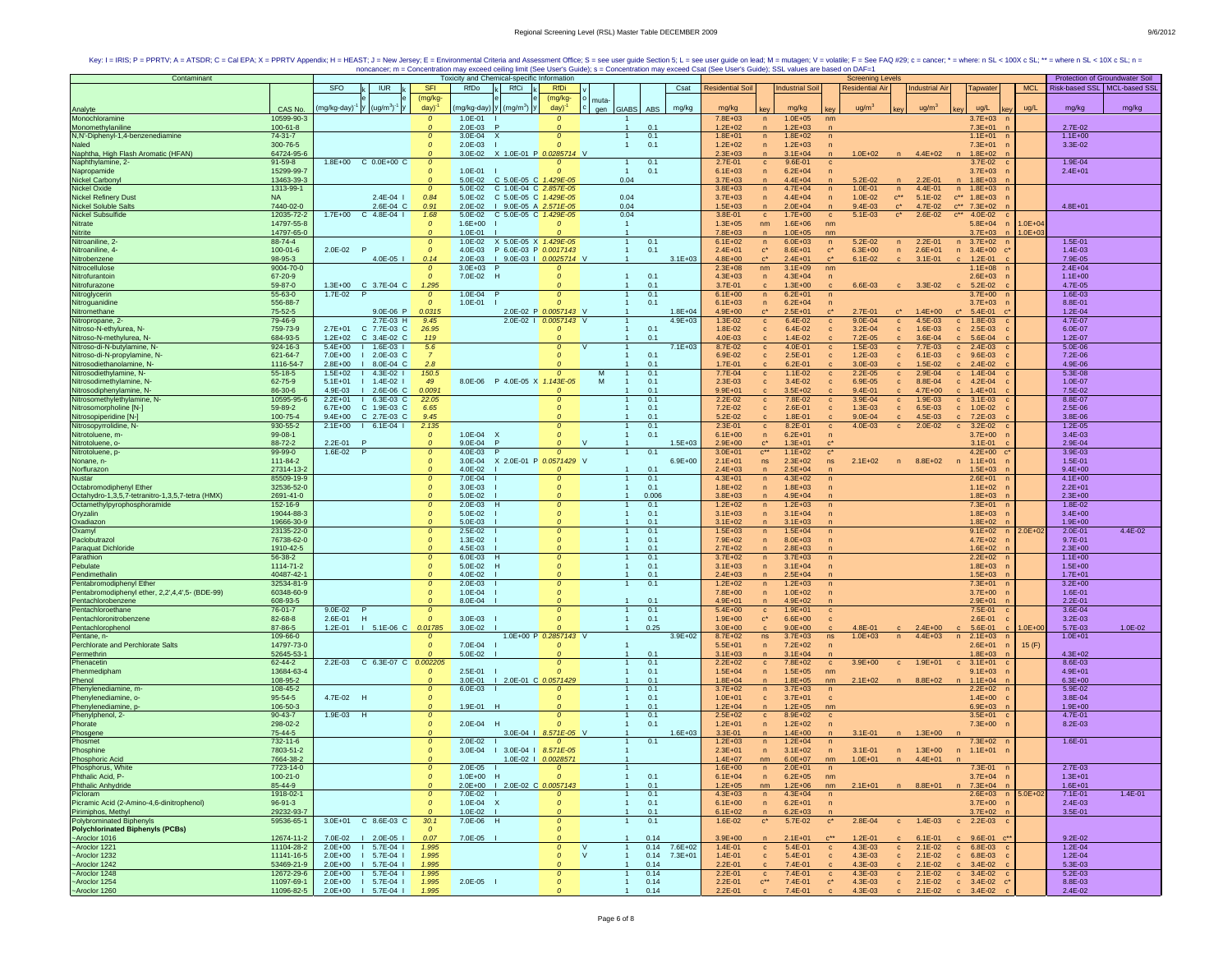| Contaminant                                      |                           |                         |                                            |                                |                        | Toxicity and Chemical-specific Information |                       |                              |                     |                            |                                                                |                      | <b>Screening Levels</b>           |                       |                                            |             | Protection of Groundwater Soil |             |
|--------------------------------------------------|---------------------------|-------------------------|--------------------------------------------|--------------------------------|------------------------|--------------------------------------------|-----------------------|------------------------------|---------------------|----------------------------|----------------------------------------------------------------|----------------------|-----------------------------------|-----------------------|--------------------------------------------|-------------|--------------------------------|-------------|
|                                                  |                           | SFO                     | <b>IUR</b>                                 | <b>SFI</b>                     | RfDo                   | <b>RfCi</b>                                | <b>RfDi</b>           |                              | Csat                | <b>Residential Soil</b>    | <b>Industrial Soil</b>                                         |                      | <b>Residential Air</b>            | <b>Industrial Air</b> | Tapwater                                   | <b>MCL</b>  | Risk-based SSL   MCL-based SSI |             |
|                                                  |                           |                         |                                            | (mg/kg-                        |                        |                                            | (mg/kg-               |                              |                     |                            |                                                                |                      |                                   |                       |                                            |             |                                |             |
| Analyte                                          | CAS No.                   | mg/kg-day) <sup>-</sup> | $ y $ (ug/m <sup>3</sup> ) <sup>-1</sup> y | day)                           | mg/kg-day)             | $ y $ (mg/m <sup>3</sup> )   y             | day)                  | muta-<br><b>GIABS</b><br>aen | ABS<br>mg/kg        | mg/kg                      | mg/kg                                                          |                      | ug/m <sup>2</sup>                 | ug/m <sup>3</sup>     | ug/L                                       | ug/L        | mg/kg                          | mg/kg       |
| Monochloramine                                   | 10599-90-3                |                         |                                            | $\mathcal{O}$                  | 1.0E-01                |                                            | $\Omega$              |                              |                     | 7.8E+03                    | $1.0E + 05$<br>$\sqrt{n}$                                      | nm                   |                                   |                       | $3.7E + 03$                                |             |                                |             |
| Monomethylaniline                                | $100 - 61 - 8$            |                         |                                            | $\mathcal{O}$                  | $2.0E-03$              |                                            |                       | $\mathbf{1}$                 | 0.1                 | $1.2E + 02$                | $1.2E + 03$<br>$\mathsf{n}$                                    |                      |                                   |                       | $7.3E + 01$                                |             | 2.7E-02                        |             |
| N,N'-Diphenyl-1,4-benzenediamine                 | 74-31-7                   |                         |                                            | $\mathcal{O}$                  | $3.0E - 04$            | $\mathsf{x}$                               |                       |                              | 0.1                 | $1.8E + 01$                | $\overline{p}$<br>$1.8E + 02$                                  | $\mathsf{n}$         |                                   |                       | $1.1E + 01$                                |             | $1.1E + 00$                    |             |
| Naled                                            | 300-76-5                  |                         |                                            | $\boldsymbol{o}$               | $2.0E - 03$            |                                            |                       |                              | 0.1                 | $1.2E + 02$                | $1.2E + 03$<br>$\overline{ }$                                  | $\overline{p}$       |                                   |                       | $7.3E + 01$                                |             | 3.3E-02                        |             |
| Naphtha, High Flash Aromatic (HFAN)              | 64724-95-6                |                         |                                            | $\Omega$                       | 3.0E-02                | X 1.0E-01 P 0.0285714 V                    |                       |                              |                     | $2.3E + 03$                | $3.1E + 04$<br>$\overline{n}$                                  |                      | $1.0E + 02$                       | $4.4E + 02$           | $1.8E + 02$                                |             |                                |             |
| Naphthylamine, 2-                                | $91 - 59 - 8$             | $1.8E + 00$             | $C$ 0.0E+00 $C$                            | $\mathcal{O}$                  |                        |                                            |                       |                              | 0.1                 | 2.7E-01                    | 9.6E-01<br>$\mathbf c$                                         | $\mathbf{c}$         |                                   |                       | 3.7E-02                                    |             | 1.9E-04                        |             |
| Napropamide                                      | 15299-99-7                |                         |                                            | $\mathcal{O}$                  | 1.0E-01                |                                            |                       |                              | 0.1                 | $6.1E + 03$                | $6.2E + 04$<br>$\overline{p}$                                  |                      |                                   |                       | $3.7E + 03$                                |             | $2.4E + 01$                    |             |
| Nickel Carbony                                   | 13463-39-3                |                         |                                            | $\mathcal{O}$                  | 5.0E-02                | C 5.0E-05 C 1.429E-05                      |                       | 0.04                         |                     | $3.7E + 03$                | 4.4E+04                                                        |                      | $5.2E - 02$                       | $2.2E - 01$           | $1.8E + 03$                                |             |                                |             |
| <b>Nickel Oxide</b>                              | 1313-99-1                 |                         |                                            | $\mathcal{O}$                  | 5.0E-02                | C 1.0E-04 C 2.857E-05                      |                       |                              |                     | $3.8E + 03$                | $4.7E + 04$<br>$\sqrt{n}$                                      | $\mathsf{n}$         | $1.0E - 01$<br>n                  | 4.4E-01               | $1.8E + 03$<br>n                           |             |                                |             |
| <b>Nickel Refinery Dust</b>                      | <b>NA</b>                 |                         | $2.4E - 04$                                | 0.84                           | 5.0E-02                | C 5.0E-05 C 1.429E-05                      |                       | 0.04                         |                     | $3.7E + 03$                | $4.4E + 04$<br>$\mathsf{n}$                                    | $\mathsf{n}$         | $1.0E - 02$<br>$C^{\star\star}$   | $5.1E-02$             | $C***$<br>$1.8E + 03$                      |             |                                |             |
| <b>Nickel Soluble Salts</b>                      | 7440-02-0                 |                         | 2.6E-04 C                                  | 0.91                           | $2.0E-02$              | I 9.0E-05 A 2.571E-05                      |                       | 0.04                         |                     | $1.5E + 03$                | $2.0E + 04$                                                    |                      | $9.4E - 03$<br>$c^*$              | 4.7E-02               | $\mathbf{C}^{\star\star}$<br>$7.3E + 02$   |             | $4.8E + 01$                    |             |
| Nickel Subsulfide                                | 12035-72-2                | $1.7E + 00$             | $C$ 4.8E-04 $I$                            | 1.68                           |                        | 5.0E-02 C 5.0E-05 C 1.429E-05              |                       | 0.04                         |                     | 3.8E-01                    | $\mathbf c$<br>$1.7E + 00$                                     | $\mathbf c$          | $5.1E - 03$<br>$\mathbf{c}^\star$ | 2.6E-02               | $C$ <sup>**</sup><br>4.0E-02               |             |                                |             |
| Nitrate                                          | 14797-55-8                |                         |                                            | $\mathcal{O}$                  | $1.6E + 00$            |                                            | $\Omega$              |                              |                     | $1.3E + 05$                | $1.6E + 06$<br>nm                                              | nm                   |                                   |                       | $5.8E + 04$<br>$\sqrt{n}$                  | $1.0E + 04$ |                                |             |
| Nitrite                                          | 14797-65-0                |                         |                                            | $\Omega$                       | $1.0E - 01$            |                                            |                       |                              |                     | $7.8E + 03$                | $1.0E + 05$<br>$\sqrt{n}$                                      | nm                   |                                   |                       | $3.7E + 03$<br>n                           | $1.0E + 03$ |                                |             |
| Nitroaniline, 2-                                 | 88-74-4                   |                         |                                            | $\mathcal{O}$                  |                        | 1.0E-02 X 5.0E-05 X 1.429E-05              |                       | $\overline{1}$               | 0.1                 | $6.1E + 02$                | $6.0E + 03$<br>$\sqrt{n}$                                      | n                    | 5.2E-02<br>$\mathsf{n}$           | $2.2E - 01$           | $3.7E + 02$<br>n                           |             | 1.5E-01                        |             |
| Nitroaniline, 4-                                 | $100 - 01 - 6$            | 2.0E-02 P               |                                            | $\boldsymbol{o}$<br>0.14       | 2.0E-03                | 4.0E-03 P 6.0E-03 P 0.0017143              |                       | $\mathbf{1}$                 | 0.1<br>$3.1E + 03$  | $2.4E + 01$                | $\mathbf{c}^*$<br>$8.6E + 01$                                  | $C^*$                | $6.3E + 00$<br>$\mathsf{n}$       | $2.6E + 01$           | $n = 3.4E+00$                              |             | 1.4E-03                        |             |
| Nitrobenzene<br>Nitrocellulose                   | 98-95-3<br>9004-70-0      |                         | 4.0E-05                                    | $\mathcal{O}$                  | $3.0E + 03$            | I 9.0E-03   0.0025714 V                    |                       |                              |                     | 4.8E+00<br>$2.3E + 08$     | $2.4E + 01$<br>$\mathbf{c}^*$<br>nm<br>$3.1E + 09$             | $\mathbf{c}^*$<br>nm | $6.1E - 02$<br>$\mathbf{C}$       | $3.1E - 01$           | $1.2E - 01$<br>$\mathbf{c}$<br>$1.1E + 08$ |             | 7.9E-05<br>$2.4E + 04$         |             |
| Nitrofurantoir                                   | 67-20-9                   |                         |                                            | $\mathcal{O}$                  | 7.0E-02                | H                                          |                       |                              | 0.1                 | $4.3E + 03$                | $\overline{p}$<br>$4.3E + 04$                                  | n                    |                                   |                       | $2.6E + 03$                                |             | $1.1E + 00$                    |             |
| Nitrofurazone                                    | 59-87-0                   | $1.3E + 00$             | C 3.7E-04 C                                | 1.295                          |                        |                                            |                       |                              | 0.1                 | 3.7E-01                    | $1.3E + 00$                                                    |                      | 6.6E-03                           | 3.3E-02               | $5.2E-02$                                  |             | 4.7E-05                        |             |
| Nitroglycerin                                    | 55-63-0                   | 1.7E-02                 | -P                                         | $\boldsymbol{o}$               | $1.0E - 04$            |                                            | $\Omega$              |                              | 0.1                 | $6.1E + 00$                | $6.2E + 01$<br>n                                               | n                    |                                   |                       | $3.7E + 00$                                |             | 1.6E-03                        |             |
| Nitroguanidine                                   | 556-88-7                  |                         |                                            | $\mathcal{O}$                  | 1.0E-01                |                                            | $\Omega$              |                              | 0.1                 | $6.1E + 03$                | $6.2E + 04$<br>$\sqrt{n}$                                      | $\sqrt{n}$           |                                   |                       | $3.7E + 03$                                |             | 8.8E-01                        |             |
| Nitromethane                                     | 75-52-5                   |                         | 9.0E-06 P                                  | 0.0315                         |                        |                                            | 2.0E-02 P 0.0057143 V |                              | $1.8E + 04$         | $4.9E + 00$                | $2.5E + 01$                                                    |                      | 2.7E-01                           | $1.4E + 00$           | 5.4E-01                                    |             | $1.2E - 04$                    |             |
| Nitropropane, 2-                                 | 79-46-9                   |                         | 2.7E-03 H                                  | 9.45                           |                        |                                            | 2.0E-02   0.0057143 V |                              | $4.9E + 03$         | 1.3E-02                    | $\mathbf c$<br>6.4E-02                                         | $\mathbf c$          | $9.0E - 04$<br>$\mathbf{c}$       | 4.5E-03               | $\mathbf{c}$<br>1.8E-03                    |             | 4.7E-07                        |             |
| Nitroso-N-ethylurea, N-                          | 759-73-9                  | $2.7E + 01$             | C 7.7E-03 C                                | 26.95                          |                        |                                            |                       |                              | 0.1                 | 1.8E-02                    | 6.4E-02<br>c                                                   | c                    | $3.2E - 04$<br>$\mathbf{C}$       | 1.6E-03               | $c = 2.5E-03$                              |             | 6.0E-07                        |             |
| Nitroso-N-methylurea, N-                         | 684-93-5                  | $1.2E + 02$             | C 3.4E-02 C                                | 119                            |                        |                                            |                       |                              | 0.1                 | 4.0E-03                    | 1.4E-02<br>$\mathbf{c}$                                        |                      | 7.2E-05                           | 3.6E-04               | 5.6E-04<br>$\mathbf{c}$                    |             | $1.2E - 07$                    |             |
| Nitroso-di-N-butylamine, N-                      | 924-16-3                  | $5.4E + 00$             | $1.6E-03$                                  | 5.6                            |                        |                                            | $\Omega$              |                              | $7.1E + 03$         | 8.7E-02                    | 4.0E-01<br>$\mathbf{C}$                                        | $\mathbf{C}$         | 1.5E-03<br>$\mathbf{C}$           | 7.7E-03               | 2.4E-03<br>$\mathbf{c}$                    |             | 5.0E-06                        |             |
| Nitroso-di-N-propylamine, N-                     | 621-64-7                  | 7.0E+00                 | 2.0E-03 C                                  | $\overline{7}$                 |                        |                                            |                       |                              | 0.1                 | 6.9E-02                    | 2.5E-01<br>$\mathbf{c}$                                        |                      | $1.2E - 03$<br>$\mathbf{c}$       | $6.1E - 03$           | 9.6E-03<br>$\mathbf{c}$                    |             | 7.2E-06                        |             |
| Nitrosodiethanolamine, N-                        | 1116-54-7                 | $2.8E + 00$             | 8.0E-04 C                                  | 2.8                            |                        |                                            |                       |                              | 0.1                 | $1.7E - 01$                | $6.2E - 01$<br>$\mathbf{c}$                                    |                      | 3.0E-03                           | 1.5E-02               | $2.4E - 02$<br>$\mathbf{c}$                |             | 4.9E-06                        |             |
| Nitrosodiethylamine, N-                          | 55-18-5                   | $1.5E + 02$             | $4.3E - 02$                                | 150.5                          |                        |                                            | $\Omega$              |                              | 0.1                 | 7.7E-04                    | $1.1E-02$<br>$\mathbf{C}$                                      | $\mathbf{C}$         | $2.2E - 05$<br>$\mathbf{C}$       | 2.9E-04               | $c = 1.4E-04$                              |             | 5.3E-08                        |             |
| Nitrosodimethylamine, N-                         | 62-75-9                   | $5.1E + 01$             | $1.4E - 02$                                | 49                             |                        | 8.0E-06 P 4.0E-05 X 1.143E-05              |                       | M                            | 0.1                 | 2.3E-03                    | 3.4E-02<br>$\mathbf{c}$                                        | $\mathbf{c}$         | 6.9E-05<br>$\mathbf{c}$           | 8.8E-04               | $\mathbf{c}$<br>4.2E-04                    |             | 1.0E-07                        |             |
| Nitrosodiphenylamine, N-                         | 86-30-6                   | 4.9E-03                 | $12.6E-06C$                                | 0.0091                         |                        |                                            |                       |                              | 0.1                 | $9.9E + 01$                | $3.5E + 02$                                                    |                      | $9.4E - 01$                       | 4.7E+00               | $1.4E + 01$<br>$\mathbf{c}$                |             | 7.5E-02                        |             |
| Nitrosomethylethylamine, N-                      | 10595-95-6                | $2.2E + 01$             | $16.3E-03C$                                | 22.05                          |                        |                                            | $\Omega$              |                              | 0.1                 | $2.2E - 02$                | 7.8E-02<br>$\mathbf{C}$                                        | $\mathbf c$          | 3.9E-04<br>$\mathbf{c}$           | 1.9E-03               | $c = 3.1E-03$                              |             | 8.8E-07                        |             |
| Nitrosomorpholine [N-]                           | 59-89-2                   | $6.7E + 00$             | C 1.9E-03 C                                | 6.65                           |                        |                                            | $\Omega$              |                              | 0.1                 | 7.2E-02                    | 2.6E-01<br>$\mathbf c$                                         | $\mathbf{c}$         | $1.3E-03$<br>$\mathbf{C}$         | 6.5E-03               | $\mathbf{c}$<br>$1.0E - 02$                |             | 2.5E-06                        |             |
| Nitrosopiperidine [N-]                           | 100-75-4                  | $9.4E + 00$             | C 2.7E-03 C                                | 9.45                           |                        |                                            |                       |                              | 0.1                 | 5.2E-02                    | 1.8E-01<br>$\mathbf{c}$                                        | c.                   | $9.0E - 04$<br>$\mathbf{C}$       | 4.5E-03               | 7.2E-03<br>$\mathbf{c}$                    |             | 3.8E-06                        |             |
| Nitrosopyrrolidine, N-                           | 930-55-2                  | $2.1E + 00$             | $1 6.1E-041$                               | 2.135                          |                        |                                            |                       |                              | 0.1                 | 2.3E-01                    | 8.2E-01<br>$\mathbf{c}$                                        | $\mathbf{c}$         | 4.0E-03<br>$\mathbf{c}$           | 2.0E-02               | $3.2E - 02$<br>$\mathbf{c}$                |             | $1.2E - 05$                    |             |
| Nitrotoluene, m-                                 | 99-08-1                   |                         |                                            | $\boldsymbol{o}$               | 1.0E-04                | x                                          | $\Omega$              |                              | 0.1                 | $6.1E + 00$                | $6.2E + 01$<br>$\sqrt{n}$                                      |                      |                                   |                       | $3.7E + 00$                                |             | $3.4E - 03$                    |             |
| Nitrotoluene, o-                                 | 88-72-2                   | 2.2E-01                 | <b>P</b>                                   | $\Omega$                       | $9.0E - 04$            | P                                          |                       | $\mathbf{V}$                 | $1.5E + 03$         | $2.9E + 00$                | $1.3E + 01$                                                    |                      |                                   |                       | $3.1E - 01$                                |             | 2.9E-04                        |             |
| Nitrotoluene, p                                  | 99-99-0                   | 1.6E-02                 | F                                          | $\boldsymbol{o}$               | 4.0E-03                |                                            |                       |                              | 0.1                 | $3.0E + 01$                | $C***$<br>$1.1E + 02$                                          | $\mathbf{c}^*$       |                                   |                       | $4.2E + 00$                                |             | 3.9E-03                        |             |
| Nonane, n-                                       | 111-84-2                  |                         |                                            | $\mathcal{O}$                  | $3.0E - 04$            | X 2.0E-01 P 0.0571429 V                    |                       |                              | $6.9E + 00$         | $2.1E + 01$                | $2.3E + 02$<br>ns                                              | ns                   | $2.1E + 02$<br>n                  | 8.8E+02               | n 1.1E+01                                  |             | 1.5E-01                        |             |
| Norflurazon<br>Nustar                            | 27314-13-2                |                         |                                            | $\boldsymbol{o}$               | 4.0E-02                |                                            |                       |                              | 0.1                 | $2.4E + 03$                | $2.5E + 04$<br>$\overline{n}$                                  |                      |                                   |                       | $1.5E + 03$                                |             | $9.4E + 00$                    |             |
|                                                  | 85509-19-9                |                         |                                            | $\mathcal{O}$<br>$\mathcal{O}$ | 7.0E-04                |                                            |                       | $\overline{1}$               | 0.1                 | $4.3E + 01$                | $4.3E + 02$<br>$\sqrt{n}$                                      |                      |                                   |                       | $2.6E + 01$                                |             | $4.1E + 00$                    |             |
| Octabromodiphenyl Ether                          | 32536-52-0                |                         |                                            | $\mathcal{O}$                  | $3.0E-03$              |                                            |                       |                              | 0.1                 | $1.8E + 02$                | $1.8E + 03$<br>$\overline{p}$<br>$4.9E + 04$<br>$\overline{p}$ | $\sqrt{n}$           |                                   |                       | $1.1E + 02$                                |             | $2.2E + 01$                    |             |
| Octahydro-1,3,5,7-tetranitro-1,3,5,7-tetra (HMX) | 2691-41-0                 |                         |                                            | $\mathcal{O}$                  | 5.0E-02                | н                                          | $\Omega$              |                              | 0.006               | $3.8E + 03$<br>$1.2E + 02$ |                                                                | $\mathsf{n}$         |                                   |                       | $1.8E + 03$<br>$7.3E + 01$                 |             | $2.3E + 00$<br>$1.8E - 02$     |             |
| Octamethylpyrophosphoramide<br>Oryzalin          | 152-16-9<br>19044-88-3    |                         |                                            | $\mathcal{O}$                  | 2.0E-03<br>5.0E-02     |                                            | $\Omega$              |                              | 0.1<br>0.1          | $3.1E + 03$                | $1.2E + 03$<br>n<br>$3.1E + 04$<br>$\sqrt{n}$                  |                      |                                   |                       | $1.8E + 03$                                |             | $3.4E + 00$                    |             |
|                                                  | 19666-30-9                |                         |                                            | $\Omega$                       |                        |                                            |                       |                              | 0.1                 |                            |                                                                |                      |                                   |                       | $1.8E + 02$                                |             | $1.9E + 00$                    |             |
| Oxadiazon<br>Oxamyl                              | 23135-22-0                |                         |                                            | $\mathcal{O}$                  | $5.0E - 03$<br>2.5E-02 |                                            | $\Omega$              |                              | 0.1                 | $3.1E + 02$<br>$1.5E + 03$ | $3.1E + 03$<br>$1.5E + 04$<br>n                                | $\mathsf{n}$         |                                   |                       | $9.1E + 02$<br>$\sqrt{2}$                  | $2.0E + 02$ | 2.0E-01                        | 4.4E-02     |
| Paclobutrazol                                    | 76738-62-0                |                         |                                            | $\boldsymbol{o}$               | $1.3E - 02$            |                                            |                       |                              | 0.1                 | 7.9E+02                    | $8.0E + 03$<br>$\mathsf{n}$                                    |                      |                                   |                       | $4.7E + 02$                                |             | $9.7E - 01$                    |             |
| Paraquat Dichloride                              | 1910-42-5                 |                         |                                            | $\mathcal{O}$                  | 4.5E-03                |                                            |                       |                              | 0.1                 | $2.7E + 02$                | $2.8E + 03$<br>$\mathsf{n}$                                    |                      |                                   |                       | $1.6E + 02$                                |             | $2.3E + 00$                    |             |
| Parathion                                        | 56-38-2                   |                         |                                            | $\mathcal{O}$                  | $6.0E - 03$            | H                                          | $\Omega$              | $\overline{1}$               | 0.1                 | $3.7E + 02$                | $3.7E + 03$<br>n                                               | $\mathsf{n}$         |                                   |                       | $2.2E+02$                                  |             | $1.1E + 00$                    |             |
| Pebulate                                         | 1114-71-2                 |                         |                                            | $\mathcal{O}$                  | 5.0E-02                | H                                          | $\Omega$              | $\overline{1}$               | 0.1                 | $3.1E + 03$                | $3.1E + 04$<br>$\overline{p}$                                  | n                    |                                   |                       | $1.8E + 03$                                |             | $1.5E + 00$                    |             |
| Pendimethalin                                    | 40487-42-1                |                         |                                            |                                | 4.0E-02                |                                            |                       |                              | 0.1                 | $2.4E + 03$                | $2.5E + 04$<br>$\overline{p}$                                  |                      |                                   |                       | $1.5E + 03$                                |             | $1.7E + 01$                    |             |
| Pentabromodiphenyl Ether                         | 32534-81-9                |                         |                                            | $\boldsymbol{o}$               | $2.0E-03$              |                                            | $\Omega$              |                              | 0.1                 | $1.2E + 02$                | $1.2E + 03$<br>$\sqrt{n}$                                      | $\mathsf{n}$         |                                   |                       | $7.3E + 01$                                |             | $3.2E + 00$                    |             |
| Pentabromodiphenyl ether, 2,2',4,4',5- (BDE-99)  | 60348-60-9                |                         |                                            | $\mathcal{O}$                  | 1.0E-04                |                                            |                       |                              |                     | 7.8E+00                    | $1.0E + 02$<br>$\sqrt{n}$                                      | $\sqrt{n}$           |                                   |                       | $3.7E + 00$                                |             | 1.6E-01                        |             |
| Pentachlorobenzene                               | 608-93-5                  |                         |                                            | $\Omega$                       | 8.0E-04                |                                            |                       |                              | 0.1                 | $4.9E + 01$                | $4.9E + 02$<br>$\mathsf{n}$                                    |                      |                                   |                       | $2.9E + 01$                                |             | $2.2E - 01$                    |             |
| Pentachloroethane                                | 76-01-7                   | 9.0E-02                 |                                            | $\mathcal{O}$                  |                        |                                            |                       |                              | 0.1                 | $5.4E + 00$                | $\mathbf c$<br>$1.9E + 01$                                     | $\mathbf{C}$         |                                   |                       | 7.5E-01                                    |             | 3.6E-04                        |             |
| Pentachloronitrobenzene                          | 82-68-8                   | 2.6E-01<br>- H          |                                            | $\mathcal{O}$                  | $3.0E - 03$            |                                            |                       |                              | 0.1                 | $1.9E + 00$                | $\mathbf{c}^*$<br>$6.6E + 00$                                  |                      |                                   |                       | $2.6E - 01$                                |             | $3.2E - 03$                    |             |
| Pentachlorophenol                                | 87-86-5                   | $1.2E - 01$             | I 5.1E-06 C 0.01785                        |                                | 3.0E-02                |                                            |                       |                              | 0.25                | $3.0E + 00$                | $9.0E + 00$<br>$\mathbf{c}$                                    |                      | 4.8E-01                           | $2.4E + 00$           | 5.6E-01<br>$\mathbf{c}$                    | $1.0E + 00$ | 5.7E-03                        | $1.0E - 02$ |
| Pentane, n-                                      | 109-66-0                  |                         |                                            |                                |                        |                                            | 1.0E+00 P 0.2857143 V |                              | $3.9E + 02$         | $8.7E + 02$                | $3.7E + 03$<br>ns                                              | ns                   | $1.0E + 03$<br>n                  | $4.4E + 03$           | $2.1E + 03$<br>n                           |             | $1.0E + 01$                    |             |
| Perchlorate and Perchlorate Salts                | 14797-73-0                |                         |                                            | $\mathcal{O}$                  | 7.0E-04                |                                            |                       |                              |                     | $5.5E + 01$                | $7.2E + 02$<br>$\mathsf{n}$                                    |                      |                                   |                       | $2.6E + 01$                                | 15(F)       |                                |             |
| Permethrin                                       | 52645-53-1                |                         |                                            |                                | 5.0E-02                |                                            |                       |                              | 0.1                 | $3.1E + 03$                | $3.1E + 04$<br>$\mathsf{n}$                                    |                      |                                   |                       | $1.8E + 03$                                |             | $4.3E + 02$                    |             |
| Phenacetin                                       | $62 - 44 - 2$             |                         | 2.2E-03 C 6.3E-07 C 0.002205               |                                |                        |                                            |                       |                              | 0.1                 | $2.2E+02$                  | 7.8E+02<br>$\mathbf{c}$                                        | $\mathbf{C}$         | $3.9E + 00$<br>$\mathbf{c}$       | $1.9E + 01$           | $c = 3.1E+01$                              |             | 8.6E-03                        |             |
| Phenmedipham                                     | 13684-63-4                |                         |                                            | $\boldsymbol{o}$               | $2.5E-01$              |                                            |                       |                              | 0.1                 | $1.5E + 04$                | $1.5E + 05$<br>$\mathsf{n}$                                    | nm                   |                                   |                       | $9.1E + 03$                                |             | $4.9E + 01$                    |             |
| Phenol                                           | 108-95-2                  |                         |                                            |                                | $3.0E - 01$            | 1 2.0E-01 C 0.0571429                      |                       |                              | 0.1                 | $1.8E + 04$                | $1.8E + 05$<br>$\overline{n}$                                  | nm                   | $2.1E + 02$                       | $8.8E + 02$           | $1.1E + 04$                                |             | $6.3E + 00$                    |             |
| Phenylenediamine, m-<br>Phenylenediamine. o-     | 108-45-2                  |                         |                                            | $\boldsymbol{o}$               | 6.0E-03                |                                            |                       |                              | 0.1                 | $3.7E + 02$                | $3.7E + 03$<br>n                                               | n                    |                                   |                       | $2.2E + 02$                                |             | 5.9E-02<br>3.8E-04             |             |
|                                                  | $95 - 54 - 5$             | 4.7E-02 H               |                                            | $\pmb{o}$                      |                        |                                            | $\Omega$              |                              | 0.1                 | $1.0E + 01$                | $3.7E + 01$<br>$\mathbf{C}$                                    | $\mathbf{c}$         |                                   |                       | $1.4E + 00$                                |             |                                |             |
| Phenylenediamine, p-                             | 106-50-3<br>$90 - 43 - 7$ | 1.9E-03<br>H            |                                            | $\mathcal{O}$<br>$\mathcal{O}$ | 1.9E-01 H              |                                            |                       |                              | 0.1<br>0.1          | $1.2E + 04$<br>$2.5E + 02$ | $1.2E + 05$<br>$\sqrt{n}$                                      | nm<br>$\mathbf{C}$   |                                   |                       | $6.9E + 03$<br>$3.5E + 01$                 |             | $1.9E + 00$<br>4.7E-01         |             |
| Phenylphenol, 2-<br>Phorate                      | 298-02-2                  |                         |                                            | $\boldsymbol{o}$               | 2.0E-04                | H                                          |                       |                              | 0.1                 | $1.2E + 01$                | $\mathbf{c}$<br>8.9E+02<br>$1.2E + 02$<br>$\sqrt{n}$           |                      |                                   |                       | $7.3E + 00$                                |             | 8.2E-03                        |             |
|                                                  | 75-44-5                   |                         |                                            | $\Omega$                       |                        |                                            | 3.0E-04   8.571E-05 V |                              | $1.6E + 03$         | 3.3E-01                    | $1.4E + 00$                                                    |                      | $3.1E - 01$                       | $1.3E + 00$           |                                            |             |                                |             |
| Phosgene<br>Phosmet                              | 732-11-6                  |                         |                                            | $\mathcal{O}$                  | $2.0E-02$              |                                            |                       |                              | 0.1                 | $1.2E + 03$                | $1.2E + 04$<br>n                                               | n                    |                                   |                       | $7.3E + 02$                                |             | 1.6E-01                        |             |
| Phosphine                                        | 7803-51-2                 |                         |                                            | $\mathcal{O}$                  | 3.0E-04                | $1$ 3.0E-04 $1$ 8.571E-05                  |                       |                              |                     | $2.3E + 01$                | $3.1E + 02$<br>$\sqrt{n}$                                      | n                    | $3.1E - 01$                       | n 1.3E+00             | n 1.1E+01                                  |             |                                |             |
| <b>Phosphoric Acid</b>                           | 7664-38-2                 |                         |                                            |                                |                        |                                            | 1.0E-02   0.0028571   |                              |                     | $1.4E + 07$                | nm<br>$6.0E + 07$                                              | nm                   | $1.0E + 01$<br>n                  | $4.4E + 01$           | n                                          |             |                                |             |
| Phosphorus, White                                | 7723-14-0                 |                         |                                            | 0                              | $2.0E - 05$            |                                            | $\boldsymbol{o}$      |                              |                     | $1.6E + 00$                | $2.0E + 01$<br>$\sqrt{n}$                                      | $\mathsf{n}$         |                                   |                       | 7.3E-01                                    |             | 2.7E-03                        |             |
| Phthalic Acid, P-                                | $100 - 21 - 0$            |                         |                                            | $\pmb{o}$                      | 1.0E+00 H              |                                            | $\Omega$              | $\mathbf{1}$                 | 0.1                 | $6.1E + 04$                | $6.2E + 05$<br>n                                               | nm                   |                                   |                       | $3.7E + 04$ n                              |             | $1.3E + 01$                    |             |
| <b>Phthalic Anhydride</b>                        | 85-44-9                   |                         |                                            | $\mathcal{O}$                  |                        | 2.0E+00   2.0E-02 C 0.0057143              |                       | $\overline{1}$               | 0.1                 | $1.2E + 05$                | $1.2E + 06$<br>nm                                              | nm                   | $2.1E + 01$                       | n 8.8E+01             | n 7.3E+04<br>n                             |             | $1.6E + 01$                    |             |
| Picloram                                         | 1918-02-1                 |                         |                                            | $\mathcal{O}$                  | 7.0E-02                |                                            |                       |                              | 0.1                 | $4.3E + 03$                | $4.3E + 04$<br>n                                               | $\mathsf{n}$         |                                   |                       | $2.6E + 03$<br>$\sqrt{n}$                  | $5.0E + 02$ | 7.1E-01                        | $1.4E - 01$ |
| Picramic Acid (2-Amino-4,6-dinitrophenol)        | $96 - 91 - 3$             |                         |                                            | $\boldsymbol{o}$               | $1.0E-04$ X            |                                            | $\Omega$              |                              | 0.1                 | $6.1E + 00$                | $6.2E + 01$<br>n                                               | $\overline{p}$       |                                   |                       | $3.7E + 00$                                |             | 2.4E-03                        |             |
| Pirimiphos, Methyl                               | 29232-93-7                |                         |                                            | $\Omega$                       | $1.0E - 02$            |                                            |                       | $\overline{1}$               | 0.1                 | $6.1E + 02$                | $6.2E + 03$<br>n                                               |                      |                                   |                       | $3.7E + 02$                                |             | 3.5E-01                        |             |
| <b>Polybrominated Biphenyls</b>                  | 59536-65-1                |                         | 3.0E+01 C 8.6E-03 C                        | 30.1                           | 7.0E-06 H              |                                            | $\mathcal{O}$         | 1                            | 0.1                 | 1.6E-02                    | $c^*$<br>5.7E-02                                               | $C^*$                | 2.8E-04<br>$\mathbf{c}$           | $1.4E-03$             | $c = 2.2E-03$ $c = 2.2E-03$                |             |                                |             |
| <b>Polychlorinated Biphenyls (PCBs)</b>          |                           |                         |                                            | $\mathcal{O}$                  |                        |                                            |                       |                              |                     |                            |                                                                |                      |                                   |                       |                                            |             |                                |             |
| -Aroclor 1016                                    | 12674-11-2                | 7.0E-02                 | $12.0E-051$                                | 0.07                           | 7.0E-05                |                                            | $\boldsymbol{o}$      |                              | 0.14                | 3.9E+00                    | $2.1E + 01$                                                    | $C^{\star\star}$     | $1.2E - 01$                       | $6.1E - 01$           | c $9.6E-01$ $c^*$                          |             | $9.2E - 02$                    |             |
| ~Aroclor 1221                                    | 11104-28-2                | $2.0E + 00$             | $1 5.7E-041$                               | 1.995                          |                        |                                            | $\mathfrak{o}$        | 1<br>v                       | $0.14$ $7.6E+02$    | $1.4E - 01$                | 5.4E-01<br>$\mathbf{C}$                                        | $\mathbf{C}$         | 4.3E-03<br>$\mathbf{C}$           | $2.1E-02$             | $c = 6.8E-03$                              |             | $1.2E - 04$                    |             |
| ~Aroclor 1232                                    | 11141-16-5                | $2.0E + 00$             | $1 5.7E-041$                               | 1.995                          |                        |                                            | $\mathcal{O}$         | <b>V</b><br>$\overline{1}$   | 0.14<br>$7.3E + 01$ | $1.4E - 01$                | 5.4E-01<br>$\mathbf{c}$                                        | $\mathbf{c}$         | 4.3E-03<br>$\mathbf{c}$           | $2.1E-02$             | $c = 6.8E - 03$                            |             | $1.2E - 04$                    |             |
| ~Aroclor 1242                                    | 53469-21-9                | $2.0E + 00$             | $1 5.7E-041$                               | 1.995                          |                        |                                            |                       |                              | 0.14                | $2.2E - 01$                | 7.4E-01                                                        |                      | 4.3E-03<br>$\mathbf{C}$           | $2.1E-02$             | $c = 3.4E-02$                              |             | 5.3E-03                        |             |
| ~Aroclor 1248                                    | 12672-29-6                | $2.0E + 00$             | $1 5.7E-041$                               | 1.995                          |                        |                                            | $\mathcal{O}$         |                              | 0.14                | $2.2E - 01$                | 7.4E-01<br>$\mathbf{C}$                                        | $\mathbf{C}$         | 4.3E-03<br>$\mathbf{c}$           | $2.1E-02$             | $c = 3.4E-02$                              |             | $5.2E - 03$                    |             |
| ~Aroclor 1254                                    | 11097-69-1                | $2.0E + 00$             | $1 5.7E-041$                               | 1.995                          | $2.0E-05$              |                                            | $\Omega$              |                              | 0.14                | $2.2E - 01$                | $\mathbf{C}^{\star\star}$<br>7.4E-01                           | $c^*$                | 4.3E-03<br>$\mathbf{c}$           | $2.1E-02$             | $c = 3.4E - 02$<br>$\mathbf{c}^*$          |             | 8.8E-03                        |             |
| ~Aroclor 1260                                    | 11096-82-5                |                         | 2.0E+00   5.7E-04                          | 1.995                          |                        |                                            |                       |                              | 0.14                | $2.2E - 01$                | 7.4E-01                                                        |                      | 4.3E-03                           | $2.1E-02$             | $3.4E-02$<br>$\mathbf{c}$                  |             | $2.4E-02$                      |             |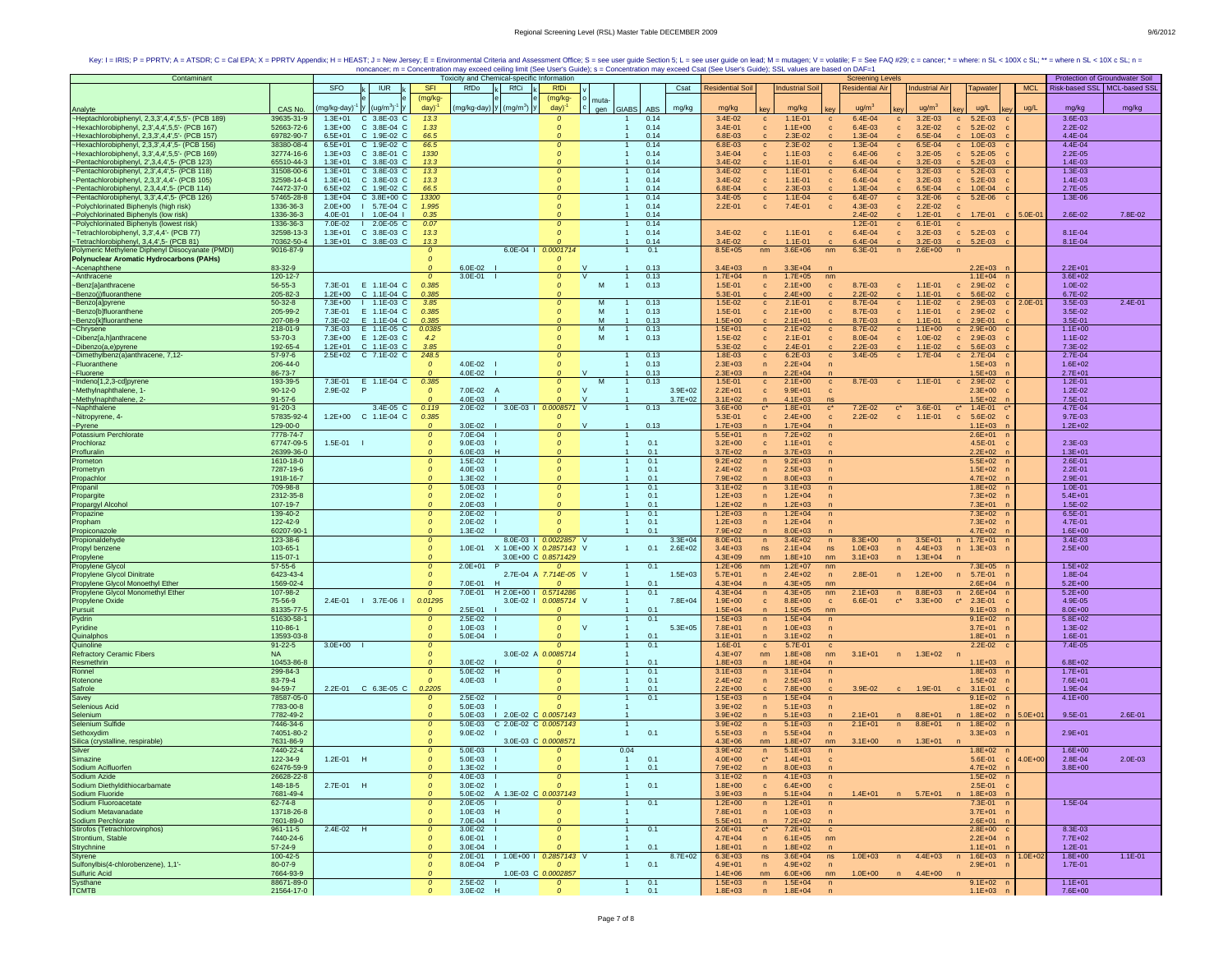| Contaminant                                                                                      |                             |                            |                            |                                 | Toxicity and Chemical-specific Information      |                              |                          |                     |                            |                                                          |                                | <b>Screening Levels</b>    |                                            |                                                 |             |                            | Protection of Groundwater Soil |
|--------------------------------------------------------------------------------------------------|-----------------------------|----------------------------|----------------------------|---------------------------------|-------------------------------------------------|------------------------------|--------------------------|---------------------|----------------------------|----------------------------------------------------------|--------------------------------|----------------------------|--------------------------------------------|-------------------------------------------------|-------------|----------------------------|--------------------------------|
|                                                                                                  |                             | <b>SFO</b>                 | <b>IUR</b>                 | <b>SFI</b>                      | RfDo<br>RfCi                                    | <b>RfDi</b>                  |                          | Csat                | <b>Residential Soil</b>    | <b>Industrial Soil</b>                                   |                                | <b>Residential Air</b>     | <b>Industrial Air</b>                      | <b>Tapwater</b>                                 | <b>MCL</b>  |                            | Risk-based SSL   MCL-based SSI |
|                                                                                                  |                             |                            |                            | (mg/kg-                         |                                                 | (mg/kg-                      | muta-                    |                     |                            |                                                          |                                |                            |                                            |                                                 |             |                            |                                |
| Analyte                                                                                          | CAS No.                     | mg/kg-day)                 | $(ug/m3)-$                 | day)                            | mg/kg-day)   Y   (mg/m <sup>3</sup> )   Y       | day)                         | gen GIABS                | mg/kg<br>ABS        | mg/kg                      | mg/kg                                                    |                                | ug/m <sup>3</sup>          | ug/m <sup>3</sup>                          | ug/L                                            | ug/L        | mg/kg                      | mg/kg                          |
| -Heptachlorobiphenyl, 2,3,3',4,4',5,5'- (PCB 189)                                                | 39635-31-9                  | $1.3E + 01$                | C 3.8E-03 C                | 13.3                            |                                                 | $\boldsymbol{0}$             |                          | 0.14                | 3.4E-02                    | $1.1E - 01$<br>$\mathbf{C}$                              | $\mathbf c$                    | $6.4E - 04$                | $3.2E - 03$<br>$\mathbf{c}$                | $c = 5.2E-03$                                   |             | 3.6E-03                    |                                |
| -Hexachlorobiphenyl, 2,3',4,4',5,5'- (PCB 167)                                                   | 52663-72-6                  | $1.3E + 00$                | C 3.8E-04 C                | 1.33                            |                                                 | 0                            |                          | 0.14                | $3.4E - 01$                | $1.1E + 00$<br>$\mathbf c$                               | $\mathbf c$                    | 6.4E-03                    | $\mathbf{c}$<br>$3.2E - 02$                | $c = 5.2E-02$                                   |             | $2.2E - 02$                |                                |
| ~Hexachlorobiphenyl, 2,3,3',4,4',5'- (PCB 157)                                                   | 69782-90-7                  | $6.5E + 01$                | C 1.9E-02 C                | 66.5                            |                                                 |                              | $\overline{1}$           | 0.14                | 6.8E-03                    | 2.3E-02                                                  |                                | 1.3E-04                    | 6.5E-04<br>c                               | $1.0E-03$<br>$\mathbf{c}$                       |             | 4.4E-04                    |                                |
| ~Hexachlorobiphenyl, 2,3,3',4,4',5- (PCB 156)                                                    | 38380-08-4                  | $6.5E + 01$                | C 1.9E-02 C                | 66.5                            |                                                 | $\Omega$                     |                          | 0.14                | 6.8E-03                    | 2.3E-02<br>$\mathbf{C}$                                  | $\mathbf{c}$                   | 1.3E-04                    | 6.5E-04<br>$\mathbf{c}$                    | $1.0E-03$<br>$\mathbf{c}$                       |             | 4.4E-04                    |                                |
| Hexachlorobiphenyl, 3,3',4,4',5,5'- (PCB 169)                                                    | 32774-16-6<br>65510-44-3    | $1.3E + 03$                | C 3.8E-01 C<br>C 3.8E-03 C | 1330                            |                                                 | $\boldsymbol{0}$<br>$\Omega$ |                          | 0.14                | $3.4E - 04$                | $\mathbf{c}$<br>$1.1E-03$<br>$1.1E - 01$                 | $\mathbf{c}$                   | $6.4E - 06$<br>$6.4E - 04$ | $3.2E - 05$<br>$\mathbf{c}$                | $5.2E-05$<br>$\mathbf{c}$                       |             | $2.2E - 05$<br>1.4E-03     |                                |
| -Pentachlorobiphenyl, 2', 3, 4, 4', 5- (PCB 123)<br>~Pentachlorobiphenyl, 2,3',4,4',5- (PCB 118) | 31508-00-6                  | $1.3E + 01$<br>$1.3E + 01$ | C 3.8E-03 C                | 13.3<br>13.3                    |                                                 | $\Omega$                     |                          | 0.14<br>0.14        | 3.4E-02<br>$3.4E - 02$     | $1.1E - 01$<br>$\mathbf{C}$                              | $\mathbf c$<br>$\mathbf{c}$    | $6.4E - 04$                | $3.2E - 03$<br>$3.2E - 03$<br>$\mathbf{C}$ | $5.2E-03$<br>$c = 5.2E-03$                      |             | 1.3E-03                    |                                |
| ~Pentachlorobiphenyl, 2,3,3',4,4'- (PCB 105)                                                     | 32598-14-4                  | $1.3E + 01$                | C 3.8E-03 C                | 13.3                            |                                                 | $\boldsymbol{0}$             |                          | 0.14                | 3.4E-02                    | $1.1E - 01$<br>$\mathbf{c}$                              | $\mathbf{c}$                   | $6.4E - 04$                | $3.2E - 03$<br>$\mathbf{c}$                | $c = 5.2E-03$                                   |             | 1.4E-03                    |                                |
| ~Pentachlorobiphenyl, 2,3,4,4',5- (PCB 114)                                                      | 74472-37-0                  | $6.5E + 02$                | C 1.9E-02 C                | 66.5                            |                                                 |                              |                          | 0.14                | 6.8E-04                    | $2.3E-03$<br>$\mathbf{c}$                                |                                | 1.3E-04                    | 6.5E-04                                    | $c = 1.0E-04$                                   |             | $2.7E - 05$                |                                |
| ~Pentachlorobiphenyl, 3,3',4,4',5- (PCB 126)                                                     | 57465-28-8                  | $1.3E + 04$                | $C$ 3.8E+00 $C$            | 13300                           |                                                 | $\Omega$                     |                          | 0.14                | 3.4E-05                    | $1.1E - 04$<br>$\mathbf c$                               | $\mathbf c$                    | 6.4E-07                    | $3.2E - 06$<br>$\mathbf{c}$                | $c = 5.2E - 06$                                 |             | 1.3E-06                    |                                |
| ~Polychlorinated Biphenyls (high risk)                                                           | 1336-36-3                   | $2.0F + 00$                | I 5.7E-04 C                | 1.995                           |                                                 | $\Omega$                     |                          | 0.14                | $2.2E - 01$                | 7.4E-01<br>$\mathbf{c}$                                  | $\mathbf{c}$                   | 4.3E-03                    | $2.2E-02$<br>$\mathbf{c}$                  | $\mathbf{C}$                                    |             |                            |                                |
| -Polychlorinated Biphenyls (low risk)<br>-Polychlorinated Biphenyls (lowest risk)                | 1336-36-3                   | 4.0E-01                    | $1 1.0E-04$                | 0.35                            |                                                 | $\Omega$                     |                          | 0.14                |                            |                                                          |                                | $2.4E - 02$                | $1.2E - 01$<br>$\mathbf{c}$                | $c = 1.7E-01$ $c =$                             | $5.0E - 01$ | 2.6E-02                    | 7.8E-02                        |
|                                                                                                  | 1336-36-3                   | 7.0E-02                    | $12.0E-05C$                | 0.07                            |                                                 |                              |                          | 0.14                |                            |                                                          |                                | $1.2E - 01$                | $6.1E - 01$<br>$\mathbf c$                 | $\mathbf{c}$                                    |             |                            |                                |
| ~Tetrachlorobiphenyl, 3,3',4,4'- (PCB 77)                                                        | 32598-13-3                  | $1.3E + 01$                | C 3.8E-03 C                | 13.3                            |                                                 |                              |                          | 0.14                | 3.4E-02                    | $1.1E-01$<br>$\mathbf{c}$                                | $\mathbf c$                    | 6.4E-04                    | $\mathbf{c}$<br>$3.2E - 03$                | $c = 5.2E-03$                                   |             | 8.1E-04                    |                                |
| ~Tetrachlorobiphenyl, 3,4,4',5- (PCB 81)                                                         | 70362-50-4                  | $1.3E + 01$                | C 3.8E-03 C                | 13.3                            |                                                 |                              |                          | 0.14                | 3.4E-02                    | $1.1E - 01$<br>c                                         | $\mathbf{c}$                   | $6.4E - 04$                | $3.2E - 03$<br>$\mathbf{c}$                | $5.2E-03$<br>$\mathbf{C}$                       |             | 8.1E-04                    |                                |
| Polymeric Methylene Diphenyl Diisocyanate (PMDI)                                                 | 9016-87-9                   |                            |                            | $\mathfrak{o}$                  |                                                 | 6.0E-04   0.0001714          |                          | 0.1                 | $8.5E + 05$                | nm<br>$3.6E + 06$                                        | nm                             | 6.3E-01                    | $2.6E + 00$<br>n                           | n                                               |             |                            |                                |
| <b>Polynuclear Aromatic Hydrocarbons (PAHs)</b>                                                  | 83-32-9                     |                            |                            | $\Omega$                        | 6.0E-02                                         |                              |                          | 0.13                |                            |                                                          |                                |                            |                                            | $2.2E + 03$                                     |             | $2.2E + 01$                |                                |
| ~Acenaphthene<br>~Anthracene                                                                     | 120-12-7                    |                            |                            | $\mathcal{O}$                   | $3.0E - 01$                                     | $\Omega$                     | <b>V</b><br>$\mathbf{1}$ | 0.13                | $3.4E + 03$<br>$1.7E + 04$ | $3.3E + 04$<br>$1.7E + 05$<br>n                          | nm                             |                            |                                            | $1.1E + 04$                                     |             | $3.6E + 02$                |                                |
| ~Benz[a]anthracene                                                                               | 56-55-3                     | 7.3E-01                    | E 1.1E-04 C                | 0.385                           |                                                 | $\Omega$                     | M<br>$\overline{1}$      | 0.13                | 1.5E-01                    | $2.1E+00$<br>$\mathbf{c}$                                | $\mathbf{c}$                   | 8.7E-03                    | $1.1E-01$<br>$\mathbf{c}$                  | 2.9E-02<br>$\mathbf{c}$                         |             | 1.0E-02                    |                                |
| ~Benzo(j)fluoranthene                                                                            | 205-82-3                    | $1.2E + 00$                | C 1.1E-04 C                | 0.385                           |                                                 |                              |                          |                     | 5.3E-01                    | $2.4E + 00$<br>$\mathbf{C}$                              | $\mathbf{c}$                   | 2.2E-02                    | $1.1E - 01$                                | 5.6E-02                                         |             | 6.7E-02                    |                                |
| ~Benzo[a]pyrene                                                                                  | $50-32-8$                   | $7.3E + 00$                | 1.1E-03 C                  | 3.85                            |                                                 | 0                            | M                        | 0.13                | 1.5E-02                    | $2.1E-01$<br>$\mathbf{C}$                                | $\mathbf{c}$                   | 8.7E-04                    | $1.1E - 02$<br>$\mathbf{c}$                | 2.9E-03<br>$\mathbf{c}$                         | $2.0E-01$   | 3.5E-03                    | 2.4E-01                        |
| ~Benzo[b]fluoranthene                                                                            | 205-99-2                    | 7.3E-01                    | E 1.1E-04 C                | 0.385                           |                                                 | $\Omega$                     | M                        | 0.13                | 1.5E-01                    | $2.1E + 00$<br>$\mathbf{c}$                              | $\mathbf{C}$                   | 8.7E-03                    | $1.1E - 01$<br>$\mathbf{c}$                | 2.9E-02<br>$\mathbf{c}$                         |             | 3.5E-02                    |                                |
| ~Benzo[k]fluoranthene                                                                            | 207-08-9                    | 7.3E-02                    | E 1.1E-04 C                | 0.385                           |                                                 |                              | M<br>$\overline{1}$      | 0.13                | $1.5E + 00$                | $2.1E + 01$                                              |                                | 8.7E-03                    | $1.1F - 01$                                | $2.9F - 01$<br>$\sim$                           |             | 3.5E-01                    |                                |
| ~Chrysene                                                                                        | 218-01-9                    | 7.3E-03                    | E 1.1E-05 C                | 0.0385                          |                                                 | $\Omega$                     | M                        | 0.13                | $1.5E + 01$                | $2.1E + 02$<br>$\mathbf{C}$                              | $\mathbf{C}$                   | 8.7E-02                    | $1.1E + 00$<br>$\mathbf{c}$                | $c = 2.9E+00$                                   |             | $1.1E + 00$                |                                |
| ~Dibenz[a,h]anthracene                                                                           | 53-70-3                     | 7.3E+00                    | E 1.2E-03 C                | 4.2                             |                                                 | $\Omega$                     | M<br>$\overline{1}$      | 0.13                | 1.5E-02                    | $\mathbf{c}$<br>$2.1E-01$                                | $\mathbf c$                    | 8.0E-04                    | 1.0E-02<br>$\mathbf{c}$                    | $c = 2.9E-03$                                   |             | $1.1E - 02$                |                                |
| ~Dibenzo(a,e)pyrene                                                                              | 192-65-4                    | $1.2E + 01$                | C 1.1E-03 C                | 3.85                            |                                                 |                              |                          |                     | 5.3E-02                    | $2.4E - 01$<br>$\mathbf c$                               |                                | $2.2E - 03$                | $1.1E-02$<br>$\mathbf c$                   | $5.6E-03$<br>$\mathbf{c}$                       |             | 7.3E-02                    |                                |
| ~Dimethylbenz(a)anthracene, 7,12-                                                                | 57-97-6                     | $2.5E + 02$                | C 7.1E-02 C                | 248.5                           |                                                 | $\Omega$                     |                          | 0.13                | 1.8E-03                    | $6.2E-03$<br>$\mathbf{C}$                                | $\mathbf{C}$                   | $3.4E - 05$                | 1.7E-04<br>c                               | $c = 2.7E-04$                                   |             | $2.7E - 04$                |                                |
| ~Fluoranthene                                                                                    | 206-44-0                    |                            |                            | $\Omega$                        | 4.0E-02                                         | $\boldsymbol{0}$             |                          | 0.13                | $2.3E + 03$                | $2.2E + 04$<br>n                                         | $\mathsf{n}$                   |                            |                                            | $1.5E + 03$                                     |             | $1.6E + 02$                |                                |
| ~Fluorene                                                                                        | 86-73-7                     |                            |                            |                                 | 4.0E-02                                         |                              | <b>V</b>                 | 0.13                | $2.3E + 03$                | $2.2E + 04$<br>$\overline{p}$                            |                                |                            |                                            | $1.5E + 03$                                     |             | $2.7E + 01$                |                                |
| ~Indeno[1,2,3-cd]pyrene                                                                          | 193-39-5<br>$90-12-0$       | 7.3E-01<br>2.9E-02         | E 1.1E-04 C<br>- P         | 0.385<br>$\mathcal{O}$          | 7.0E-02 A                                       | $\Omega$                     | $\mathbf v$              | 0.13<br>$3.9E + 02$ | 1.5E-01<br>$2.2E + 01$     | $\mathbf{c}$<br>$2.1E+00$<br>$9.9E + 01$<br>$\mathbf{c}$ | $\mathbf c$<br>$\mathbf{C}$    | 8.7E-03                    | $1.1E - 01$<br>$\mathbf{c}$                | $c = 2.9E-02$<br>$2.3E + 00$                    |             | $1.2E - 01$<br>$1.2E - 02$ |                                |
| ~Methylnaphthalene, 1-<br>~Methylnaphthalene, 2-                                                 | $91 - 57 - 6$               |                            |                            |                                 | 4.0E-03                                         | $\Omega$                     |                          | $3.7E + 02$         | $3.1E + 02$                | $4.1E + 03$<br>n                                         | ns                             |                            |                                            | $1.5E + 02$                                     |             | 7.5E-01                    |                                |
| ~Naphthalene                                                                                     | $91 - 20 - 3$               |                            | 3.4E-05 C                  | 0.119                           | 2.0E-02   3.0E-03   0.0008571 V                 |                              |                          | 0.13                | $3.6E + 00$                | $1.8E + 01$<br>$\mathbf{c}^*$                            | $c^*$                          | 7.2E-02                    | 3.6E-01<br>$\mathbf{c}^*$                  | $1.4E - 01$<br>$\mathbf{C}^*$<br>$\mathbf{c}^*$ |             | 4.7E-04                    |                                |
| ~Nitropyrene, 4-                                                                                 | 57835-92-4                  | $1.2E + 00$                | C 1.1E-04 C                | 0.385                           |                                                 |                              |                          |                     | 5.3E-01                    | $2.4E + 00$<br>$\mathbf{c}$                              | $\mathbf{c}$                   | $2.2E - 02$                | $1.1E - 01$<br>$\mathbf{C}$                | 5.6E-02<br>$\mathbf{C}$                         |             | $9.7E - 03$                |                                |
| ~Pyrene                                                                                          | 129-00-0                    |                            |                            | $\Omega$                        | $3.0E - 02$                                     |                              | $\vee$<br>$\overline{1}$ | 0.13                | $1.7E + 03$                | $1.7E + 04$<br>n                                         | n                              |                            |                                            | $1.1E + 03$                                     |             | $1.2E + 02$                |                                |
| <b>Potassium Perchlorate</b>                                                                     | 7778-74-7                   |                            |                            | $\mathcal{O}$                   | 7.0E-04                                         | $\Omega$                     |                          |                     | $5.5E + 01$                | $7.2E + 02$<br>n                                         | $\mathsf{n}$                   |                            |                                            | $2.6E + 01$                                     |             |                            |                                |
| Prochloraz                                                                                       | 67747-09-5                  | 1.5E-01                    |                            | $\mathfrak{o}$                  | $9.0E-03$                                       | $\boldsymbol{0}$             |                          | 0.1                 | $3.2E + 00$                | $1.1E + 01$<br>$\mathbf{c}$                              | $\mathbf c$                    |                            |                                            | 4.5E-01                                         |             | 2.3E-03                    |                                |
| Profluralin                                                                                      | 26399-36-0                  |                            |                            | $\mathfrak{o}$                  | 6.0E-03<br>-H                                   |                              |                          | 0.1                 | $3.7E + 02$                | $3.7E + 03$<br>$\mathsf{n}$                              |                                |                            |                                            | $2.2E + 02$                                     |             | $1.3E + 01$                |                                |
| Prometon                                                                                         | 1610-18-0                   |                            |                            | $\mathcal{O}$                   | 1.5E-02                                         | $\Omega$                     |                          | 0.1                 | $9.2E + 02$                | $9.2E + 03$<br>n                                         | $\mathsf{n}$                   |                            |                                            | $5.5E + 02$                                     |             | $2.6E - 01$                |                                |
| Prometryn                                                                                        | 7287-19-6                   |                            |                            | $\mathcal{O}$                   | 4.0E-03                                         | $\Omega$                     |                          | 0.1                 | $2.4E + 02$                | $2.5E + 03$<br>n                                         | $\mathsf{n}$                   |                            |                                            | $1.5E + 02$                                     |             | $2.2E - 01$                |                                |
| Propachlor                                                                                       | 1918-16-7                   |                            |                            |                                 | 1.3E-02                                         |                              |                          | 0.1                 | 7.9E+02                    | $8.0E + 03$<br>$\overline{n}$                            |                                |                            |                                            | $4.7E + 02$                                     |             | 2.9E-01                    |                                |
| Propanil                                                                                         | 709-98-8                    |                            |                            | $\mathcal{O}$                   | 5.0E-03                                         | $\Omega$                     |                          | 0.1                 | $3.1E + 02$                | $3.1E + 03$<br>$\sqrt{n}$                                | $\mathsf{n}$                   |                            |                                            | $1.8E + 02$ n                                   |             | $1.0E - 01$                |                                |
| Propargite                                                                                       | 2312-35-8                   |                            |                            | $\Omega$<br>$\mathfrak{o}$      | 2.0E-02                                         | $\Omega$<br>$\Omega$         |                          | 0.1                 | $1.2E + 03$                | $1.2E + 04$<br>n                                         | $\mathsf{n}$                   |                            |                                            | $7.3E + 02$<br>- n                              |             | $5.4E + 01$                |                                |
| Propargyl Alcohol<br>Propazine                                                                   | 107-19-7<br>139-40-2        |                            |                            | $\mathcal{O}$                   | $2.0E-03$<br>2.0E-02                            | $\Omega$                     |                          | 0.1<br>0.1          | $1.2E + 02$<br>$1.2E + 03$ | $1.2E + 03$<br>n<br>$1.2E + 04$<br>n                     | n<br>$\overline{ }$            |                            |                                            | $7.3E + 01$<br>$7.3E + 02$                      |             | 1.5E-02<br>6.5E-01         |                                |
| Propham                                                                                          | 122-42-9                    |                            |                            | $\mathfrak{o}$                  | 2.0E-02                                         |                              |                          | 0.1                 | $1.2E + 03$                | $1.2E + 04$<br>$\mathsf{n}$                              | $\overline{p}$                 |                            |                                            | 7.3E+02                                         |             | 4.7E-01                    |                                |
| Propiconazole                                                                                    | 60207-90-                   |                            |                            |                                 | 1.3E-02                                         |                              | 0.1                      |                     | 7.9E+02                    | $8.0E + 03$<br>$\overline{n}$                            |                                |                            |                                            | 4.7E+02                                         |             | $1.6E + 00$                |                                |
| Propionaldehyde                                                                                  | 123-38-6                    |                            |                            | $\Omega$                        |                                                 | 8.0E-03   0.0022857 V        |                          | $3.3E + 04$         | $8.0E + 01$                | $3.4E + 02$<br>n                                         | n                              | $8.3E + 00$                | $3.5E + 01$<br>n                           | n 1.7E+01                                       |             | 3.4E-03                    |                                |
| Propyl benzene                                                                                   | 103-65-1                    |                            |                            | $\mathcal{O}$                   | 1.0E-01 X 1.0E+00 X 0.2857143 V                 |                              | $\mathbf{1}$             | 0.1<br>$2.6E + 02$  | $3.4E + 03$                | ns<br>$2.1E + 04$                                        | ns                             | $1.0E + 03$                | $4.4E + 03$<br>n                           | n 1.3E+03                                       |             | $2.5E + 00$                |                                |
| Propylene                                                                                        | 115-07-1                    |                            |                            |                                 |                                                 | 3.0E+00 C 0.8571429          |                          |                     | $4.3E + 09$                | $1.8E + 10$<br>nm                                        | nm                             | $3.1E + 03$                | $1.3E + 04$<br>$\overline{p}$              |                                                 |             |                            |                                |
| Propylene Glycol                                                                                 | $57 - 55 - 6$               |                            |                            | $\mathcal{O}$                   | $2.0E+01$ P                                     | 0                            |                          | 0.1                 | $1.2E + 06$                | nm<br>$1.2E + 07$                                        | nm                             |                            |                                            | $7.3E + 05$                                     |             | $1.5E + 02$                |                                |
| Propylene Glycol Dinitrate                                                                       | 6423-43-4                   |                            |                            | $\Omega$                        |                                                 | 2.7E-04 A 7.714E-05 V        |                          | $1.5E + 03$         | $5.7E + 01$                | $2.4E + 02$<br>n                                         | n                              | 2.8E-01                    | $1.2E + 00$<br>$\mathsf{n}$                | 5.7E-01<br>n                                    |             | 1.8E-04                    |                                |
| Propylene Glycol Monoethyl Ether                                                                 | 1569-02-4                   |                            |                            | $\Omega$                        | 7.0E-01 H                                       | $\Omega$                     |                          | 0.1                 | $4.3E + 04$                | $4.3E + 05$<br>n                                         | nm                             |                            |                                            | $2.6E + 04$                                     |             | $5.2E + 00$                |                                |
| Propylene Glycol Monomethyl Ether                                                                | 107-98-2                    |                            |                            | $\Omega$                        | 7.0E-01<br>H 2.0E+00   0.5714286                |                              |                          | 0.1                 | $4.3E + 04$                | n<br>$4.3E + 05$                                         | nm                             | $2.1E + 03$                | $8.8E + 03$<br>n                           | $2.6E + 04$<br>n                                |             | $5.2E + 00$                |                                |
| Propylene Oxide                                                                                  | 75-56-9                     |                            | 2.4E-01   3.7E-06          | 0.01295                         |                                                 | 3.0E-02   0.0085714 V        |                          | $7.8E + 04$         | $1.9E + 00$                | $\mathbf{C}$<br>$8.8E + 00$                              | $\mathbf{c}$                   | $6.6E - 01$                | $\mathbf{c}^*$<br>$3.3E + 00$              | $\mathbf{c}^*$<br>$2.3E-01$                     |             | 4.9E-05                    |                                |
| Pursuit                                                                                          | 81335-77-5<br>51630-58-1    |                            |                            | $\Omega$                        | 2.5E-01<br>2.5E-02                              |                              | 0.1                      | 0.1                 | $1.5E + 04$<br>$1.5E + 03$ | $1.5E + 05$<br>$\mathsf{n}$<br>$1.5E + 04$               | nm                             |                            |                                            | $9.1E + 03$<br>$9.1E + 02$                      |             | $8.0E + 00$<br>$5.8E + 02$ |                                |
| Pydrin<br>Pyridine                                                                               | 110-86-1                    |                            |                            | $\mathcal{O}$<br>$\mathcal{O}$  | $1.0E - 03$                                     | $\boldsymbol{0}$             | <b>V</b>                 | $5.3E + 05$         | $7.8E + 01$                | n<br>$1.0E + 03$<br>n                                    | $\sqrt{n}$<br>n                |                            |                                            | $3.7E + 01$                                     |             | 1.3E-02                    |                                |
| Quinalphos                                                                                       | 13593-03-8                  |                            |                            | $\mathcal{O}$                   | 5.0E-04                                         | $\Omega$                     | 0.1                      |                     | $3.1E + 01$                | $3.1E + 02$<br>n                                         |                                |                            |                                            | $1.8E + 01$                                     |             | 1.6E-01                    |                                |
| Quinoline                                                                                        | $91 - 22 - 5$               | $3.0E + 00$                |                            | $\mathcal{O}$                   |                                                 | $\Omega$                     |                          | 0.1                 | 1.6E-01                    | 5.7E-01<br>$\mathbf{C}$                                  | $\mathbf{C}$                   |                            |                                            | $2.2E-02$ c                                     |             | $7.4E - 05$                |                                |
| <b>Refractory Ceramic Fibers</b>                                                                 | <b>NA</b>                   |                            |                            | $\Omega$                        |                                                 | 3.0E-02 A 0.0085714          |                          |                     | $4.3E + 07$                | $1.8E + 08$<br>nm                                        | nm                             | $3.1E + 01$                | n 1.3E+02                                  | <b>n</b>                                        |             |                            |                                |
| Resmethrin                                                                                       | 10453-86-8                  |                            |                            |                                 | 3.0E-02                                         |                              |                          | 0.1                 | $1.8E + 03$                | $1.8E + 04$<br>$\mathsf{n}$                              |                                |                            |                                            | $1.1E + 03$                                     |             | $6.8E + 02$                |                                |
| Ronnel                                                                                           | 299-84-3                    |                            |                            | $\mathcal{O}$                   | 5.0E-02<br>$\mathbf{H}$                         |                              |                          | 0.1                 | $3.1E + 03$                | n<br>$3.1E + 04$                                         | $\mathsf{n}$                   |                            |                                            | $1.8E + 03$                                     |             | $1.7E + 01$                |                                |
| Rotenone                                                                                         | 83-79-4                     |                            |                            | $\Omega$                        | 4.0E-03                                         | $\Omega$                     |                          | 0.1                 | $2.4E + 02$                | $2.5E + 03$<br>n                                         |                                |                            |                                            | $1.5E + 02$                                     |             | 7.6E+01                    |                                |
| Safrole                                                                                          | 94-59-7                     |                            | 2.2E-01 C 6.3E-05 C        | 0.2205                          |                                                 |                              |                          | 0.1                 | $2.2E + 00$                | $7.8E + 00$<br>$\mathbf{c}$                              |                                | $3.9E - 02$                | 1.9E-01<br>$\mathbf{c}$                    | $3.1E - 01$<br>$\mathbf{c}$                     |             | 1.9E-04                    |                                |
| Savey                                                                                            | 78587-05-0                  |                            |                            |                                 | 2.5E-02                                         | $\boldsymbol{0}$             |                          | 0.1                 | $1.5E + 03$                | $1.5E + 04$<br>n                                         | $\sqrt{n}$                     |                            |                                            | $9.1E + 02$                                     |             | $4.1E + 00$                |                                |
| Selenious Acid                                                                                   | 7783-00-8<br>7782-49-2      |                            |                            | $\Omega$<br>$\Omega$            | 5.0E-03<br>1 2.0E-02 C 0.0057143<br>$5.0E - 03$ |                              |                          |                     | $3.9E + 02$<br>$3.9E + 02$ | $5.1E + 03$<br>n<br>n                                    | $\overline{p}$<br>$\mathsf{n}$ | $2.1E + 01$                | $8.8E + 01$<br>n                           | $1.8E + 02$<br>$1.8E + 02$<br>n<br>n            |             |                            | 2.6E-01                        |
| Selenium<br>Selenium Sulfide                                                                     | 7446-34-6                   |                            |                            | $\mathcal{O}$                   | 5.0E-03<br>C 2.0E-02 C 0.0057143                |                              |                          |                     | $3.9E + 02$                | $5.1E + 03$<br>$5.1E + 03$<br>n                          | n                              | $2.1E + 01$                | $8.8E + 01$<br>n                           | $1.8E + 02$<br>n<br>- n                         | 5.0E+01     | $9.5E - 01$                |                                |
| Sethoxydim                                                                                       | 74051-80-2                  |                            |                            | $\mathcal{O}$                   | $9.0E - 02$                                     | $\boldsymbol{0}$             |                          | 0.1                 | $5.5E + 03$                | n<br>$5.5E + 04$                                         | $\mathsf{n}$                   |                            |                                            | $3.3E + 03$                                     |             | $2.9E + 01$                |                                |
| Silica (crystalline, respirable)                                                                 | 7631-86-9                   |                            |                            |                                 |                                                 | 3.0E-03 C 0.000857           |                          |                     | $4.3E + 06$                | $1.8E + 07$<br>nm                                        | nm                             | $3.1E + 00$                | $1.3E + 01$<br>$\sqrt{n}$                  |                                                 |             |                            |                                |
| Silver                                                                                           | 7440-22-4                   |                            |                            | $\mathcal{O}$                   | $5.0E - 03$                                     | $\boldsymbol{0}$             | 0.04                     |                     | $3.9E + 02$                | $5.1E + 03$<br>$\sqrt{n}$                                | $\mathsf{n}$                   |                            |                                            | $1.8E + 02$                                     |             | $1.6E + 00$                |                                |
| Simazine                                                                                         | 122-34-9                    | 1.2E-01 H                  |                            | $\mathcal{O}$                   | 5.0E-03                                         | $\Omega$                     |                          | 0.1                 | $4.0E + 00$                | $1.4E + 01$<br>$\mathbf{c}^*$                            | $\mathbf{C}$                   |                            |                                            | 5.6E-01<br>$\mathbf{c}$                         | $4.0E + 00$ | $2.8F - 04$                | $2.0E-03$                      |
| Sodium Acifluorfen                                                                               | 62476-59-9                  |                            |                            |                                 | $1.3F - 02$                                     | $\Omega$                     |                          | 0.1                 | $7.9F + 02$                | $8.0F + 0.3$<br>n                                        | n                              |                            |                                            | $4.7F + 02$                                     |             | $3.8F + 00$                |                                |
| Sodium Azide                                                                                     | 26628-22-8                  |                            |                            | $\mathcal{O}$                   | 4.0E-03                                         | $\boldsymbol{0}$             |                          |                     | $3.1E + 02$                | $4.1E + 03$<br>n                                         | n                              |                            |                                            | $1.5E + 02$                                     |             |                            |                                |
| Sodium Diethyldithiocarbamate                                                                    | 148-18-5                    | 2.7E-01 H                  |                            | $\mathcal{O}$                   | $3.0E-02$                                       | $\Omega$                     |                          | 0.1                 | $1.8E + 00$                | $6.4E + 00$<br>$\mathbf{c}$                              | $\mathbf{C}$                   |                            |                                            | $2.5E - 01$                                     |             |                            |                                |
| Sodium Fluoride<br>Sodium Fluoroacetate                                                          | 7681-49-4                   |                            |                            | $\Omega$                        | 5.0E-02 A 1.3E-02 C 0.0037143                   |                              |                          |                     | $3.9E + 03$                | $5.1E + 04$<br>n                                         | $\mathsf{n}$                   |                            | 1.4E+01 n 5.7E+01                          | n 1.8E+03                                       |             |                            |                                |
|                                                                                                  | 62-74-8                     |                            |                            | $\mathfrak{o}$                  | $2.0E - 05$                                     | $\Omega$                     |                          | 0.1                 | $1.2E + 00$                | $1.2E + 01$<br>n                                         | $\mathsf{n}$                   |                            |                                            | 7.3E-01<br>n                                    |             | $1.5E - 04$                |                                |
| Sodium Metavanadate                                                                              | 13718-26-8                  |                            |                            | $\mathfrak{o}$<br>$\mathcal{O}$ | $1.0E - 03$<br>H                                | $\boldsymbol{0}$             |                          |                     | 7.8E+01                    | $1.0E + 03$<br>n                                         | n                              |                            |                                            | $3.7E + 01$ n                                   |             |                            |                                |
| Sodium Perchlorate<br>Stirofos (Tetrachlorovinphos)                                              | 7601-89-0<br>$961 - 11 - 5$ | $2.4E-02$ H                |                            | $\mathfrak{o}$                  | 7.0E-04<br>3.0E-02                              | 0<br>$\mathcal{O}$           |                          | 0.1                 | $5.5E + 01$<br>$2.0E + 01$ | n<br>$7.2E + 02$<br>$\mathbf{c}^\star$<br>$7.2E + 01$    | $\mathsf{n}$                   |                            |                                            | $2.6E + 01$<br>$2.8E + 00$<br>$\mathbf{c}$      |             | 8.3E-03                    |                                |
| Strontium, Stable                                                                                | 7440-24-6                   |                            |                            | $\mathfrak{o}$                  | 6.0E-01                                         | $\Omega$                     |                          |                     | $4.7E + 04$                | $6.1E + 05$<br>n                                         | $\mathbf{C}$<br>nm             |                            |                                            | $2.2E + 04$<br>$\overline{ }$                   |             | $7.7E + 02$                |                                |
| Strychnine                                                                                       | 57-24-9                     |                            |                            | $\Omega$                        | 3.0E-04                                         |                              |                          | 0.1                 | $1.8E + 01$                | $1.8E + 02$<br>n.                                        |                                |                            |                                            | $1.1E + 01$                                     |             | $1.2E - 01$                |                                |
| Styrene                                                                                          | 100-42-5                    |                            |                            | $\mathcal{O}$                   | 2.0E-01   1.0E+00   0.2857143 V                 |                              | $\overline{1}$           | $8.7E + 02$         | $6.3E + 03$                | $3.6E + 04$<br>ns                                        | ns                             | $1.0E + 03$                | $4.4E + 03$<br>n                           | n 1.6E+03<br>n                                  | $1.0E + 02$ | $1.8E + 00$                | $1.1E - 01$                    |
| Sulfonylbis(4-chlorobenzene), 1,1'-                                                              | 80-07-9                     |                            |                            | $\mathcal{O}$                   | 8.0E-04 P                                       | $\mathcal{O}$                | $\mathbf{1}$             | 0.1                 | $4.9E + 01$                | n<br>$4.9E + 02$                                         | n                              |                            |                                            | $2.9E + 01$                                     |             | 1.7E-01                    |                                |
|                                                                                                  | 7664-93-9                   |                            |                            | $\Omega$                        |                                                 | 1.0E-03 C 0.0002857          |                          |                     | $1.4E + 06$                | $6.0E + 06$<br>nm                                        | nm                             | $1.0E + 00$                | $4.4E + 00$<br>n                           |                                                 |             |                            |                                |
| Sulfuric Acid<br>Systhane                                                                        | 88671-89-0                  |                            |                            | $\mathfrak{o}$                  | $2.5E - 02$                                     | $\mathcal{O}$                | $\mathbf{1}$             | 0.1                 | $1.5E + 03$                | $1.5E + 04$<br>n                                         | n                              |                            |                                            | $9.1E+02$ n                                     |             | $1.1E + 01$                |                                |
| <b>TCMTB</b>                                                                                     | 21564-17-0                  |                            |                            | $\mathcal{O}$                   | 3.0E-02 H                                       | $\boldsymbol{0}$             | $\mathbf{1}$             | 0.1                 | $1.8E + 03$                | $1.8E + 04$<br>n                                         | $\mathsf{n}$                   |                            |                                            | $1.1E+03$ n                                     |             | 7.6E+00                    |                                |